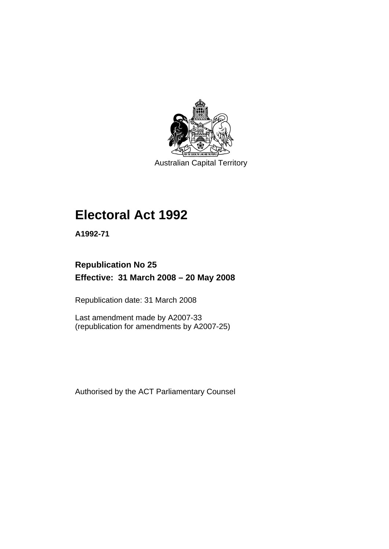

Australian Capital Territory

# **[Electoral Act 1992](#page-18-0)**

**A1992-71** 

# **Republication No 25 Effective: 31 March 2008 – 20 May 2008**

Republication date: 31 March 2008

Last amendment made by A2007-33 (republication for amendments by A2007-25)

Authorised by the ACT Parliamentary Counsel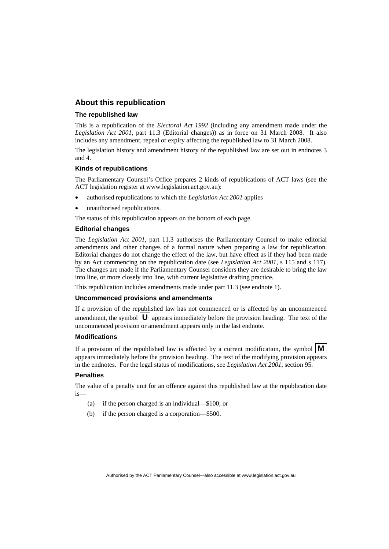### **About this republication**

#### **The republished law**

This is a republication of the *Electoral Act 1992* (including any amendment made under the *Legislation Act 2001*, part 11.3 (Editorial changes)) as in force on 31 March 2008*.* It also includes any amendment, repeal or expiry affecting the republished law to 31 March 2008.

The legislation history and amendment history of the republished law are set out in endnotes 3 and 4.

#### **Kinds of republications**

The Parliamentary Counsel's Office prepares 2 kinds of republications of ACT laws (see the ACT legislation register at www.legislation.act.gov.au):

- authorised republications to which the *Legislation Act 2001* applies
- unauthorised republications.

The status of this republication appears on the bottom of each page.

#### **Editorial changes**

The *Legislation Act 2001*, part 11.3 authorises the Parliamentary Counsel to make editorial amendments and other changes of a formal nature when preparing a law for republication. Editorial changes do not change the effect of the law, but have effect as if they had been made by an Act commencing on the republication date (see *Legislation Act 2001*, s 115 and s 117). The changes are made if the Parliamentary Counsel considers they are desirable to bring the law into line, or more closely into line, with current legislative drafting practice.

This republication includes amendments made under part 11.3 (see endnote 1).

#### **Uncommenced provisions and amendments**

If a provision of the republished law has not commenced or is affected by an uncommenced amendment, the symbol  $\mathbf{U}$  appears immediately before the provision heading. The text of the uncommenced provision or amendment appears only in the last endnote.

#### **Modifications**

If a provision of the republished law is affected by a current modification, the symbol  $\mathbf{M}$ appears immediately before the provision heading. The text of the modifying provision appears in the endnotes. For the legal status of modifications, see *Legislation Act 2001*, section 95.

#### **Penalties**

The value of a penalty unit for an offence against this republished law at the republication date is—

- (a) if the person charged is an individual—\$100; or
- (b) if the person charged is a corporation—\$500.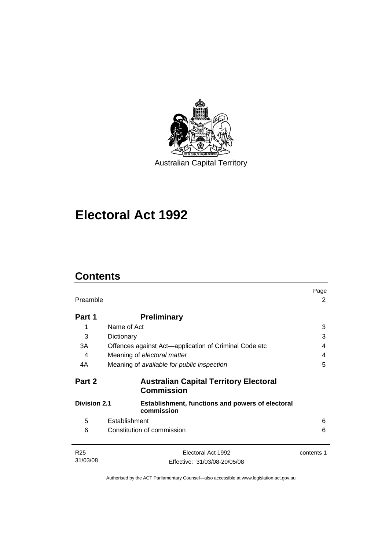

# **[Electoral Act 1992](#page-18-0)**

# **Contents**

| Preamble                                                                                     |                                                                    | Page<br>2  |
|----------------------------------------------------------------------------------------------|--------------------------------------------------------------------|------------|
| Part 1                                                                                       | <b>Preliminary</b>                                                 |            |
| 1                                                                                            | Name of Act                                                        | 3          |
| 3                                                                                            | Dictionary                                                         | 3          |
| 3A                                                                                           | Offences against Act-application of Criminal Code etc              | 4          |
| 4                                                                                            | Meaning of electoral matter                                        | 4          |
| 4A                                                                                           | Meaning of available for public inspection                         | 5          |
| Part 2                                                                                       | <b>Australian Capital Territory Electoral</b><br><b>Commission</b> |            |
| <b>Division 2.1</b><br><b>Establishment, functions and powers of electoral</b><br>commission |                                                                    |            |
| 5                                                                                            | Establishment                                                      | 6          |
| 6                                                                                            | Constitution of commission                                         | 6          |
| R <sub>25</sub><br>31/03/08                                                                  | Electoral Act 1992<br>Effective: 31/03/08-20/05/08                 | contents 1 |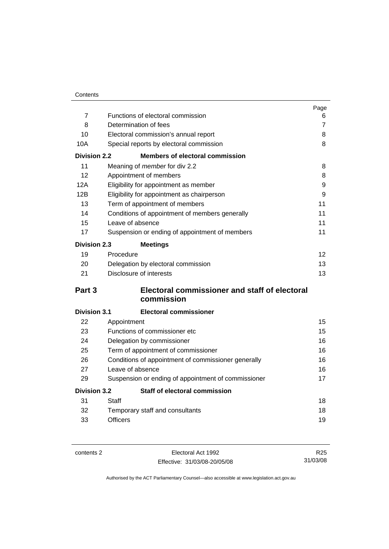| Contents |
|----------|
|          |

|                     |                                                      | Page           |
|---------------------|------------------------------------------------------|----------------|
| $\overline{7}$      | Functions of electoral commission                    | 6              |
| 8                   | Determination of fees                                | $\overline{7}$ |
| 10                  | Electoral commission's annual report                 | 8              |
| 10A                 | Special reports by electoral commission              | 8              |
| <b>Division 2.2</b> | <b>Members of electoral commission</b>               |                |
| 11                  | Meaning of member for div 2.2                        | 8              |
| 12                  | Appointment of members                               | 8              |
| 12A                 | Eligibility for appointment as member                | 9              |
| 12B                 | Eligibility for appointment as chairperson           | 9              |
| 13                  | Term of appointment of members                       | 11             |
| 14                  | Conditions of appointment of members generally       | 11             |
| 15                  | Leave of absence                                     | 11             |
| 17                  | Suspension or ending of appointment of members       | 11             |
| <b>Division 2.3</b> | <b>Meetings</b>                                      |                |
| 19                  | Procedure                                            | 12             |
| 20                  | Delegation by electoral commission                   | 13             |
| 21                  | Disclosure of interests                              | 13             |
| Part <sub>3</sub>   | <b>Electoral commissioner and staff of electoral</b> |                |
|                     | commission                                           |                |
| <b>Division 3.1</b> | <b>Electoral commissioner</b>                        |                |
| 22                  | Appointment                                          | 15             |
| 23                  | Functions of commissioner etc                        | 15             |
| 24                  | Delegation by commissioner                           | 16             |
| 25                  | Term of appointment of commissioner                  | 16             |
| 26                  | Conditions of appointment of commissioner generally  | 16             |
| 27                  | Leave of absence                                     |                |
| 29                  | Suspension or ending of appointment of commissioner  | 17             |
| <b>Division 3.2</b> | Staff of electoral commission                        |                |
| 31                  | Staff                                                | 18             |
| 32                  | Temporary staff and consultants                      | 18             |
| 33                  | <b>Officers</b>                                      | 19             |

contents 2 Electoral Act 1992 Effective: 31/03/08-20/05/08

R25 31/03/08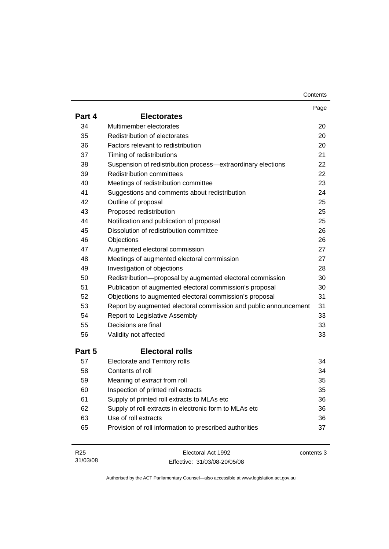| Contents |
|----------|
|----------|

|                 |                                                                  | Page       |
|-----------------|------------------------------------------------------------------|------------|
| Part 4          | <b>Electorates</b>                                               |            |
| 34              | Multimember electorates                                          | 20         |
| 35              | Redistribution of electorates                                    | 20         |
| 36              | Factors relevant to redistribution                               | 20         |
| 37              | Timing of redistributions                                        | 21         |
| 38              | Suspension of redistribution process-extraordinary elections     | 22         |
| 39              | <b>Redistribution committees</b>                                 | 22         |
| 40              | Meetings of redistribution committee                             | 23         |
| 41              | Suggestions and comments about redistribution                    | 24         |
| 42              | Outline of proposal                                              | 25         |
| 43              | Proposed redistribution                                          | 25         |
| 44              | Notification and publication of proposal                         | 25         |
| 45              | Dissolution of redistribution committee                          | 26         |
| 46              | Objections                                                       | 26         |
| 47              | Augmented electoral commission                                   | 27         |
| 48              | Meetings of augmented electoral commission                       | 27         |
| 49              | Investigation of objections                                      | 28         |
| 50              | Redistribution-proposal by augmented electoral commission        | 30         |
| 51              | Publication of augmented electoral commission's proposal         | 30         |
| 52              | Objections to augmented electoral commission's proposal          | 31         |
| 53              | Report by augmented electoral commission and public announcement | 31         |
| 54              | <b>Report to Legislative Assembly</b>                            | 33         |
| 55              | Decisions are final                                              | 33         |
| 56              | Validity not affected                                            | 33         |
| Part 5          | <b>Electoral rolls</b>                                           |            |
| 57              | Electorate and Territory rolls                                   | 34         |
| 58              | Contents of roll                                                 | 34         |
| 59              | Meaning of extract from roll                                     | 35         |
| 60              | Inspection of printed roll extracts                              | 35         |
| 61              | Supply of printed roll extracts to MLAs etc                      | 36         |
| 62              | Supply of roll extracts in electronic form to MLAs etc           | 36         |
| 63              | Use of roll extracts                                             | 36         |
| 65              | Provision of roll information to prescribed authorities          | 37         |
|                 |                                                                  |            |
| R <sub>25</sub> | Electoral Act 1992                                               | contents 3 |

Effective: 31/03/08-20/05/08

31/03/08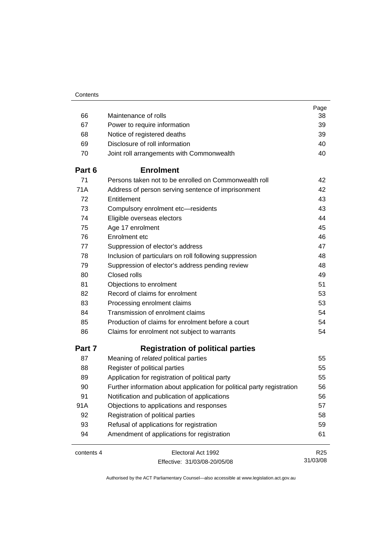|            |                                                                        | Page            |
|------------|------------------------------------------------------------------------|-----------------|
| 66         | Maintenance of rolls                                                   | 38              |
| 67         | Power to require information                                           | 39              |
| 68         | Notice of registered deaths                                            | 39              |
| 69         | Disclosure of roll information                                         | 40              |
| 70         | Joint roll arrangements with Commonwealth                              | 40              |
| Part 6     | <b>Enrolment</b>                                                       |                 |
| 71         | Persons taken not to be enrolled on Commonwealth roll                  | 42              |
| 71A        | Address of person serving sentence of imprisonment                     | 42              |
| 72         | Entitlement                                                            | 43              |
| 73         | Compulsory enrolment etc-residents                                     | 43              |
| 74         | Eligible overseas electors                                             | 44              |
| 75         | Age 17 enrolment                                                       | 45              |
| 76         | Enrolment etc.                                                         | 46              |
| 77         | Suppression of elector's address                                       | 47              |
| 78         | Inclusion of particulars on roll following suppression                 | 48              |
| 79         | Suppression of elector's address pending review                        | 48              |
| 80         | Closed rolls                                                           | 49              |
| 81         | Objections to enrolment                                                | 51              |
| 82         | Record of claims for enrolment                                         | 53              |
| 83         | Processing enrolment claims                                            | 53              |
| 84         | Transmission of enrolment claims                                       | 54              |
| 85         | Production of claims for enrolment before a court                      | 54              |
| 86         | Claims for enrolment not subject to warrants                           | 54              |
| Part 7     | <b>Registration of political parties</b>                               |                 |
| 87         | Meaning of related political parties                                   | 55              |
| 88         | Register of political parties                                          | 55              |
| 89         | Application for registration of political party                        | 55              |
| 90         | Further information about application for political party registration | 56              |
| 91         | Notification and publication of applications                           | 56              |
| 91A        | Objections to applications and responses                               | 57              |
| 92         | Registration of political parties                                      | 58              |
| 93         | Refusal of applications for registration                               | 59              |
| 94         | Amendment of applications for registration                             | 61              |
| contents 4 | Electoral Act 1992                                                     | R <sub>25</sub> |
|            | Effective: 31/03/08-20/05/08                                           | 31/03/08        |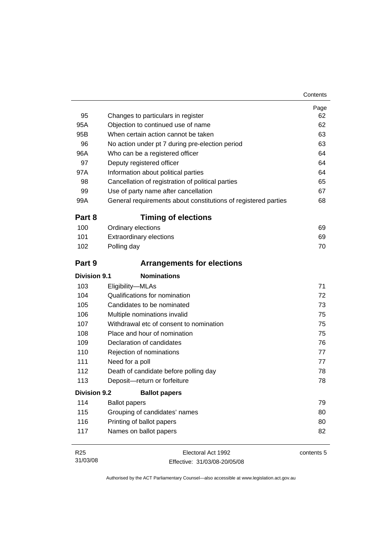| 95                  | Changes to particulars in register                             | Page<br>62 |
|---------------------|----------------------------------------------------------------|------------|
| 95A                 | Objection to continued use of name                             | 62         |
| 95B                 | When certain action cannot be taken                            | 63         |
| 96                  | No action under pt 7 during pre-election period                | 63         |
| 96A                 | Who can be a registered officer                                | 64         |
| 97                  | Deputy registered officer                                      | 64         |
| 97A                 | Information about political parties                            | 64         |
| 98                  | Cancellation of registration of political parties              | 65         |
| 99                  | Use of party name after cancellation                           | 67         |
| 99A                 | General requirements about constitutions of registered parties | 68         |
| Part 8              | <b>Timing of elections</b>                                     |            |
| 100                 | Ordinary elections                                             | 69         |
| 101                 | <b>Extraordinary elections</b>                                 | 69         |
| 102                 | Polling day                                                    | 70         |
| Part 9              | <b>Arrangements for elections</b>                              |            |
| <b>Division 9.1</b> | <b>Nominations</b>                                             |            |
| 103                 | Eligibility-MLAs                                               | 71         |
| 104                 | Qualifications for nomination                                  | 72         |
| 105                 | Candidates to be nominated                                     | 73         |
| 106                 | Multiple nominations invalid                                   | 75         |
| 107                 | Withdrawal etc of consent to nomination                        | 75         |
| 108                 | Place and hour of nomination                                   | 75         |
| 109                 | Declaration of candidates                                      | 76         |
| 110                 | Rejection of nominations                                       | 77         |
| 111                 | Need for a poll                                                | 77         |
| 112                 | Death of candidate before polling day                          | 78         |
| 113                 | Deposit-return or forfeiture                                   | 78         |
| <b>Division 9.2</b> | <b>Ballot papers</b>                                           |            |
| 114                 | <b>Ballot papers</b>                                           | 79         |
| 115                 | Grouping of candidates' names                                  | 80         |
| 116                 | Printing of ballot papers                                      | 80         |
| 117                 | Names on ballot papers                                         | 82         |

| R <sub>25</sub> | Electoral Act 1992           | contents 5 |
|-----------------|------------------------------|------------|
| 31/03/08        | Effective: 31/03/08-20/05/08 |            |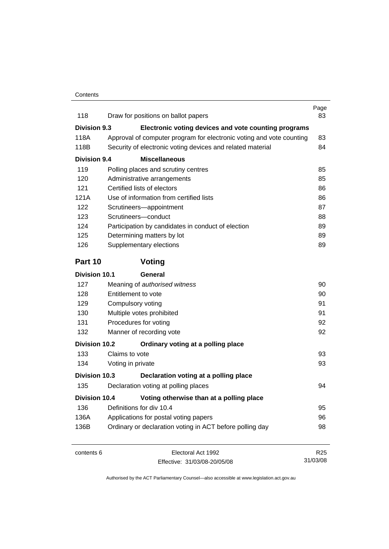| 118                  | Draw for positions on ballot papers                                  | Page<br>83      |
|----------------------|----------------------------------------------------------------------|-----------------|
| Division 9.3         | Electronic voting devices and vote counting programs                 |                 |
| 118A                 | Approval of computer program for electronic voting and vote counting | 83              |
| 118B                 | Security of electronic voting devices and related material           | 84              |
| <b>Division 9.4</b>  | <b>Miscellaneous</b>                                                 |                 |
| 119                  | Polling places and scrutiny centres                                  | 85              |
| 120                  | Administrative arrangements                                          | 85              |
| 121                  | Certified lists of electors                                          | 86              |
| 121A                 | Use of information from certified lists                              | 86              |
| 122                  | Scrutineers-appointment                                              | 87              |
| 123                  | Scrutineers-conduct                                                  | 88              |
| 124                  | Participation by candidates in conduct of election                   | 89              |
| 125                  | Determining matters by lot                                           | 89              |
| 126                  | Supplementary elections                                              | 89              |
| Part 10              | Voting                                                               |                 |
| <b>Division 10.1</b> | General                                                              |                 |
| 127                  | Meaning of authorised witness                                        | 90              |
| 128                  | Entitlement to vote                                                  |                 |
| 129                  | Compulsory voting                                                    |                 |
| 130                  | Multiple votes prohibited                                            | 91              |
| 131                  | Procedures for voting                                                | 92              |
| 132                  | Manner of recording vote                                             |                 |
| <b>Division 10.2</b> | Ordinary voting at a polling place                                   |                 |
| 133                  | Claims to vote                                                       | 93              |
| 134                  | Voting in private                                                    | 93              |
| Division 10.3        | Declaration voting at a polling place                                |                 |
| 135                  | Declaration voting at polling places                                 | 94              |
| <b>Division 10.4</b> | Voting otherwise than at a polling place                             |                 |
| 136                  | Definitions for div 10.4                                             | 95              |
| 136A                 | Applications for postal voting papers                                | 96              |
| 136B                 | Ordinary or declaration voting in ACT before polling day             | 98              |
| contents 6           | Electoral Act 1992                                                   | R <sub>25</sub> |
|                      | Effective: 31/03/08-20/05/08                                         | 31/03/08        |

Effective: 31/03/08-20/05/08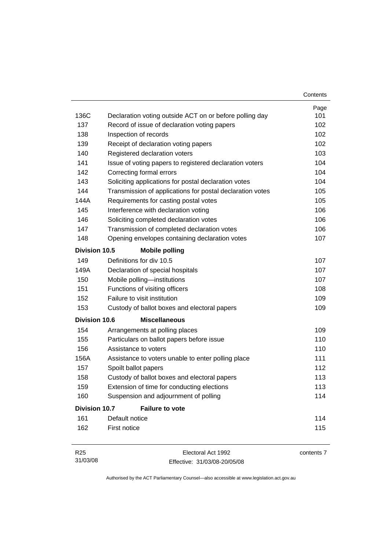|                      |                                                           | Contents |
|----------------------|-----------------------------------------------------------|----------|
|                      |                                                           | Page     |
| 136C                 | Declaration voting outside ACT on or before polling day   | 101      |
| 137                  | Record of issue of declaration voting papers              | 102      |
| 138                  | Inspection of records                                     | 102      |
| 139                  | Receipt of declaration voting papers                      | 102      |
| 140                  | Registered declaration voters                             | 103      |
| 141                  | Issue of voting papers to registered declaration voters   | 104      |
| 142                  | Correcting formal errors                                  | 104      |
| 143                  | Soliciting applications for postal declaration votes      | 104      |
| 144                  | Transmission of applications for postal declaration votes | 105      |
| 144A                 | Requirements for casting postal votes                     | 105      |
| 145                  | Interference with declaration voting                      | 106      |
| 146                  | Soliciting completed declaration votes                    | 106      |
| 147                  | Transmission of completed declaration votes               | 106      |
| 148                  | Opening envelopes containing declaration votes            | 107      |
| Division 10.5        | <b>Mobile polling</b>                                     |          |
| 149                  | Definitions for div 10.5                                  | 107      |
| 149A                 | Declaration of special hospitals                          | 107      |
| 150                  | Mobile polling-institutions                               | 107      |
| 151                  | Functions of visiting officers                            | 108      |
| 152                  | Failure to visit institution                              | 109      |
| 153                  | Custody of ballot boxes and electoral papers              | 109      |
| <b>Division 10.6</b> | <b>Miscellaneous</b>                                      |          |
| 154                  | Arrangements at polling places                            | 109      |
| 155                  | Particulars on ballot papers before issue                 | 110      |
| 156                  | Assistance to voters                                      | 110      |
| 156A                 | Assistance to voters unable to enter polling place        | 111      |
| 157                  | Spoilt ballot papers                                      | 112      |
| 158                  | Custody of ballot boxes and electoral papers              | 113      |
| 159                  | Extension of time for conducting elections                | 113      |
| 160                  | Suspension and adjournment of polling                     | 114      |
| <b>Division 10.7</b> | <b>Failure to vote</b>                                    |          |
| 161                  | Default notice                                            | 114      |
| 162                  | First notice                                              | 115      |
| DOE                  | $F_{\text{leational Math.}}$                              |          |

R25 31/03/08 Electoral Act 1992 Effective: 31/03/08-20/05/08 contents 7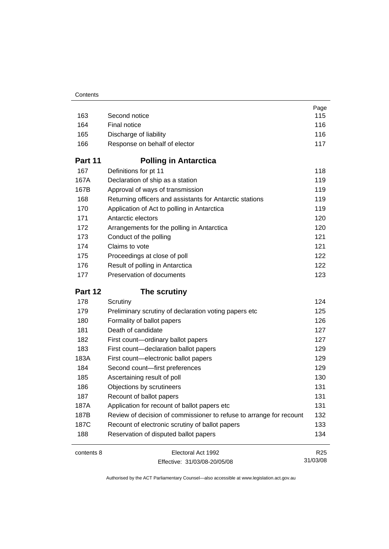|            |                                                                     | Page            |
|------------|---------------------------------------------------------------------|-----------------|
| 163        | Second notice                                                       | 115             |
| 164        | Final notice                                                        | 116             |
| 165        | Discharge of liability                                              | 116             |
| 166        | Response on behalf of elector                                       | 117             |
| Part 11    | <b>Polling in Antarctica</b>                                        |                 |
| 167        | Definitions for pt 11                                               | 118             |
| 167A       | Declaration of ship as a station                                    | 119             |
| 167B       | Approval of ways of transmission                                    | 119             |
| 168        | Returning officers and assistants for Antarctic stations            | 119             |
| 170        | Application of Act to polling in Antarctica                         | 119             |
| 171        | Antarctic electors                                                  | 120             |
| 172        | Arrangements for the polling in Antarctica                          | 120             |
| 173        | Conduct of the polling                                              | 121             |
| 174        | Claims to vote                                                      | 121             |
| 175        | Proceedings at close of poll                                        | 122             |
| 176        | Result of polling in Antarctica                                     | 122             |
| 177        | Preservation of documents                                           | 123             |
| Part 12    | The scrutiny                                                        |                 |
| 178        | Scrutiny                                                            | 124             |
| 179        | Preliminary scrutiny of declaration voting papers etc               | 125             |
| 180        | Formality of ballot papers                                          | 126             |
| 181        | Death of candidate                                                  | 127             |
| 182        | First count-ordinary ballot papers                                  | 127             |
| 183        | First count-declaration ballot papers                               | 129             |
| 183A       | First count-electronic ballot papers                                | 129             |
| 184        | Second count-first preferences                                      | 129             |
| 185        | Ascertaining result of poll                                         | 130             |
| 186        | Objections by scrutineers                                           | 131             |
| 187        | Recount of ballot papers                                            | 131             |
| 187A       | Application for recount of ballot papers etc                        | 131             |
| 187B       | Review of decision of commissioner to refuse to arrange for recount | 132             |
| 187C       | Recount of electronic scrutiny of ballot papers                     | 133             |
| 188        | Reservation of disputed ballot papers                               | 134             |
| contents 8 | Electoral Act 1992                                                  | R <sub>25</sub> |
|            | Effective: 31/03/08-20/05/08                                        | 31/03/08        |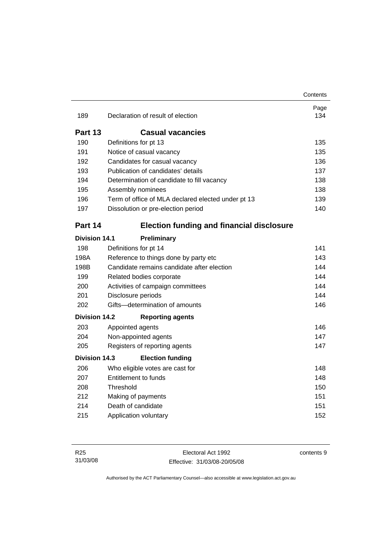|                      |                                                    | Contents    |
|----------------------|----------------------------------------------------|-------------|
| 189                  | Declaration of result of election                  | Page<br>134 |
| Part 13              | <b>Casual vacancies</b>                            |             |
| 190                  | Definitions for pt 13                              | 135         |
| 191                  | Notice of casual vacancy                           | 135         |
| 192                  | Candidates for casual vacancy                      | 136         |
| 193                  | Publication of candidates' details                 | 137         |
| 194                  | Determination of candidate to fill vacancy         | 138         |
| 195                  | Assembly nominees                                  | 138         |
| 196                  | Term of office of MLA declared elected under pt 13 | 139         |
| 197                  | Dissolution or pre-election period                 | 140         |
| Part 14              | <b>Election funding and financial disclosure</b>   |             |
| <b>Division 14.1</b> | Preliminary                                        |             |
| 198                  | Definitions for pt 14                              | 141         |
| 198A                 | Reference to things done by party etc              | 143         |
| 198B                 | Candidate remains candidate after election         | 144         |
| 199                  | Related bodies corporate                           | 144         |
| 200                  | Activities of campaign committees                  | 144         |
| 201                  | Disclosure periods                                 | 144         |
| 202                  | Gifts-determination of amounts                     | 146         |
| <b>Division 14.2</b> | <b>Reporting agents</b>                            |             |
| 203                  | Appointed agents                                   | 146         |
| 204                  | Non-appointed agents                               | 147         |
| 205                  | Registers of reporting agents                      | 147         |
| Division 14.3        | <b>Election funding</b>                            |             |
| 206                  | Who eligible votes are cast for                    | 148         |
| 207                  | Entitlement to funds                               | 148         |
| 208                  | Threshold                                          | 150         |
| 212                  | Making of payments                                 | 151         |
| 214                  | Death of candidate                                 | 151         |
| 215                  | Application voluntary                              | 152         |

Electoral Act 1992 Effective: 31/03/08-20/05/08 contents 9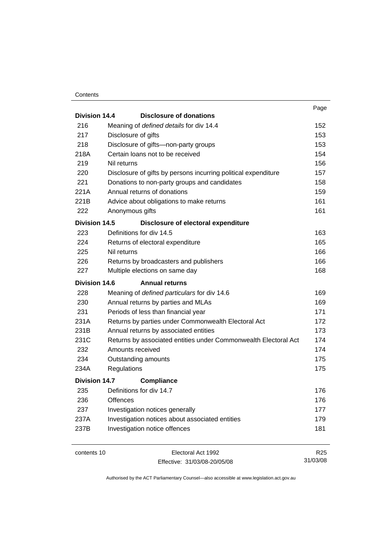#### **Contents**

|                      |             |                                                                 | Page            |
|----------------------|-------------|-----------------------------------------------------------------|-----------------|
| Division 14.4        |             | Disclosure of donations                                         |                 |
| 216                  |             | Meaning of defined details for div 14.4                         | 152             |
| 217                  |             | Disclosure of gifts                                             | 153             |
| 218                  |             | Disclosure of gifts-non-party groups                            | 153             |
| 218A                 |             | Certain loans not to be received                                | 154             |
| 219                  | Nil returns |                                                                 | 156             |
| 220                  |             | Disclosure of gifts by persons incurring political expenditure  | 157             |
| 221                  |             | Donations to non-party groups and candidates                    | 158             |
| 221A                 |             | Annual returns of donations                                     | 159             |
| 221B                 |             | Advice about obligations to make returns                        | 161             |
| 222                  |             | Anonymous gifts                                                 | 161             |
| Division 14.5        |             | Disclosure of electoral expenditure                             |                 |
| 223                  |             | Definitions for div 14.5                                        | 163             |
| 224                  |             | Returns of electoral expenditure                                | 165             |
| 225                  | Nil returns |                                                                 | 166             |
| 226                  |             | Returns by broadcasters and publishers                          | 166             |
| 227                  |             | Multiple elections on same day                                  | 168             |
| Division 14.6        |             | <b>Annual returns</b>                                           |                 |
| 228                  |             | Meaning of defined particulars for div 14.6                     | 169             |
| 230                  |             | Annual returns by parties and MLAs                              | 169             |
| 231                  |             | Periods of less than financial year                             | 171             |
| 231A                 |             | Returns by parties under Commonwealth Electoral Act             | 172             |
| 231B                 |             | Annual returns by associated entities                           | 173             |
| 231C                 |             | Returns by associated entities under Commonwealth Electoral Act | 174             |
| 232                  |             | Amounts received                                                | 174             |
| 234                  |             | Outstanding amounts                                             | 175             |
| 234A                 | Regulations |                                                                 | 175             |
| <b>Division 14.7</b> |             | <b>Compliance</b>                                               |                 |
| 235                  |             | Definitions for div 14.7                                        | 176             |
| 236                  | Offences    |                                                                 | 176             |
| 237                  |             | Investigation notices generally                                 | 177             |
| 237A                 |             | Investigation notices about associated entities                 | 179             |
| 237B                 |             | Investigation notice offences                                   | 181             |
| contents 10          |             | Electoral Act 1992                                              | R <sub>25</sub> |

contents 10 Electoral Act 1992 Effective: 31/03/08-20/05/08

31/03/08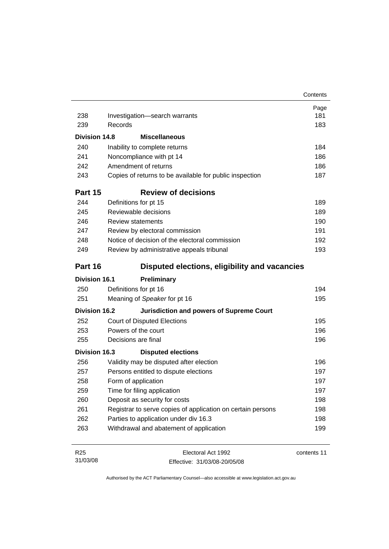|                      |                                                             | Contents    |
|----------------------|-------------------------------------------------------------|-------------|
|                      |                                                             | Page        |
| 238                  | Investigation-search warrants                               | 181         |
| 239                  | Records                                                     | 183         |
| <b>Division 14.8</b> | <b>Miscellaneous</b>                                        |             |
| 240                  | Inability to complete returns                               | 184         |
| 241                  | Noncompliance with pt 14                                    | 186         |
| 242                  | Amendment of returns                                        | 186         |
| 243                  | Copies of returns to be available for public inspection     | 187         |
| Part 15              | <b>Review of decisions</b>                                  |             |
| 244                  | Definitions for pt 15                                       | 189         |
| 245                  | Reviewable decisions                                        | 189         |
| 246                  | <b>Review statements</b>                                    | 190         |
| 247                  | Review by electoral commission                              | 191         |
| 248                  | Notice of decision of the electoral commission              | 192         |
| 249                  | Review by administrative appeals tribunal                   | 193         |
| Part 16              | Disputed elections, eligibility and vacancies               |             |
| <b>Division 16.1</b> | Preliminary                                                 |             |
| 250                  | Definitions for pt 16                                       | 194         |
| 251                  | Meaning of Speaker for pt 16                                | 195         |
| <b>Division 16.2</b> | <b>Jurisdiction and powers of Supreme Court</b>             |             |
| 252                  | <b>Court of Disputed Elections</b>                          | 195         |
| 253                  | Powers of the court                                         | 196         |
| 255                  | Decisions are final                                         | 196         |
| <b>Division 16.3</b> | <b>Disputed elections</b>                                   |             |
| 256                  | Validity may be disputed after election                     | 196         |
| 257                  | Persons entitled to dispute elections                       | 197         |
| 258                  | Form of application                                         | 197         |
| 259                  | Time for filing application                                 | 197         |
| 260                  | Deposit as security for costs                               | 198         |
| 261                  | Registrar to serve copies of application on certain persons | 198         |
| 262                  | Parties to application under div 16.3                       | 198         |
| 263                  | Withdrawal and abatement of application                     | 199         |
| R <sub>25</sub>      | Electoral Act 1992                                          | contents 11 |
| 31/03/08             | Effective: 31/03/08-20/05/08                                |             |

Effective: 31/03/08-20/05/08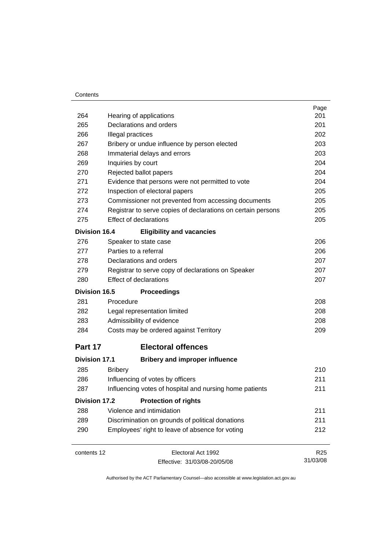#### **Contents**

|                      |                                                              | Page            |  |  |  |
|----------------------|--------------------------------------------------------------|-----------------|--|--|--|
| 264                  | Hearing of applications                                      | 201             |  |  |  |
| 265                  | Declarations and orders                                      | 201             |  |  |  |
| 266                  | Illegal practices                                            |                 |  |  |  |
| 267                  | Bribery or undue influence by person elected                 |                 |  |  |  |
| 268                  | Immaterial delays and errors                                 | 203             |  |  |  |
| 269                  | Inquiries by court                                           | 204             |  |  |  |
| 270                  | Rejected ballot papers                                       | 204             |  |  |  |
| 271                  | Evidence that persons were not permitted to vote             | 204             |  |  |  |
| 272                  | Inspection of electoral papers                               | 205             |  |  |  |
| 273                  | Commissioner not prevented from accessing documents          | 205             |  |  |  |
| 274                  | Registrar to serve copies of declarations on certain persons | 205             |  |  |  |
| 275                  | <b>Effect of declarations</b>                                | 205             |  |  |  |
| <b>Division 16.4</b> | <b>Eligibility and vacancies</b>                             |                 |  |  |  |
| 276                  | Speaker to state case                                        | 206             |  |  |  |
| 277                  | Parties to a referral                                        | 206             |  |  |  |
| 278                  | Declarations and orders                                      | 207             |  |  |  |
| 279                  | Registrar to serve copy of declarations on Speaker           | 207             |  |  |  |
| 280                  | <b>Effect of declarations</b>                                |                 |  |  |  |
| <b>Division 16.5</b> | <b>Proceedings</b>                                           |                 |  |  |  |
| 281                  | Procedure                                                    | 208             |  |  |  |
| 282                  | Legal representation limited                                 | 208             |  |  |  |
| 283                  | Admissibility of evidence                                    | 208             |  |  |  |
| 284                  | Costs may be ordered against Territory                       | 209             |  |  |  |
| Part 17              | <b>Electoral offences</b>                                    |                 |  |  |  |
| <b>Division 17.1</b> | <b>Bribery and improper influence</b>                        |                 |  |  |  |
| 285                  | <b>Bribery</b>                                               | 210             |  |  |  |
| 286                  | Influencing of votes by officers                             | 211             |  |  |  |
| 287                  | Influencing votes of hospital and nursing home patients      | 211             |  |  |  |
| <b>Division 17.2</b> | <b>Protection of rights</b>                                  |                 |  |  |  |
| 288                  | Violence and intimidation                                    | 211             |  |  |  |
| 289                  | Discrimination on grounds of political donations             | 211             |  |  |  |
| 290                  | Employees' right to leave of absence for voting              | 212             |  |  |  |
| contents 12          | Electoral Act 1992                                           | R <sub>25</sub> |  |  |  |
|                      | Effective: 31/03/08-20/05/08                                 | 31/03/08        |  |  |  |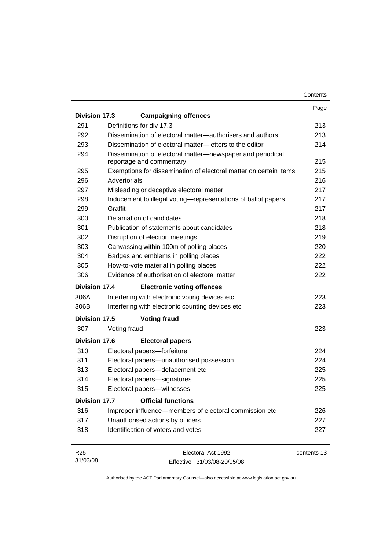|                      |                                                                                        | Contents |
|----------------------|----------------------------------------------------------------------------------------|----------|
|                      |                                                                                        | Page     |
| Division 17.3        | <b>Campaigning offences</b>                                                            |          |
| 291                  | Definitions for div 17.3                                                               | 213      |
| 292                  | Dissemination of electoral matter—authorisers and authors                              | 213      |
| 293                  | Dissemination of electoral matter-letters to the editor                                | 214      |
| 294                  | Dissemination of electoral matter-newspaper and periodical<br>reportage and commentary | 215      |
| 295                  | Exemptions for dissemination of electoral matter on certain items                      | 215      |
| 296                  | Advertorials                                                                           | 216      |
| 297                  | Misleading or deceptive electoral matter                                               | 217      |
| 298                  | Inducement to illegal voting-representations of ballot papers                          | 217      |
| 299                  | Graffiti                                                                               | 217      |
| 300                  | Defamation of candidates                                                               | 218      |
| 301                  | Publication of statements about candidates                                             | 218      |
| 302                  | Disruption of election meetings                                                        | 219      |
| 303                  | Canvassing within 100m of polling places                                               | 220      |
| 304                  | Badges and emblems in polling places                                                   | 222      |
| 305                  | How-to-vote material in polling places                                                 | 222      |
| 306                  | Evidence of authorisation of electoral matter                                          | 222      |
| Division 17.4        | <b>Electronic voting offences</b>                                                      |          |
| 306A                 | Interfering with electronic voting devices etc                                         | 223      |
| 306B                 | Interfering with electronic counting devices etc                                       | 223      |
| Division 17.5        | <b>Voting fraud</b>                                                                    |          |
| 307                  | Voting fraud                                                                           | 223      |
| Division 17.6        | <b>Electoral papers</b>                                                                |          |
| 310                  | Electoral papers-forfeiture                                                            | 224      |
| 311                  | Electoral papers-unauthorised possession                                               | 224      |
| 313                  | Electoral papers-defacement etc                                                        | 225      |
| 314                  | Electoral papers-signatures                                                            | 225      |
| 315                  | Electoral papers-witnesses                                                             | 225      |
| <b>Division 17.7</b> | <b>Official functions</b>                                                              |          |
| 316                  | Improper influence—members of electoral commission etc                                 | 226      |
| 317                  | Unauthorised actions by officers                                                       | 227      |
| 318                  | Identification of voters and votes                                                     | 227      |
| DOE                  | The total At 4000                                                                      |          |

R25 31/03/08 Electoral Act 1992 Effective: 31/03/08-20/05/08 contents 13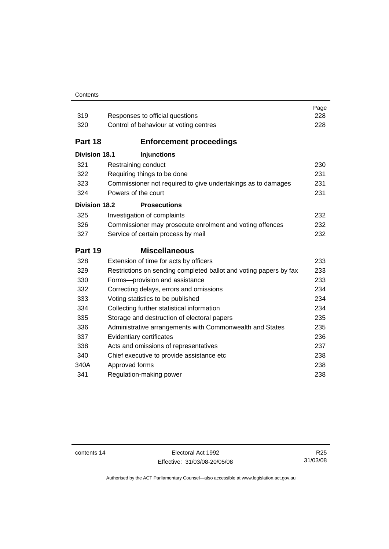#### **Contents**

| 319                  | Responses to official questions                                   | Page<br>228 |  |
|----------------------|-------------------------------------------------------------------|-------------|--|
| 320                  | Control of behaviour at voting centres                            | 228         |  |
|                      |                                                                   |             |  |
| Part 18              | <b>Enforcement proceedings</b>                                    |             |  |
| <b>Division 18.1</b> | <b>Injunctions</b>                                                |             |  |
| 321                  | Restraining conduct                                               | 230         |  |
| 322                  | Requiring things to be done                                       | 231         |  |
| 323                  | Commissioner not required to give undertakings as to damages      |             |  |
| 324                  | Powers of the court                                               | 231         |  |
| <b>Division 18.2</b> | <b>Prosecutions</b>                                               |             |  |
| 325                  | Investigation of complaints                                       | 232         |  |
| 326                  | Commissioner may prosecute enrolment and voting offences          | 232         |  |
| 327                  | Service of certain process by mail                                | 232         |  |
|                      |                                                                   |             |  |
| Part 19              | <b>Miscellaneous</b>                                              |             |  |
| 328                  | Extension of time for acts by officers                            | 233         |  |
| 329                  | Restrictions on sending completed ballot and voting papers by fax | 233         |  |
| 330                  | Forms-provision and assistance                                    | 233         |  |
| 332                  | Correcting delays, errors and omissions                           | 234         |  |
| 333                  | Voting statistics to be published                                 | 234         |  |
| 334                  | Collecting further statistical information                        | 234         |  |
| 335                  | Storage and destruction of electoral papers                       | 235         |  |
| 336                  | Administrative arrangements with Commonwealth and States          | 235         |  |
| 337                  | Evidentiary certificates                                          | 236         |  |
| 338                  | Acts and omissions of representatives                             | 237         |  |
| 340                  | Chief executive to provide assistance etc                         | 238         |  |
| 340A                 | Approved forms<br>Regulation-making power                         | 238         |  |

contents 14 Electoral Act 1992 Effective: 31/03/08-20/05/08

R25 31/03/08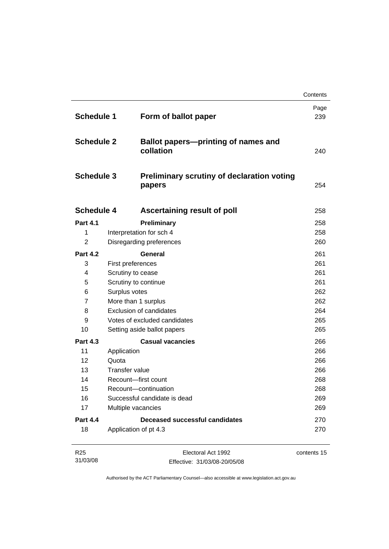|                                                             |                                |                                                             | Contents    |
|-------------------------------------------------------------|--------------------------------|-------------------------------------------------------------|-------------|
| <b>Schedule 1</b><br><b>Schedule 2</b><br><b>Schedule 3</b> |                                | Form of ballot paper                                        | Page<br>239 |
|                                                             |                                | <b>Ballot papers-printing of names and</b><br>collation     | 240         |
|                                                             |                                | <b>Preliminary scrutiny of declaration voting</b><br>papers | 254         |
| <b>Schedule 4</b>                                           |                                | Ascertaining result of poll                                 | 258         |
| <b>Part 4.1</b>                                             |                                | Preliminary                                                 | 258         |
| 1                                                           | Interpretation for sch 4       |                                                             | 258         |
| $\overline{2}$                                              |                                | Disregarding preferences                                    | 260         |
| <b>Part 4.2</b>                                             |                                | General                                                     | 261         |
| 3                                                           | First preferences              |                                                             | 261         |
| $\overline{4}$                                              | Scrutiny to cease              |                                                             | 261         |
| 5                                                           | Scrutiny to continue           |                                                             | 261         |
| 6                                                           | Surplus votes                  |                                                             | 262         |
| $\overline{7}$                                              | More than 1 surplus            |                                                             | 262         |
| 8                                                           | <b>Exclusion of candidates</b> |                                                             | 264         |
| 9                                                           | Votes of excluded candidates   |                                                             | 265         |
| 10                                                          |                                | Setting aside ballot papers                                 | 265         |
| <b>Part 4.3</b>                                             |                                | <b>Casual vacancies</b>                                     | 266         |
| 11                                                          | Application                    |                                                             | 266         |
| 12                                                          | Quota                          |                                                             | 266         |
| 13                                                          | Transfer value                 |                                                             | 266         |
| 14                                                          | Recount-first count            |                                                             | 268         |
| 15                                                          | Recount-continuation           |                                                             | 268         |
| 16                                                          |                                | Successful candidate is dead                                | 269         |
| 17                                                          | Multiple vacancies             |                                                             | 269         |
| <b>Part 4.4</b>                                             |                                | <b>Deceased successful candidates</b>                       | 270         |
| 18                                                          | Application of pt 4.3          |                                                             | 270         |
| R <sub>25</sub>                                             |                                | Electoral Act 1992                                          | contents 15 |

Effective: 31/03/08-20/05/08

31/03/08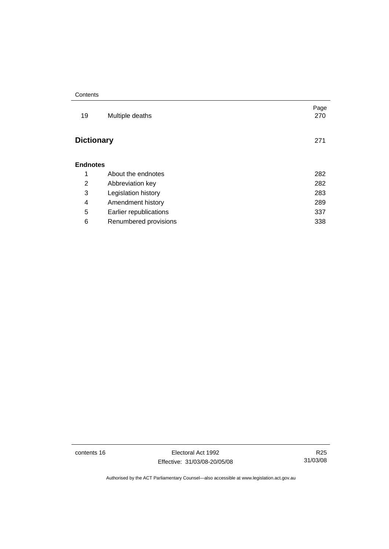| Contents |
|----------|
|----------|

| 19                | Multiple deaths        | Page<br>270 |
|-------------------|------------------------|-------------|
| <b>Dictionary</b> |                        | 271         |
| <b>Endnotes</b>   |                        |             |
| 1                 | About the endnotes     | 282         |
| 2                 | Abbreviation key       | 282         |
| 3                 | Legislation history    | 283         |
| 4                 | Amendment history      | 289         |
| 5                 | Earlier republications | 337         |
| 6                 | Renumbered provisions  | 338         |
|                   |                        |             |

contents 16 Electoral Act 1992 Effective: 31/03/08-20/05/08

R25 31/03/08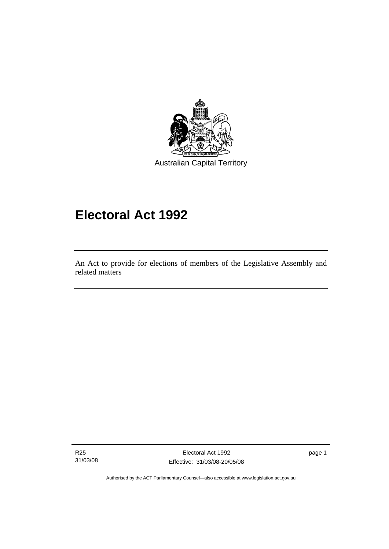<span id="page-18-0"></span>

# **Electoral Act 1992**

An Act to provide for elections of members of the Legislative Assembly and related matters

R25 31/03/08

l

Electoral Act 1992 Effective: 31/03/08-20/05/08 page 1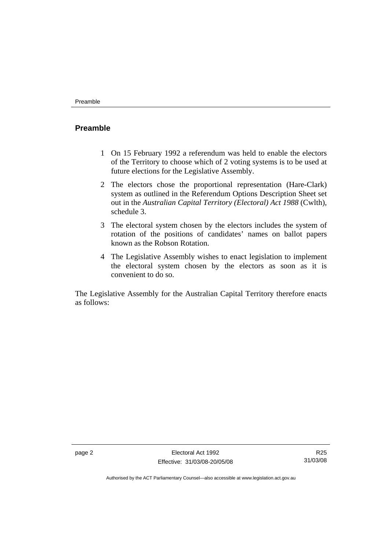# <span id="page-19-0"></span>**Preamble**

- 1 On 15 February 1992 a referendum was held to enable the electors of the Territory to choose which of 2 voting systems is to be used at future elections for the Legislative Assembly.
- 2 The electors chose the proportional representation (Hare-Clark) system as outlined in the Referendum Options Description Sheet set out in the *Australian Capital Territory (Electoral) Act 1988* (Cwlth), schedule 3.
- 3 The electoral system chosen by the electors includes the system of rotation of the positions of candidates' names on ballot papers known as the Robson Rotation.
- 4 The Legislative Assembly wishes to enact legislation to implement the electoral system chosen by the electors as soon as it is convenient to do so.

The Legislative Assembly for the Australian Capital Territory therefore enacts as follows:

R25 31/03/08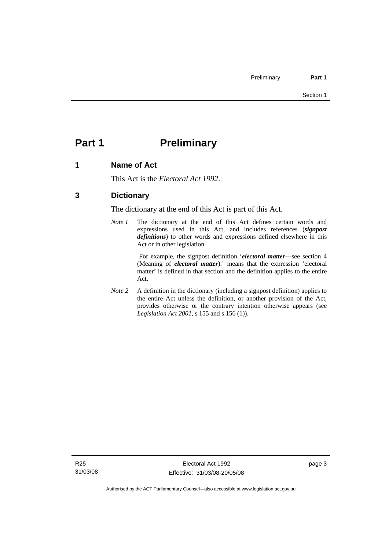# <span id="page-20-0"></span>**Part 1** Preliminary

# **1 Name of Act**

This Act is the *Electoral Act 1992*.

# **3 Dictionary**

The dictionary at the end of this Act is part of this Act.

*Note 1* The dictionary at the end of this Act defines certain words and expressions used in this Act, and includes references (*signpost definitions*) to other words and expressions defined elsewhere in this Act or in other legislation.

> For example, the signpost definition '*electoral matter*—see section 4 (Meaning of *electoral matter*).' means that the expression 'electoral matter' is defined in that section and the definition applies to the entire Act.

*Note 2* A definition in the dictionary (including a signpost definition) applies to the entire Act unless the definition, or another provision of the Act, provides otherwise or the contrary intention otherwise appears (see *Legislation Act 2001*, s 155 and s 156 (1)).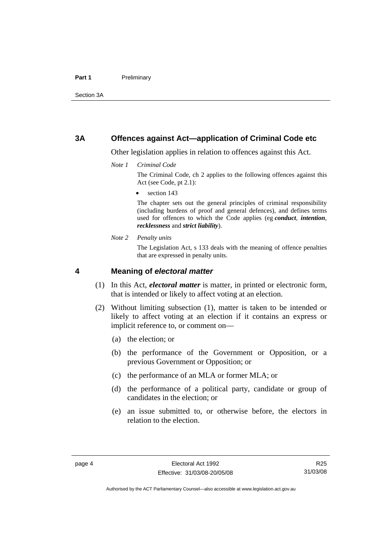### <span id="page-21-0"></span>**3A Offences against Act—application of Criminal Code etc**

Other legislation applies in relation to offences against this Act.

*Note 1 Criminal Code*

The Criminal Code, ch 2 applies to the following offences against this Act (see Code, pt 2.1):

section 143

The chapter sets out the general principles of criminal responsibility (including burdens of proof and general defences), and defines terms used for offences to which the Code applies (eg *conduct*, *intention*, *recklessness* and *strict liability*).

*Note 2 Penalty units* 

The Legislation Act, s 133 deals with the meaning of offence penalties that are expressed in penalty units.

### **4 Meaning of** *electoral matter*

- (1) In this Act, *electoral matter* is matter, in printed or electronic form, that is intended or likely to affect voting at an election.
- (2) Without limiting subsection (1), matter is taken to be intended or likely to affect voting at an election if it contains an express or implicit reference to, or comment on—
	- (a) the election; or
	- (b) the performance of the Government or Opposition, or a previous Government or Opposition; or
	- (c) the performance of an MLA or former MLA; or
	- (d) the performance of a political party, candidate or group of candidates in the election; or
	- (e) an issue submitted to, or otherwise before, the electors in relation to the election.

R25 31/03/08

Authorised by the ACT Parliamentary Counsel—also accessible at www.legislation.act.gov.au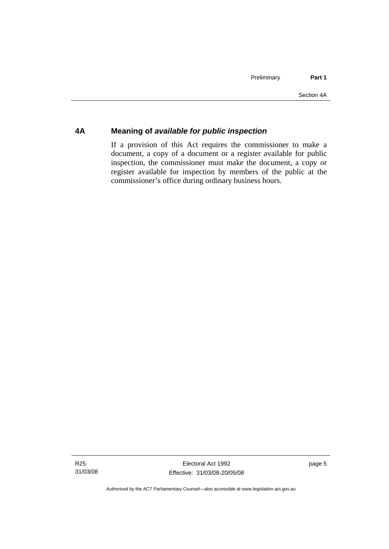# <span id="page-22-0"></span>**4A Meaning of** *available for public inspection*

If a provision of this Act requires the commissioner to make a document, a copy of a document or a register available for public inspection, the commissioner must make the document, a copy or register available for inspection by members of the public at the commissioner's office during ordinary business hours.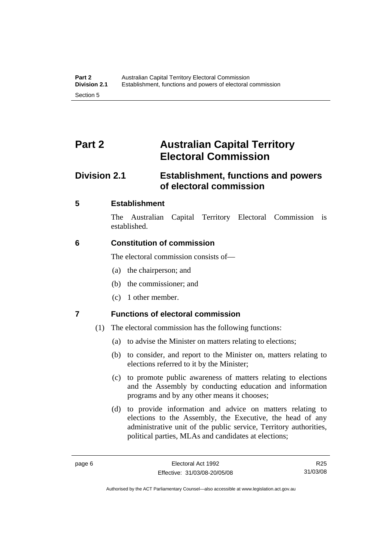# <span id="page-23-0"></span>**Part 2 Australian Capital Territory Electoral Commission**

# **Division 2.1 Establishment, functions and powers of electoral commission**

# **5 Establishment**

The Australian Capital Territory Electoral Commission is established.

# **6 Constitution of commission**

The electoral commission consists of—

- (a) the chairperson; and
- (b) the commissioner; and
- (c) 1 other member.

# **7 Functions of electoral commission**

- (1) The electoral commission has the following functions:
	- (a) to advise the Minister on matters relating to elections;
	- (b) to consider, and report to the Minister on, matters relating to elections referred to it by the Minister;
	- (c) to promote public awareness of matters relating to elections and the Assembly by conducting education and information programs and by any other means it chooses;
	- (d) to provide information and advice on matters relating to elections to the Assembly, the Executive, the head of any administrative unit of the public service, Territory authorities, political parties, MLAs and candidates at elections;

R25 31/03/08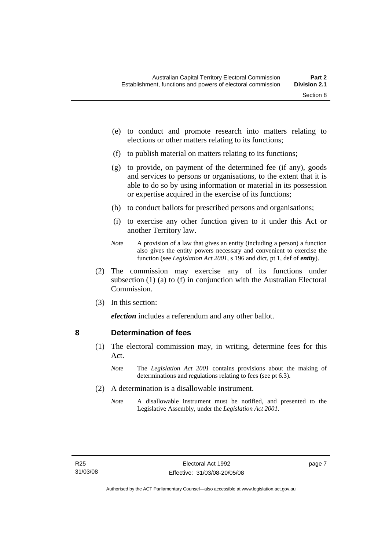- <span id="page-24-0"></span> (e) to conduct and promote research into matters relating to elections or other matters relating to its functions;
- (f) to publish material on matters relating to its functions;
- (g) to provide, on payment of the determined fee (if any), goods and services to persons or organisations, to the extent that it is able to do so by using information or material in its possession or expertise acquired in the exercise of its functions;
- (h) to conduct ballots for prescribed persons and organisations;
- (i) to exercise any other function given to it under this Act or another Territory law.
- *Note* A provision of a law that gives an entity (including a person) a function also gives the entity powers necessary and convenient to exercise the function (see *Legislation Act 2001*, s 196 and dict, pt 1, def of *entity*).
- (2) The commission may exercise any of its functions under subsection (1) (a) to (f) in conjunction with the Australian Electoral Commission.
- (3) In this section:

*election* includes a referendum and any other ballot.

### **8 Determination of fees**

- (1) The electoral commission may, in writing, determine fees for this Act.
	- *Note* The *Legislation Act 2001* contains provisions about the making of determinations and regulations relating to fees (see pt 6.3).
- (2) A determination is a disallowable instrument.
	- *Note* A disallowable instrument must be notified, and presented to the Legislative Assembly, under the *Legislation Act 2001*.

page 7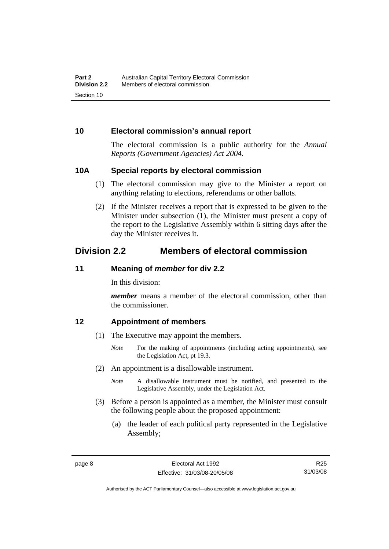# <span id="page-25-0"></span>**10 Electoral commission's annual report**

The electoral commission is a public authority for the *Annual Reports (Government Agencies) Act 2004*.

### **10A Special reports by electoral commission**

- (1) The electoral commission may give to the Minister a report on anything relating to elections, referendums or other ballots.
- (2) If the Minister receives a report that is expressed to be given to the Minister under subsection (1), the Minister must present a copy of the report to the Legislative Assembly within 6 sitting days after the day the Minister receives it.

# **Division 2.2 Members of electoral commission**

# **11 Meaning of** *member* **for div 2.2**

In this division:

*member* means a member of the electoral commission, other than the commissioner.

### **12 Appointment of members**

- (1) The Executive may appoint the members.
	- *Note* For the making of appointments (including acting appointments), see the Legislation Act, pt 19.3.
- (2) An appointment is a disallowable instrument.
	- *Note* A disallowable instrument must be notified, and presented to the Legislative Assembly, under the Legislation Act.
- (3) Before a person is appointed as a member, the Minister must consult the following people about the proposed appointment:
	- (a) the leader of each political party represented in the Legislative Assembly;

Authorised by the ACT Parliamentary Counsel—also accessible at www.legislation.act.gov.au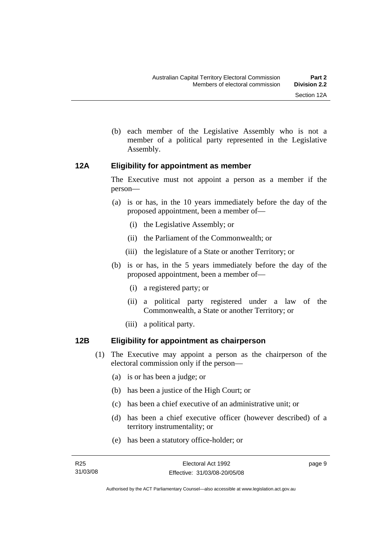- 
- <span id="page-26-0"></span> (b) each member of the Legislative Assembly who is not a member of a political party represented in the Legislative Assembly.

# **12A Eligibility for appointment as member**

The Executive must not appoint a person as a member if the person—

- (a) is or has, in the 10 years immediately before the day of the proposed appointment, been a member of—
	- (i) the Legislative Assembly; or
	- (ii) the Parliament of the Commonwealth; or
	- (iii) the legislature of a State or another Territory; or
- (b) is or has, in the 5 years immediately before the day of the proposed appointment, been a member of—
	- (i) a registered party; or
	- (ii) a political party registered under a law of the Commonwealth, a State or another Territory; or
	- (iii) a political party.

# **12B Eligibility for appointment as chairperson**

- (1) The Executive may appoint a person as the chairperson of the electoral commission only if the person—
	- (a) is or has been a judge; or
	- (b) has been a justice of the High Court; or
	- (c) has been a chief executive of an administrative unit; or
	- (d) has been a chief executive officer (however described) of a territory instrumentality; or
	- (e) has been a statutory office-holder; or

page 9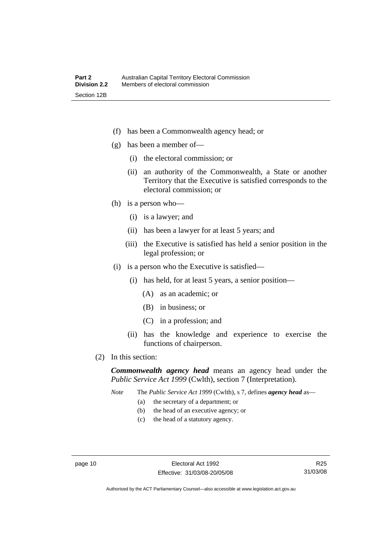- (f) has been a Commonwealth agency head; or
- (g) has been a member of—
	- (i) the electoral commission; or
	- (ii) an authority of the Commonwealth, a State or another Territory that the Executive is satisfied corresponds to the electoral commission; or
- (h) is a person who—
	- (i) is a lawyer; and
	- (ii) has been a lawyer for at least 5 years; and
	- (iii) the Executive is satisfied has held a senior position in the legal profession; or
- (i) is a person who the Executive is satisfied—
	- (i) has held, for at least 5 years, a senior position—
		- (A) as an academic; or
		- (B) in business; or
		- (C) in a profession; and
	- (ii) has the knowledge and experience to exercise the functions of chairperson.
- (2) In this section:

*Commonwealth agency head* means an agency head under the *Public Service Act 1999* (Cwlth), section 7 (Interpretation).

*Note* The *Public Service Act 1999* (Cwlth), s 7, defines *agency head* as—

- (a) the secretary of a department; or
- (b) the head of an executive agency; or
- (c) the head of a statutory agency.

R25 31/03/08

Authorised by the ACT Parliamentary Counsel—also accessible at www.legislation.act.gov.au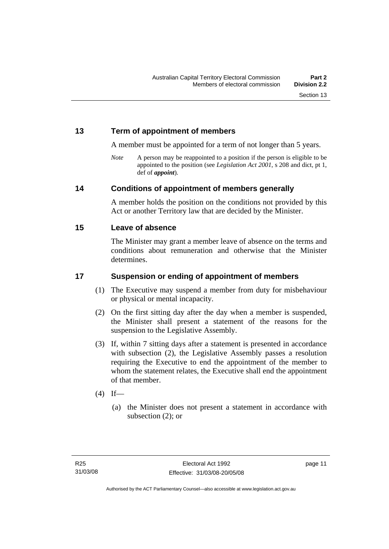# <span id="page-28-0"></span>**13 Term of appointment of members**

A member must be appointed for a term of not longer than 5 years.

*Note* A person may be reappointed to a position if the person is eligible to be appointed to the position (see *Legislation Act 2001*, s 208 and dict, pt 1, def of *appoint*).

# **14 Conditions of appointment of members generally**

A member holds the position on the conditions not provided by this Act or another Territory law that are decided by the Minister.

### **15 Leave of absence**

The Minister may grant a member leave of absence on the terms and conditions about remuneration and otherwise that the Minister determines.

# **17 Suspension or ending of appointment of members**

- (1) The Executive may suspend a member from duty for misbehaviour or physical or mental incapacity.
- (2) On the first sitting day after the day when a member is suspended, the Minister shall present a statement of the reasons for the suspension to the Legislative Assembly.
- (3) If, within 7 sitting days after a statement is presented in accordance with subsection (2), the Legislative Assembly passes a resolution requiring the Executive to end the appointment of the member to whom the statement relates, the Executive shall end the appointment of that member.
- $(4)$  If—
	- (a) the Minister does not present a statement in accordance with subsection (2); or

page 11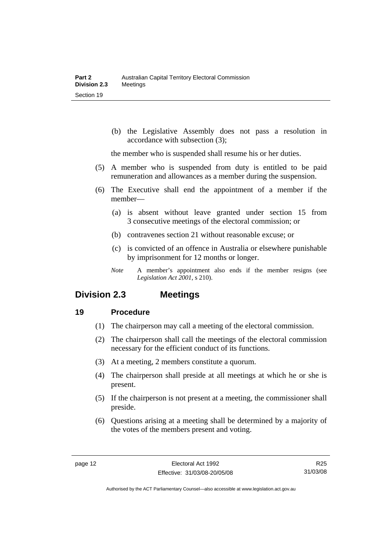<span id="page-29-0"></span> (b) the Legislative Assembly does not pass a resolution in accordance with subsection (3);

the member who is suspended shall resume his or her duties.

- (5) A member who is suspended from duty is entitled to be paid remuneration and allowances as a member during the suspension.
- (6) The Executive shall end the appointment of a member if the member—
	- (a) is absent without leave granted under section 15 from 3 consecutive meetings of the electoral commission; or
	- (b) contravenes section 21 without reasonable excuse; or
	- (c) is convicted of an offence in Australia or elsewhere punishable by imprisonment for 12 months or longer.
	- *Note* A member's appointment also ends if the member resigns (see *Legislation Act 2001*, s 210).

# **Division 2.3 Meetings**

### **19 Procedure**

- (1) The chairperson may call a meeting of the electoral commission.
- (2) The chairperson shall call the meetings of the electoral commission necessary for the efficient conduct of its functions.
- (3) At a meeting, 2 members constitute a quorum.
- (4) The chairperson shall preside at all meetings at which he or she is present.
- (5) If the chairperson is not present at a meeting, the commissioner shall preside.
- (6) Questions arising at a meeting shall be determined by a majority of the votes of the members present and voting.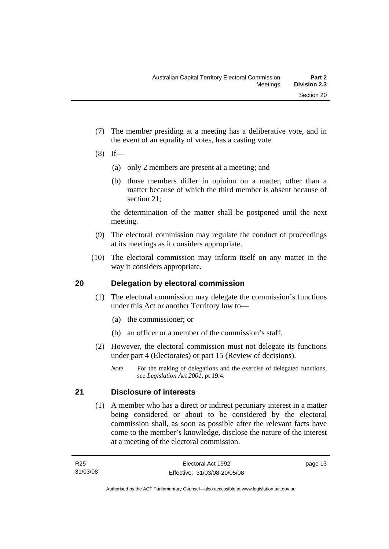- <span id="page-30-0"></span> (7) The member presiding at a meeting has a deliberative vote, and in the event of an equality of votes, has a casting vote.
- $(8)$  If—
	- (a) only 2 members are present at a meeting; and
	- (b) those members differ in opinion on a matter, other than a matter because of which the third member is absent because of section 21;

the determination of the matter shall be postponed until the next meeting.

- (9) The electoral commission may regulate the conduct of proceedings at its meetings as it considers appropriate.
- (10) The electoral commission may inform itself on any matter in the way it considers appropriate.

# **20 Delegation by electoral commission**

- (1) The electoral commission may delegate the commission's functions under this Act or another Territory law to—
	- (a) the commissioner; or
	- (b) an officer or a member of the commission's staff.
- (2) However, the electoral commission must not delegate its functions under part 4 (Electorates) or part 15 (Review of decisions).
	- *Note* For the making of delegations and the exercise of delegated functions, see *Legislation Act 2001*, pt 19.4.

# **21 Disclosure of interests**

 (1) A member who has a direct or indirect pecuniary interest in a matter being considered or about to be considered by the electoral commission shall, as soon as possible after the relevant facts have come to the member's knowledge, disclose the nature of the interest at a meeting of the electoral commission.

page 13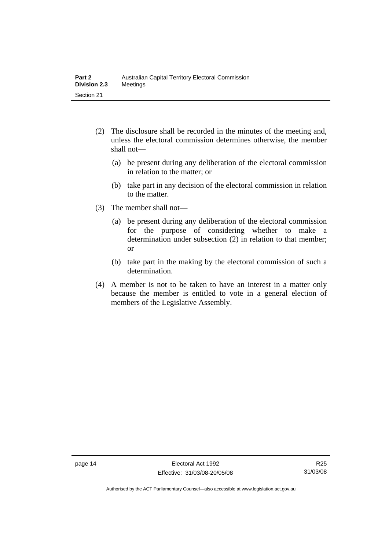- (2) The disclosure shall be recorded in the minutes of the meeting and, unless the electoral commission determines otherwise, the member shall not—
	- (a) be present during any deliberation of the electoral commission in relation to the matter; or
	- (b) take part in any decision of the electoral commission in relation to the matter.
- (3) The member shall not—
	- (a) be present during any deliberation of the electoral commission for the purpose of considering whether to make a determination under subsection (2) in relation to that member; or
	- (b) take part in the making by the electoral commission of such a determination.
- (4) A member is not to be taken to have an interest in a matter only because the member is entitled to vote in a general election of members of the Legislative Assembly.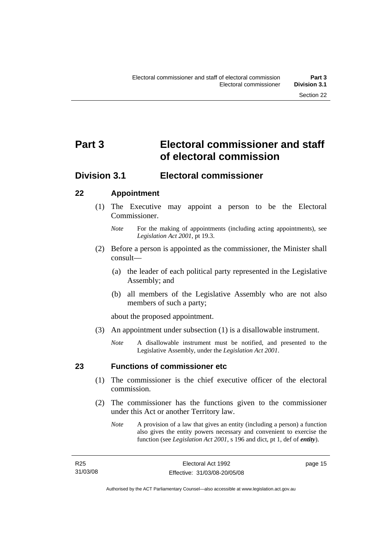# <span id="page-32-0"></span>**Part 3 Electoral commissioner and staff of electoral commission**

# **Division 3.1 Electoral commissioner**

# **22 Appointment**

- (1) The Executive may appoint a person to be the Electoral Commissioner.
	- *Note* For the making of appointments (including acting appointments), see *Legislation Act 2001*, pt 19.3.
- (2) Before a person is appointed as the commissioner, the Minister shall consult—
	- (a) the leader of each political party represented in the Legislative Assembly; and
	- (b) all members of the Legislative Assembly who are not also members of such a party;

about the proposed appointment.

- (3) An appointment under subsection (1) is a disallowable instrument.
	- *Note* A disallowable instrument must be notified, and presented to the Legislative Assembly, under the *Legislation Act 2001*.

# **23 Functions of commissioner etc**

- (1) The commissioner is the chief executive officer of the electoral commission.
- (2) The commissioner has the functions given to the commissioner under this Act or another Territory law.
	- *Note* A provision of a law that gives an entity (including a person) a function also gives the entity powers necessary and convenient to exercise the function (see *Legislation Act 2001*, s 196 and dict, pt 1, def of *entity*).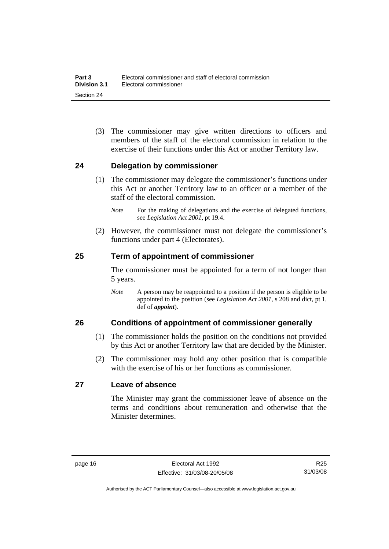<span id="page-33-0"></span> (3) The commissioner may give written directions to officers and members of the staff of the electoral commission in relation to the exercise of their functions under this Act or another Territory law.

# **24 Delegation by commissioner**

- (1) The commissioner may delegate the commissioner's functions under this Act or another Territory law to an officer or a member of the staff of the electoral commission.
	- *Note* For the making of delegations and the exercise of delegated functions, see *Legislation Act 2001*, pt 19.4.
- (2) However, the commissioner must not delegate the commissioner's functions under part 4 (Electorates).

# **25 Term of appointment of commissioner**

The commissioner must be appointed for a term of not longer than 5 years.

*Note* A person may be reappointed to a position if the person is eligible to be appointed to the position (see *Legislation Act 2001*, s 208 and dict, pt 1, def of *appoint*).

### **26 Conditions of appointment of commissioner generally**

- (1) The commissioner holds the position on the conditions not provided by this Act or another Territory law that are decided by the Minister.
- (2) The commissioner may hold any other position that is compatible with the exercise of his or her functions as commissioner.

### **27 Leave of absence**

The Minister may grant the commissioner leave of absence on the terms and conditions about remuneration and otherwise that the Minister determines.

R25 31/03/08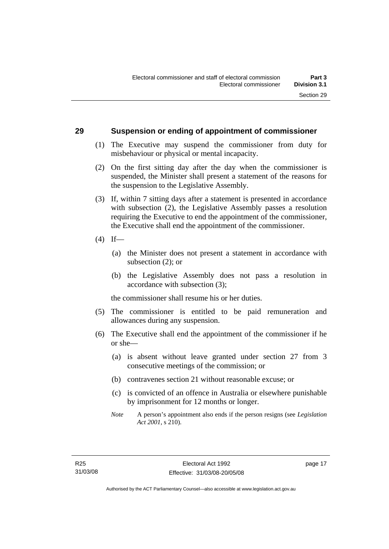### <span id="page-34-0"></span>**29 Suspension or ending of appointment of commissioner**

- (1) The Executive may suspend the commissioner from duty for misbehaviour or physical or mental incapacity.
- (2) On the first sitting day after the day when the commissioner is suspended, the Minister shall present a statement of the reasons for the suspension to the Legislative Assembly.
- (3) If, within 7 sitting days after a statement is presented in accordance with subsection (2), the Legislative Assembly passes a resolution requiring the Executive to end the appointment of the commissioner, the Executive shall end the appointment of the commissioner.
- $(4)$  If—
	- (a) the Minister does not present a statement in accordance with subsection (2); or
	- (b) the Legislative Assembly does not pass a resolution in accordance with subsection (3);

the commissioner shall resume his or her duties.

- (5) The commissioner is entitled to be paid remuneration and allowances during any suspension.
- (6) The Executive shall end the appointment of the commissioner if he or she—
	- (a) is absent without leave granted under section 27 from 3 consecutive meetings of the commission; or
	- (b) contravenes section 21 without reasonable excuse; or
	- (c) is convicted of an offence in Australia or elsewhere punishable by imprisonment for 12 months or longer.
	- *Note* A person's appointment also ends if the person resigns (see *Legislation Act 2001*, s 210).

page 17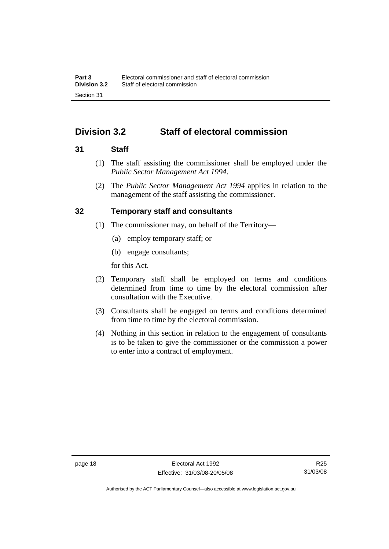# <span id="page-35-0"></span>**Division 3.2 Staff of electoral commission**

### **31 Staff**

- (1) The staff assisting the commissioner shall be employed under the *Public Sector Management Act 1994*.
- (2) The *Public Sector Management Act 1994* applies in relation to the management of the staff assisting the commissioner.

# **32 Temporary staff and consultants**

- (1) The commissioner may, on behalf of the Territory—
	- (a) employ temporary staff; or
	- (b) engage consultants;

for this Act.

- (2) Temporary staff shall be employed on terms and conditions determined from time to time by the electoral commission after consultation with the Executive.
- (3) Consultants shall be engaged on terms and conditions determined from time to time by the electoral commission.
- (4) Nothing in this section in relation to the engagement of consultants is to be taken to give the commissioner or the commission a power to enter into a contract of employment.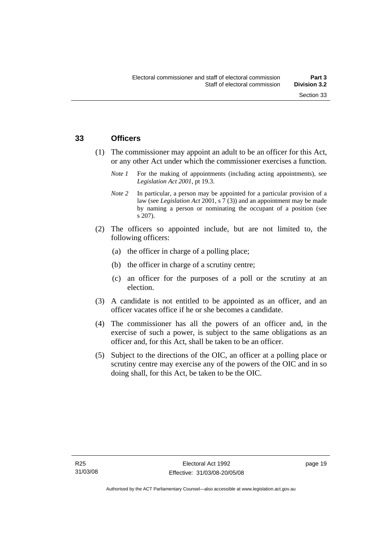## **33 Officers**

- (1) The commissioner may appoint an adult to be an officer for this Act, or any other Act under which the commissioner exercises a function.
	- *Note 1* For the making of appointments (including acting appointments), see *Legislation Act 2001*, pt 19.3.
	- *Note 2* In particular, a person may be appointed for a particular provision of a law (see *Legislation Act* 2001, s 7 (3)) and an appointment may be made by naming a person or nominating the occupant of a position (see s 207).
- (2) The officers so appointed include, but are not limited to, the following officers:
	- (a) the officer in charge of a polling place;
	- (b) the officer in charge of a scrutiny centre;
	- (c) an officer for the purposes of a poll or the scrutiny at an election.
- (3) A candidate is not entitled to be appointed as an officer, and an officer vacates office if he or she becomes a candidate.
- (4) The commissioner has all the powers of an officer and, in the exercise of such a power, is subject to the same obligations as an officer and, for this Act, shall be taken to be an officer.
- (5) Subject to the directions of the OIC, an officer at a polling place or scrutiny centre may exercise any of the powers of the OIC and in so doing shall, for this Act, be taken to be the OIC.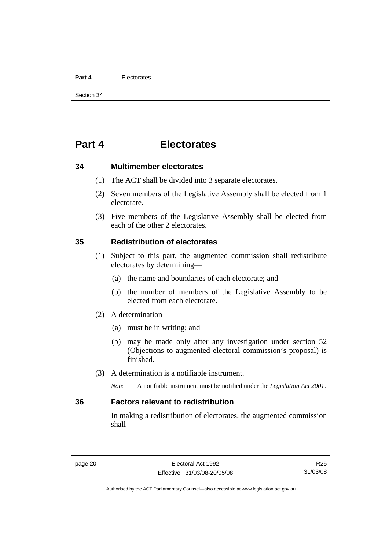#### **Part 4** Electorates

Section 34

# **Part 4 Electorates**

**34 Multimember electorates** 

- (1) The ACT shall be divided into 3 separate electorates.
- (2) Seven members of the Legislative Assembly shall be elected from 1 electorate.
- (3) Five members of the Legislative Assembly shall be elected from each of the other 2 electorates.

#### **35 Redistribution of electorates**

- (1) Subject to this part, the augmented commission shall redistribute electorates by determining—
	- (a) the name and boundaries of each electorate; and
	- (b) the number of members of the Legislative Assembly to be elected from each electorate.
- (2) A determination—
	- (a) must be in writing; and
	- (b) may be made only after any investigation under section 52 (Objections to augmented electoral commission's proposal) is finished.
- (3) A determination is a notifiable instrument.

*Note* A notifiable instrument must be notified under the *Legislation Act 2001*.

#### **36 Factors relevant to redistribution**

In making a redistribution of electorates, the augmented commission shall—

R25 31/03/08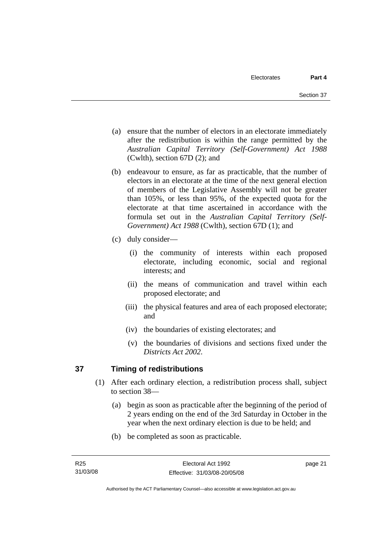- (a) ensure that the number of electors in an electorate immediately after the redistribution is within the range permitted by the *Australian Capital Territory (Self-Government) Act 1988*  (Cwlth), section 67D (2); and
- (b) endeavour to ensure, as far as practicable, that the number of electors in an electorate at the time of the next general election of members of the Legislative Assembly will not be greater than 105%, or less than 95%, of the expected quota for the electorate at that time ascertained in accordance with the formula set out in the *Australian Capital Territory (Self-Government) Act 1988* (Cwlth), section 67D (1); and
- (c) duly consider—
	- (i) the community of interests within each proposed electorate, including economic, social and regional interests; and
	- (ii) the means of communication and travel within each proposed electorate; and
	- (iii) the physical features and area of each proposed electorate; and
	- (iv) the boundaries of existing electorates; and
	- (v) the boundaries of divisions and sections fixed under the *Districts Act 2002*.

## **37 Timing of redistributions**

- (1) After each ordinary election, a redistribution process shall, subject to section 38—
	- (a) begin as soon as practicable after the beginning of the period of 2 years ending on the end of the 3rd Saturday in October in the year when the next ordinary election is due to be held; and
	- (b) be completed as soon as practicable.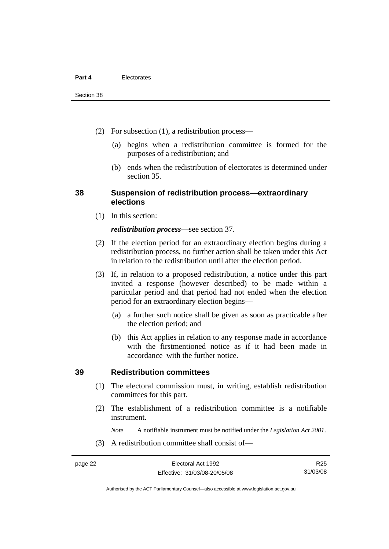- (2) For subsection (1), a redistribution process—
	- (a) begins when a redistribution committee is formed for the purposes of a redistribution; and
	- (b) ends when the redistribution of electorates is determined under section 35.

#### **38 Suspension of redistribution process—extraordinary elections**

(1) In this section:

#### *redistribution process*—see section 37.

- (2) If the election period for an extraordinary election begins during a redistribution process, no further action shall be taken under this Act in relation to the redistribution until after the election period.
- (3) If, in relation to a proposed redistribution, a notice under this part invited a response (however described) to be made within a particular period and that period had not ended when the election period for an extraordinary election begins—
	- (a) a further such notice shall be given as soon as practicable after the election period; and
	- (b) this Act applies in relation to any response made in accordance with the firstmentioned notice as if it had been made in accordance with the further notice.

#### **39 Redistribution committees**

- (1) The electoral commission must, in writing, establish redistribution committees for this part.
- (2) The establishment of a redistribution committee is a notifiable instrument.

*Note* A notifiable instrument must be notified under the *Legislation Act 2001*.

(3) A redistribution committee shall consist of—

Authorised by the ACT Parliamentary Counsel—also accessible at www.legislation.act.gov.au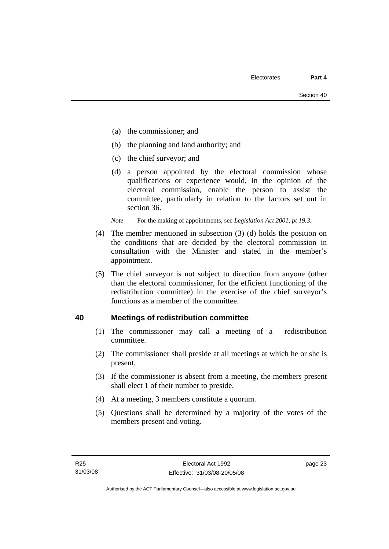- (a) the commissioner; and
- (b) the planning and land authority; and
- (c) the chief surveyor; and
- (d) a person appointed by the electoral commission whose qualifications or experience would, in the opinion of the electoral commission, enable the person to assist the committee, particularly in relation to the factors set out in section 36.

*Note* For the making of appointments, see *Legislation Act 2001, pt 19.3.* 

- (4) The member mentioned in subsection (3) (d) holds the position on the conditions that are decided by the electoral commission in consultation with the Minister and stated in the member's appointment.
- (5) The chief surveyor is not subject to direction from anyone (other than the electoral commissioner, for the efficient functioning of the redistribution committee) in the exercise of the chief surveyor's functions as a member of the committee.

## **40 Meetings of redistribution committee**

- (1) The commissioner may call a meeting of a redistribution committee.
- (2) The commissioner shall preside at all meetings at which he or she is present.
- (3) If the commissioner is absent from a meeting, the members present shall elect 1 of their number to preside.
- (4) At a meeting, 3 members constitute a quorum.
- (5) Questions shall be determined by a majority of the votes of the members present and voting.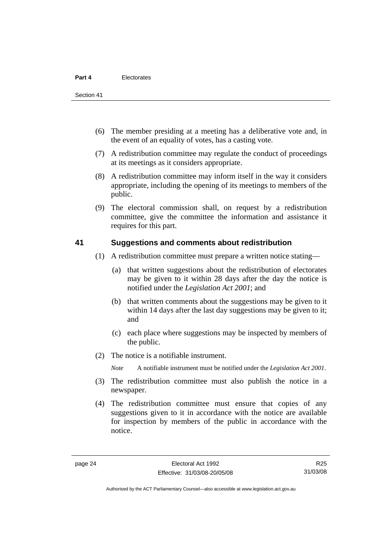Section 41

- (6) The member presiding at a meeting has a deliberative vote and, in the event of an equality of votes, has a casting vote.
- (7) A redistribution committee may regulate the conduct of proceedings at its meetings as it considers appropriate.
- (8) A redistribution committee may inform itself in the way it considers appropriate, including the opening of its meetings to members of the public.
- (9) The electoral commission shall, on request by a redistribution committee, give the committee the information and assistance it requires for this part.

#### **41 Suggestions and comments about redistribution**

- (1) A redistribution committee must prepare a written notice stating—
	- (a) that written suggestions about the redistribution of electorates may be given to it within 28 days after the day the notice is notified under the *Legislation Act 2001*; and
	- (b) that written comments about the suggestions may be given to it within 14 days after the last day suggestions may be given to it; and
	- (c) each place where suggestions may be inspected by members of the public.
- (2) The notice is a notifiable instrument.

*Note* A notifiable instrument must be notified under the *Legislation Act 2001*.

- (3) The redistribution committee must also publish the notice in a newspaper.
- (4) The redistribution committee must ensure that copies of any suggestions given to it in accordance with the notice are available for inspection by members of the public in accordance with the notice.

Authorised by the ACT Parliamentary Counsel—also accessible at www.legislation.act.gov.au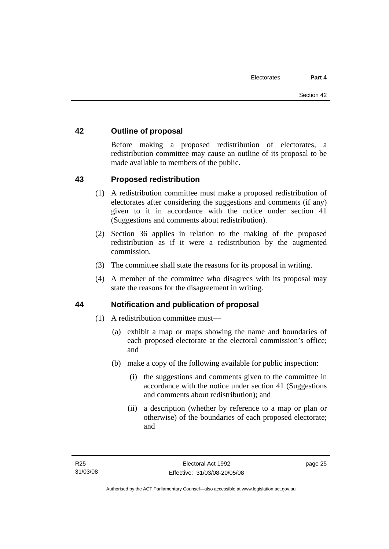## **42 Outline of proposal**

Before making a proposed redistribution of electorates, a redistribution committee may cause an outline of its proposal to be made available to members of the public.

## **43 Proposed redistribution**

- (1) A redistribution committee must make a proposed redistribution of electorates after considering the suggestions and comments (if any) given to it in accordance with the notice under section 41 (Suggestions and comments about redistribution).
- (2) Section 36 applies in relation to the making of the proposed redistribution as if it were a redistribution by the augmented commission.
- (3) The committee shall state the reasons for its proposal in writing.
- (4) A member of the committee who disagrees with its proposal may state the reasons for the disagreement in writing.

#### **44 Notification and publication of proposal**

- (1) A redistribution committee must—
	- (a) exhibit a map or maps showing the name and boundaries of each proposed electorate at the electoral commission's office; and
	- (b) make a copy of the following available for public inspection:
		- (i) the suggestions and comments given to the committee in accordance with the notice under section 41 (Suggestions and comments about redistribution); and
		- (ii) a description (whether by reference to a map or plan or otherwise) of the boundaries of each proposed electorate; and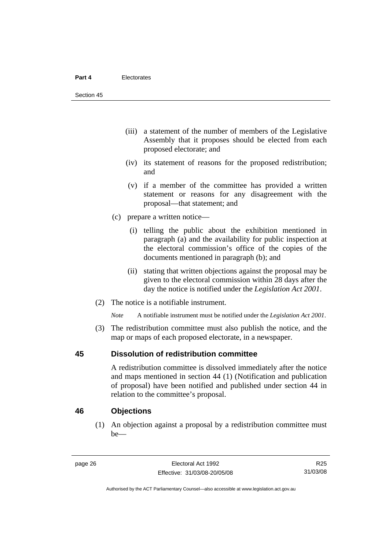- (iii) a statement of the number of members of the Legislative Assembly that it proposes should be elected from each proposed electorate; and
- (iv) its statement of reasons for the proposed redistribution; and
- (v) if a member of the committee has provided a written statement or reasons for any disagreement with the proposal—that statement; and
- (c) prepare a written notice—
	- (i) telling the public about the exhibition mentioned in paragraph (a) and the availability for public inspection at the electoral commission's office of the copies of the documents mentioned in paragraph (b); and
	- (ii) stating that written objections against the proposal may be given to the electoral commission within 28 days after the day the notice is notified under the *Legislation Act 2001*.
- (2) The notice is a notifiable instrument.

*Note* A notifiable instrument must be notified under the *Legislation Act 2001*.

 (3) The redistribution committee must also publish the notice, and the map or maps of each proposed electorate, in a newspaper.

#### **45 Dissolution of redistribution committee**

A redistribution committee is dissolved immediately after the notice and maps mentioned in section 44 (1) (Notification and publication of proposal) have been notified and published under section 44 in relation to the committee's proposal.

#### **46 Objections**

 (1) An objection against a proposal by a redistribution committee must be—

R25 31/03/08

Authorised by the ACT Parliamentary Counsel—also accessible at www.legislation.act.gov.au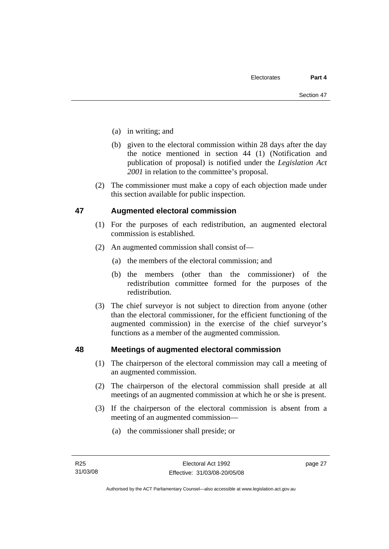- (a) in writing; and
- (b) given to the electoral commission within 28 days after the day the notice mentioned in section 44 (1) (Notification and publication of proposal) is notified under the *Legislation Act 2001* in relation to the committee's proposal.
- (2) The commissioner must make a copy of each objection made under this section available for public inspection.

## **47 Augmented electoral commission**

- (1) For the purposes of each redistribution, an augmented electoral commission is established.
- (2) An augmented commission shall consist of—
	- (a) the members of the electoral commission; and
	- (b) the members (other than the commissioner) of the redistribution committee formed for the purposes of the redistribution.
- (3) The chief surveyor is not subject to direction from anyone (other than the electoral commissioner, for the efficient functioning of the augmented commission) in the exercise of the chief surveyor's functions as a member of the augmented commission.

#### **48 Meetings of augmented electoral commission**

- (1) The chairperson of the electoral commission may call a meeting of an augmented commission.
- (2) The chairperson of the electoral commission shall preside at all meetings of an augmented commission at which he or she is present.
- (3) If the chairperson of the electoral commission is absent from a meeting of an augmented commission—
	- (a) the commissioner shall preside; or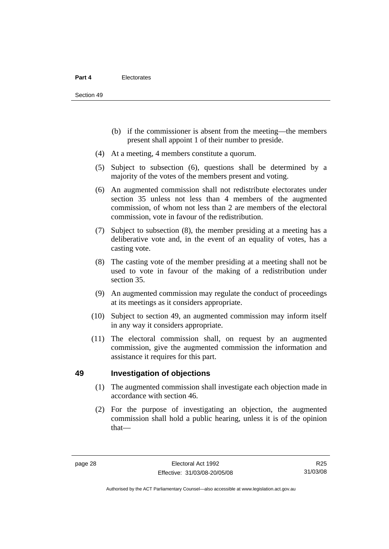- (b) if the commissioner is absent from the meeting—the members present shall appoint 1 of their number to preside.
- (4) At a meeting, 4 members constitute a quorum.
- (5) Subject to subsection (6), questions shall be determined by a majority of the votes of the members present and voting.
- (6) An augmented commission shall not redistribute electorates under section 35 unless not less than 4 members of the augmented commission, of whom not less than 2 are members of the electoral commission, vote in favour of the redistribution.
- (7) Subject to subsection (8), the member presiding at a meeting has a deliberative vote and, in the event of an equality of votes, has a casting vote.
- (8) The casting vote of the member presiding at a meeting shall not be used to vote in favour of the making of a redistribution under section 35.
- (9) An augmented commission may regulate the conduct of proceedings at its meetings as it considers appropriate.
- (10) Subject to section 49, an augmented commission may inform itself in any way it considers appropriate.
- (11) The electoral commission shall, on request by an augmented commission, give the augmented commission the information and assistance it requires for this part.

#### **49 Investigation of objections**

- (1) The augmented commission shall investigate each objection made in accordance with section 46.
- (2) For the purpose of investigating an objection, the augmented commission shall hold a public hearing, unless it is of the opinion that—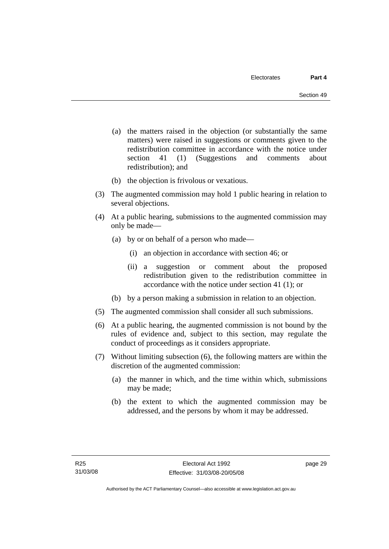- (a) the matters raised in the objection (or substantially the same matters) were raised in suggestions or comments given to the redistribution committee in accordance with the notice under section 41 (1) (Suggestions and comments about redistribution); and
- (b) the objection is frivolous or vexatious.
- (3) The augmented commission may hold 1 public hearing in relation to several objections.
- (4) At a public hearing, submissions to the augmented commission may only be made—
	- (a) by or on behalf of a person who made—
		- (i) an objection in accordance with section 46; or
		- (ii) a suggestion or comment about the proposed redistribution given to the redistribution committee in accordance with the notice under section 41 (1); or
	- (b) by a person making a submission in relation to an objection.
- (5) The augmented commission shall consider all such submissions.
- (6) At a public hearing, the augmented commission is not bound by the rules of evidence and, subject to this section, may regulate the conduct of proceedings as it considers appropriate.
- (7) Without limiting subsection (6), the following matters are within the discretion of the augmented commission:
	- (a) the manner in which, and the time within which, submissions may be made;
	- (b) the extent to which the augmented commission may be addressed, and the persons by whom it may be addressed.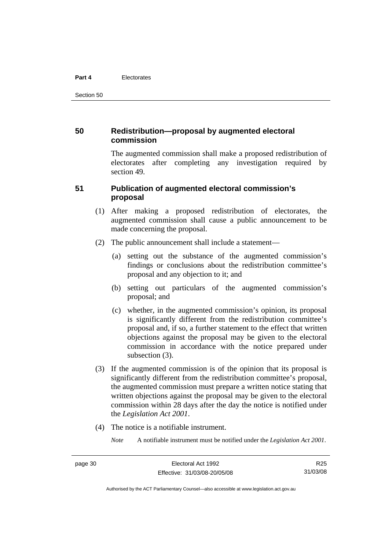#### **Part 4** Electorates

Section 50

## **50 Redistribution—proposal by augmented electoral commission**

The augmented commission shall make a proposed redistribution of electorates after completing any investigation required by section 49.

#### **51 Publication of augmented electoral commission's proposal**

- (1) After making a proposed redistribution of electorates, the augmented commission shall cause a public announcement to be made concerning the proposal.
- (2) The public announcement shall include a statement—
	- (a) setting out the substance of the augmented commission's findings or conclusions about the redistribution committee's proposal and any objection to it; and
	- (b) setting out particulars of the augmented commission's proposal; and
	- (c) whether, in the augmented commission's opinion, its proposal is significantly different from the redistribution committee's proposal and, if so, a further statement to the effect that written objections against the proposal may be given to the electoral commission in accordance with the notice prepared under subsection  $(3)$ .
- (3) If the augmented commission is of the opinion that its proposal is significantly different from the redistribution committee's proposal, the augmented commission must prepare a written notice stating that written objections against the proposal may be given to the electoral commission within 28 days after the day the notice is notified under the *Legislation Act 2001*.
- (4) The notice is a notifiable instrument.

*Note* A notifiable instrument must be notified under the *Legislation Act 2001*.

Authorised by the ACT Parliamentary Counsel—also accessible at www.legislation.act.gov.au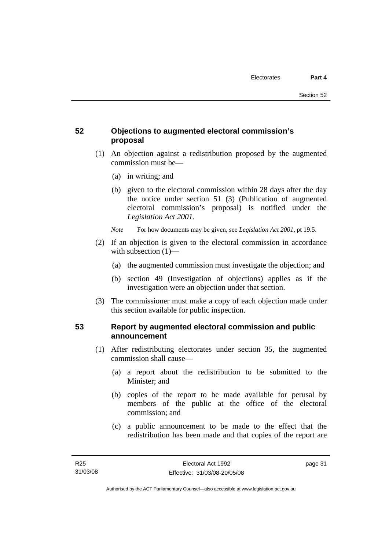## **52 Objections to augmented electoral commission's proposal**

- (1) An objection against a redistribution proposed by the augmented commission must be—
	- (a) in writing; and
	- (b) given to the electoral commission within 28 days after the day the notice under section 51 (3) (Publication of augmented electoral commission's proposal) is notified under the *Legislation Act 2001*.
	- *Note* For how documents may be given, see *Legislation Act 2001*, pt 19.5.
- (2) If an objection is given to the electoral commission in accordance with subsection (1)—
	- (a) the augmented commission must investigate the objection; and
	- (b) section 49 (Investigation of objections) applies as if the investigation were an objection under that section.
- (3) The commissioner must make a copy of each objection made under this section available for public inspection.

## **53 Report by augmented electoral commission and public announcement**

- (1) After redistributing electorates under section 35, the augmented commission shall cause—
	- (a) a report about the redistribution to be submitted to the Minister; and
	- (b) copies of the report to be made available for perusal by members of the public at the office of the electoral commission; and
	- (c) a public announcement to be made to the effect that the redistribution has been made and that copies of the report are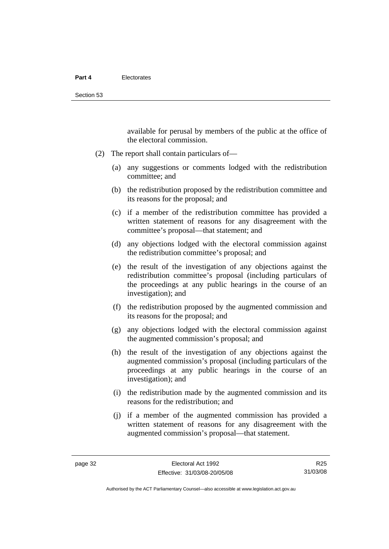available for perusal by members of the public at the office of the electoral commission.

- (2) The report shall contain particulars of—
	- (a) any suggestions or comments lodged with the redistribution committee; and
	- (b) the redistribution proposed by the redistribution committee and its reasons for the proposal; and
	- (c) if a member of the redistribution committee has provided a written statement of reasons for any disagreement with the committee's proposal—that statement; and
	- (d) any objections lodged with the electoral commission against the redistribution committee's proposal; and
	- (e) the result of the investigation of any objections against the redistribution committee's proposal (including particulars of the proceedings at any public hearings in the course of an investigation); and
	- (f) the redistribution proposed by the augmented commission and its reasons for the proposal; and
	- (g) any objections lodged with the electoral commission against the augmented commission's proposal; and
	- (h) the result of the investigation of any objections against the augmented commission's proposal (including particulars of the proceedings at any public hearings in the course of an investigation); and
	- (i) the redistribution made by the augmented commission and its reasons for the redistribution; and
	- (j) if a member of the augmented commission has provided a written statement of reasons for any disagreement with the augmented commission's proposal—that statement.

R25 31/03/08

Authorised by the ACT Parliamentary Counsel—also accessible at www.legislation.act.gov.au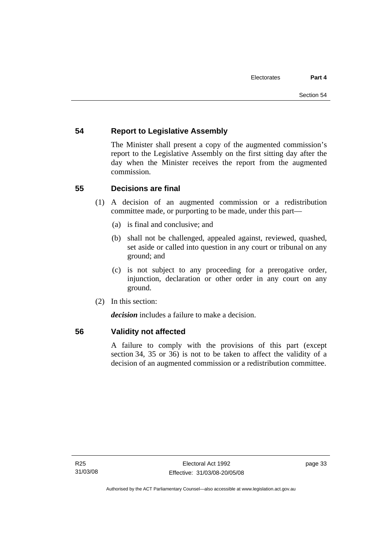## **54 Report to Legislative Assembly**

The Minister shall present a copy of the augmented commission's report to the Legislative Assembly on the first sitting day after the day when the Minister receives the report from the augmented commission.

## **55 Decisions are final**

- (1) A decision of an augmented commission or a redistribution committee made, or purporting to be made, under this part—
	- (a) is final and conclusive; and
	- (b) shall not be challenged, appealed against, reviewed, quashed, set aside or called into question in any court or tribunal on any ground; and
	- (c) is not subject to any proceeding for a prerogative order, injunction, declaration or other order in any court on any ground.
- (2) In this section:

*decision* includes a failure to make a decision.

#### **56 Validity not affected**

A failure to comply with the provisions of this part (except section 34, 35 or 36) is not to be taken to affect the validity of a decision of an augmented commission or a redistribution committee.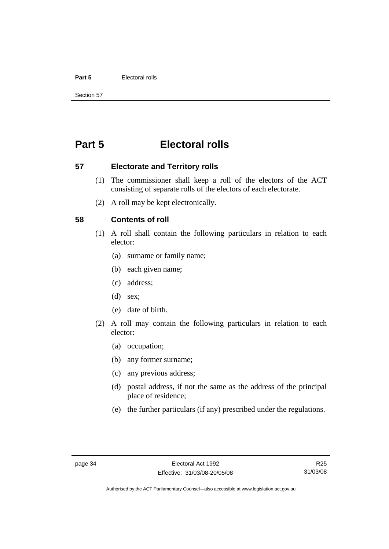#### **Part 5** Electoral rolls

Section 57

# **Part 5 Electoral rolls**

**57 Electorate and Territory rolls** 

- (1) The commissioner shall keep a roll of the electors of the ACT consisting of separate rolls of the electors of each electorate.
- (2) A roll may be kept electronically.

#### **58 Contents of roll**

- (1) A roll shall contain the following particulars in relation to each elector:
	- (a) surname or family name;
	- (b) each given name;
	- (c) address;
	- (d) sex;
	- (e) date of birth.
- (2) A roll may contain the following particulars in relation to each elector:
	- (a) occupation;
	- (b) any former surname;
	- (c) any previous address;
	- (d) postal address, if not the same as the address of the principal place of residence;
	- (e) the further particulars (if any) prescribed under the regulations.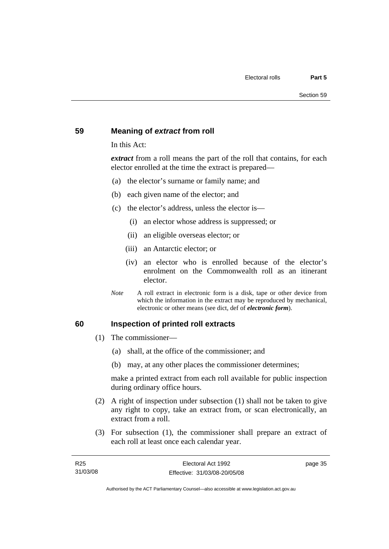#### **59 Meaning of** *extract* **from roll**

In this Act:

*extract* from a roll means the part of the roll that contains, for each elector enrolled at the time the extract is prepared—

- (a) the elector's surname or family name; and
- (b) each given name of the elector; and
- (c) the elector's address, unless the elector is—
	- (i) an elector whose address is suppressed; or
	- (ii) an eligible overseas elector; or
	- (iii) an Antarctic elector; or
	- (iv) an elector who is enrolled because of the elector's enrolment on the Commonwealth roll as an itinerant elector.
- *Note* A roll extract in electronic form is a disk, tape or other device from which the information in the extract may be reproduced by mechanical, electronic or other means (see dict, def of *electronic form*).

#### **60 Inspection of printed roll extracts**

- (1) The commissioner—
	- (a) shall, at the office of the commissioner; and
	- (b) may, at any other places the commissioner determines;

make a printed extract from each roll available for public inspection during ordinary office hours.

- (2) A right of inspection under subsection (1) shall not be taken to give any right to copy, take an extract from, or scan electronically, an extract from a roll.
- (3) For subsection (1), the commissioner shall prepare an extract of each roll at least once each calendar year.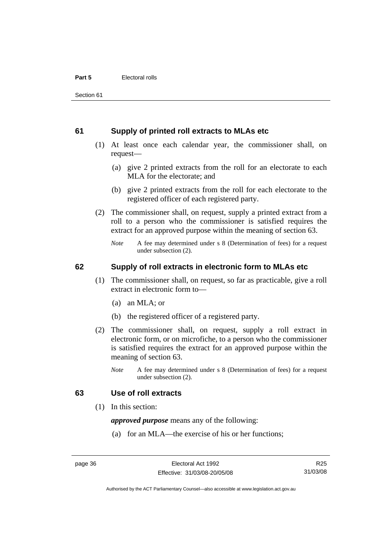#### **61 Supply of printed roll extracts to MLAs etc**

- (1) At least once each calendar year, the commissioner shall, on request—
	- (a) give 2 printed extracts from the roll for an electorate to each MLA for the electorate; and
	- (b) give 2 printed extracts from the roll for each electorate to the registered officer of each registered party.
- (2) The commissioner shall, on request, supply a printed extract from a roll to a person who the commissioner is satisfied requires the extract for an approved purpose within the meaning of section 63.
	- *Note* A fee may determined under s 8 (Determination of fees) for a request under subsection (2).

#### **62 Supply of roll extracts in electronic form to MLAs etc**

- (1) The commissioner shall, on request, so far as practicable, give a roll extract in electronic form to—
	- (a) an MLA; or
	- (b) the registered officer of a registered party.
- (2) The commissioner shall, on request, supply a roll extract in electronic form, or on microfiche, to a person who the commissioner is satisfied requires the extract for an approved purpose within the meaning of section 63.
	- *Note* A fee may determined under s 8 (Determination of fees) for a request under subsection (2).

#### **63 Use of roll extracts**

(1) In this section:

*approved purpose* means any of the following:

(a) for an MLA—the exercise of his or her functions;

R25 31/03/08

Authorised by the ACT Parliamentary Counsel—also accessible at www.legislation.act.gov.au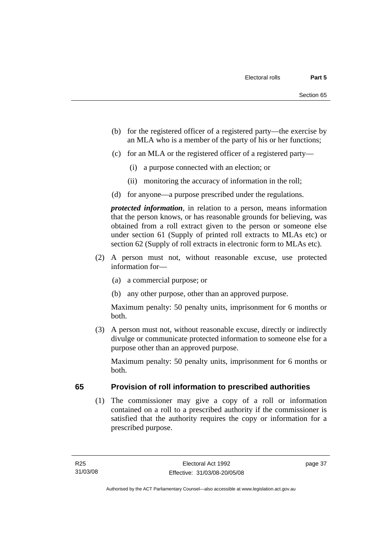- (b) for the registered officer of a registered party—the exercise by an MLA who is a member of the party of his or her functions;
- (c) for an MLA or the registered officer of a registered party—
	- (i) a purpose connected with an election; or
	- (ii) monitoring the accuracy of information in the roll;
- (d) for anyone—a purpose prescribed under the regulations.

*protected information*, in relation to a person, means information that the person knows, or has reasonable grounds for believing, was obtained from a roll extract given to the person or someone else under section 61 (Supply of printed roll extracts to MLAs etc) or section 62 (Supply of roll extracts in electronic form to MLAs etc).

- (2) A person must not, without reasonable excuse, use protected information for—
	- (a) a commercial purpose; or
	- (b) any other purpose, other than an approved purpose.

Maximum penalty: 50 penalty units, imprisonment for 6 months or both.

 (3) A person must not, without reasonable excuse, directly or indirectly divulge or communicate protected information to someone else for a purpose other than an approved purpose.

Maximum penalty: 50 penalty units, imprisonment for 6 months or both.

## **65 Provision of roll information to prescribed authorities**

 (1) The commissioner may give a copy of a roll or information contained on a roll to a prescribed authority if the commissioner is satisfied that the authority requires the copy or information for a prescribed purpose.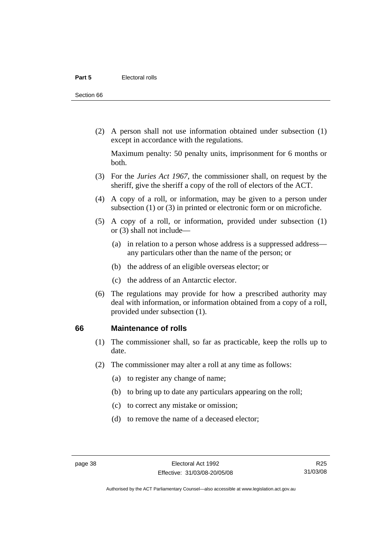Section 66

 (2) A person shall not use information obtained under subsection (1) except in accordance with the regulations.

Maximum penalty: 50 penalty units, imprisonment for 6 months or both.

- (3) For the *Juries Act 1967*, the commissioner shall, on request by the sheriff, give the sheriff a copy of the roll of electors of the ACT.
- (4) A copy of a roll, or information, may be given to a person under subsection (1) or (3) in printed or electronic form or on microfiche.
- (5) A copy of a roll, or information, provided under subsection (1) or (3) shall not include—
	- (a) in relation to a person whose address is a suppressed address any particulars other than the name of the person; or
	- (b) the address of an eligible overseas elector; or
	- (c) the address of an Antarctic elector.
- (6) The regulations may provide for how a prescribed authority may deal with information, or information obtained from a copy of a roll, provided under subsection (1).

#### **66 Maintenance of rolls**

- (1) The commissioner shall, so far as practicable, keep the rolls up to date.
- (2) The commissioner may alter a roll at any time as follows:
	- (a) to register any change of name;
	- (b) to bring up to date any particulars appearing on the roll;
	- (c) to correct any mistake or omission;
	- (d) to remove the name of a deceased elector;

R25 31/03/08

Authorised by the ACT Parliamentary Counsel—also accessible at www.legislation.act.gov.au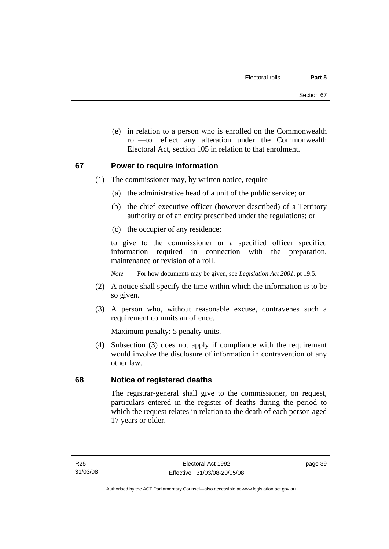(e) in relation to a person who is enrolled on the Commonwealth roll—to reflect any alteration under the Commonwealth Electoral Act, section 105 in relation to that enrolment.

## **67 Power to require information**

- (1) The commissioner may, by written notice, require—
	- (a) the administrative head of a unit of the public service; or
	- (b) the chief executive officer (however described) of a Territory authority or of an entity prescribed under the regulations; or
	- (c) the occupier of any residence;

to give to the commissioner or a specified officer specified information required in connection with the preparation, maintenance or revision of a roll.

*Note* For how documents may be given, see *Legislation Act 2001*, pt 19.5.

- (2) A notice shall specify the time within which the information is to be so given.
- (3) A person who, without reasonable excuse, contravenes such a requirement commits an offence.

Maximum penalty: 5 penalty units.

 (4) Subsection (3) does not apply if compliance with the requirement would involve the disclosure of information in contravention of any other law.

## **68 Notice of registered deaths**

The registrar-general shall give to the commissioner, on request, particulars entered in the register of deaths during the period to which the request relates in relation to the death of each person aged 17 years or older.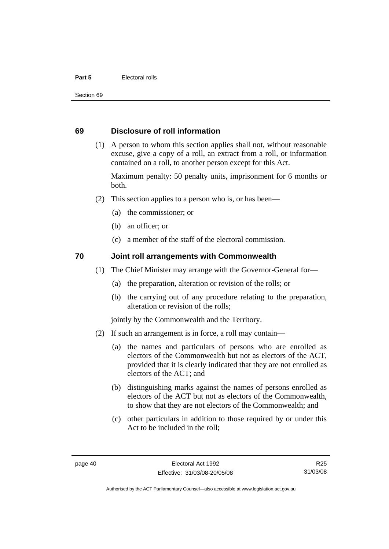#### **Part 5** Electoral rolls

Section 69

#### **69 Disclosure of roll information**

 (1) A person to whom this section applies shall not, without reasonable excuse, give a copy of a roll, an extract from a roll, or information contained on a roll, to another person except for this Act.

Maximum penalty: 50 penalty units, imprisonment for 6 months or both.

- (2) This section applies to a person who is, or has been—
	- (a) the commissioner; or
	- (b) an officer; or
	- (c) a member of the staff of the electoral commission.

## **70 Joint roll arrangements with Commonwealth**

- (1) The Chief Minister may arrange with the Governor-General for—
	- (a) the preparation, alteration or revision of the rolls; or
	- (b) the carrying out of any procedure relating to the preparation, alteration or revision of the rolls;

jointly by the Commonwealth and the Territory.

- (2) If such an arrangement is in force, a roll may contain—
	- (a) the names and particulars of persons who are enrolled as electors of the Commonwealth but not as electors of the ACT, provided that it is clearly indicated that they are not enrolled as electors of the ACT; and
	- (b) distinguishing marks against the names of persons enrolled as electors of the ACT but not as electors of the Commonwealth, to show that they are not electors of the Commonwealth; and
	- (c) other particulars in addition to those required by or under this Act to be included in the roll;

R25 31/03/08

Authorised by the ACT Parliamentary Counsel—also accessible at www.legislation.act.gov.au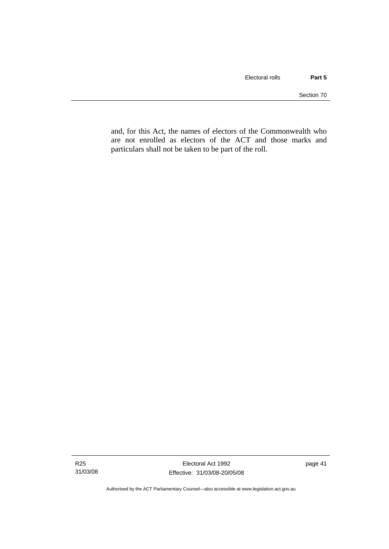and, for this Act, the names of electors of the Commonwealth who are not enrolled as electors of the ACT and those marks and particulars shall not be taken to be part of the roll.

page 41

Authorised by the ACT Parliamentary Counsel—also accessible at www.legislation.act.gov.au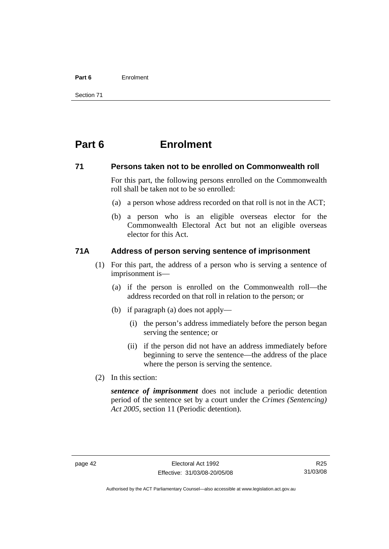#### **Part 6** Enrolment

Section 71

# **Part 6 Enrolment**

#### **71 Persons taken not to be enrolled on Commonwealth roll**

For this part, the following persons enrolled on the Commonwealth roll shall be taken not to be so enrolled:

- (a) a person whose address recorded on that roll is not in the ACT;
- (b) a person who is an eligible overseas elector for the Commonwealth Electoral Act but not an eligible overseas elector for this Act.

#### **71A Address of person serving sentence of imprisonment**

- (1) For this part, the address of a person who is serving a sentence of imprisonment is—
	- (a) if the person is enrolled on the Commonwealth roll—the address recorded on that roll in relation to the person; or
	- (b) if paragraph (a) does not apply—
		- (i) the person's address immediately before the person began serving the sentence; or
		- (ii) if the person did not have an address immediately before beginning to serve the sentence—the address of the place where the person is serving the sentence.
- (2) In this section:

*sentence of imprisonment* does not include a periodic detention period of the sentence set by a court under the *Crimes (Sentencing) Act 2005*, section 11 (Periodic detention).

R25 31/03/08

Authorised by the ACT Parliamentary Counsel—also accessible at www.legislation.act.gov.au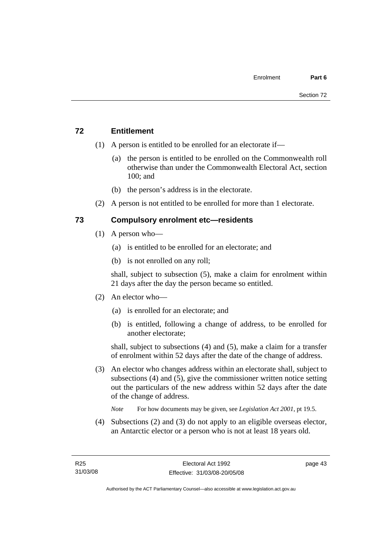## **72 Entitlement**

- (1) A person is entitled to be enrolled for an electorate if—
	- (a) the person is entitled to be enrolled on the Commonwealth roll otherwise than under the Commonwealth Electoral Act, section 100; and
	- (b) the person's address is in the electorate.
- (2) A person is not entitled to be enrolled for more than 1 electorate.

## **73 Compulsory enrolment etc—residents**

- (1) A person who—
	- (a) is entitled to be enrolled for an electorate; and
	- (b) is not enrolled on any roll;

shall, subject to subsection (5), make a claim for enrolment within 21 days after the day the person became so entitled.

- (2) An elector who—
	- (a) is enrolled for an electorate; and
	- (b) is entitled, following a change of address, to be enrolled for another electorate;

shall, subject to subsections (4) and (5), make a claim for a transfer of enrolment within 52 days after the date of the change of address.

 (3) An elector who changes address within an electorate shall, subject to subsections (4) and (5), give the commissioner written notice setting out the particulars of the new address within 52 days after the date of the change of address.

*Note* For how documents may be given, see *Legislation Act 2001*, pt 19.5.

 (4) Subsections (2) and (3) do not apply to an eligible overseas elector, an Antarctic elector or a person who is not at least 18 years old.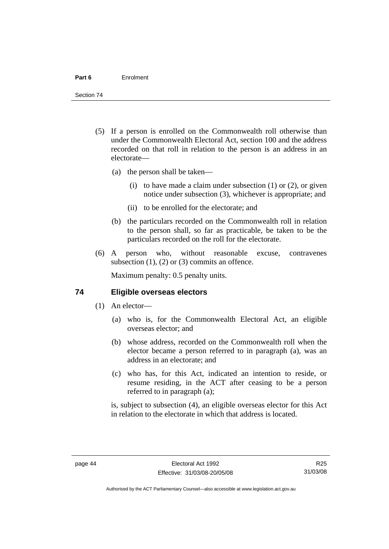- (5) If a person is enrolled on the Commonwealth roll otherwise than under the Commonwealth Electoral Act, section 100 and the address recorded on that roll in relation to the person is an address in an electorate—
	- (a) the person shall be taken—
		- (i) to have made a claim under subsection  $(1)$  or  $(2)$ , or given notice under subsection (3), whichever is appropriate; and
		- (ii) to be enrolled for the electorate; and
	- (b) the particulars recorded on the Commonwealth roll in relation to the person shall, so far as practicable, be taken to be the particulars recorded on the roll for the electorate.
- (6) A person who, without reasonable excuse, contravenes subsection  $(1)$ ,  $(2)$  or  $(3)$  commits an offence.

Maximum penalty: 0.5 penalty units.

#### **74 Eligible overseas electors**

- (1) An elector—
	- (a) who is, for the Commonwealth Electoral Act, an eligible overseas elector; and
	- (b) whose address, recorded on the Commonwealth roll when the elector became a person referred to in paragraph (a), was an address in an electorate; and
	- (c) who has, for this Act, indicated an intention to reside, or resume residing, in the ACT after ceasing to be a person referred to in paragraph (a);

is, subject to subsection (4), an eligible overseas elector for this Act in relation to the electorate in which that address is located.

Authorised by the ACT Parliamentary Counsel—also accessible at www.legislation.act.gov.au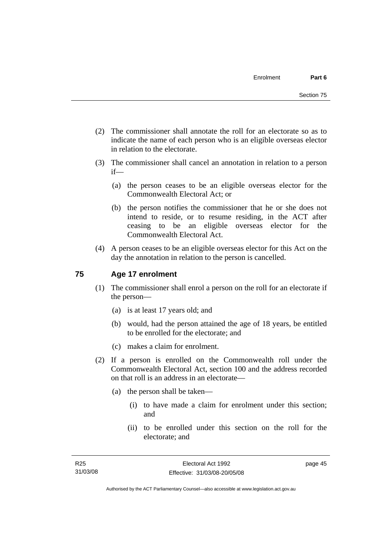- (2) The commissioner shall annotate the roll for an electorate so as to indicate the name of each person who is an eligible overseas elector in relation to the electorate.
- (3) The commissioner shall cancel an annotation in relation to a person if—
	- (a) the person ceases to be an eligible overseas elector for the Commonwealth Electoral Act; or
	- (b) the person notifies the commissioner that he or she does not intend to reside, or to resume residing, in the ACT after ceasing to be an eligible overseas elector for the Commonwealth Electoral Act.
- (4) A person ceases to be an eligible overseas elector for this Act on the day the annotation in relation to the person is cancelled.

## **75 Age 17 enrolment**

- (1) The commissioner shall enrol a person on the roll for an electorate if the person—
	- (a) is at least 17 years old; and
	- (b) would, had the person attained the age of 18 years, be entitled to be enrolled for the electorate; and
	- (c) makes a claim for enrolment.
- (2) If a person is enrolled on the Commonwealth roll under the Commonwealth Electoral Act, section 100 and the address recorded on that roll is an address in an electorate—
	- (a) the person shall be taken—
		- (i) to have made a claim for enrolment under this section; and
		- (ii) to be enrolled under this section on the roll for the electorate; and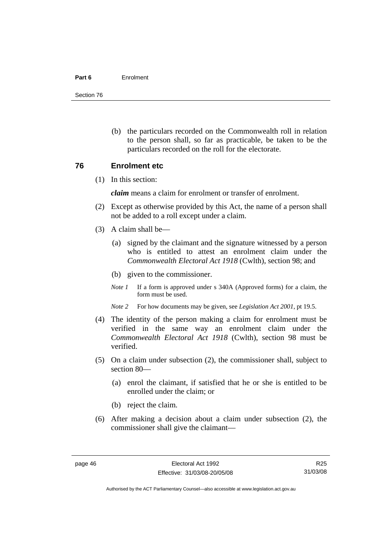#### **Part 6** Enrolment

Section 76

 (b) the particulars recorded on the Commonwealth roll in relation to the person shall, so far as practicable, be taken to be the particulars recorded on the roll for the electorate.

#### **76 Enrolment etc**

(1) In this section:

*claim* means a claim for enrolment or transfer of enrolment.

- (2) Except as otherwise provided by this Act, the name of a person shall not be added to a roll except under a claim.
- (3) A claim shall be—
	- (a) signed by the claimant and the signature witnessed by a person who is entitled to attest an enrolment claim under the *Commonwealth Electoral Act 1918* (Cwlth), section 98; and
	- (b) given to the commissioner.
	- *Note 1* If a form is approved under s 340A (Approved forms) for a claim, the form must be used.
	- *Note 2* For how documents may be given, see *Legislation Act 2001*, pt 19.5.
- (4) The identity of the person making a claim for enrolment must be verified in the same way an enrolment claim under the *Commonwealth Electoral Act 1918* (Cwlth), section 98 must be verified.
- (5) On a claim under subsection (2), the commissioner shall, subject to section 80—
	- (a) enrol the claimant, if satisfied that he or she is entitled to be enrolled under the claim; or
	- (b) reject the claim.
- (6) After making a decision about a claim under subsection (2), the commissioner shall give the claimant—

R25 31/03/08

Authorised by the ACT Parliamentary Counsel—also accessible at www.legislation.act.gov.au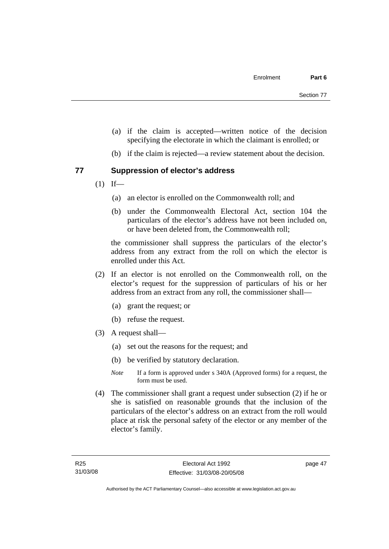- (a) if the claim is accepted—written notice of the decision specifying the electorate in which the claimant is enrolled; or
- (b) if the claim is rejected—a review statement about the decision.

## **77 Suppression of elector's address**

- $(1)$  If—
	- (a) an elector is enrolled on the Commonwealth roll; and
	- (b) under the Commonwealth Electoral Act, section 104 the particulars of the elector's address have not been included on, or have been deleted from, the Commonwealth roll;

the commissioner shall suppress the particulars of the elector's address from any extract from the roll on which the elector is enrolled under this Act.

- (2) If an elector is not enrolled on the Commonwealth roll, on the elector's request for the suppression of particulars of his or her address from an extract from any roll, the commissioner shall—
	- (a) grant the request; or
	- (b) refuse the request.
- (3) A request shall—
	- (a) set out the reasons for the request; and
	- (b) be verified by statutory declaration.
	- *Note* If a form is approved under s 340A (Approved forms) for a request, the form must be used.
- (4) The commissioner shall grant a request under subsection (2) if he or she is satisfied on reasonable grounds that the inclusion of the particulars of the elector's address on an extract from the roll would place at risk the personal safety of the elector or any member of the elector's family.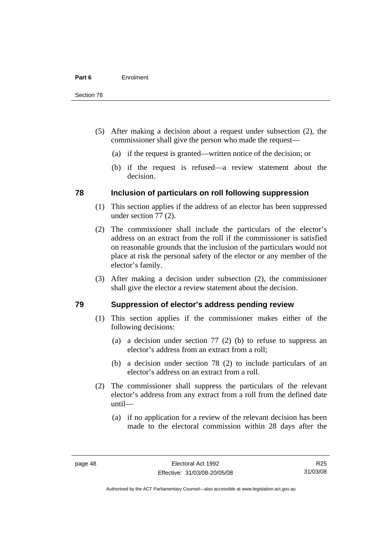- (5) After making a decision about a request under subsection (2), the commissioner shall give the person who made the request—
	- (a) if the request is granted—written notice of the decision; or
	- (b) if the request is refused—a review statement about the decision.

#### **78 Inclusion of particulars on roll following suppression**

- (1) This section applies if the address of an elector has been suppressed under section 77 (2).
- (2) The commissioner shall include the particulars of the elector's address on an extract from the roll if the commissioner is satisfied on reasonable grounds that the inclusion of the particulars would not place at risk the personal safety of the elector or any member of the elector's family.
- (3) After making a decision under subsection (2), the commissioner shall give the elector a review statement about the decision.

## **79 Suppression of elector's address pending review**

- (1) This section applies if the commissioner makes either of the following decisions:
	- (a) a decision under section 77 (2) (b) to refuse to suppress an elector's address from an extract from a roll;
	- (b) a decision under section 78 (2) to include particulars of an elector's address on an extract from a roll.
- (2) The commissioner shall suppress the particulars of the relevant elector's address from any extract from a roll from the defined date until—
	- (a) if no application for a review of the relevant decision has been made to the electoral commission within 28 days after the

Authorised by the ACT Parliamentary Counsel—also accessible at www.legislation.act.gov.au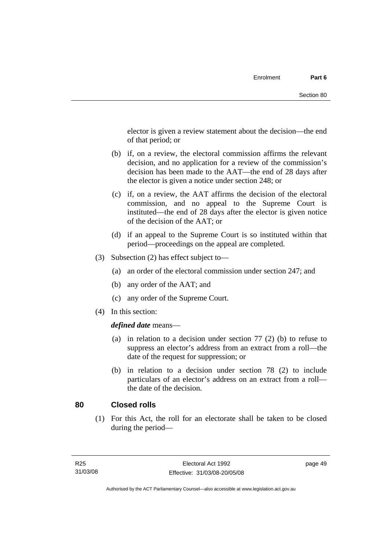elector is given a review statement about the decision—the end of that period; or

- (b) if, on a review, the electoral commission affirms the relevant decision, and no application for a review of the commission's decision has been made to the AAT—the end of 28 days after the elector is given a notice under section 248; or
- (c) if, on a review, the AAT affirms the decision of the electoral commission, and no appeal to the Supreme Court is instituted—the end of 28 days after the elector is given notice of the decision of the AAT; or
- (d) if an appeal to the Supreme Court is so instituted within that period—proceedings on the appeal are completed.
- (3) Subsection (2) has effect subject to—
	- (a) an order of the electoral commission under section 247; and
	- (b) any order of the AAT; and
	- (c) any order of the Supreme Court.
- (4) In this section:

#### *defined date* means—

- (a) in relation to a decision under section 77 (2) (b) to refuse to suppress an elector's address from an extract from a roll—the date of the request for suppression; or
- (b) in relation to a decision under section 78 (2) to include particulars of an elector's address on an extract from a roll the date of the decision.

#### **80 Closed rolls**

 (1) For this Act, the roll for an electorate shall be taken to be closed during the period—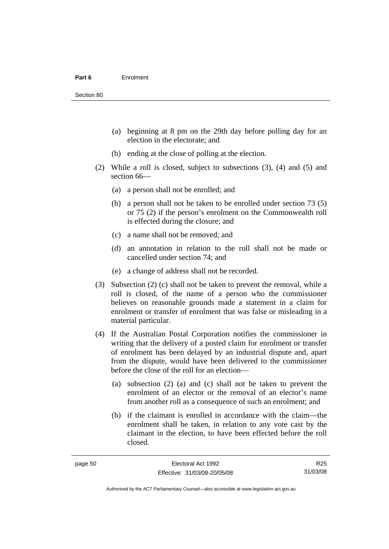- (a) beginning at 8 pm on the 29th day before polling day for an election in the electorate; and
- (b) ending at the close of polling at the election.
- (2) While a roll is closed, subject to subsections (3), (4) and (5) and section 66—
	- (a) a person shall not be enrolled; and
	- (b) a person shall not be taken to be enrolled under section 73 (5) or 75 (2) if the person's enrolment on the Commonwealth roll is effected during the closure; and
	- (c) a name shall not be removed; and
	- (d) an annotation in relation to the roll shall not be made or cancelled under section 74; and
	- (e) a change of address shall not be recorded.
- (3) Subsection (2) (c) shall not be taken to prevent the removal, while a roll is closed, of the name of a person who the commissioner believes on reasonable grounds made a statement in a claim for enrolment or transfer of enrolment that was false or misleading in a material particular.
- (4) If the Australian Postal Corporation notifies the commissioner in writing that the delivery of a posted claim for enrolment or transfer of enrolment has been delayed by an industrial dispute and, apart from the dispute, would have been delivered to the commissioner before the close of the roll for an election—
	- (a) subsection (2) (a) and (c) shall not be taken to prevent the enrolment of an elector or the removal of an elector's name from another roll as a consequence of such an enrolment; and
	- (b) if the claimant is enrolled in accordance with the claim—the enrolment shall be taken, in relation to any vote cast by the claimant in the election, to have been effected before the roll closed.

Authorised by the ACT Parliamentary Counsel—also accessible at www.legislation.act.gov.au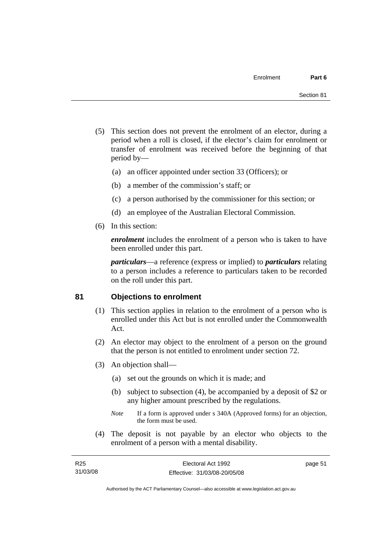- (5) This section does not prevent the enrolment of an elector, during a period when a roll is closed, if the elector's claim for enrolment or transfer of enrolment was received before the beginning of that period by—
	- (a) an officer appointed under section 33 (Officers); or
	- (b) a member of the commission's staff; or
	- (c) a person authorised by the commissioner for this section; or
	- (d) an employee of the Australian Electoral Commission.
- (6) In this section:

*enrolment* includes the enrolment of a person who is taken to have been enrolled under this part.

*particulars*—a reference (express or implied) to *particulars* relating to a person includes a reference to particulars taken to be recorded on the roll under this part.

#### **81 Objections to enrolment**

- (1) This section applies in relation to the enrolment of a person who is enrolled under this Act but is not enrolled under the Commonwealth Act.
- (2) An elector may object to the enrolment of a person on the ground that the person is not entitled to enrolment under section 72.
- (3) An objection shall—
	- (a) set out the grounds on which it is made; and
	- (b) subject to subsection (4), be accompanied by a deposit of \$2 or any higher amount prescribed by the regulations.
	- *Note* If a form is approved under s 340A (Approved forms) for an objection, the form must be used.
- (4) The deposit is not payable by an elector who objects to the enrolment of a person with a mental disability.

| R25      | Electoral Act 1992           | page 51 |
|----------|------------------------------|---------|
| 31/03/08 | Effective: 31/03/08-20/05/08 |         |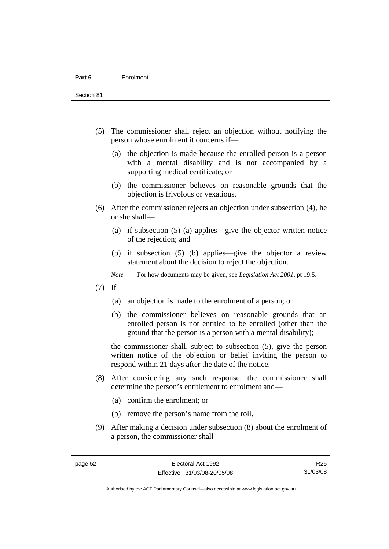Section 81

- (5) The commissioner shall reject an objection without notifying the person whose enrolment it concerns if—
	- (a) the objection is made because the enrolled person is a person with a mental disability and is not accompanied by a supporting medical certificate; or
	- (b) the commissioner believes on reasonable grounds that the objection is frivolous or vexatious.
- (6) After the commissioner rejects an objection under subsection (4), he or she shall—
	- (a) if subsection (5) (a) applies—give the objector written notice of the rejection; and
	- (b) if subsection (5) (b) applies—give the objector a review statement about the decision to reject the objection.
	- *Note* For how documents may be given, see *Legislation Act 2001*, pt 19.5.
- $(7)$  If—
	- (a) an objection is made to the enrolment of a person; or
	- (b) the commissioner believes on reasonable grounds that an enrolled person is not entitled to be enrolled (other than the ground that the person is a person with a mental disability);

the commissioner shall, subject to subsection (5), give the person written notice of the objection or belief inviting the person to respond within 21 days after the date of the notice.

- (8) After considering any such response, the commissioner shall determine the person's entitlement to enrolment and—
	- (a) confirm the enrolment; or
	- (b) remove the person's name from the roll.
- (9) After making a decision under subsection (8) about the enrolment of a person, the commissioner shall—

R25 31/03/08

Authorised by the ACT Parliamentary Counsel—also accessible at www.legislation.act.gov.au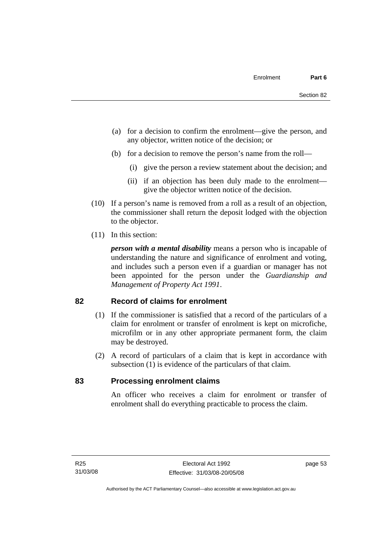- (a) for a decision to confirm the enrolment—give the person, and any objector, written notice of the decision; or
- (b) for a decision to remove the person's name from the roll—
	- (i) give the person a review statement about the decision; and
	- (ii) if an objection has been duly made to the enrolment give the objector written notice of the decision.
- (10) If a person's name is removed from a roll as a result of an objection, the commissioner shall return the deposit lodged with the objection to the objector.
- (11) In this section:

*person with a mental disability* means a person who is incapable of understanding the nature and significance of enrolment and voting, and includes such a person even if a guardian or manager has not been appointed for the person under the *Guardianship and Management of Property Act 1991*.

#### **82 Record of claims for enrolment**

- (1) If the commissioner is satisfied that a record of the particulars of a claim for enrolment or transfer of enrolment is kept on microfiche, microfilm or in any other appropriate permanent form, the claim may be destroyed.
- (2) A record of particulars of a claim that is kept in accordance with subsection (1) is evidence of the particulars of that claim.

#### **83 Processing enrolment claims**

An officer who receives a claim for enrolment or transfer of enrolment shall do everything practicable to process the claim.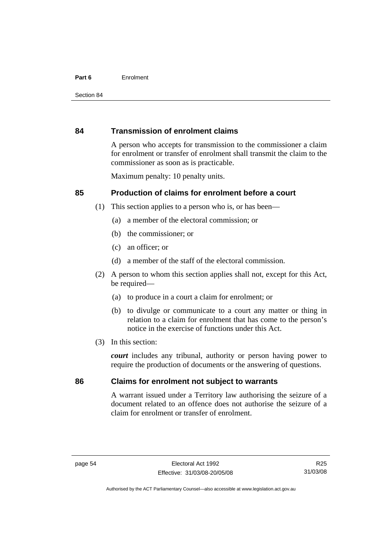#### **Part 6** Enrolment

#### **84 Transmission of enrolment claims**

A person who accepts for transmission to the commissioner a claim for enrolment or transfer of enrolment shall transmit the claim to the commissioner as soon as is practicable.

Maximum penalty: 10 penalty units.

## **85 Production of claims for enrolment before a court**

- (1) This section applies to a person who is, or has been—
	- (a) a member of the electoral commission; or
	- (b) the commissioner; or
	- (c) an officer; or
	- (d) a member of the staff of the electoral commission.
- (2) A person to whom this section applies shall not, except for this Act, be required-
	- (a) to produce in a court a claim for enrolment; or
	- (b) to divulge or communicate to a court any matter or thing in relation to a claim for enrolment that has come to the person's notice in the exercise of functions under this Act.
- (3) In this section:

*court* includes any tribunal, authority or person having power to require the production of documents or the answering of questions.

## **86 Claims for enrolment not subject to warrants**

A warrant issued under a Territory law authorising the seizure of a document related to an offence does not authorise the seizure of a claim for enrolment or transfer of enrolment.

R25 31/03/08

Authorised by the ACT Parliamentary Counsel—also accessible at www.legislation.act.gov.au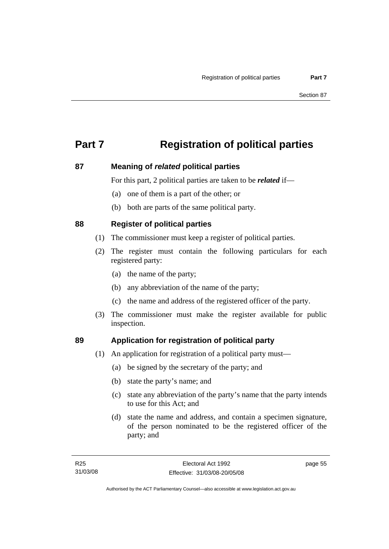# **Part 7 Registration of political parties**

## **87 Meaning of** *related* **political parties**

For this part, 2 political parties are taken to be *related* if—

- (a) one of them is a part of the other; or
- (b) both are parts of the same political party.

## **88 Register of political parties**

- (1) The commissioner must keep a register of political parties.
- (2) The register must contain the following particulars for each registered party:
	- (a) the name of the party;
	- (b) any abbreviation of the name of the party;
	- (c) the name and address of the registered officer of the party.
- (3) The commissioner must make the register available for public inspection.

## **89 Application for registration of political party**

- (1) An application for registration of a political party must—
	- (a) be signed by the secretary of the party; and
	- (b) state the party's name; and
	- (c) state any abbreviation of the party's name that the party intends to use for this Act; and
	- (d) state the name and address, and contain a specimen signature, of the person nominated to be the registered officer of the party; and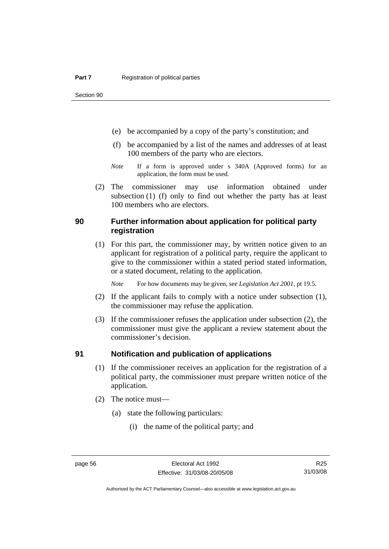Section 90

- (e) be accompanied by a copy of the party's constitution; and
- (f) be accompanied by a list of the names and addresses of at least 100 members of the party who are electors.
- *Note* If a form is approved under s 340A (Approved forms) for an application, the form must be used.
- (2) The commissioner may use information obtained under subsection (1) (f) only to find out whether the party has at least 100 members who are electors.

#### **90 Further information about application for political party registration**

 (1) For this part, the commissioner may, by written notice given to an applicant for registration of a political party, require the applicant to give to the commissioner within a stated period stated information, or a stated document, relating to the application.

*Note* For how documents may be given, see *Legislation Act 2001*, pt 19.5.

- (2) If the applicant fails to comply with a notice under subsection (1), the commissioner may refuse the application.
- (3) If the commissioner refuses the application under subsection (2), the commissioner must give the applicant a review statement about the commissioner's decision.

#### **91 Notification and publication of applications**

- (1) If the commissioner receives an application for the registration of a political party, the commissioner must prepare written notice of the application.
- (2) The notice must—
	- (a) state the following particulars:
		- (i) the name of the political party; and

R25 31/03/08

Authorised by the ACT Parliamentary Counsel—also accessible at www.legislation.act.gov.au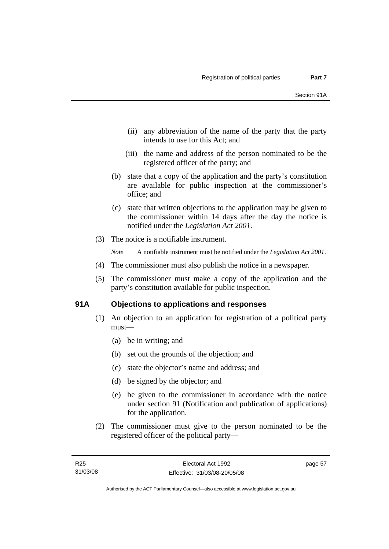- (ii) any abbreviation of the name of the party that the party intends to use for this Act; and
- (iii) the name and address of the person nominated to be the registered officer of the party; and
- (b) state that a copy of the application and the party's constitution are available for public inspection at the commissioner's office; and
- (c) state that written objections to the application may be given to the commissioner within 14 days after the day the notice is notified under the *Legislation Act 2001*.
- (3) The notice is a notifiable instrument.

*Note* A notifiable instrument must be notified under the *Legislation Act 2001*.

- (4) The commissioner must also publish the notice in a newspaper.
- (5) The commissioner must make a copy of the application and the party's constitution available for public inspection.

## **91A Objections to applications and responses**

- (1) An objection to an application for registration of a political party must—
	- (a) be in writing; and
	- (b) set out the grounds of the objection; and
	- (c) state the objector's name and address; and
	- (d) be signed by the objector; and
	- (e) be given to the commissioner in accordance with the notice under section 91 (Notification and publication of applications) for the application.
- (2) The commissioner must give to the person nominated to be the registered officer of the political party—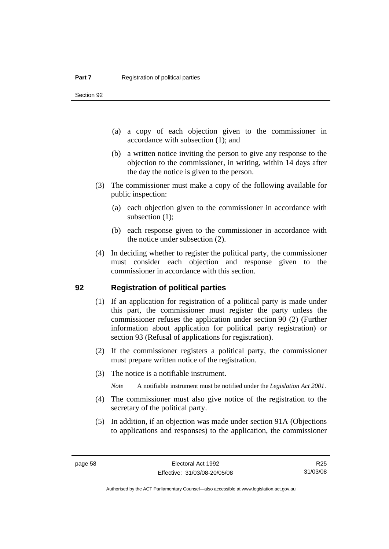Section 92

- (a) a copy of each objection given to the commissioner in accordance with subsection (1); and
- (b) a written notice inviting the person to give any response to the objection to the commissioner, in writing, within 14 days after the day the notice is given to the person.
- (3) The commissioner must make a copy of the following available for public inspection:
	- (a) each objection given to the commissioner in accordance with subsection  $(1)$ ;
	- (b) each response given to the commissioner in accordance with the notice under subsection (2).
- (4) In deciding whether to register the political party, the commissioner must consider each objection and response given to the commissioner in accordance with this section.

#### **92 Registration of political parties**

- (1) If an application for registration of a political party is made under this part, the commissioner must register the party unless the commissioner refuses the application under section 90 (2) (Further information about application for political party registration) or section 93 (Refusal of applications for registration).
- (2) If the commissioner registers a political party, the commissioner must prepare written notice of the registration.
- (3) The notice is a notifiable instrument.

*Note* A notifiable instrument must be notified under the *Legislation Act 2001*.

- (4) The commissioner must also give notice of the registration to the secretary of the political party.
- (5) In addition, if an objection was made under section 91A (Objections to applications and responses) to the application, the commissioner

R25 31/03/08

Authorised by the ACT Parliamentary Counsel—also accessible at www.legislation.act.gov.au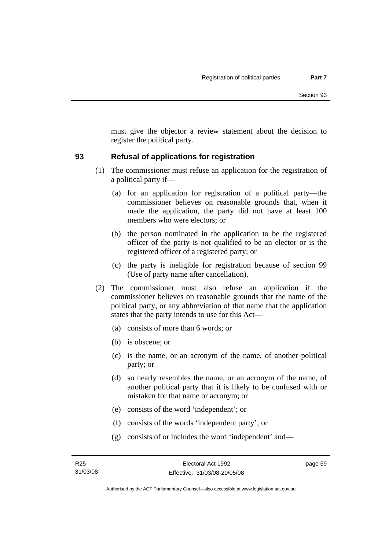must give the objector a review statement about the decision to register the political party.

## **93 Refusal of applications for registration**

- (1) The commissioner must refuse an application for the registration of a political party if—
	- (a) for an application for registration of a political party—the commissioner believes on reasonable grounds that, when it made the application, the party did not have at least 100 members who were electors; or
	- (b) the person nominated in the application to be the registered officer of the party is not qualified to be an elector or is the registered officer of a registered party; or
	- (c) the party is ineligible for registration because of section 99 (Use of party name after cancellation).
- (2) The commissioner must also refuse an application if the commissioner believes on reasonable grounds that the name of the political party, or any abbreviation of that name that the application states that the party intends to use for this Act—
	- (a) consists of more than 6 words; or
	- (b) is obscene; or
	- (c) is the name, or an acronym of the name, of another political party; or
	- (d) so nearly resembles the name, or an acronym of the name, of another political party that it is likely to be confused with or mistaken for that name or acronym; or
	- (e) consists of the word 'independent'; or
	- (f) consists of the words 'independent party'; or
	- (g) consists of or includes the word 'independent' and—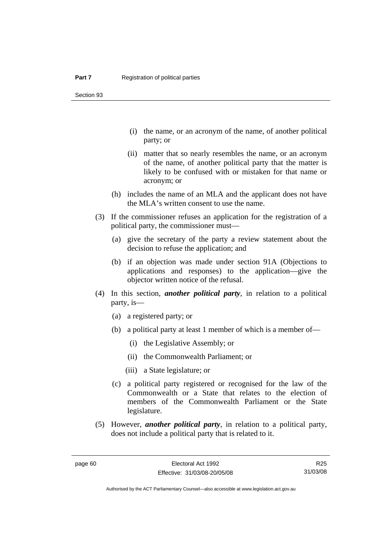Section 93

- (i) the name, or an acronym of the name, of another political party; or
- (ii) matter that so nearly resembles the name, or an acronym of the name, of another political party that the matter is likely to be confused with or mistaken for that name or acronym; or
- (h) includes the name of an MLA and the applicant does not have the MLA's written consent to use the name.
- (3) If the commissioner refuses an application for the registration of a political party, the commissioner must—
	- (a) give the secretary of the party a review statement about the decision to refuse the application; and
	- (b) if an objection was made under section 91A (Objections to applications and responses) to the application—give the objector written notice of the refusal.
- (4) In this section, *another political party*, in relation to a political party, is—
	- (a) a registered party; or
	- (b) a political party at least 1 member of which is a member of—
		- (i) the Legislative Assembly; or
		- (ii) the Commonwealth Parliament; or
		- (iii) a State legislature; or
	- (c) a political party registered or recognised for the law of the Commonwealth or a State that relates to the election of members of the Commonwealth Parliament or the State legislature.
- (5) However, *another political party*, in relation to a political party, does not include a political party that is related to it.

Authorised by the ACT Parliamentary Counsel—also accessible at www.legislation.act.gov.au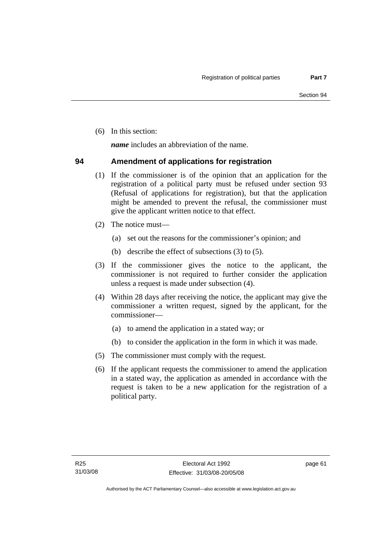(6) In this section:

*name* includes an abbreviation of the name.

## **94 Amendment of applications for registration**

- (1) If the commissioner is of the opinion that an application for the registration of a political party must be refused under section 93 (Refusal of applications for registration), but that the application might be amended to prevent the refusal, the commissioner must give the applicant written notice to that effect.
- (2) The notice must—
	- (a) set out the reasons for the commissioner's opinion; and
	- (b) describe the effect of subsections (3) to (5).
- (3) If the commissioner gives the notice to the applicant, the commissioner is not required to further consider the application unless a request is made under subsection (4).
- (4) Within 28 days after receiving the notice, the applicant may give the commissioner a written request, signed by the applicant, for the commissioner—
	- (a) to amend the application in a stated way; or
	- (b) to consider the application in the form in which it was made.
- (5) The commissioner must comply with the request.
- (6) If the applicant requests the commissioner to amend the application in a stated way, the application as amended in accordance with the request is taken to be a new application for the registration of a political party.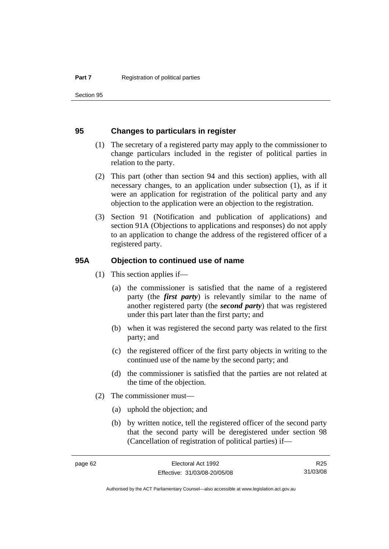Section 95

#### **95 Changes to particulars in register**

- (1) The secretary of a registered party may apply to the commissioner to change particulars included in the register of political parties in relation to the party.
- (2) This part (other than section 94 and this section) applies, with all necessary changes, to an application under subsection (1), as if it were an application for registration of the political party and any objection to the application were an objection to the registration.
- (3) Section 91 (Notification and publication of applications) and section 91A (Objections to applications and responses) do not apply to an application to change the address of the registered officer of a registered party.

#### **95A Objection to continued use of name**

- (1) This section applies if—
	- (a) the commissioner is satisfied that the name of a registered party (the *first party*) is relevantly similar to the name of another registered party (the *second party*) that was registered under this part later than the first party; and
	- (b) when it was registered the second party was related to the first party; and
	- (c) the registered officer of the first party objects in writing to the continued use of the name by the second party; and
	- (d) the commissioner is satisfied that the parties are not related at the time of the objection.
- (2) The commissioner must—
	- (a) uphold the objection; and
	- (b) by written notice, tell the registered officer of the second party that the second party will be deregistered under section 98 (Cancellation of registration of political parties) if—

R25 31/03/08

Authorised by the ACT Parliamentary Counsel—also accessible at www.legislation.act.gov.au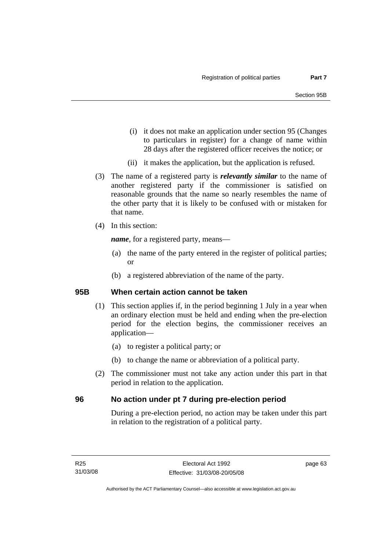- (i) it does not make an application under section 95 (Changes to particulars in register) for a change of name within 28 days after the registered officer receives the notice; or
- (ii) it makes the application, but the application is refused.
- (3) The name of a registered party is *relevantly similar* to the name of another registered party if the commissioner is satisfied on reasonable grounds that the name so nearly resembles the name of the other party that it is likely to be confused with or mistaken for that name.
- (4) In this section:

*name*, for a registered party, means—

- (a) the name of the party entered in the register of political parties; or
- (b) a registered abbreviation of the name of the party.

## **95B When certain action cannot be taken**

- (1) This section applies if, in the period beginning 1 July in a year when an ordinary election must be held and ending when the pre-election period for the election begins, the commissioner receives an application—
	- (a) to register a political party; or
	- (b) to change the name or abbreviation of a political party.
- (2) The commissioner must not take any action under this part in that period in relation to the application.

## **96 No action under pt 7 during pre-election period**

During a pre-election period, no action may be taken under this part in relation to the registration of a political party.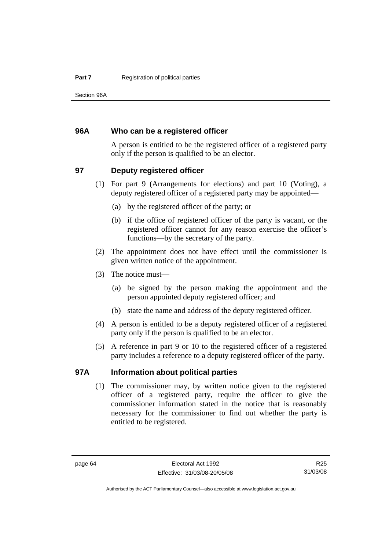Section 96A

## **96A Who can be a registered officer**

A person is entitled to be the registered officer of a registered party only if the person is qualified to be an elector.

## **97 Deputy registered officer**

- (1) For part 9 (Arrangements for elections) and part 10 (Voting), a deputy registered officer of a registered party may be appointed—
	- (a) by the registered officer of the party; or
	- (b) if the office of registered officer of the party is vacant, or the registered officer cannot for any reason exercise the officer's functions—by the secretary of the party.
- (2) The appointment does not have effect until the commissioner is given written notice of the appointment.
- (3) The notice must—
	- (a) be signed by the person making the appointment and the person appointed deputy registered officer; and
	- (b) state the name and address of the deputy registered officer.
- (4) A person is entitled to be a deputy registered officer of a registered party only if the person is qualified to be an elector.
- (5) A reference in part 9 or 10 to the registered officer of a registered party includes a reference to a deputy registered officer of the party.

#### **97A Information about political parties**

 (1) The commissioner may, by written notice given to the registered officer of a registered party, require the officer to give the commissioner information stated in the notice that is reasonably necessary for the commissioner to find out whether the party is entitled to be registered.

Authorised by the ACT Parliamentary Counsel—also accessible at www.legislation.act.gov.au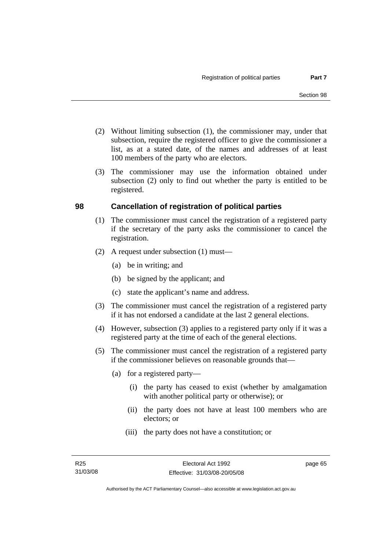- (2) Without limiting subsection (1), the commissioner may, under that subsection, require the registered officer to give the commissioner a list, as at a stated date, of the names and addresses of at least 100 members of the party who are electors.
- (3) The commissioner may use the information obtained under subsection (2) only to find out whether the party is entitled to be registered.

## **98 Cancellation of registration of political parties**

- (1) The commissioner must cancel the registration of a registered party if the secretary of the party asks the commissioner to cancel the registration.
- (2) A request under subsection (1) must—
	- (a) be in writing; and
	- (b) be signed by the applicant; and
	- (c) state the applicant's name and address.
- (3) The commissioner must cancel the registration of a registered party if it has not endorsed a candidate at the last 2 general elections.
- (4) However, subsection (3) applies to a registered party only if it was a registered party at the time of each of the general elections.
- (5) The commissioner must cancel the registration of a registered party if the commissioner believes on reasonable grounds that—
	- (a) for a registered party—
		- (i) the party has ceased to exist (whether by amalgamation with another political party or otherwise); or
		- (ii) the party does not have at least 100 members who are electors; or
		- (iii) the party does not have a constitution; or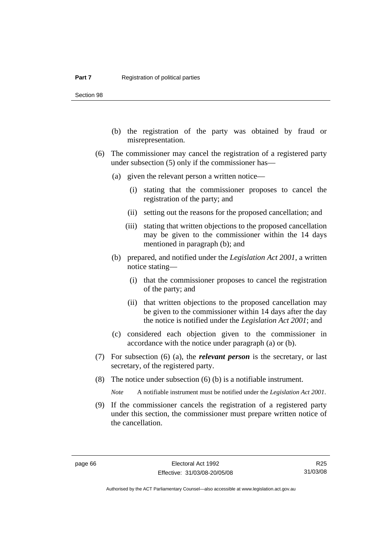Section 98

- (b) the registration of the party was obtained by fraud or misrepresentation.
- (6) The commissioner may cancel the registration of a registered party under subsection (5) only if the commissioner has—
	- (a) given the relevant person a written notice—
		- (i) stating that the commissioner proposes to cancel the registration of the party; and
		- (ii) setting out the reasons for the proposed cancellation; and
		- (iii) stating that written objections to the proposed cancellation may be given to the commissioner within the 14 days mentioned in paragraph (b); and
	- (b) prepared, and notified under the *Legislation Act 2001*, a written notice stating—
		- (i) that the commissioner proposes to cancel the registration of the party; and
		- (ii) that written objections to the proposed cancellation may be given to the commissioner within 14 days after the day the notice is notified under the *Legislation Act 2001*; and
	- (c) considered each objection given to the commissioner in accordance with the notice under paragraph (a) or (b).
- (7) For subsection (6) (a), the *relevant person* is the secretary, or last secretary, of the registered party.
- (8) The notice under subsection (6) (b) is a notifiable instrument.

*Note* A notifiable instrument must be notified under the *Legislation Act 2001*.

 (9) If the commissioner cancels the registration of a registered party under this section, the commissioner must prepare written notice of the cancellation.

R25 31/03/08

Authorised by the ACT Parliamentary Counsel—also accessible at www.legislation.act.gov.au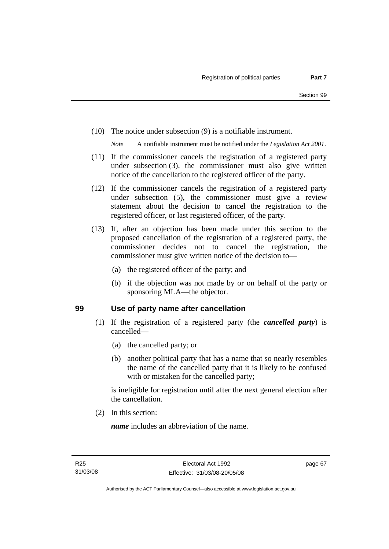(10) The notice under subsection (9) is a notifiable instrument.

*Note* A notifiable instrument must be notified under the *Legislation Act 2001*.

- (11) If the commissioner cancels the registration of a registered party under subsection (3), the commissioner must also give written notice of the cancellation to the registered officer of the party.
- (12) If the commissioner cancels the registration of a registered party under subsection (5), the commissioner must give a review statement about the decision to cancel the registration to the registered officer, or last registered officer, of the party.
- (13) If, after an objection has been made under this section to the proposed cancellation of the registration of a registered party, the commissioner decides not to cancel the registration, the commissioner must give written notice of the decision to—
	- (a) the registered officer of the party; and
	- (b) if the objection was not made by or on behalf of the party or sponsoring MLA—the objector.

#### **99 Use of party name after cancellation**

- (1) If the registration of a registered party (the *cancelled party*) is cancelled—
	- (a) the cancelled party; or
	- (b) another political party that has a name that so nearly resembles the name of the cancelled party that it is likely to be confused with or mistaken for the cancelled party;

is ineligible for registration until after the next general election after the cancellation.

(2) In this section:

*name* includes an abbreviation of the name.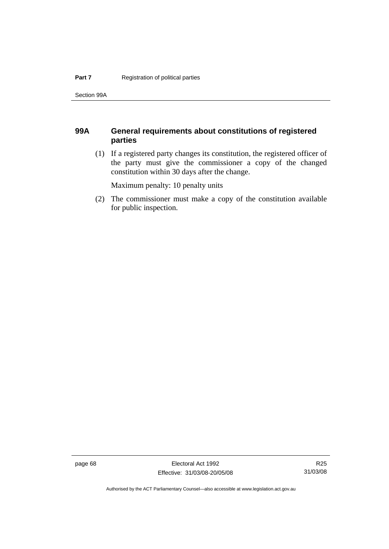Section 99A

## **99A General requirements about constitutions of registered parties**

 (1) If a registered party changes its constitution, the registered officer of the party must give the commissioner a copy of the changed constitution within 30 days after the change.

Maximum penalty: 10 penalty units

 (2) The commissioner must make a copy of the constitution available for public inspection.

page 68 Electoral Act 1992 Effective: 31/03/08-20/05/08

R25 31/03/08

Authorised by the ACT Parliamentary Counsel—also accessible at www.legislation.act.gov.au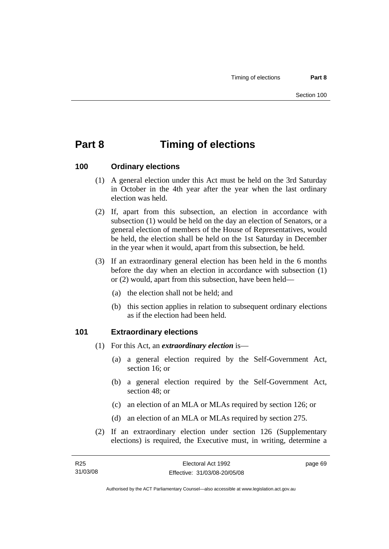# **Part 8 Timing of elections**

## **100 Ordinary elections**

- (1) A general election under this Act must be held on the 3rd Saturday in October in the 4th year after the year when the last ordinary election was held.
- (2) If, apart from this subsection, an election in accordance with subsection (1) would be held on the day an election of Senators, or a general election of members of the House of Representatives, would be held, the election shall be held on the 1st Saturday in December in the year when it would, apart from this subsection, be held.
- (3) If an extraordinary general election has been held in the 6 months before the day when an election in accordance with subsection (1) or (2) would, apart from this subsection, have been held—
	- (a) the election shall not be held; and
	- (b) this section applies in relation to subsequent ordinary elections as if the election had been held.

## **101 Extraordinary elections**

- (1) For this Act, an *extraordinary election* is—
	- (a) a general election required by the Self-Government Act, section 16; or
	- (b) a general election required by the Self-Government Act, section 48; or
	- (c) an election of an MLA or MLAs required by section 126; or
	- (d) an election of an MLA or MLAs required by section 275.
- (2) If an extraordinary election under section 126 (Supplementary elections) is required, the Executive must, in writing, determine a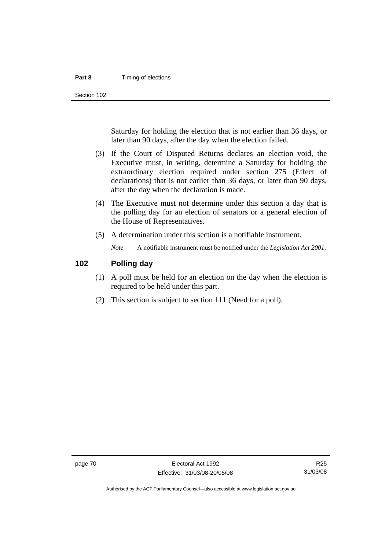#### **Part 8 Timing of elections**

Section 102

Saturday for holding the election that is not earlier than 36 days, or later than 90 days, after the day when the election failed.

- (3) If the Court of Disputed Returns declares an election void, the Executive must, in writing, determine a Saturday for holding the extraordinary election required under section 275 (Effect of declarations) that is not earlier than 36 days, or later than 90 days, after the day when the declaration is made.
- (4) The Executive must not determine under this section a day that is the polling day for an election of senators or a general election of the House of Representatives.
- (5) A determination under this section is a notifiable instrument.

*Note* A notifiable instrument must be notified under the *Legislation Act 2001*.

#### **102 Polling day**

- (1) A poll must be held for an election on the day when the election is required to be held under this part.
- (2) This section is subject to section 111 (Need for a poll).

R25 31/03/08

Authorised by the ACT Parliamentary Counsel—also accessible at www.legislation.act.gov.au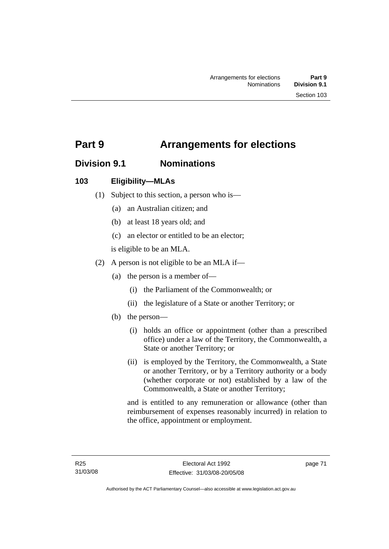## **Part 9 Arrangements for elections**

## **Division 9.1 Nominations**

## **103 Eligibility—MLAs**

- (1) Subject to this section, a person who is—
	- (a) an Australian citizen; and
	- (b) at least 18 years old; and
	- (c) an elector or entitled to be an elector;

is eligible to be an MLA.

- (2) A person is not eligible to be an MLA if—
	- (a) the person is a member of—
		- (i) the Parliament of the Commonwealth; or
		- (ii) the legislature of a State or another Territory; or
	- (b) the person—
		- (i) holds an office or appointment (other than a prescribed office) under a law of the Territory, the Commonwealth, a State or another Territory; or
		- (ii) is employed by the Territory, the Commonwealth, a State or another Territory, or by a Territory authority or a body (whether corporate or not) established by a law of the Commonwealth, a State or another Territory;

and is entitled to any remuneration or allowance (other than reimbursement of expenses reasonably incurred) in relation to the office, appointment or employment.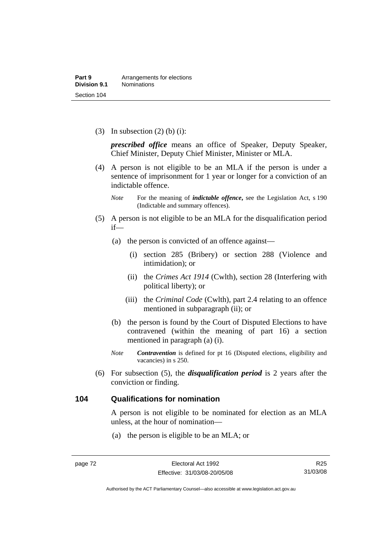(3) In subsection  $(2)$  (b) (i):

*prescribed office* means an office of Speaker, Deputy Speaker, Chief Minister, Deputy Chief Minister, Minister or MLA.

 (4) A person is not eligible to be an MLA if the person is under a sentence of imprisonment for 1 year or longer for a conviction of an indictable offence.

- (5) A person is not eligible to be an MLA for the disqualification period if—
	- (a) the person is convicted of an offence against—
		- (i) section 285 (Bribery) or section 288 (Violence and intimidation); or
		- (ii) the *Crimes Act 1914* (Cwlth), section 28 (Interfering with political liberty); or
		- (iii) the *Criminal Code* (Cwlth), part 2.4 relating to an offence mentioned in subparagraph (ii); or
	- (b) the person is found by the Court of Disputed Elections to have contravened (within the meaning of part 16) a section mentioned in paragraph (a) (i).
	- *Note Contravention* is defined for pt 16 (Disputed elections, eligibility and vacancies) in s 250.
- (6) For subsection (5), the *disqualification period* is 2 years after the conviction or finding.

#### **104 Qualifications for nomination**

A person is not eligible to be nominated for election as an MLA unless, at the hour of nomination—

(a) the person is eligible to be an MLA; or

*Note* For the meaning of *indictable offence*, see the Legislation Act, s 190 (Indictable and summary offences).

R25 31/03/08

Authorised by the ACT Parliamentary Counsel—also accessible at www.legislation.act.gov.au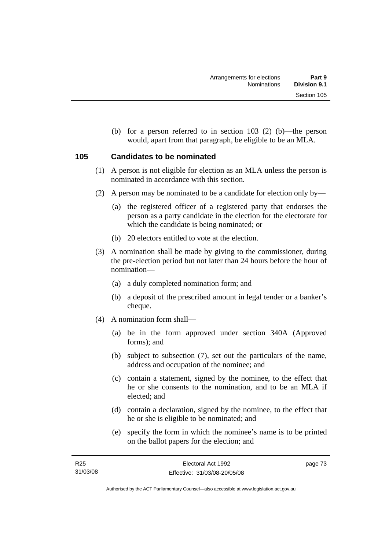(b) for a person referred to in section 103 (2) (b)—the person would, apart from that paragraph, be eligible to be an MLA.

## **105 Candidates to be nominated**

- (1) A person is not eligible for election as an MLA unless the person is nominated in accordance with this section.
- (2) A person may be nominated to be a candidate for election only by—
	- (a) the registered officer of a registered party that endorses the person as a party candidate in the election for the electorate for which the candidate is being nominated; or
	- (b) 20 electors entitled to vote at the election.
- (3) A nomination shall be made by giving to the commissioner, during the pre-election period but not later than 24 hours before the hour of nomination—
	- (a) a duly completed nomination form; and
	- (b) a deposit of the prescribed amount in legal tender or a banker's cheque.
- (4) A nomination form shall—
	- (a) be in the form approved under section 340A (Approved forms); and
	- (b) subject to subsection (7), set out the particulars of the name, address and occupation of the nominee; and
	- (c) contain a statement, signed by the nominee, to the effect that he or she consents to the nomination, and to be an MLA if elected; and
	- (d) contain a declaration, signed by the nominee, to the effect that he or she is eligible to be nominated; and
	- (e) specify the form in which the nominee's name is to be printed on the ballot papers for the election; and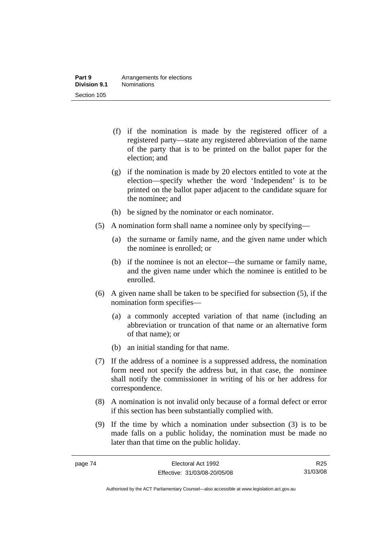- (f) if the nomination is made by the registered officer of a registered party—state any registered abbreviation of the name of the party that is to be printed on the ballot paper for the election; and
- (g) if the nomination is made by 20 electors entitled to vote at the election—specify whether the word 'Independent' is to be printed on the ballot paper adjacent to the candidate square for the nominee; and
- (h) be signed by the nominator or each nominator.
- (5) A nomination form shall name a nominee only by specifying—
	- (a) the surname or family name, and the given name under which the nominee is enrolled; or
	- (b) if the nominee is not an elector—the surname or family name, and the given name under which the nominee is entitled to be enrolled.
- (6) A given name shall be taken to be specified for subsection (5), if the nomination form specifies—
	- (a) a commonly accepted variation of that name (including an abbreviation or truncation of that name or an alternative form of that name); or
	- (b) an initial standing for that name.
- (7) If the address of a nominee is a suppressed address, the nomination form need not specify the address but, in that case, the nominee shall notify the commissioner in writing of his or her address for correspondence.
- (8) A nomination is not invalid only because of a formal defect or error if this section has been substantially complied with.
- (9) If the time by which a nomination under subsection (3) is to be made falls on a public holiday, the nomination must be made no later than that time on the public holiday.

R25 31/03/08

Authorised by the ACT Parliamentary Counsel—also accessible at www.legislation.act.gov.au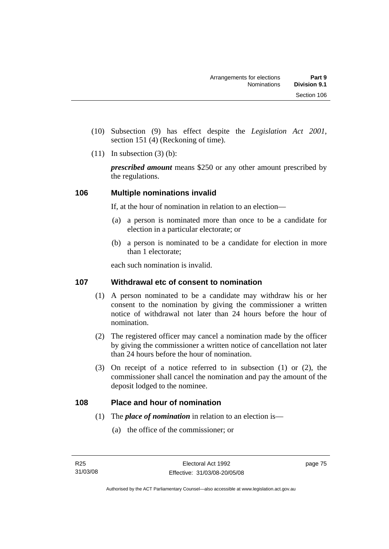- (10) Subsection (9) has effect despite the *Legislation Act 2001*, section 151 (4) (Reckoning of time).
- $(11)$  In subsection  $(3)$  (b):

*prescribed amount* means \$250 or any other amount prescribed by the regulations.

## **106 Multiple nominations invalid**

If, at the hour of nomination in relation to an election—

- (a) a person is nominated more than once to be a candidate for election in a particular electorate; or
- (b) a person is nominated to be a candidate for election in more than 1 electorate;

each such nomination is invalid.

## **107 Withdrawal etc of consent to nomination**

- (1) A person nominated to be a candidate may withdraw his or her consent to the nomination by giving the commissioner a written notice of withdrawal not later than 24 hours before the hour of nomination.
- (2) The registered officer may cancel a nomination made by the officer by giving the commissioner a written notice of cancellation not later than 24 hours before the hour of nomination.
- (3) On receipt of a notice referred to in subsection (1) or (2), the commissioner shall cancel the nomination and pay the amount of the deposit lodged to the nominee.

## **108 Place and hour of nomination**

- (1) The *place of nomination* in relation to an election is—
	- (a) the office of the commissioner; or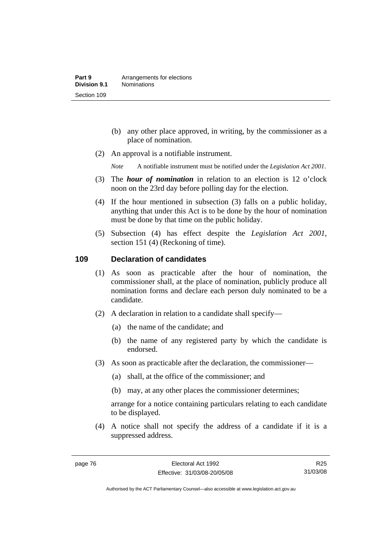- (b) any other place approved, in writing, by the commissioner as a place of nomination.
- (2) An approval is a notifiable instrument.

*Note* A notifiable instrument must be notified under the *Legislation Act 2001*.

- (3) The *hour of nomination* in relation to an election is 12 o'clock noon on the 23rd day before polling day for the election.
- (4) If the hour mentioned in subsection (3) falls on a public holiday, anything that under this Act is to be done by the hour of nomination must be done by that time on the public holiday.
- (5) Subsection (4) has effect despite the *Legislation Act 2001*, section 151 (4) (Reckoning of time).

#### **109 Declaration of candidates**

- (1) As soon as practicable after the hour of nomination, the commissioner shall, at the place of nomination, publicly produce all nomination forms and declare each person duly nominated to be a candidate.
- (2) A declaration in relation to a candidate shall specify—
	- (a) the name of the candidate; and
	- (b) the name of any registered party by which the candidate is endorsed.
- (3) As soon as practicable after the declaration, the commissioner—
	- (a) shall, at the office of the commissioner; and
	- (b) may, at any other places the commissioner determines;

arrange for a notice containing particulars relating to each candidate to be displayed.

 (4) A notice shall not specify the address of a candidate if it is a suppressed address.

R25 31/03/08

Authorised by the ACT Parliamentary Counsel—also accessible at www.legislation.act.gov.au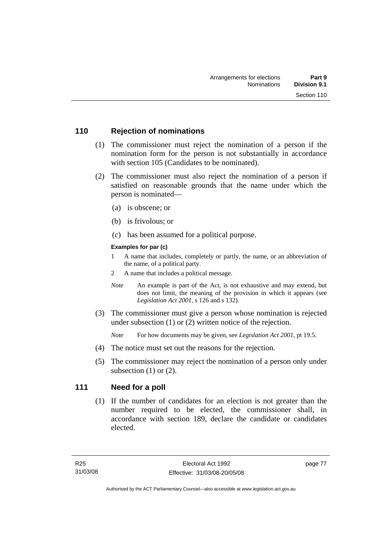## **110 Rejection of nominations**

- (1) The commissioner must reject the nomination of a person if the nomination form for the person is not substantially in accordance with section 105 (Candidates to be nominated).
- (2) The commissioner must also reject the nomination of a person if satisfied on reasonable grounds that the name under which the person is nominated—
	- (a) is obscene; or
	- (b) is frivolous; or
	- (c) has been assumed for a political purpose.

#### **Examples for par (c)**

- 1 A name that includes, completely or partly, the name, or an abbreviation of the name, of a political party.
- 2 A name that includes a political message.
- *Note* An example is part of the Act, is not exhaustive and may extend, but does not limit, the meaning of the provision in which it appears (see *Legislation Act 2001*, s 126 and s 132).
- (3) The commissioner must give a person whose nomination is rejected under subsection (1) or (2) written notice of the rejection.

*Note* For how documents may be given, see *Legislation Act 2001*, pt 19.5.

- (4) The notice must set out the reasons for the rejection.
- (5) The commissioner may reject the nomination of a person only under subsection  $(1)$  or  $(2)$ .

## **111 Need for a poll**

 (1) If the number of candidates for an election is not greater than the number required to be elected, the commissioner shall, in accordance with section 189, declare the candidate or candidates elected.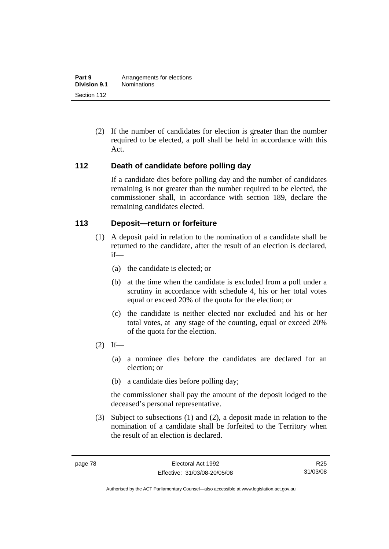(2) If the number of candidates for election is greater than the number required to be elected, a poll shall be held in accordance with this Act.

## **112 Death of candidate before polling day**

If a candidate dies before polling day and the number of candidates remaining is not greater than the number required to be elected, the commissioner shall, in accordance with section 189, declare the remaining candidates elected.

## **113 Deposit—return or forfeiture**

- (1) A deposit paid in relation to the nomination of a candidate shall be returned to the candidate, after the result of an election is declared, if—
	- (a) the candidate is elected; or
	- (b) at the time when the candidate is excluded from a poll under a scrutiny in accordance with schedule 4, his or her total votes equal or exceed 20% of the quota for the election; or
	- (c) the candidate is neither elected nor excluded and his or her total votes, at any stage of the counting, equal or exceed 20% of the quota for the election.
- $(2)$  If—
	- (a) a nominee dies before the candidates are declared for an election; or
	- (b) a candidate dies before polling day;

the commissioner shall pay the amount of the deposit lodged to the deceased's personal representative.

 (3) Subject to subsections (1) and (2), a deposit made in relation to the nomination of a candidate shall be forfeited to the Territory when the result of an election is declared.

R25 31/03/08

Authorised by the ACT Parliamentary Counsel—also accessible at www.legislation.act.gov.au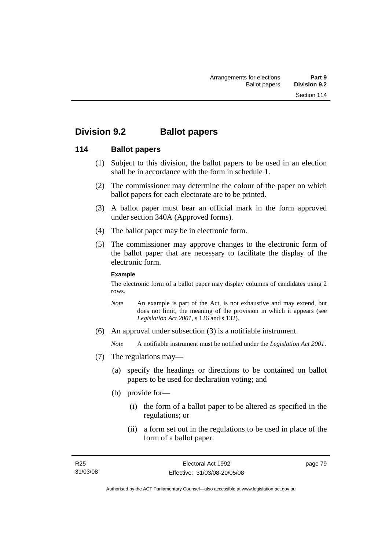## **Division 9.2 Ballot papers**

## **114 Ballot papers**

- (1) Subject to this division, the ballot papers to be used in an election shall be in accordance with the form in schedule 1.
- (2) The commissioner may determine the colour of the paper on which ballot papers for each electorate are to be printed.
- (3) A ballot paper must bear an official mark in the form approved under section 340A (Approved forms).
- (4) The ballot paper may be in electronic form.
- (5) The commissioner may approve changes to the electronic form of the ballot paper that are necessary to facilitate the display of the electronic form.

#### **Example**

The electronic form of a ballot paper may display columns of candidates using 2 rows.

- *Note* An example is part of the Act, is not exhaustive and may extend, but does not limit, the meaning of the provision in which it appears (see *Legislation Act 2001*, s 126 and s 132).
- (6) An approval under subsection (3) is a notifiable instrument.

*Note* A notifiable instrument must be notified under the *Legislation Act 2001*.

- (7) The regulations may—
	- (a) specify the headings or directions to be contained on ballot papers to be used for declaration voting; and
	- (b) provide for—
		- (i) the form of a ballot paper to be altered as specified in the regulations; or
		- (ii) a form set out in the regulations to be used in place of the form of a ballot paper.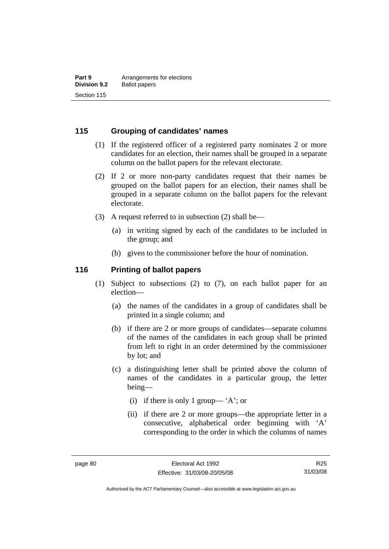## **115 Grouping of candidates' names**

- (1) If the registered officer of a registered party nominates 2 or more candidates for an election, their names shall be grouped in a separate column on the ballot papers for the relevant electorate.
- (2) If 2 or more non-party candidates request that their names be grouped on the ballot papers for an election, their names shall be grouped in a separate column on the ballot papers for the relevant electorate.
- (3) A request referred to in subsection (2) shall be—
	- (a) in writing signed by each of the candidates to be included in the group; and
	- (b) given to the commissioner before the hour of nomination.

#### **116 Printing of ballot papers**

- (1) Subject to subsections (2) to (7), on each ballot paper for an election—
	- (a) the names of the candidates in a group of candidates shall be printed in a single column; and
	- (b) if there are 2 or more groups of candidates—separate columns of the names of the candidates in each group shall be printed from left to right in an order determined by the commissioner by lot; and
	- (c) a distinguishing letter shall be printed above the column of names of the candidates in a particular group, the letter being—
		- (i) if there is only 1 group— 'A'; or
		- (ii) if there are 2 or more groups—the appropriate letter in a consecutive, alphabetical order beginning with 'A' corresponding to the order in which the columns of names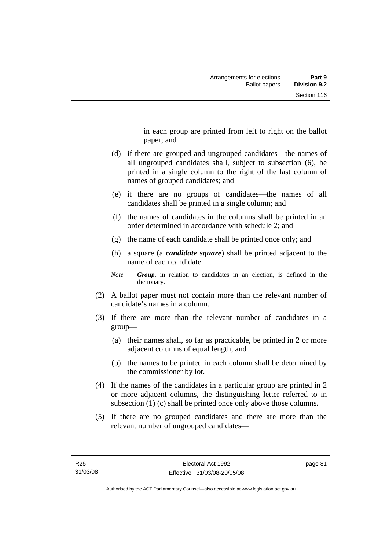in each group are printed from left to right on the ballot paper; and

- (d) if there are grouped and ungrouped candidates—the names of all ungrouped candidates shall, subject to subsection (6), be printed in a single column to the right of the last column of names of grouped candidates; and
- (e) if there are no groups of candidates—the names of all candidates shall be printed in a single column; and
- (f) the names of candidates in the columns shall be printed in an order determined in accordance with schedule 2; and
- (g) the name of each candidate shall be printed once only; and
- (h) a square (a *candidate square*) shall be printed adjacent to the name of each candidate.
- *Note Group*, in relation to candidates in an election, is defined in the dictionary.
- (2) A ballot paper must not contain more than the relevant number of candidate's names in a column.
- (3) If there are more than the relevant number of candidates in a group—
	- (a) their names shall, so far as practicable, be printed in 2 or more adjacent columns of equal length; and
	- (b) the names to be printed in each column shall be determined by the commissioner by lot.
- (4) If the names of the candidates in a particular group are printed in 2 or more adjacent columns, the distinguishing letter referred to in subsection (1) (c) shall be printed once only above those columns.
- (5) If there are no grouped candidates and there are more than the relevant number of ungrouped candidates—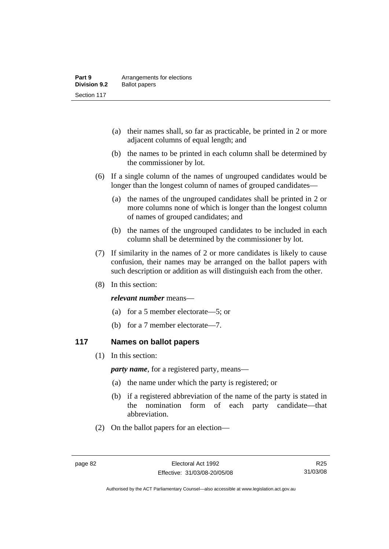- (a) their names shall, so far as practicable, be printed in 2 or more adjacent columns of equal length; and
- (b) the names to be printed in each column shall be determined by the commissioner by lot.
- (6) If a single column of the names of ungrouped candidates would be longer than the longest column of names of grouped candidates—
	- (a) the names of the ungrouped candidates shall be printed in 2 or more columns none of which is longer than the longest column of names of grouped candidates; and
	- (b) the names of the ungrouped candidates to be included in each column shall be determined by the commissioner by lot.
- (7) If similarity in the names of 2 or more candidates is likely to cause confusion, their names may be arranged on the ballot papers with such description or addition as will distinguish each from the other.
- (8) In this section:

#### *relevant number* means—

- (a) for a 5 member electorate—5; or
- (b) for a 7 member electorate—7.

#### **117 Names on ballot papers**

(1) In this section:

*party name*, for a registered party, means—

- (a) the name under which the party is registered; or
- (b) if a registered abbreviation of the name of the party is stated in the nomination form of each party candidate—that abbreviation.
- (2) On the ballot papers for an election—

R25 31/03/08

Authorised by the ACT Parliamentary Counsel—also accessible at www.legislation.act.gov.au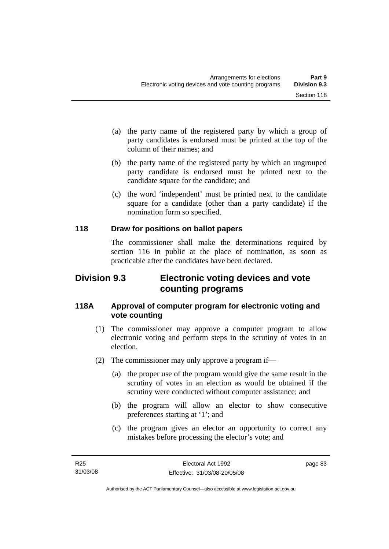- (a) the party name of the registered party by which a group of party candidates is endorsed must be printed at the top of the column of their names; and
- (b) the party name of the registered party by which an ungrouped party candidate is endorsed must be printed next to the candidate square for the candidate; and
- (c) the word 'independent' must be printed next to the candidate square for a candidate (other than a party candidate) if the nomination form so specified.

## **118 Draw for positions on ballot papers**

The commissioner shall make the determinations required by section 116 in public at the place of nomination, as soon as practicable after the candidates have been declared.

## **Division 9.3 Electronic voting devices and vote counting programs**

## **118A Approval of computer program for electronic voting and vote counting**

- (1) The commissioner may approve a computer program to allow electronic voting and perform steps in the scrutiny of votes in an election.
- (2) The commissioner may only approve a program if—
	- (a) the proper use of the program would give the same result in the scrutiny of votes in an election as would be obtained if the scrutiny were conducted without computer assistance; and
	- (b) the program will allow an elector to show consecutive preferences starting at '1'; and
	- (c) the program gives an elector an opportunity to correct any mistakes before processing the elector's vote; and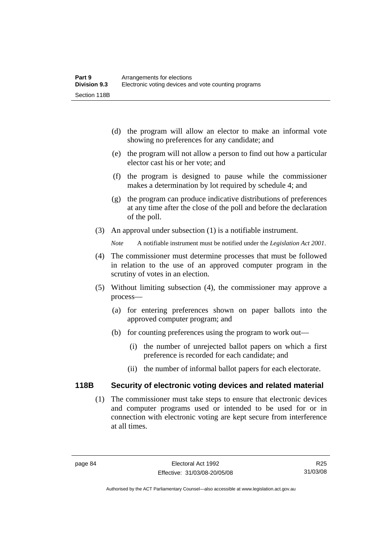- (d) the program will allow an elector to make an informal vote showing no preferences for any candidate; and
- (e) the program will not allow a person to find out how a particular elector cast his or her vote; and
- (f) the program is designed to pause while the commissioner makes a determination by lot required by schedule 4; and
- (g) the program can produce indicative distributions of preferences at any time after the close of the poll and before the declaration of the poll.
- (3) An approval under subsection (1) is a notifiable instrument.

*Note* A notifiable instrument must be notified under the *Legislation Act 2001*.

- (4) The commissioner must determine processes that must be followed in relation to the use of an approved computer program in the scrutiny of votes in an election.
- (5) Without limiting subsection (4), the commissioner may approve a process—
	- (a) for entering preferences shown on paper ballots into the approved computer program; and
	- (b) for counting preferences using the program to work out—
		- (i) the number of unrejected ballot papers on which a first preference is recorded for each candidate; and
		- (ii) the number of informal ballot papers for each electorate.

#### **118B Security of electronic voting devices and related material**

 (1) The commissioner must take steps to ensure that electronic devices and computer programs used or intended to be used for or in connection with electronic voting are kept secure from interference at all times.

Authorised by the ACT Parliamentary Counsel—also accessible at www.legislation.act.gov.au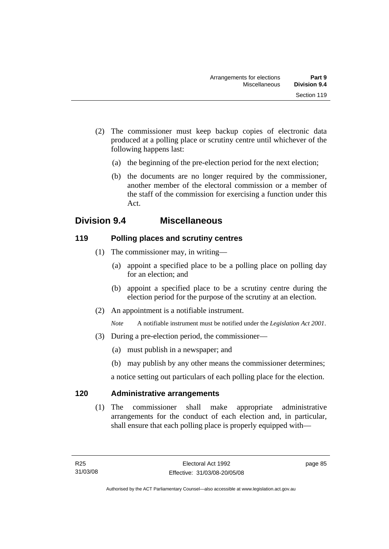- (2) The commissioner must keep backup copies of electronic data produced at a polling place or scrutiny centre until whichever of the following happens last:
	- (a) the beginning of the pre-election period for the next election;
	- (b) the documents are no longer required by the commissioner, another member of the electoral commission or a member of the staff of the commission for exercising a function under this Act.

## **Division 9.4 Miscellaneous**

## **119 Polling places and scrutiny centres**

- (1) The commissioner may, in writing—
	- (a) appoint a specified place to be a polling place on polling day for an election; and
	- (b) appoint a specified place to be a scrutiny centre during the election period for the purpose of the scrutiny at an election.
- (2) An appointment is a notifiable instrument.

*Note* A notifiable instrument must be notified under the *Legislation Act 2001*.

- (3) During a pre-election period, the commissioner—
	- (a) must publish in a newspaper; and
	- (b) may publish by any other means the commissioner determines;

a notice setting out particulars of each polling place for the election.

## **120 Administrative arrangements**

 (1) The commissioner shall make appropriate administrative arrangements for the conduct of each election and, in particular, shall ensure that each polling place is properly equipped with—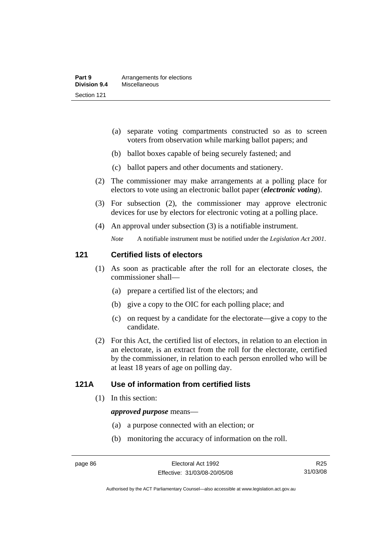- (a) separate voting compartments constructed so as to screen voters from observation while marking ballot papers; and
- (b) ballot boxes capable of being securely fastened; and
- (c) ballot papers and other documents and stationery.
- (2) The commissioner may make arrangements at a polling place for electors to vote using an electronic ballot paper (*electronic voting*).
- (3) For subsection (2), the commissioner may approve electronic devices for use by electors for electronic voting at a polling place.
- (4) An approval under subsection (3) is a notifiable instrument.

*Note* A notifiable instrument must be notified under the *Legislation Act 2001*.

#### **121 Certified lists of electors**

- (1) As soon as practicable after the roll for an electorate closes, the commissioner shall—
	- (a) prepare a certified list of the electors; and
	- (b) give a copy to the OIC for each polling place; and
	- (c) on request by a candidate for the electorate—give a copy to the candidate.
- (2) For this Act, the certified list of electors, in relation to an election in an electorate, is an extract from the roll for the electorate, certified by the commissioner, in relation to each person enrolled who will be at least 18 years of age on polling day.

## **121A Use of information from certified lists**

(1) In this section:

#### *approved purpose* means—

- (a) a purpose connected with an election; or
- (b) monitoring the accuracy of information on the roll.

Authorised by the ACT Parliamentary Counsel—also accessible at www.legislation.act.gov.au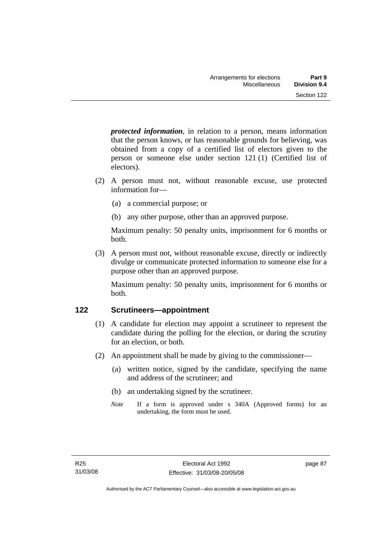*protected information*, in relation to a person, means information that the person knows, or has reasonable grounds for believing, was obtained from a copy of a certified list of electors given to the person or someone else under section 121 (1) (Certified list of electors).

- (2) A person must not, without reasonable excuse, use protected information for—
	- (a) a commercial purpose; or
	- (b) any other purpose, other than an approved purpose.

Maximum penalty: 50 penalty units, imprisonment for 6 months or both.

 (3) A person must not, without reasonable excuse, directly or indirectly divulge or communicate protected information to someone else for a purpose other than an approved purpose.

Maximum penalty: 50 penalty units, imprisonment for 6 months or both.

## **122 Scrutineers—appointment**

- (1) A candidate for election may appoint a scrutineer to represent the candidate during the polling for the election, or during the scrutiny for an election, or both.
- (2) An appointment shall be made by giving to the commissioner—
	- (a) written notice, signed by the candidate, specifying the name and address of the scrutineer; and
	- (b) an undertaking signed by the scrutineer.
	- *Note* If a form is approved under s 340A (Approved forms) for an undertaking, the form must be used.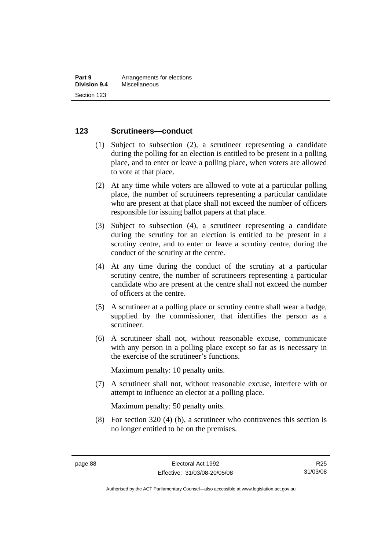#### **123 Scrutineers—conduct**

- (1) Subject to subsection (2), a scrutineer representing a candidate during the polling for an election is entitled to be present in a polling place, and to enter or leave a polling place, when voters are allowed to vote at that place.
- (2) At any time while voters are allowed to vote at a particular polling place, the number of scrutineers representing a particular candidate who are present at that place shall not exceed the number of officers responsible for issuing ballot papers at that place.
- (3) Subject to subsection (4), a scrutineer representing a candidate during the scrutiny for an election is entitled to be present in a scrutiny centre, and to enter or leave a scrutiny centre, during the conduct of the scrutiny at the centre.
- (4) At any time during the conduct of the scrutiny at a particular scrutiny centre, the number of scrutineers representing a particular candidate who are present at the centre shall not exceed the number of officers at the centre.
- (5) A scrutineer at a polling place or scrutiny centre shall wear a badge, supplied by the commissioner, that identifies the person as a scrutineer.
- (6) A scrutineer shall not, without reasonable excuse, communicate with any person in a polling place except so far as is necessary in the exercise of the scrutineer's functions.

Maximum penalty: 10 penalty units.

 (7) A scrutineer shall not, without reasonable excuse, interfere with or attempt to influence an elector at a polling place.

Maximum penalty: 50 penalty units.

 (8) For section 320 (4) (b), a scrutineer who contravenes this section is no longer entitled to be on the premises.

Authorised by the ACT Parliamentary Counsel—also accessible at www.legislation.act.gov.au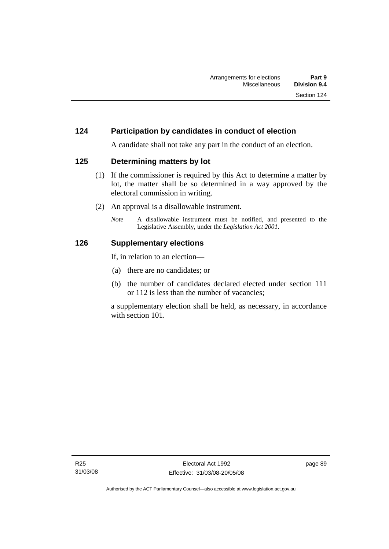## **124 Participation by candidates in conduct of election**

A candidate shall not take any part in the conduct of an election.

#### **125 Determining matters by lot**

- (1) If the commissioner is required by this Act to determine a matter by lot, the matter shall be so determined in a way approved by the electoral commission in writing.
- (2) An approval is a disallowable instrument.
	- *Note* A disallowable instrument must be notified, and presented to the Legislative Assembly, under the *Legislation Act 2001*.

#### **126 Supplementary elections**

If, in relation to an election—

- (a) there are no candidates; or
- (b) the number of candidates declared elected under section 111 or 112 is less than the number of vacancies;

a supplementary election shall be held, as necessary, in accordance with section 101.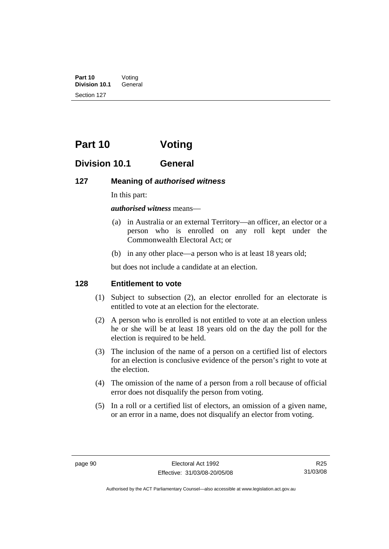**Part 10** Voting<br>**Division 10.1** General **Division 10.1** Section 127

# **Part 10 Voting**

## **Division 10.1 General**

#### **127 Meaning of** *authorised witness*

In this part:

*authorised witness* means—

- (a) in Australia or an external Territory—an officer, an elector or a person who is enrolled on any roll kept under the Commonwealth Electoral Act; or
- (b) in any other place—a person who is at least 18 years old;

but does not include a candidate at an election.

## **128 Entitlement to vote**

- (1) Subject to subsection (2), an elector enrolled for an electorate is entitled to vote at an election for the electorate.
- (2) A person who is enrolled is not entitled to vote at an election unless he or she will be at least 18 years old on the day the poll for the election is required to be held.
- (3) The inclusion of the name of a person on a certified list of electors for an election is conclusive evidence of the person's right to vote at the election.
- (4) The omission of the name of a person from a roll because of official error does not disqualify the person from voting.
- (5) In a roll or a certified list of electors, an omission of a given name, or an error in a name, does not disqualify an elector from voting.

R25 31/03/08

Authorised by the ACT Parliamentary Counsel—also accessible at www.legislation.act.gov.au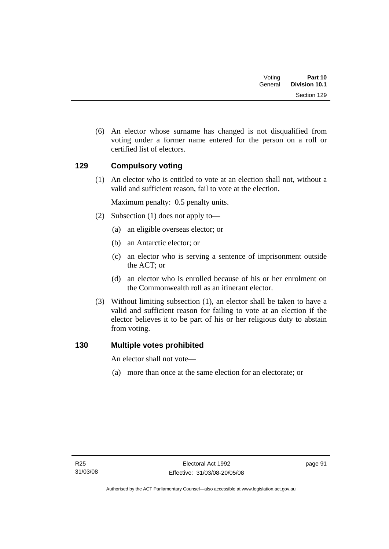| Part 10<br><b>Division 10.1</b> | Voting<br>General |  |
|---------------------------------|-------------------|--|
| Section 129                     |                   |  |

 (6) An elector whose surname has changed is not disqualified from voting under a former name entered for the person on a roll or certified list of electors.

# **129 Compulsory voting**

 (1) An elector who is entitled to vote at an election shall not, without a valid and sufficient reason, fail to vote at the election.

Maximum penalty: 0.5 penalty units.

- (2) Subsection (1) does not apply to—
	- (a) an eligible overseas elector; or
	- (b) an Antarctic elector; or
	- (c) an elector who is serving a sentence of imprisonment outside the ACT; or
	- (d) an elector who is enrolled because of his or her enrolment on the Commonwealth roll as an itinerant elector.
- (3) Without limiting subsection (1), an elector shall be taken to have a valid and sufficient reason for failing to vote at an election if the elector believes it to be part of his or her religious duty to abstain from voting.

# **130 Multiple votes prohibited**

An elector shall not vote—

(a) more than once at the same election for an electorate; or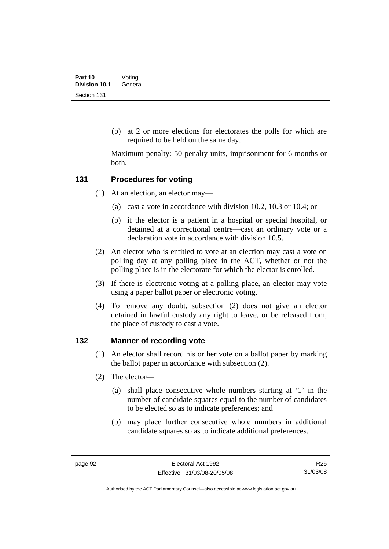(b) at 2 or more elections for electorates the polls for which are required to be held on the same day.

Maximum penalty: 50 penalty units, imprisonment for 6 months or both.

#### **131 Procedures for voting**

- (1) At an election, an elector may—
	- (a) cast a vote in accordance with division 10.2, 10.3 or 10.4; or
	- (b) if the elector is a patient in a hospital or special hospital, or detained at a correctional centre—cast an ordinary vote or a declaration vote in accordance with division 10.5.
- (2) An elector who is entitled to vote at an election may cast a vote on polling day at any polling place in the ACT, whether or not the polling place is in the electorate for which the elector is enrolled.
- (3) If there is electronic voting at a polling place, an elector may vote using a paper ballot paper or electronic voting.
- (4) To remove any doubt, subsection (2) does not give an elector detained in lawful custody any right to leave, or be released from, the place of custody to cast a vote.

#### **132 Manner of recording vote**

- (1) An elector shall record his or her vote on a ballot paper by marking the ballot paper in accordance with subsection (2).
- (2) The elector—
	- (a) shall place consecutive whole numbers starting at '1' in the number of candidate squares equal to the number of candidates to be elected so as to indicate preferences; and
	- (b) may place further consecutive whole numbers in additional candidate squares so as to indicate additional preferences.

R25 31/03/08

Authorised by the ACT Parliamentary Counsel—also accessible at www.legislation.act.gov.au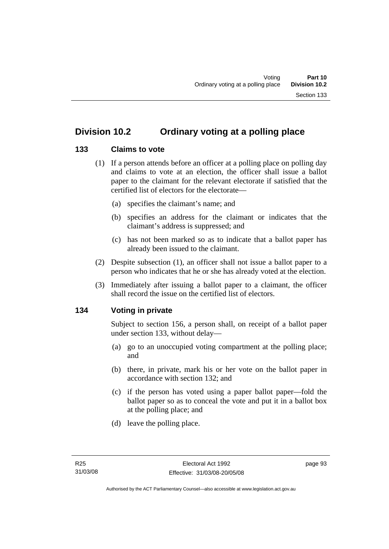# **133 Claims to vote**

- (1) If a person attends before an officer at a polling place on polling day and claims to vote at an election, the officer shall issue a ballot paper to the claimant for the relevant electorate if satisfied that the certified list of electors for the electorate—
	- (a) specifies the claimant's name; and
	- (b) specifies an address for the claimant or indicates that the claimant's address is suppressed; and
	- (c) has not been marked so as to indicate that a ballot paper has already been issued to the claimant.
- (2) Despite subsection (1), an officer shall not issue a ballot paper to a person who indicates that he or she has already voted at the election.
- (3) Immediately after issuing a ballot paper to a claimant, the officer shall record the issue on the certified list of electors.

# **134 Voting in private**

Subject to section 156, a person shall, on receipt of a ballot paper under section 133, without delay—

- (a) go to an unoccupied voting compartment at the polling place; and
- (b) there, in private, mark his or her vote on the ballot paper in accordance with section 132; and
- (c) if the person has voted using a paper ballot paper—fold the ballot paper so as to conceal the vote and put it in a ballot box at the polling place; and
- (d) leave the polling place.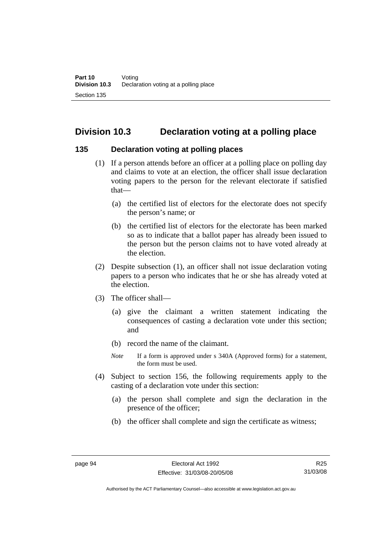# **Division 10.3 Declaration voting at a polling place**

#### **135 Declaration voting at polling places**

- (1) If a person attends before an officer at a polling place on polling day and claims to vote at an election, the officer shall issue declaration voting papers to the person for the relevant electorate if satisfied that—
	- (a) the certified list of electors for the electorate does not specify the person's name; or
	- (b) the certified list of electors for the electorate has been marked so as to indicate that a ballot paper has already been issued to the person but the person claims not to have voted already at the election.
- (2) Despite subsection (1), an officer shall not issue declaration voting papers to a person who indicates that he or she has already voted at the election.
- (3) The officer shall—
	- (a) give the claimant a written statement indicating the consequences of casting a declaration vote under this section; and
	- (b) record the name of the claimant.
	- *Note* If a form is approved under s 340A (Approved forms) for a statement, the form must be used.
- (4) Subject to section 156, the following requirements apply to the casting of a declaration vote under this section:
	- (a) the person shall complete and sign the declaration in the presence of the officer;
	- (b) the officer shall complete and sign the certificate as witness;

Authorised by the ACT Parliamentary Counsel—also accessible at www.legislation.act.gov.au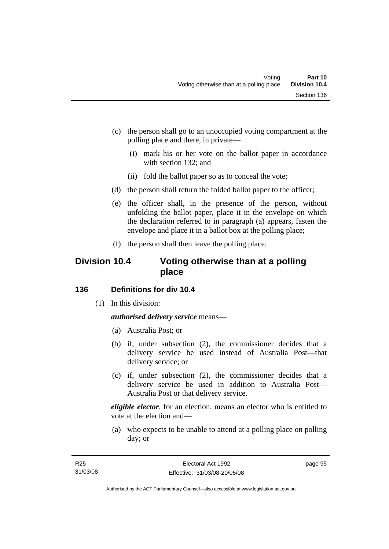- (c) the person shall go to an unoccupied voting compartment at the polling place and there, in private—
	- (i) mark his or her vote on the ballot paper in accordance with section 132; and
	- (ii) fold the ballot paper so as to conceal the vote;
- (d) the person shall return the folded ballot paper to the officer;
- (e) the officer shall, in the presence of the person, without unfolding the ballot paper, place it in the envelope on which the declaration referred to in paragraph (a) appears, fasten the envelope and place it in a ballot box at the polling place;
- (f) the person shall then leave the polling place.

# **Division 10.4 Voting otherwise than at a polling place**

# **136 Definitions for div 10.4**

(1) In this division:

# *authorised delivery service* means—

- (a) Australia Post; or
- (b) if, under subsection (2), the commissioner decides that a delivery service be used instead of Australia Post—that delivery service; or
- (c) if, under subsection (2), the commissioner decides that a delivery service be used in addition to Australia Post— Australia Post or that delivery service.

*eligible elector*, for an election, means an elector who is entitled to vote at the election and—

 (a) who expects to be unable to attend at a polling place on polling day; or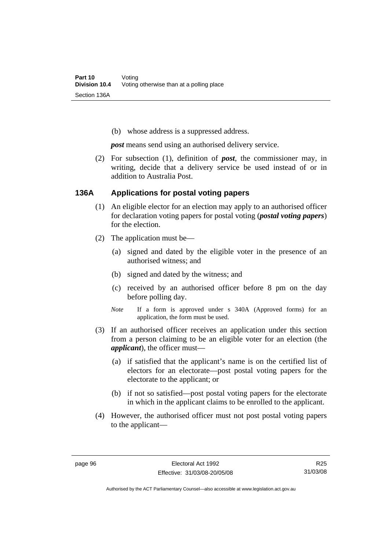(b) whose address is a suppressed address.

*post* means send using an authorised delivery service.

 (2) For subsection (1), definition of *post*, the commissioner may, in writing, decide that a delivery service be used instead of or in addition to Australia Post.

#### **136A Applications for postal voting papers**

- (1) An eligible elector for an election may apply to an authorised officer for declaration voting papers for postal voting (*postal voting papers*) for the election.
- (2) The application must be—
	- (a) signed and dated by the eligible voter in the presence of an authorised witness; and
	- (b) signed and dated by the witness; and
	- (c) received by an authorised officer before 8 pm on the day before polling day.
	- *Note* If a form is approved under s 340A (Approved forms) for an application, the form must be used.
- (3) If an authorised officer receives an application under this section from a person claiming to be an eligible voter for an election (the *applicant*), the officer must—
	- (a) if satisfied that the applicant's name is on the certified list of electors for an electorate—post postal voting papers for the electorate to the applicant; or
	- (b) if not so satisfied—post postal voting papers for the electorate in which in the applicant claims to be enrolled to the applicant.
- (4) However, the authorised officer must not post postal voting papers to the applicant—

Authorised by the ACT Parliamentary Counsel—also accessible at www.legislation.act.gov.au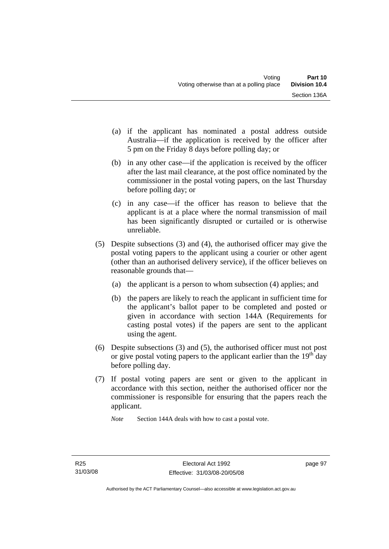- (a) if the applicant has nominated a postal address outside Australia—if the application is received by the officer after 5 pm on the Friday 8 days before polling day; or
- (b) in any other case—if the application is received by the officer after the last mail clearance, at the post office nominated by the commissioner in the postal voting papers, on the last Thursday before polling day; or
- (c) in any case—if the officer has reason to believe that the applicant is at a place where the normal transmission of mail has been significantly disrupted or curtailed or is otherwise unreliable.
- (5) Despite subsections (3) and (4), the authorised officer may give the postal voting papers to the applicant using a courier or other agent (other than an authorised delivery service), if the officer believes on reasonable grounds that—
	- (a) the applicant is a person to whom subsection (4) applies; and
	- (b) the papers are likely to reach the applicant in sufficient time for the applicant's ballot paper to be completed and posted or given in accordance with section 144A (Requirements for casting postal votes) if the papers are sent to the applicant using the agent.
- (6) Despite subsections (3) and (5), the authorised officer must not post or give postal voting papers to the applicant earlier than the  $19<sup>th</sup>$  day before polling day.
- (7) If postal voting papers are sent or given to the applicant in accordance with this section, neither the authorised officer nor the commissioner is responsible for ensuring that the papers reach the applicant.

*Note* Section 144A deals with how to cast a postal vote.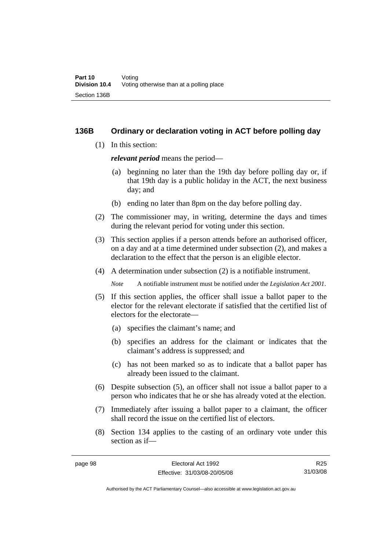#### **136B Ordinary or declaration voting in ACT before polling day**

(1) In this section:

*relevant period* means the period—

- (a) beginning no later than the 19th day before polling day or, if that 19th day is a public holiday in the ACT, the next business day; and
- (b) ending no later than 8pm on the day before polling day.
- (2) The commissioner may, in writing, determine the days and times during the relevant period for voting under this section.
- (3) This section applies if a person attends before an authorised officer, on a day and at a time determined under subsection (2), and makes a declaration to the effect that the person is an eligible elector.
- (4) A determination under subsection (2) is a notifiable instrument.

*Note* A notifiable instrument must be notified under the *Legislation Act 2001*.

- (5) If this section applies, the officer shall issue a ballot paper to the elector for the relevant electorate if satisfied that the certified list of electors for the electorate—
	- (a) specifies the claimant's name; and
	- (b) specifies an address for the claimant or indicates that the claimant's address is suppressed; and
	- (c) has not been marked so as to indicate that a ballot paper has already been issued to the claimant.
- (6) Despite subsection (5), an officer shall not issue a ballot paper to a person who indicates that he or she has already voted at the election.
- (7) Immediately after issuing a ballot paper to a claimant, the officer shall record the issue on the certified list of electors.
- (8) Section 134 applies to the casting of an ordinary vote under this section as if—

Authorised by the ACT Parliamentary Counsel—also accessible at www.legislation.act.gov.au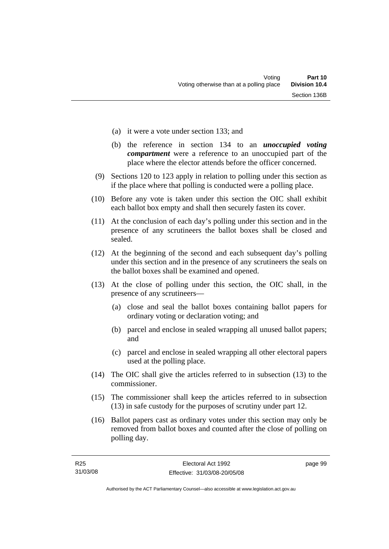- (a) it were a vote under section 133; and
- (b) the reference in section 134 to an *unoccupied voting compartment* were a reference to an unoccupied part of the place where the elector attends before the officer concerned.
- (9) Sections 120 to 123 apply in relation to polling under this section as if the place where that polling is conducted were a polling place.
- (10) Before any vote is taken under this section the OIC shall exhibit each ballot box empty and shall then securely fasten its cover.
- (11) At the conclusion of each day's polling under this section and in the presence of any scrutineers the ballot boxes shall be closed and sealed.
- (12) At the beginning of the second and each subsequent day's polling under this section and in the presence of any scrutineers the seals on the ballot boxes shall be examined and opened.
- (13) At the close of polling under this section, the OIC shall, in the presence of any scrutineers—
	- (a) close and seal the ballot boxes containing ballot papers for ordinary voting or declaration voting; and
	- (b) parcel and enclose in sealed wrapping all unused ballot papers; and
	- (c) parcel and enclose in sealed wrapping all other electoral papers used at the polling place.
- (14) The OIC shall give the articles referred to in subsection (13) to the commissioner.
- (15) The commissioner shall keep the articles referred to in subsection (13) in safe custody for the purposes of scrutiny under part 12.
- (16) Ballot papers cast as ordinary votes under this section may only be removed from ballot boxes and counted after the close of polling on polling day.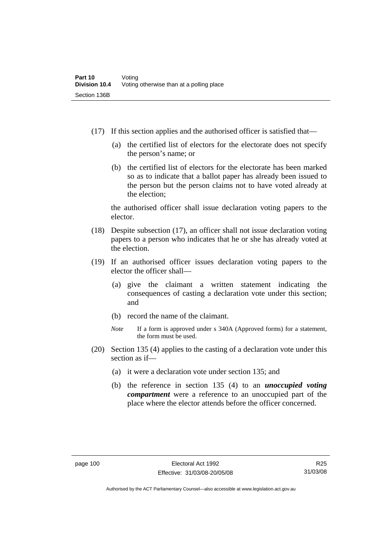- (17) If this section applies and the authorised officer is satisfied that—
	- (a) the certified list of electors for the electorate does not specify the person's name; or
	- (b) the certified list of electors for the electorate has been marked so as to indicate that a ballot paper has already been issued to the person but the person claims not to have voted already at the election;

the authorised officer shall issue declaration voting papers to the elector.

- (18) Despite subsection (17), an officer shall not issue declaration voting papers to a person who indicates that he or she has already voted at the election.
- (19) If an authorised officer issues declaration voting papers to the elector the officer shall—
	- (a) give the claimant a written statement indicating the consequences of casting a declaration vote under this section; and
	- (b) record the name of the claimant.
	- *Note* If a form is approved under s 340A (Approved forms) for a statement, the form must be used.
- (20) Section 135 (4) applies to the casting of a declaration vote under this section as if—
	- (a) it were a declaration vote under section 135; and
	- (b) the reference in section 135 (4) to an *unoccupied voting compartment* were a reference to an unoccupied part of the place where the elector attends before the officer concerned.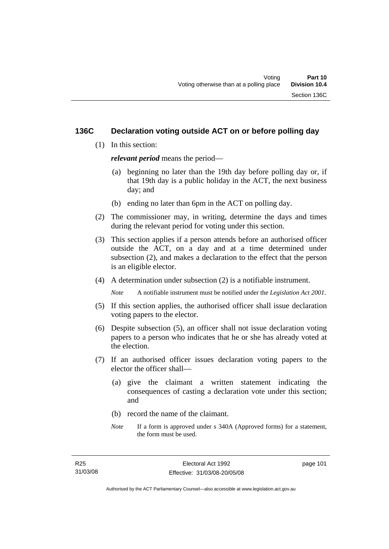#### **136C Declaration voting outside ACT on or before polling day**

(1) In this section:

*relevant period* means the period—

- (a) beginning no later than the 19th day before polling day or, if that 19th day is a public holiday in the ACT, the next business day; and
- (b) ending no later than 6pm in the ACT on polling day.
- (2) The commissioner may, in writing, determine the days and times during the relevant period for voting under this section.
- (3) This section applies if a person attends before an authorised officer outside the ACT, on a day and at a time determined under subsection (2), and makes a declaration to the effect that the person is an eligible elector.
- (4) A determination under subsection (2) is a notifiable instrument.

*Note* A notifiable instrument must be notified under the *Legislation Act 2001*.

- (5) If this section applies, the authorised officer shall issue declaration voting papers to the elector.
- (6) Despite subsection (5), an officer shall not issue declaration voting papers to a person who indicates that he or she has already voted at the election.
- (7) If an authorised officer issues declaration voting papers to the elector the officer shall—
	- (a) give the claimant a written statement indicating the consequences of casting a declaration vote under this section; and
	- (b) record the name of the claimant.
	- *Note* If a form is approved under s 340A (Approved forms) for a statement, the form must be used.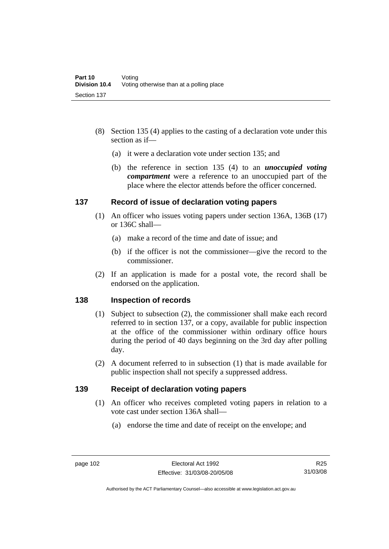- (8) Section 135 (4) applies to the casting of a declaration vote under this section as if—
	- (a) it were a declaration vote under section 135; and
	- (b) the reference in section 135 (4) to an *unoccupied voting compartment* were a reference to an unoccupied part of the place where the elector attends before the officer concerned.

#### **137 Record of issue of declaration voting papers**

- (1) An officer who issues voting papers under section 136A, 136B (17) or 136C shall—
	- (a) make a record of the time and date of issue; and
	- (b) if the officer is not the commissioner—give the record to the commissioner.
- (2) If an application is made for a postal vote, the record shall be endorsed on the application.

# **138 Inspection of records**

- (1) Subject to subsection (2), the commissioner shall make each record referred to in section 137, or a copy, available for public inspection at the office of the commissioner within ordinary office hours during the period of 40 days beginning on the 3rd day after polling day.
- (2) A document referred to in subsection (1) that is made available for public inspection shall not specify a suppressed address.

#### **139 Receipt of declaration voting papers**

- (1) An officer who receives completed voting papers in relation to a vote cast under section 136A shall—
	- (a) endorse the time and date of receipt on the envelope; and

R25 31/03/08

Authorised by the ACT Parliamentary Counsel—also accessible at www.legislation.act.gov.au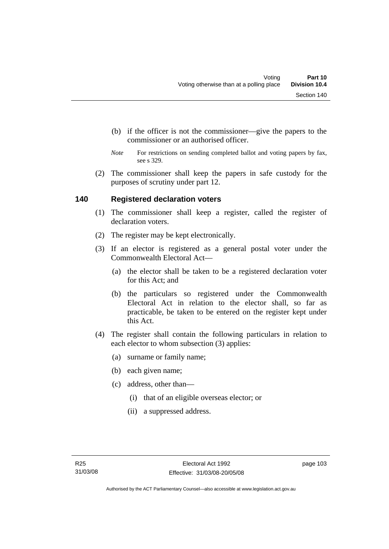- (b) if the officer is not the commissioner—give the papers to the commissioner or an authorised officer.
- *Note* For restrictions on sending completed ballot and voting papers by fax, see s 329.
- (2) The commissioner shall keep the papers in safe custody for the purposes of scrutiny under part 12.

# **140 Registered declaration voters**

- (1) The commissioner shall keep a register, called the register of declaration voters.
- (2) The register may be kept electronically.
- (3) If an elector is registered as a general postal voter under the Commonwealth Electoral Act—
	- (a) the elector shall be taken to be a registered declaration voter for this Act; and
	- (b) the particulars so registered under the Commonwealth Electoral Act in relation to the elector shall, so far as practicable, be taken to be entered on the register kept under this Act.
- (4) The register shall contain the following particulars in relation to each elector to whom subsection (3) applies:
	- (a) surname or family name;
	- (b) each given name;
	- (c) address, other than—
		- (i) that of an eligible overseas elector; or
		- (ii) a suppressed address.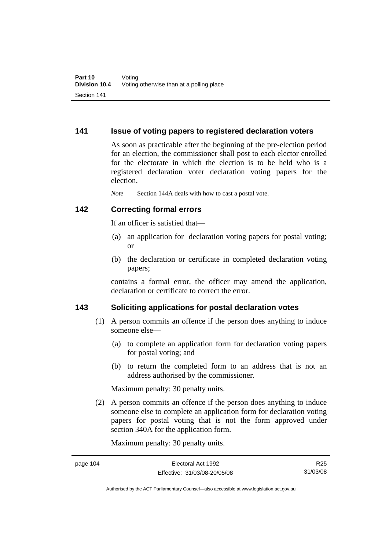#### **141 Issue of voting papers to registered declaration voters**

As soon as practicable after the beginning of the pre-election period for an election, the commissioner shall post to each elector enrolled for the electorate in which the election is to be held who is a registered declaration voter declaration voting papers for the election.

*Note* Section 144A deals with how to cast a postal vote.

#### **142 Correcting formal errors**

If an officer is satisfied that—

- (a) an application for declaration voting papers for postal voting; or
- (b) the declaration or certificate in completed declaration voting papers;

contains a formal error, the officer may amend the application, declaration or certificate to correct the error.

# **143 Soliciting applications for postal declaration votes**

- (1) A person commits an offence if the person does anything to induce someone else—
	- (a) to complete an application form for declaration voting papers for postal voting; and
	- (b) to return the completed form to an address that is not an address authorised by the commissioner.

Maximum penalty: 30 penalty units.

 (2) A person commits an offence if the person does anything to induce someone else to complete an application form for declaration voting papers for postal voting that is not the form approved under section 340A for the application form.

Maximum penalty: 30 penalty units.

R25 31/03/08

Authorised by the ACT Parliamentary Counsel—also accessible at www.legislation.act.gov.au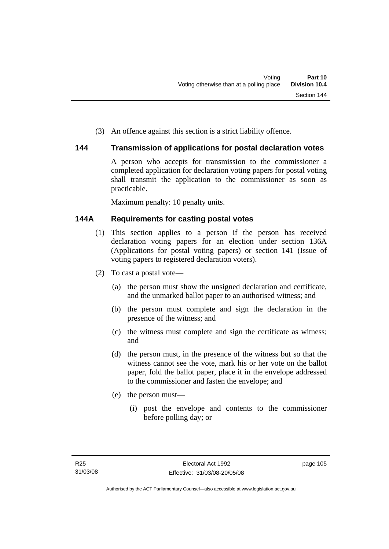(3) An offence against this section is a strict liability offence.

# **144 Transmission of applications for postal declaration votes**

A person who accepts for transmission to the commissioner a completed application for declaration voting papers for postal voting shall transmit the application to the commissioner as soon as practicable.

Maximum penalty: 10 penalty units.

# **144A Requirements for casting postal votes**

- (1) This section applies to a person if the person has received declaration voting papers for an election under section 136A (Applications for postal voting papers) or section 141 (Issue of voting papers to registered declaration voters).
- (2) To cast a postal vote—
	- (a) the person must show the unsigned declaration and certificate, and the unmarked ballot paper to an authorised witness; and
	- (b) the person must complete and sign the declaration in the presence of the witness; and
	- (c) the witness must complete and sign the certificate as witness; and
	- (d) the person must, in the presence of the witness but so that the witness cannot see the vote, mark his or her vote on the ballot paper, fold the ballot paper, place it in the envelope addressed to the commissioner and fasten the envelope; and
	- (e) the person must—
		- (i) post the envelope and contents to the commissioner before polling day; or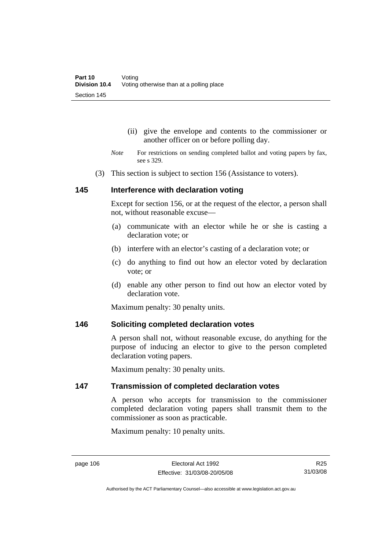- (ii) give the envelope and contents to the commissioner or another officer on or before polling day.
- *Note* For restrictions on sending completed ballot and voting papers by fax, see s 329.
- (3) This section is subject to section 156 (Assistance to voters).

#### **145 Interference with declaration voting**

Except for section 156, or at the request of the elector, a person shall not, without reasonable excuse—

- (a) communicate with an elector while he or she is casting a declaration vote; or
- (b) interfere with an elector's casting of a declaration vote; or
- (c) do anything to find out how an elector voted by declaration vote; or
- (d) enable any other person to find out how an elector voted by declaration vote.

Maximum penalty: 30 penalty units.

#### **146 Soliciting completed declaration votes**

A person shall not, without reasonable excuse, do anything for the purpose of inducing an elector to give to the person completed declaration voting papers.

Maximum penalty: 30 penalty units.

#### **147 Transmission of completed declaration votes**

A person who accepts for transmission to the commissioner completed declaration voting papers shall transmit them to the commissioner as soon as practicable.

Maximum penalty: 10 penalty units.

Authorised by the ACT Parliamentary Counsel—also accessible at www.legislation.act.gov.au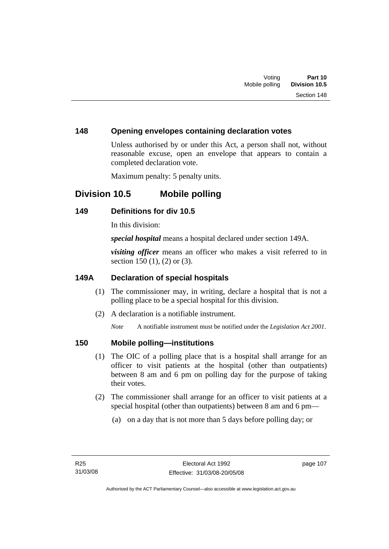### **148 Opening envelopes containing declaration votes**

Unless authorised by or under this Act, a person shall not, without reasonable excuse, open an envelope that appears to contain a completed declaration vote.

Maximum penalty: 5 penalty units.

# **Division 10.5 Mobile polling**

#### **149 Definitions for div 10.5**

In this division:

*special hospital* means a hospital declared under section 149A.

*visiting officer* means an officer who makes a visit referred to in section 150 (1), (2) or (3).

# **149A Declaration of special hospitals**

- (1) The commissioner may, in writing, declare a hospital that is not a polling place to be a special hospital for this division.
- (2) A declaration is a notifiable instrument.

*Note* A notifiable instrument must be notified under the *Legislation Act 2001*.

# **150 Mobile polling—institutions**

- (1) The OIC of a polling place that is a hospital shall arrange for an officer to visit patients at the hospital (other than outpatients) between 8 am and 6 pm on polling day for the purpose of taking their votes.
- (2) The commissioner shall arrange for an officer to visit patients at a special hospital (other than outpatients) between 8 am and 6 pm—
	- (a) on a day that is not more than 5 days before polling day; or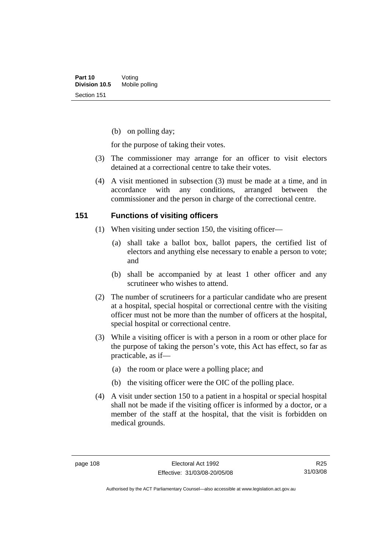(b) on polling day;

for the purpose of taking their votes.

- (3) The commissioner may arrange for an officer to visit electors detained at a correctional centre to take their votes.
- (4) A visit mentioned in subsection (3) must be made at a time, and in accordance with any conditions, arranged between the commissioner and the person in charge of the correctional centre.

#### **151 Functions of visiting officers**

- (1) When visiting under section 150, the visiting officer—
	- (a) shall take a ballot box, ballot papers, the certified list of electors and anything else necessary to enable a person to vote; and
	- (b) shall be accompanied by at least 1 other officer and any scrutineer who wishes to attend.
- (2) The number of scrutineers for a particular candidate who are present at a hospital, special hospital or correctional centre with the visiting officer must not be more than the number of officers at the hospital, special hospital or correctional centre.
- (3) While a visiting officer is with a person in a room or other place for the purpose of taking the person's vote, this Act has effect, so far as practicable, as if—
	- (a) the room or place were a polling place; and
	- (b) the visiting officer were the OIC of the polling place.
- (4) A visit under section 150 to a patient in a hospital or special hospital shall not be made if the visiting officer is informed by a doctor, or a member of the staff at the hospital, that the visit is forbidden on medical grounds.

R25 31/03/08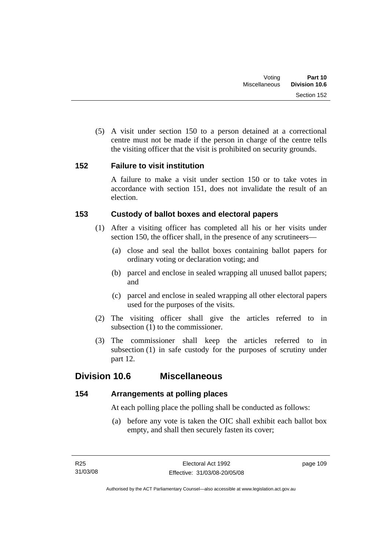(5) A visit under section 150 to a person detained at a correctional centre must not be made if the person in charge of the centre tells the visiting officer that the visit is prohibited on security grounds.

# **152 Failure to visit institution**

A failure to make a visit under section 150 or to take votes in accordance with section 151, does not invalidate the result of an election.

# **153 Custody of ballot boxes and electoral papers**

- (1) After a visiting officer has completed all his or her visits under section 150, the officer shall, in the presence of any scrutineers—
	- (a) close and seal the ballot boxes containing ballot papers for ordinary voting or declaration voting; and
	- (b) parcel and enclose in sealed wrapping all unused ballot papers; and
	- (c) parcel and enclose in sealed wrapping all other electoral papers used for the purposes of the visits.
- (2) The visiting officer shall give the articles referred to in subsection (1) to the commissioner.
- (3) The commissioner shall keep the articles referred to in subsection (1) in safe custody for the purposes of scrutiny under part 12.

# **Division 10.6 Miscellaneous**

# **154 Arrangements at polling places**

At each polling place the polling shall be conducted as follows:

 (a) before any vote is taken the OIC shall exhibit each ballot box empty, and shall then securely fasten its cover;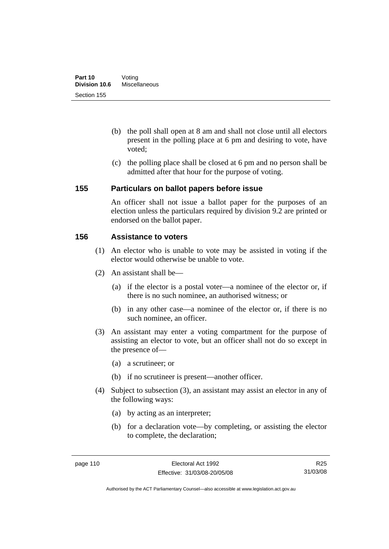- (b) the poll shall open at 8 am and shall not close until all electors present in the polling place at 6 pm and desiring to vote, have voted;
- (c) the polling place shall be closed at 6 pm and no person shall be admitted after that hour for the purpose of voting.

#### **155 Particulars on ballot papers before issue**

An officer shall not issue a ballot paper for the purposes of an election unless the particulars required by division 9.2 are printed or endorsed on the ballot paper.

#### **156 Assistance to voters**

- (1) An elector who is unable to vote may be assisted in voting if the elector would otherwise be unable to vote.
- (2) An assistant shall be—
	- (a) if the elector is a postal voter—a nominee of the elector or, if there is no such nominee, an authorised witness; or
	- (b) in any other case—a nominee of the elector or, if there is no such nominee, an officer.
- (3) An assistant may enter a voting compartment for the purpose of assisting an elector to vote, but an officer shall not do so except in the presence of—
	- (a) a scrutineer; or
	- (b) if no scrutineer is present—another officer.
- (4) Subject to subsection (3), an assistant may assist an elector in any of the following ways:
	- (a) by acting as an interpreter;
	- (b) for a declaration vote—by completing, or assisting the elector to complete, the declaration;

R25 31/03/08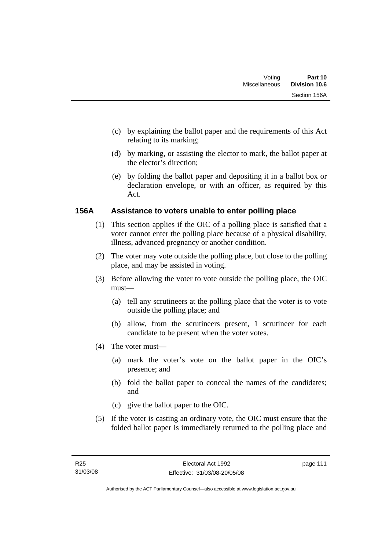- (c) by explaining the ballot paper and the requirements of this Act relating to its marking;
- (d) by marking, or assisting the elector to mark, the ballot paper at the elector's direction;
- (e) by folding the ballot paper and depositing it in a ballot box or declaration envelope, or with an officer, as required by this Act.

# **156A Assistance to voters unable to enter polling place**

- (1) This section applies if the OIC of a polling place is satisfied that a voter cannot enter the polling place because of a physical disability, illness, advanced pregnancy or another condition.
- (2) The voter may vote outside the polling place, but close to the polling place, and may be assisted in voting.
- (3) Before allowing the voter to vote outside the polling place, the OIC must—
	- (a) tell any scrutineers at the polling place that the voter is to vote outside the polling place; and
	- (b) allow, from the scrutineers present, 1 scrutineer for each candidate to be present when the voter votes.
- (4) The voter must—
	- (a) mark the voter's vote on the ballot paper in the OIC's presence; and
	- (b) fold the ballot paper to conceal the names of the candidates; and
	- (c) give the ballot paper to the OIC.
- (5) If the voter is casting an ordinary vote, the OIC must ensure that the folded ballot paper is immediately returned to the polling place and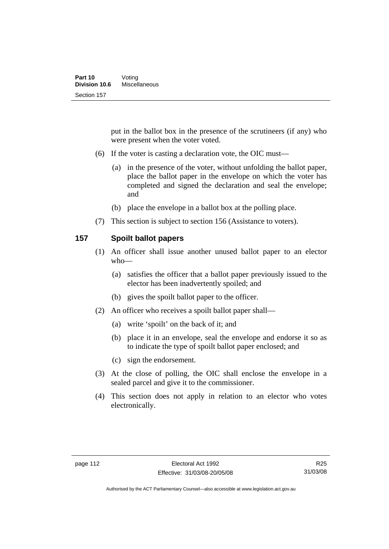put in the ballot box in the presence of the scrutineers (if any) who were present when the voter voted.

- (6) If the voter is casting a declaration vote, the OIC must—
	- (a) in the presence of the voter, without unfolding the ballot paper, place the ballot paper in the envelope on which the voter has completed and signed the declaration and seal the envelope; and
	- (b) place the envelope in a ballot box at the polling place.
- (7) This section is subject to section 156 (Assistance to voters).

#### **157 Spoilt ballot papers**

- (1) An officer shall issue another unused ballot paper to an elector who—
	- (a) satisfies the officer that a ballot paper previously issued to the elector has been inadvertently spoiled; and
	- (b) gives the spoilt ballot paper to the officer.
- (2) An officer who receives a spoilt ballot paper shall—
	- (a) write 'spoilt' on the back of it; and
	- (b) place it in an envelope, seal the envelope and endorse it so as to indicate the type of spoilt ballot paper enclosed; and
	- (c) sign the endorsement.
- (3) At the close of polling, the OIC shall enclose the envelope in a sealed parcel and give it to the commissioner.
- (4) This section does not apply in relation to an elector who votes electronically.

Authorised by the ACT Parliamentary Counsel—also accessible at www.legislation.act.gov.au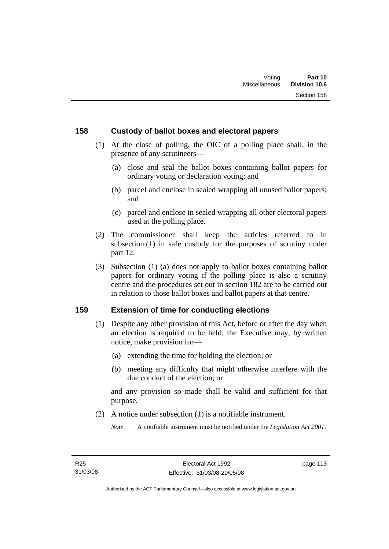#### **158 Custody of ballot boxes and electoral papers**

- (1) At the close of polling, the OIC of a polling place shall, in the presence of any scrutineers—
	- (a) close and seal the ballot boxes containing ballot papers for ordinary voting or declaration voting; and
	- (b) parcel and enclose in sealed wrapping all unused ballot papers; and
	- (c) parcel and enclose in sealed wrapping all other electoral papers used at the polling place.
- (2) The commissioner shall keep the articles referred to in subsection (1) in safe custody for the purposes of scrutiny under part 12.
- (3) Subsection (1) (a) does not apply to ballot boxes containing ballot papers for ordinary voting if the polling place is also a scrutiny centre and the procedures set out in section 182 are to be carried out in relation to those ballot boxes and ballot papers at that centre.

#### **159 Extension of time for conducting elections**

- (1) Despite any other provision of this Act, before or after the day when an election is required to be held, the Executive may, by written notice, make provision for—
	- (a) extending the time for holding the election; or
	- (b) meeting any difficulty that might otherwise interfere with the due conduct of the election; or

and any provision so made shall be valid and sufficient for that purpose.

(2) A notice under subsection (1) is a notifiable instrument.

*Note* A notifiable instrument must be notified under the *Legislation Act 2001*.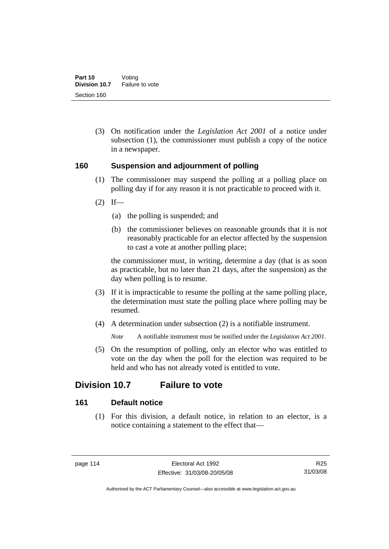(3) On notification under the *Legislation Act 2001* of a notice under subsection (1), the commissioner must publish a copy of the notice in a newspaper.

#### **160 Suspension and adjournment of polling**

- (1) The commissioner may suspend the polling at a polling place on polling day if for any reason it is not practicable to proceed with it.
- $(2)$  If—
	- (a) the polling is suspended; and
	- (b) the commissioner believes on reasonable grounds that it is not reasonably practicable for an elector affected by the suspension to cast a vote at another polling place;

the commissioner must, in writing, determine a day (that is as soon as practicable, but no later than 21 days, after the suspension) as the day when polling is to resume.

- (3) If it is impracticable to resume the polling at the same polling place, the determination must state the polling place where polling may be resumed.
- (4) A determination under subsection (2) is a notifiable instrument.

*Note* A notifiable instrument must be notified under the *Legislation Act 2001*.

 (5) On the resumption of polling, only an elector who was entitled to vote on the day when the poll for the election was required to be held and who has not already voted is entitled to vote.

# **Division 10.7 Failure to vote**

# **161 Default notice**

 (1) For this division, a default notice, in relation to an elector, is a notice containing a statement to the effect that—

R25 31/03/08

Authorised by the ACT Parliamentary Counsel—also accessible at www.legislation.act.gov.au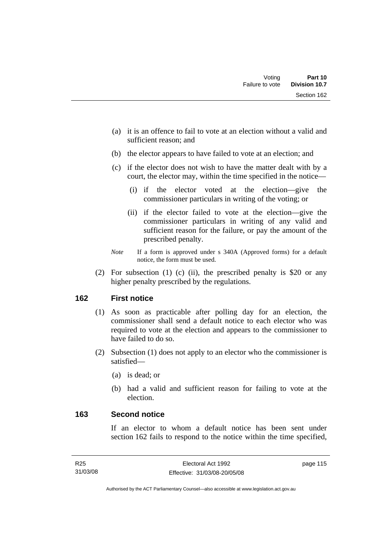- (a) it is an offence to fail to vote at an election without a valid and sufficient reason; and
- (b) the elector appears to have failed to vote at an election; and
- (c) if the elector does not wish to have the matter dealt with by a court, the elector may, within the time specified in the notice—
	- (i) if the elector voted at the election—give the commissioner particulars in writing of the voting; or
	- (ii) if the elector failed to vote at the election—give the commissioner particulars in writing of any valid and sufficient reason for the failure, or pay the amount of the prescribed penalty.
- *Note* If a form is approved under s 340A (Approved forms) for a default notice, the form must be used.
- (2) For subsection (1) (c) (ii), the prescribed penalty is \$20 or any higher penalty prescribed by the regulations.

#### **162 First notice**

- (1) As soon as practicable after polling day for an election, the commissioner shall send a default notice to each elector who was required to vote at the election and appears to the commissioner to have failed to do so.
- (2) Subsection (1) does not apply to an elector who the commissioner is satisfied—
	- (a) is dead; or
	- (b) had a valid and sufficient reason for failing to vote at the election.

#### **163 Second notice**

If an elector to whom a default notice has been sent under section 162 fails to respond to the notice within the time specified,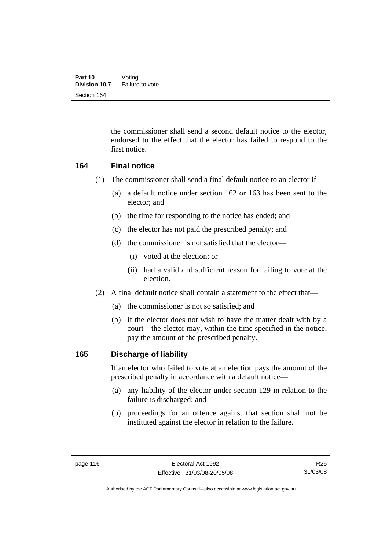the commissioner shall send a second default notice to the elector, endorsed to the effect that the elector has failed to respond to the first notice.

#### **164 Final notice**

- (1) The commissioner shall send a final default notice to an elector if—
	- (a) a default notice under section 162 or 163 has been sent to the elector; and
	- (b) the time for responding to the notice has ended; and
	- (c) the elector has not paid the prescribed penalty; and
	- (d) the commissioner is not satisfied that the elector—
		- (i) voted at the election; or
		- (ii) had a valid and sufficient reason for failing to vote at the election.
- (2) A final default notice shall contain a statement to the effect that—
	- (a) the commissioner is not so satisfied; and
	- (b) if the elector does not wish to have the matter dealt with by a court—the elector may, within the time specified in the notice, pay the amount of the prescribed penalty.

#### **165 Discharge of liability**

If an elector who failed to vote at an election pays the amount of the prescribed penalty in accordance with a default notice—

- (a) any liability of the elector under section 129 in relation to the failure is discharged; and
- (b) proceedings for an offence against that section shall not be instituted against the elector in relation to the failure.

R25 31/03/08

Authorised by the ACT Parliamentary Counsel—also accessible at www.legislation.act.gov.au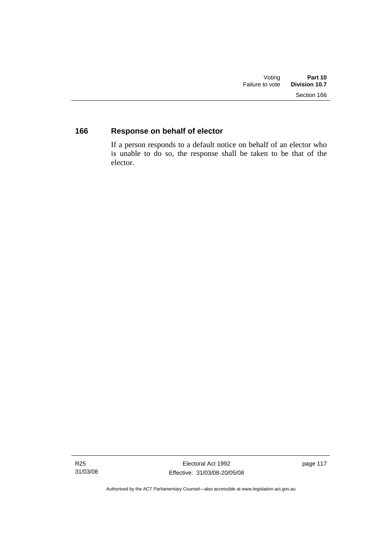# **166 Response on behalf of elector**

If a person responds to a default notice on behalf of an elector who is unable to do so, the response shall be taken to be that of the elector.

page 117

Authorised by the ACT Parliamentary Counsel—also accessible at www.legislation.act.gov.au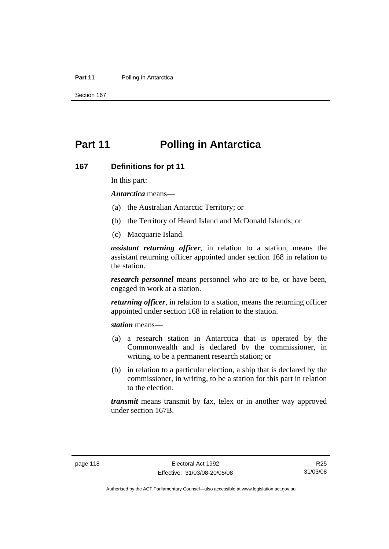#### **Part 11** Polling in Antarctica

Section 167

# **Part 11 Polling in Antarctica**

#### **167 Definitions for pt 11**

In this part:

*Antarctica* means—

- (a) the Australian Antarctic Territory; or
- (b) the Territory of Heard Island and McDonald Islands; or
- (c) Macquarie Island.

*assistant returning officer*, in relation to a station, means the assistant returning officer appointed under section 168 in relation to the station.

*research personnel* means personnel who are to be, or have been, engaged in work at a station.

*returning officer*, in relation to a station, means the returning officer appointed under section 168 in relation to the station.

*station* means—

- (a) a research station in Antarctica that is operated by the Commonwealth and is declared by the commissioner, in writing, to be a permanent research station; or
- (b) in relation to a particular election, a ship that is declared by the commissioner, in writing, to be a station for this part in relation to the election.

*transmit* means transmit by fax, telex or in another way approved under section 167B.

Authorised by the ACT Parliamentary Counsel—also accessible at www.legislation.act.gov.au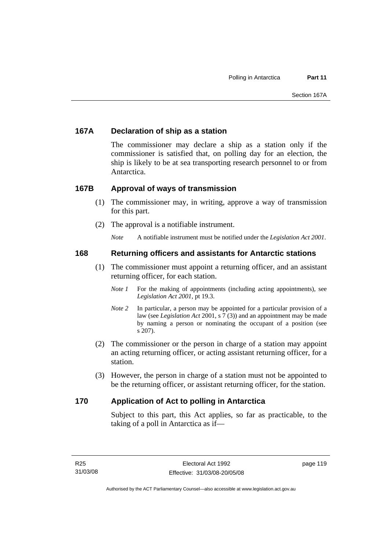# **167A Declaration of ship as a station**

The commissioner may declare a ship as a station only if the commissioner is satisfied that, on polling day for an election, the ship is likely to be at sea transporting research personnel to or from Antarctica.

#### **167B Approval of ways of transmission**

- (1) The commissioner may, in writing, approve a way of transmission for this part.
- (2) The approval is a notifiable instrument.

*Note* A notifiable instrument must be notified under the *Legislation Act 2001*.

#### **168 Returning officers and assistants for Antarctic stations**

- (1) The commissioner must appoint a returning officer, and an assistant returning officer, for each station.
	- *Note 1* For the making of appointments (including acting appointments), see *Legislation Act 2001*, pt 19.3.
	- *Note 2* In particular, a person may be appointed for a particular provision of a law (see *Legislation Act* 2001, s 7 (3)) and an appointment may be made by naming a person or nominating the occupant of a position (see s 207).
- (2) The commissioner or the person in charge of a station may appoint an acting returning officer, or acting assistant returning officer, for a station.
- (3) However, the person in charge of a station must not be appointed to be the returning officer, or assistant returning officer, for the station.

# **170 Application of Act to polling in Antarctica**

Subject to this part, this Act applies, so far as practicable, to the taking of a poll in Antarctica as if—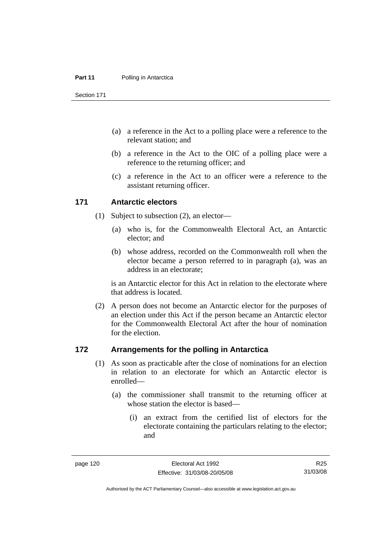#### **Part 11** Polling in Antarctica

Section 171

- (a) a reference in the Act to a polling place were a reference to the relevant station; and
- (b) a reference in the Act to the OIC of a polling place were a reference to the returning officer; and
- (c) a reference in the Act to an officer were a reference to the assistant returning officer.

#### **171 Antarctic electors**

- (1) Subject to subsection (2), an elector—
	- (a) who is, for the Commonwealth Electoral Act, an Antarctic elector; and
	- (b) whose address, recorded on the Commonwealth roll when the elector became a person referred to in paragraph (a), was an address in an electorate;

is an Antarctic elector for this Act in relation to the electorate where that address is located.

 (2) A person does not become an Antarctic elector for the purposes of an election under this Act if the person became an Antarctic elector for the Commonwealth Electoral Act after the hour of nomination for the election.

#### **172 Arrangements for the polling in Antarctica**

- (1) As soon as practicable after the close of nominations for an election in relation to an electorate for which an Antarctic elector is enrolled—
	- (a) the commissioner shall transmit to the returning officer at whose station the elector is based—
		- (i) an extract from the certified list of electors for the electorate containing the particulars relating to the elector; and

R25 31/03/08

Authorised by the ACT Parliamentary Counsel—also accessible at www.legislation.act.gov.au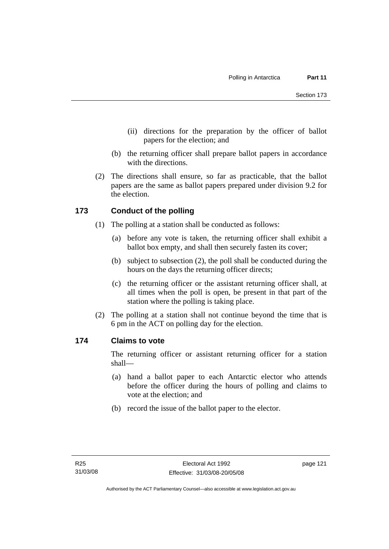- (ii) directions for the preparation by the officer of ballot papers for the election; and
- (b) the returning officer shall prepare ballot papers in accordance with the directions.
- (2) The directions shall ensure, so far as practicable, that the ballot papers are the same as ballot papers prepared under division 9.2 for the election.

# **173 Conduct of the polling**

- (1) The polling at a station shall be conducted as follows:
	- (a) before any vote is taken, the returning officer shall exhibit a ballot box empty, and shall then securely fasten its cover;
	- (b) subject to subsection (2), the poll shall be conducted during the hours on the days the returning officer directs;
	- (c) the returning officer or the assistant returning officer shall, at all times when the poll is open, be present in that part of the station where the polling is taking place.
- (2) The polling at a station shall not continue beyond the time that is 6 pm in the ACT on polling day for the election.

# **174 Claims to vote**

The returning officer or assistant returning officer for a station shall—

- (a) hand a ballot paper to each Antarctic elector who attends before the officer during the hours of polling and claims to vote at the election; and
- (b) record the issue of the ballot paper to the elector.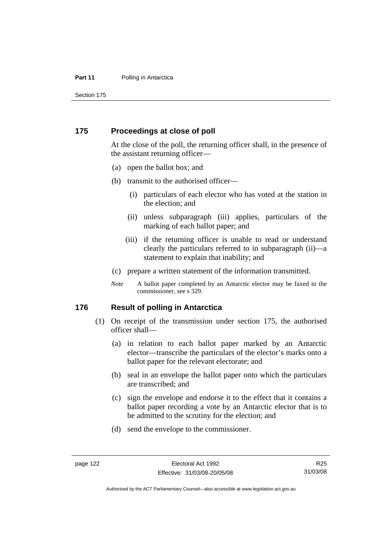#### **Part 11** Polling in Antarctica

Section 175

#### **175 Proceedings at close of poll**

At the close of the poll, the returning officer shall, in the presence of the assistant returning officer—

- (a) open the ballot box; and
- (b) transmit to the authorised officer—
	- (i) particulars of each elector who has voted at the station in the election; and
	- (ii) unless subparagraph (iii) applies, particulars of the marking of each ballot paper; and
	- (iii) if the returning officer is unable to read or understand clearly the particulars referred to in subparagraph (ii)—a statement to explain that inability; and
- (c) prepare a written statement of the information transmitted.
- *Note* A ballot paper completed by an Antarctic elector may be faxed to the commissioner, see s 329.

#### **176 Result of polling in Antarctica**

- (1) On receipt of the transmission under section 175, the authorised officer shall—
	- (a) in relation to each ballot paper marked by an Antarctic elector—transcribe the particulars of the elector's marks onto a ballot paper for the relevant electorate; and
	- (b) seal in an envelope the ballot paper onto which the particulars are transcribed; and
	- (c) sign the envelope and endorse it to the effect that it contains a ballot paper recording a vote by an Antarctic elector that is to be admitted to the scrutiny for the election; and
	- (d) send the envelope to the commissioner.

R25 31/03/08

Authorised by the ACT Parliamentary Counsel—also accessible at www.legislation.act.gov.au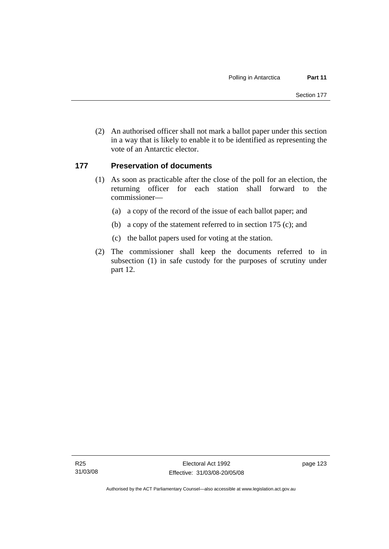(2) An authorised officer shall not mark a ballot paper under this section in a way that is likely to enable it to be identified as representing the vote of an Antarctic elector.

# **177 Preservation of documents**

- (1) As soon as practicable after the close of the poll for an election, the returning officer for each station shall forward to the commissioner—
	- (a) a copy of the record of the issue of each ballot paper; and
	- (b) a copy of the statement referred to in section 175 (c); and
	- (c) the ballot papers used for voting at the station.
- (2) The commissioner shall keep the documents referred to in subsection (1) in safe custody for the purposes of scrutiny under part 12.

Authorised by the ACT Parliamentary Counsel—also accessible at www.legislation.act.gov.au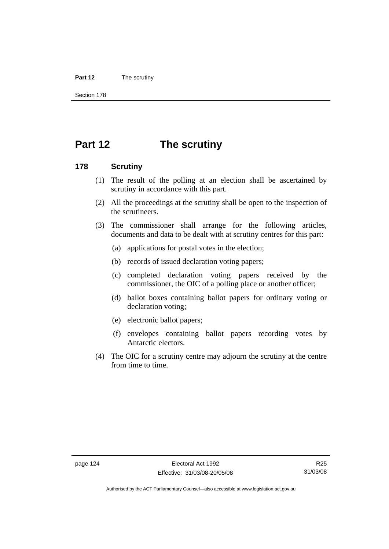#### **Part 12** The scrutiny

Section 178

# **Part 12 The scrutiny**

#### **178 Scrutiny**

- (1) The result of the polling at an election shall be ascertained by scrutiny in accordance with this part.
- (2) All the proceedings at the scrutiny shall be open to the inspection of the scrutineers.
- (3) The commissioner shall arrange for the following articles, documents and data to be dealt with at scrutiny centres for this part:
	- (a) applications for postal votes in the election;
	- (b) records of issued declaration voting papers;
	- (c) completed declaration voting papers received by the commissioner, the OIC of a polling place or another officer;
	- (d) ballot boxes containing ballot papers for ordinary voting or declaration voting;
	- (e) electronic ballot papers;
	- (f) envelopes containing ballot papers recording votes by Antarctic electors.
- (4) The OIC for a scrutiny centre may adjourn the scrutiny at the centre from time to time.

Authorised by the ACT Parliamentary Counsel—also accessible at www.legislation.act.gov.au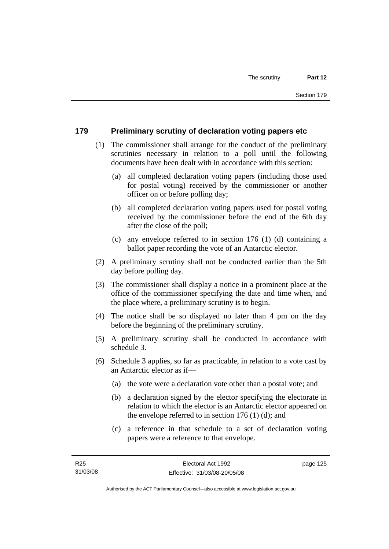# **179 Preliminary scrutiny of declaration voting papers etc**

- (1) The commissioner shall arrange for the conduct of the preliminary scrutinies necessary in relation to a poll until the following documents have been dealt with in accordance with this section:
	- (a) all completed declaration voting papers (including those used for postal voting) received by the commissioner or another officer on or before polling day;
	- (b) all completed declaration voting papers used for postal voting received by the commissioner before the end of the 6th day after the close of the poll;
	- (c) any envelope referred to in section 176 (1) (d) containing a ballot paper recording the vote of an Antarctic elector.
- (2) A preliminary scrutiny shall not be conducted earlier than the 5th day before polling day.
- (3) The commissioner shall display a notice in a prominent place at the office of the commissioner specifying the date and time when, and the place where, a preliminary scrutiny is to begin.
- (4) The notice shall be so displayed no later than 4 pm on the day before the beginning of the preliminary scrutiny.
- (5) A preliminary scrutiny shall be conducted in accordance with schedule 3.
- (6) Schedule 3 applies, so far as practicable, in relation to a vote cast by an Antarctic elector as if—
	- (a) the vote were a declaration vote other than a postal vote; and
	- (b) a declaration signed by the elector specifying the electorate in relation to which the elector is an Antarctic elector appeared on the envelope referred to in section 176 (1) (d); and
	- (c) a reference in that schedule to a set of declaration voting papers were a reference to that envelope.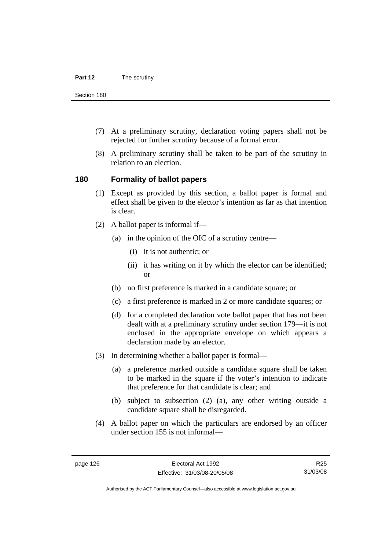Section 180

- (7) At a preliminary scrutiny, declaration voting papers shall not be rejected for further scrutiny because of a formal error.
- (8) A preliminary scrutiny shall be taken to be part of the scrutiny in relation to an election.

#### **180 Formality of ballot papers**

- (1) Except as provided by this section, a ballot paper is formal and effect shall be given to the elector's intention as far as that intention is clear.
- (2) A ballot paper is informal if—
	- (a) in the opinion of the OIC of a scrutiny centre—
		- (i) it is not authentic; or
		- (ii) it has writing on it by which the elector can be identified; or
	- (b) no first preference is marked in a candidate square; or
	- (c) a first preference is marked in 2 or more candidate squares; or
	- (d) for a completed declaration vote ballot paper that has not been dealt with at a preliminary scrutiny under section 179—it is not enclosed in the appropriate envelope on which appears a declaration made by an elector.
- (3) In determining whether a ballot paper is formal—
	- (a) a preference marked outside a candidate square shall be taken to be marked in the square if the voter's intention to indicate that preference for that candidate is clear; and
	- (b) subject to subsection (2) (a), any other writing outside a candidate square shall be disregarded.
- (4) A ballot paper on which the particulars are endorsed by an officer under section 155 is not informal—

R25 31/03/08

Authorised by the ACT Parliamentary Counsel—also accessible at www.legislation.act.gov.au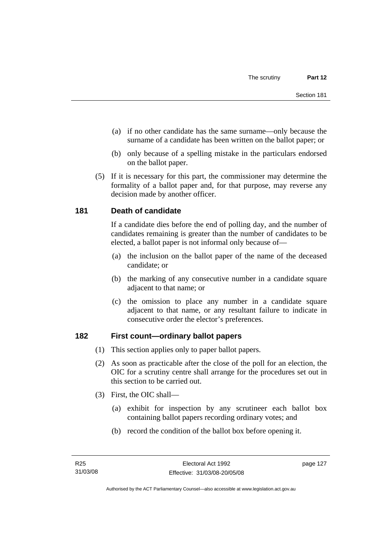- (a) if no other candidate has the same surname—only because the surname of a candidate has been written on the ballot paper; or
- (b) only because of a spelling mistake in the particulars endorsed on the ballot paper.
- (5) If it is necessary for this part, the commissioner may determine the formality of a ballot paper and, for that purpose, may reverse any decision made by another officer.

# **181 Death of candidate**

If a candidate dies before the end of polling day, and the number of candidates remaining is greater than the number of candidates to be elected, a ballot paper is not informal only because of—

- (a) the inclusion on the ballot paper of the name of the deceased candidate; or
- (b) the marking of any consecutive number in a candidate square adjacent to that name; or
- (c) the omission to place any number in a candidate square adjacent to that name, or any resultant failure to indicate in consecutive order the elector's preferences.

# **182 First count—ordinary ballot papers**

- (1) This section applies only to paper ballot papers.
- (2) As soon as practicable after the close of the poll for an election, the OIC for a scrutiny centre shall arrange for the procedures set out in this section to be carried out.
- (3) First, the OIC shall—
	- (a) exhibit for inspection by any scrutineer each ballot box containing ballot papers recording ordinary votes; and
	- (b) record the condition of the ballot box before opening it.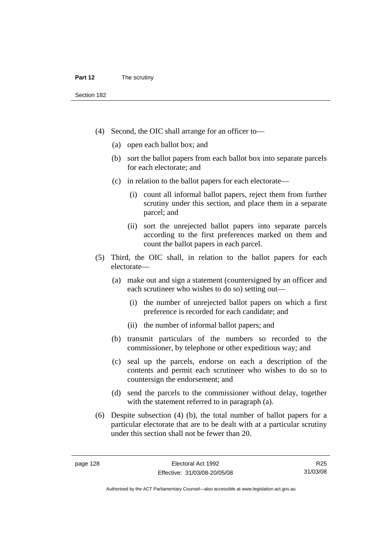- (4) Second, the OIC shall arrange for an officer to—
	- (a) open each ballot box; and
	- (b) sort the ballot papers from each ballot box into separate parcels for each electorate; and
	- (c) in relation to the ballot papers for each electorate—
		- (i) count all informal ballot papers, reject them from further scrutiny under this section, and place them in a separate parcel; and
		- (ii) sort the unrejected ballot papers into separate parcels according to the first preferences marked on them and count the ballot papers in each parcel.
- (5) Third, the OIC shall, in relation to the ballot papers for each electorate—
	- (a) make out and sign a statement (countersigned by an officer and each scrutineer who wishes to do so) setting out—
		- (i) the number of unrejected ballot papers on which a first preference is recorded for each candidate; and
		- (ii) the number of informal ballot papers; and
	- (b) transmit particulars of the numbers so recorded to the commissioner, by telephone or other expeditious way; and
	- (c) seal up the parcels, endorse on each a description of the contents and permit each scrutineer who wishes to do so to countersign the endorsement; and
	- (d) send the parcels to the commissioner without delay, together with the statement referred to in paragraph (a).
- (6) Despite subsection (4) (b), the total number of ballot papers for a particular electorate that are to be dealt with at a particular scrutiny under this section shall not be fewer than 20.

R25 31/03/08

Authorised by the ACT Parliamentary Counsel—also accessible at www.legislation.act.gov.au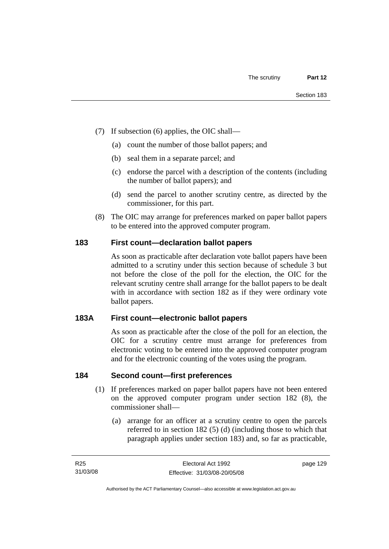- (7) If subsection (6) applies, the OIC shall—
	- (a) count the number of those ballot papers; and
	- (b) seal them in a separate parcel; and
	- (c) endorse the parcel with a description of the contents (including the number of ballot papers); and
	- (d) send the parcel to another scrutiny centre, as directed by the commissioner, for this part.
- (8) The OIC may arrange for preferences marked on paper ballot papers to be entered into the approved computer program.

# **183 First count—declaration ballot papers**

As soon as practicable after declaration vote ballot papers have been admitted to a scrutiny under this section because of schedule 3 but not before the close of the poll for the election, the OIC for the relevant scrutiny centre shall arrange for the ballot papers to be dealt with in accordance with section 182 as if they were ordinary vote ballot papers.

# **183A First count—electronic ballot papers**

As soon as practicable after the close of the poll for an election, the OIC for a scrutiny centre must arrange for preferences from electronic voting to be entered into the approved computer program and for the electronic counting of the votes using the program.

### **184 Second count—first preferences**

- (1) If preferences marked on paper ballot papers have not been entered on the approved computer program under section 182 (8), the commissioner shall—
	- (a) arrange for an officer at a scrutiny centre to open the parcels referred to in section 182 (5) (d) (including those to which that paragraph applies under section 183) and, so far as practicable,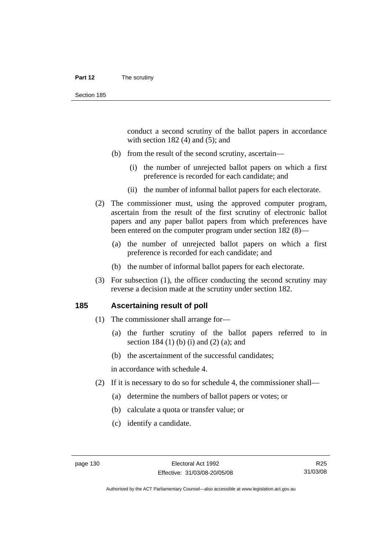#### **Part 12** The scrutiny

conduct a second scrutiny of the ballot papers in accordance with section  $182(4)$  and  $(5)$ ; and

- (b) from the result of the second scrutiny, ascertain—
	- (i) the number of unrejected ballot papers on which a first preference is recorded for each candidate; and
	- (ii) the number of informal ballot papers for each electorate.
- (2) The commissioner must, using the approved computer program, ascertain from the result of the first scrutiny of electronic ballot papers and any paper ballot papers from which preferences have been entered on the computer program under section 182 (8)—
	- (a) the number of unrejected ballot papers on which a first preference is recorded for each candidate; and
	- (b) the number of informal ballot papers for each electorate.
- (3) For subsection (1), the officer conducting the second scrutiny may reverse a decision made at the scrutiny under section 182.

#### **185 Ascertaining result of poll**

- (1) The commissioner shall arrange for—
	- (a) the further scrutiny of the ballot papers referred to in section 184 (1) (b) (i) and (2) (a); and
	- (b) the ascertainment of the successful candidates;

in accordance with schedule 4.

- (2) If it is necessary to do so for schedule 4, the commissioner shall—
	- (a) determine the numbers of ballot papers or votes; or
	- (b) calculate a quota or transfer value; or
	- (c) identify a candidate.

R25 31/03/08

Authorised by the ACT Parliamentary Counsel—also accessible at www.legislation.act.gov.au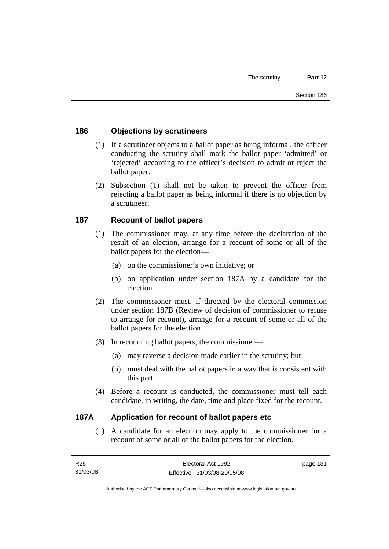# **186 Objections by scrutineers**

- (1) If a scrutineer objects to a ballot paper as being informal, the officer conducting the scrutiny shall mark the ballot paper 'admitted' or 'rejected' according to the officer's decision to admit or reject the ballot paper.
- (2) Subsection (1) shall not be taken to prevent the officer from rejecting a ballot paper as being informal if there is no objection by a scrutineer.

## **187 Recount of ballot papers**

- (1) The commissioner may, at any time before the declaration of the result of an election, arrange for a recount of some or all of the ballot papers for the election—
	- (a) on the commissioner's own initiative; or
	- (b) on application under section 187A by a candidate for the election.
- (2) The commissioner must, if directed by the electoral commission under section 187B (Review of decision of commissioner to refuse to arrange for recount), arrange for a recount of some or all of the ballot papers for the election.
- (3) In recounting ballot papers, the commissioner—
	- (a) may reverse a decision made earlier in the scrutiny; but
	- (b) must deal with the ballot papers in a way that is consistent with this part.
- (4) Before a recount is conducted, the commissioner must tell each candidate, in writing, the date, time and place fixed for the recount.

### **187A Application for recount of ballot papers etc**

 (1) A candidate for an election may apply to the commissioner for a recount of some or all of the ballot papers for the election.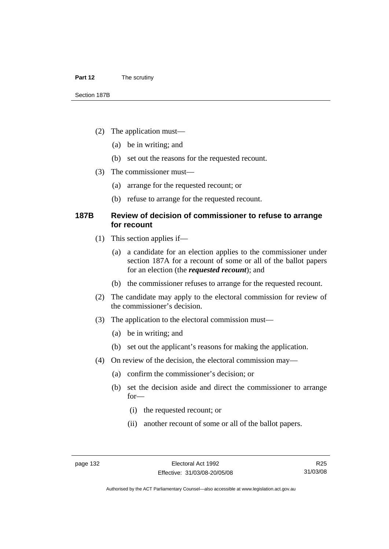- (2) The application must—
	- (a) be in writing; and
	- (b) set out the reasons for the requested recount.
- (3) The commissioner must—
	- (a) arrange for the requested recount; or
	- (b) refuse to arrange for the requested recount.

### **187B Review of decision of commissioner to refuse to arrange for recount**

- (1) This section applies if—
	- (a) a candidate for an election applies to the commissioner under section 187A for a recount of some or all of the ballot papers for an election (the *requested recount*); and
	- (b) the commissioner refuses to arrange for the requested recount.
- (2) The candidate may apply to the electoral commission for review of the commissioner's decision.
- (3) The application to the electoral commission must—
	- (a) be in writing; and
	- (b) set out the applicant's reasons for making the application.
- (4) On review of the decision, the electoral commission may—
	- (a) confirm the commissioner's decision; or
	- (b) set the decision aside and direct the commissioner to arrange for—
		- (i) the requested recount; or
		- (ii) another recount of some or all of the ballot papers.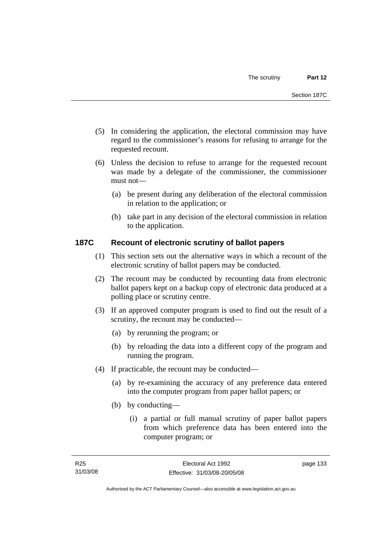- (5) In considering the application, the electoral commission may have regard to the commissioner's reasons for refusing to arrange for the requested recount.
- (6) Unless the decision to refuse to arrange for the requested recount was made by a delegate of the commissioner, the commissioner must not—
	- (a) be present during any deliberation of the electoral commission in relation to the application; or
	- (b) take part in any decision of the electoral commission in relation to the application.

# **187C Recount of electronic scrutiny of ballot papers**

- (1) This section sets out the alternative ways in which a recount of the electronic scrutiny of ballot papers may be conducted.
- (2) The recount may be conducted by recounting data from electronic ballot papers kept on a backup copy of electronic data produced at a polling place or scrutiny centre.
- (3) If an approved computer program is used to find out the result of a scrutiny, the recount may be conducted—
	- (a) by rerunning the program; or
	- (b) by reloading the data into a different copy of the program and running the program.
- (4) If practicable, the recount may be conducted—
	- (a) by re-examining the accuracy of any preference data entered into the computer program from paper ballot papers; or
	- (b) by conducting—
		- (i) a partial or full manual scrutiny of paper ballot papers from which preference data has been entered into the computer program; or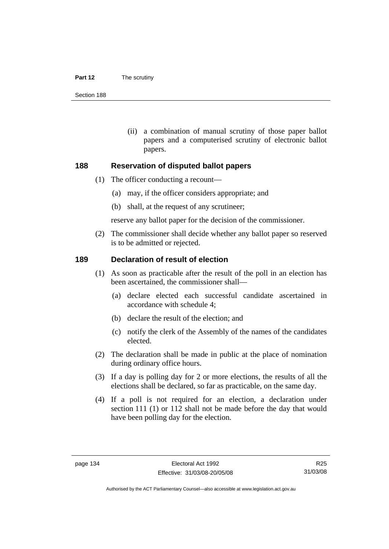#### **Part 12** The scrutiny

Section 188

 (ii) a combination of manual scrutiny of those paper ballot papers and a computerised scrutiny of electronic ballot papers.

#### **188 Reservation of disputed ballot papers**

- (1) The officer conducting a recount—
	- (a) may, if the officer considers appropriate; and
	- (b) shall, at the request of any scrutineer;

reserve any ballot paper for the decision of the commissioner.

 (2) The commissioner shall decide whether any ballot paper so reserved is to be admitted or rejected.

#### **189 Declaration of result of election**

- (1) As soon as practicable after the result of the poll in an election has been ascertained, the commissioner shall—
	- (a) declare elected each successful candidate ascertained in accordance with schedule 4;
	- (b) declare the result of the election; and
	- (c) notify the clerk of the Assembly of the names of the candidates elected.
- (2) The declaration shall be made in public at the place of nomination during ordinary office hours.
- (3) If a day is polling day for 2 or more elections, the results of all the elections shall be declared, so far as practicable, on the same day.
- (4) If a poll is not required for an election, a declaration under section 111 (1) or 112 shall not be made before the day that would have been polling day for the election.

R25 31/03/08

Authorised by the ACT Parliamentary Counsel—also accessible at www.legislation.act.gov.au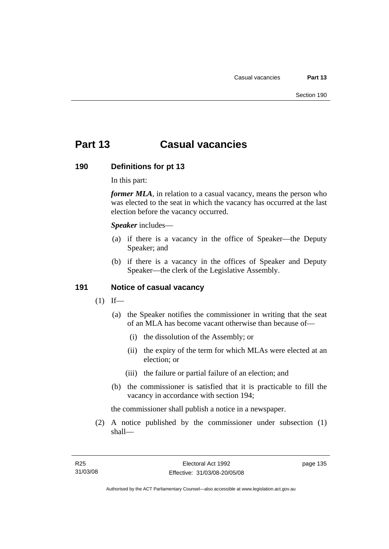# **Part 13 Casual vacancies**

#### **190 Definitions for pt 13**

In this part:

*former MLA*, in relation to a casual vacancy, means the person who was elected to the seat in which the vacancy has occurred at the last election before the vacancy occurred.

*Speaker* includes—

- (a) if there is a vacancy in the office of Speaker—the Deputy Speaker; and
- (b) if there is a vacancy in the offices of Speaker and Deputy Speaker—the clerk of the Legislative Assembly.

### **191 Notice of casual vacancy**

- $(1)$  If—
	- (a) the Speaker notifies the commissioner in writing that the seat of an MLA has become vacant otherwise than because of—
		- (i) the dissolution of the Assembly; or
		- (ii) the expiry of the term for which MLAs were elected at an election; or
		- (iii) the failure or partial failure of an election; and
	- (b) the commissioner is satisfied that it is practicable to fill the vacancy in accordance with section 194;

the commissioner shall publish a notice in a newspaper.

 (2) A notice published by the commissioner under subsection (1) shall—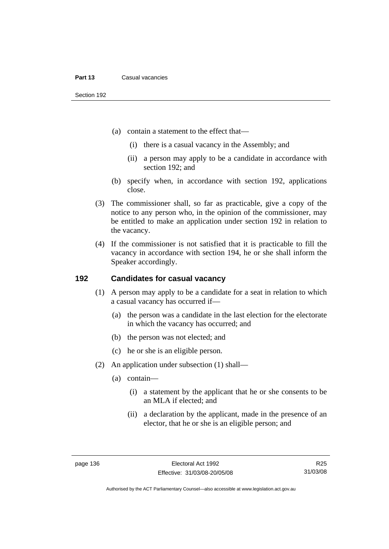- (a) contain a statement to the effect that—
	- (i) there is a casual vacancy in the Assembly; and
	- (ii) a person may apply to be a candidate in accordance with section 192; and
- (b) specify when, in accordance with section 192, applications close.
- (3) The commissioner shall, so far as practicable, give a copy of the notice to any person who, in the opinion of the commissioner, may be entitled to make an application under section 192 in relation to the vacancy.
- (4) If the commissioner is not satisfied that it is practicable to fill the vacancy in accordance with section 194, he or she shall inform the Speaker accordingly.

#### **192 Candidates for casual vacancy**

- (1) A person may apply to be a candidate for a seat in relation to which a casual vacancy has occurred if—
	- (a) the person was a candidate in the last election for the electorate in which the vacancy has occurred; and
	- (b) the person was not elected; and
	- (c) he or she is an eligible person.
- (2) An application under subsection (1) shall—
	- (a) contain—
		- (i) a statement by the applicant that he or she consents to be an MLA if elected; and
		- (ii) a declaration by the applicant, made in the presence of an elector, that he or she is an eligible person; and

Authorised by the ACT Parliamentary Counsel—also accessible at www.legislation.act.gov.au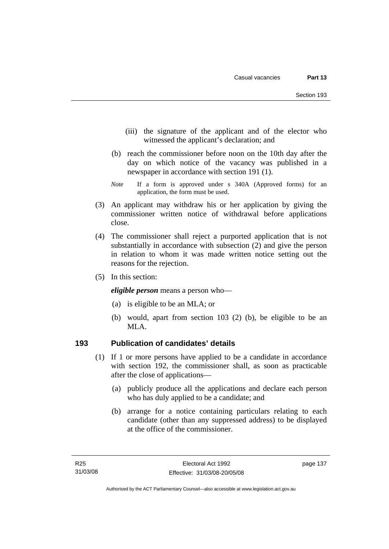- (iii) the signature of the applicant and of the elector who witnessed the applicant's declaration; and
- (b) reach the commissioner before noon on the 10th day after the day on which notice of the vacancy was published in a newspaper in accordance with section 191 (1).
- *Note* If a form is approved under s 340A (Approved forms) for an application, the form must be used.
- (3) An applicant may withdraw his or her application by giving the commissioner written notice of withdrawal before applications close.
- (4) The commissioner shall reject a purported application that is not substantially in accordance with subsection (2) and give the person in relation to whom it was made written notice setting out the reasons for the rejection.
- (5) In this section:

*eligible person* means a person who—

- (a) is eligible to be an MLA; or
- (b) would, apart from section 103 (2) (b), be eligible to be an MLA.

### **193 Publication of candidates' details**

- (1) If 1 or more persons have applied to be a candidate in accordance with section 192, the commissioner shall, as soon as practicable after the close of applications—
	- (a) publicly produce all the applications and declare each person who has duly applied to be a candidate; and
	- (b) arrange for a notice containing particulars relating to each candidate (other than any suppressed address) to be displayed at the office of the commissioner.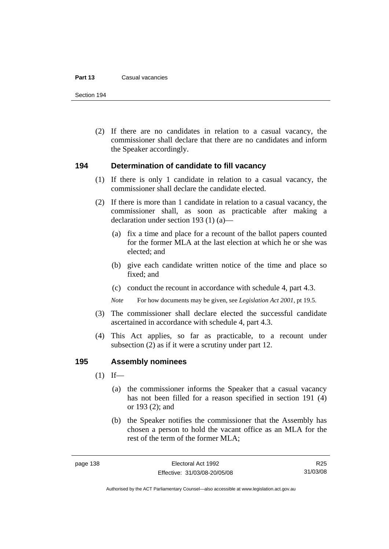#### **Part 13** Casual vacancies

Section 194

 (2) If there are no candidates in relation to a casual vacancy, the commissioner shall declare that there are no candidates and inform the Speaker accordingly.

### **194 Determination of candidate to fill vacancy**

- (1) If there is only 1 candidate in relation to a casual vacancy, the commissioner shall declare the candidate elected.
- (2) If there is more than 1 candidate in relation to a casual vacancy, the commissioner shall, as soon as practicable after making a declaration under section 193 (1) (a)—
	- (a) fix a time and place for a recount of the ballot papers counted for the former MLA at the last election at which he or she was elected; and
	- (b) give each candidate written notice of the time and place so fixed; and
	- (c) conduct the recount in accordance with schedule 4, part 4.3.

*Note* For how documents may be given, see *Legislation Act 2001*, pt 19.5.

- (3) The commissioner shall declare elected the successful candidate ascertained in accordance with schedule 4, part 4.3.
- (4) This Act applies, so far as practicable, to a recount under subsection (2) as if it were a scrutiny under part 12.

### **195 Assembly nominees**

- $(1)$  If—
	- (a) the commissioner informs the Speaker that a casual vacancy has not been filled for a reason specified in section 191 (4) or 193 (2); and
	- (b) the Speaker notifies the commissioner that the Assembly has chosen a person to hold the vacant office as an MLA for the rest of the term of the former MLA;

R25 31/03/08

Authorised by the ACT Parliamentary Counsel—also accessible at www.legislation.act.gov.au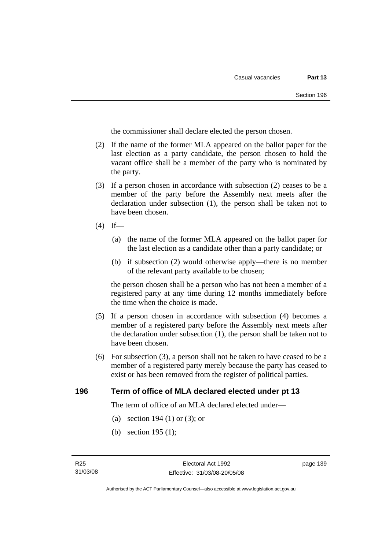the commissioner shall declare elected the person chosen.

- (2) If the name of the former MLA appeared on the ballot paper for the last election as a party candidate, the person chosen to hold the vacant office shall be a member of the party who is nominated by the party.
- (3) If a person chosen in accordance with subsection (2) ceases to be a member of the party before the Assembly next meets after the declaration under subsection (1), the person shall be taken not to have been chosen.
- $(4)$  If—
	- (a) the name of the former MLA appeared on the ballot paper for the last election as a candidate other than a party candidate; or
	- (b) if subsection (2) would otherwise apply—there is no member of the relevant party available to be chosen;

the person chosen shall be a person who has not been a member of a registered party at any time during 12 months immediately before the time when the choice is made.

- (5) If a person chosen in accordance with subsection (4) becomes a member of a registered party before the Assembly next meets after the declaration under subsection (1), the person shall be taken not to have been chosen.
- (6) For subsection (3), a person shall not be taken to have ceased to be a member of a registered party merely because the party has ceased to exist or has been removed from the register of political parties.

#### **196 Term of office of MLA declared elected under pt 13**

The term of office of an MLA declared elected under—

- (a) section 194 (1) or (3); or
- (b) section 195 (1);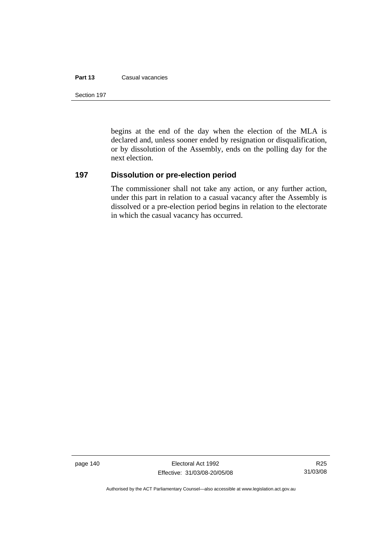#### **Part 13** Casual vacancies

Section 197

begins at the end of the day when the election of the MLA is declared and, unless sooner ended by resignation or disqualification, or by dissolution of the Assembly, ends on the polling day for the next election.

#### **197 Dissolution or pre-election period**

The commissioner shall not take any action, or any further action, under this part in relation to a casual vacancy after the Assembly is dissolved or a pre-election period begins in relation to the electorate in which the casual vacancy has occurred.

page 140 **Electoral Act 1992** Effective: 31/03/08-20/05/08

Authorised by the ACT Parliamentary Counsel—also accessible at www.legislation.act.gov.au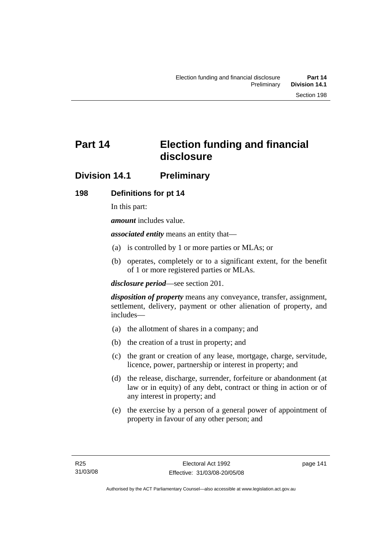# **Part 14 Election funding and financial disclosure**

# **Division 14.1 Preliminary**

# **198 Definitions for pt 14**

In this part:

*amount* includes value.

*associated entity* means an entity that—

- (a) is controlled by 1 or more parties or MLAs; or
- (b) operates, completely or to a significant extent, for the benefit of 1 or more registered parties or MLAs.

*disclosure period*—see section 201.

*disposition of property* means any conveyance, transfer, assignment, settlement, delivery, payment or other alienation of property, and includes—

- (a) the allotment of shares in a company; and
- (b) the creation of a trust in property; and
- (c) the grant or creation of any lease, mortgage, charge, servitude, licence, power, partnership or interest in property; and
- (d) the release, discharge, surrender, forfeiture or abandonment (at law or in equity) of any debt, contract or thing in action or of any interest in property; and
- (e) the exercise by a person of a general power of appointment of property in favour of any other person; and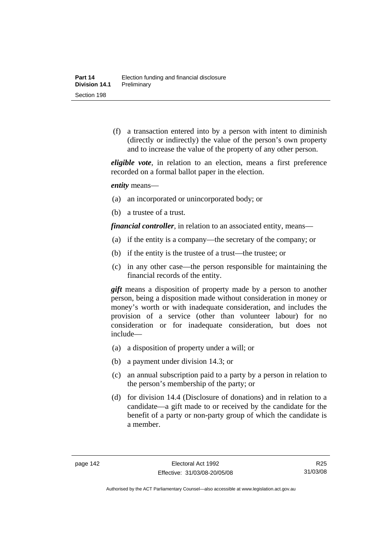(f) a transaction entered into by a person with intent to diminish (directly or indirectly) the value of the person's own property and to increase the value of the property of any other person.

*eligible vote*, in relation to an election, means a first preference recorded on a formal ballot paper in the election.

*entity* means—

- (a) an incorporated or unincorporated body; or
- (b) a trustee of a trust.

*financial controller*, in relation to an associated entity, means—

- (a) if the entity is a company—the secretary of the company; or
- (b) if the entity is the trustee of a trust—the trustee; or
- (c) in any other case—the person responsible for maintaining the financial records of the entity.

*gift* means a disposition of property made by a person to another person, being a disposition made without consideration in money or money's worth or with inadequate consideration, and includes the provision of a service (other than volunteer labour) for no consideration or for inadequate consideration, but does not include—

- (a) a disposition of property under a will; or
- (b) a payment under division 14.3; or
- (c) an annual subscription paid to a party by a person in relation to the person's membership of the party; or
- (d) for division 14.4 (Disclosure of donations) and in relation to a candidate—a gift made to or received by the candidate for the benefit of a party or non-party group of which the candidate is a member.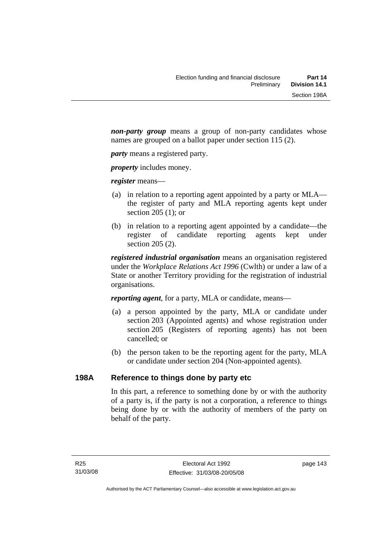*non-party group* means a group of non-party candidates whose names are grouped on a ballot paper under section 115 (2).

*party* means a registered party.

*property* includes money.

*register* means—

- (a) in relation to a reporting agent appointed by a party or MLA the register of party and MLA reporting agents kept under section 205 (1); or
- (b) in relation to a reporting agent appointed by a candidate—the register of candidate reporting agents kept under section 205 (2).

*registered industrial organisation* means an organisation registered under the *Workplace Relations Act 1996* (Cwlth) or under a law of a State or another Territory providing for the registration of industrial organisations.

*reporting agent*, for a party, MLA or candidate, means—

- (a) a person appointed by the party, MLA or candidate under section 203 (Appointed agents) and whose registration under section 205 (Registers of reporting agents) has not been cancelled; or
- (b) the person taken to be the reporting agent for the party, MLA or candidate under section 204 (Non-appointed agents).

# **198A Reference to things done by party etc**

In this part, a reference to something done by or with the authority of a party is, if the party is not a corporation, a reference to things being done by or with the authority of members of the party on behalf of the party.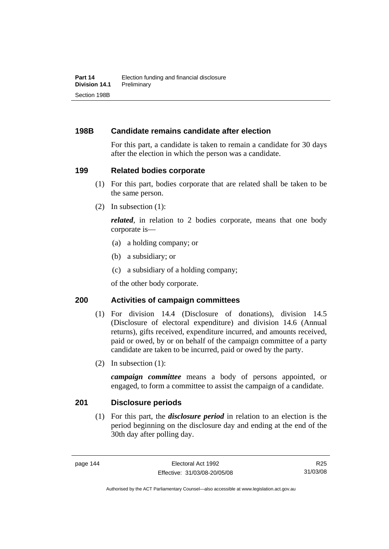# **198B Candidate remains candidate after election**

For this part, a candidate is taken to remain a candidate for 30 days after the election in which the person was a candidate.

### **199 Related bodies corporate**

- (1) For this part, bodies corporate that are related shall be taken to be the same person.
- (2) In subsection (1):

*related*, in relation to 2 bodies corporate, means that one body corporate is—

- (a) a holding company; or
- (b) a subsidiary; or
- (c) a subsidiary of a holding company;

of the other body corporate.

### **200 Activities of campaign committees**

- (1) For division 14.4 (Disclosure of donations), division 14.5 (Disclosure of electoral expenditure) and division 14.6 (Annual returns), gifts received, expenditure incurred, and amounts received, paid or owed, by or on behalf of the campaign committee of a party candidate are taken to be incurred, paid or owed by the party.
- (2) In subsection (1):

*campaign committee* means a body of persons appointed, or engaged, to form a committee to assist the campaign of a candidate.

### **201 Disclosure periods**

 (1) For this part, the *disclosure period* in relation to an election is the period beginning on the disclosure day and ending at the end of the 30th day after polling day.

R25 31/03/08

Authorised by the ACT Parliamentary Counsel—also accessible at www.legislation.act.gov.au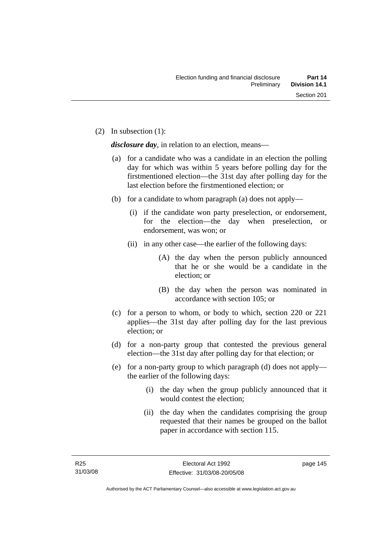(2) In subsection (1):

*disclosure day*, in relation to an election, means—

- (a) for a candidate who was a candidate in an election the polling day for which was within 5 years before polling day for the firstmentioned election—the 31st day after polling day for the last election before the firstmentioned election; or
- (b) for a candidate to whom paragraph (a) does not apply—
	- (i) if the candidate won party preselection, or endorsement, for the election—the day when preselection, or endorsement, was won; or
	- (ii) in any other case—the earlier of the following days:
		- (A) the day when the person publicly announced that he or she would be a candidate in the election; or
		- (B) the day when the person was nominated in accordance with section 105; or
- (c) for a person to whom, or body to which, section 220 or 221 applies—the 31st day after polling day for the last previous election; or
- (d) for a non-party group that contested the previous general election—the 31st day after polling day for that election; or
- (e) for a non-party group to which paragraph (d) does not apply the earlier of the following days:
	- (i) the day when the group publicly announced that it would contest the election;
	- (ii) the day when the candidates comprising the group requested that their names be grouped on the ballot paper in accordance with section 115.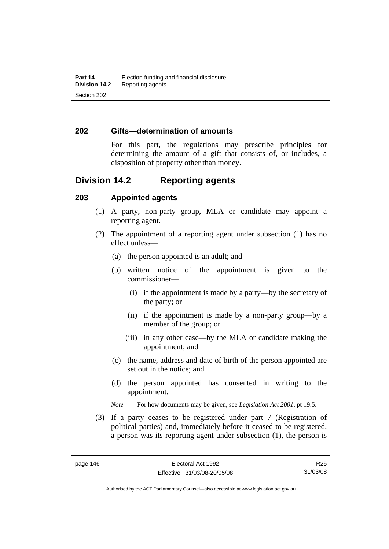#### **202 Gifts—determination of amounts**

For this part, the regulations may prescribe principles for determining the amount of a gift that consists of, or includes, a disposition of property other than money.

# **Division 14.2 Reporting agents**

#### **203 Appointed agents**

- (1) A party, non-party group, MLA or candidate may appoint a reporting agent.
- (2) The appointment of a reporting agent under subsection (1) has no effect unless—
	- (a) the person appointed is an adult; and
	- (b) written notice of the appointment is given to the commissioner—
		- (i) if the appointment is made by a party—by the secretary of the party; or
		- (ii) if the appointment is made by a non-party group—by a member of the group; or
		- (iii) in any other case—by the MLA or candidate making the appointment; and
	- (c) the name, address and date of birth of the person appointed are set out in the notice; and
	- (d) the person appointed has consented in writing to the appointment.

*Note* For how documents may be given, see *Legislation Act 2001*, pt 19.5.

 (3) If a party ceases to be registered under part 7 (Registration of political parties) and, immediately before it ceased to be registered, a person was its reporting agent under subsection (1), the person is

R25 31/03/08

Authorised by the ACT Parliamentary Counsel—also accessible at www.legislation.act.gov.au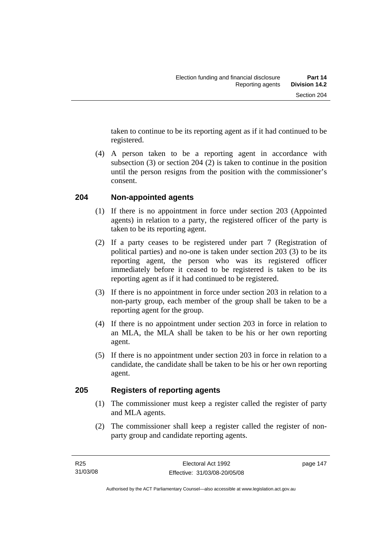taken to continue to be its reporting agent as if it had continued to be registered.

 (4) A person taken to be a reporting agent in accordance with subsection (3) or section 204 (2) is taken to continue in the position until the person resigns from the position with the commissioner's consent.

## **204 Non-appointed agents**

- (1) If there is no appointment in force under section 203 (Appointed agents) in relation to a party, the registered officer of the party is taken to be its reporting agent.
- (2) If a party ceases to be registered under part 7 (Registration of political parties) and no-one is taken under section 203 (3) to be its reporting agent, the person who was its registered officer immediately before it ceased to be registered is taken to be its reporting agent as if it had continued to be registered.
- (3) If there is no appointment in force under section 203 in relation to a non-party group, each member of the group shall be taken to be a reporting agent for the group.
- (4) If there is no appointment under section 203 in force in relation to an MLA, the MLA shall be taken to be his or her own reporting agent.
- (5) If there is no appointment under section 203 in force in relation to a candidate, the candidate shall be taken to be his or her own reporting agent.

### **205 Registers of reporting agents**

- (1) The commissioner must keep a register called the register of party and MLA agents.
- (2) The commissioner shall keep a register called the register of nonparty group and candidate reporting agents.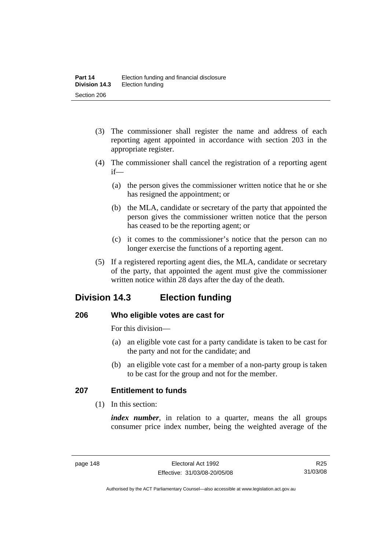- (3) The commissioner shall register the name and address of each reporting agent appointed in accordance with section 203 in the appropriate register.
- (4) The commissioner shall cancel the registration of a reporting agent if—
	- (a) the person gives the commissioner written notice that he or she has resigned the appointment; or
	- (b) the MLA, candidate or secretary of the party that appointed the person gives the commissioner written notice that the person has ceased to be the reporting agent; or
	- (c) it comes to the commissioner's notice that the person can no longer exercise the functions of a reporting agent.
- (5) If a registered reporting agent dies, the MLA, candidate or secretary of the party, that appointed the agent must give the commissioner written notice within 28 days after the day of the death.

# **Division 14.3 Election funding**

# **206 Who eligible votes are cast for**

For this division—

- (a) an eligible vote cast for a party candidate is taken to be cast for the party and not for the candidate; and
- (b) an eligible vote cast for a member of a non-party group is taken to be cast for the group and not for the member.

# **207 Entitlement to funds**

(1) In this section:

*index number*, in relation to a quarter, means the all groups consumer price index number, being the weighted average of the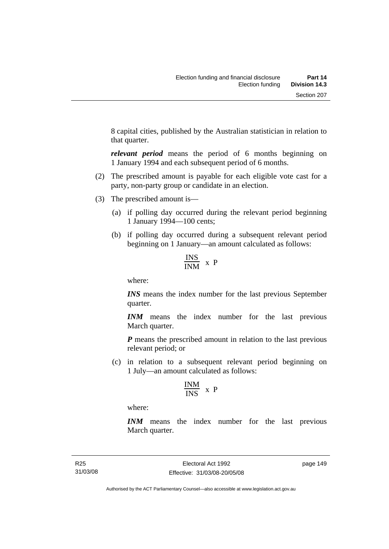8 capital cities, published by the Australian statistician in relation to that quarter.

*relevant period* means the period of 6 months beginning on 1 January 1994 and each subsequent period of 6 months.

- (2) The prescribed amount is payable for each eligible vote cast for a party, non-party group or candidate in an election.
- (3) The prescribed amount is—
	- (a) if polling day occurred during the relevant period beginning 1 January 1994—100 cents;
	- (b) if polling day occurred during a subsequent relevant period beginning on 1 January—an amount calculated as follows:

$$
\frac{\text{INS}}{\text{INM}} \times P
$$

where:

*INS* means the index number for the last previous September quarter.

*INM* means the index number for the last previous March quarter.

*P* means the prescribed amount in relation to the last previous relevant period; or

 (c) in relation to a subsequent relevant period beginning on 1 July—an amount calculated as follows:

$$
\frac{INM}{INS} \ x \ P
$$

where:

*INM* means the index number for the last previous March quarter.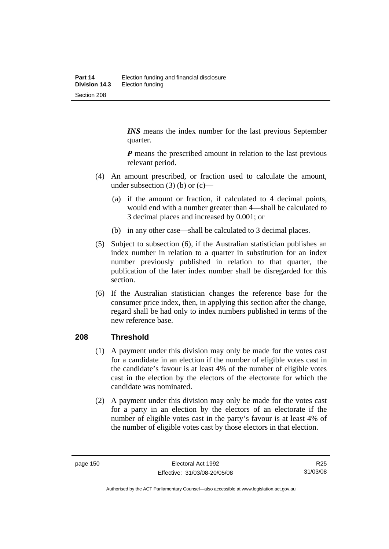*INS* means the index number for the last previous September quarter.

*P* means the prescribed amount in relation to the last previous relevant period.

- (4) An amount prescribed, or fraction used to calculate the amount, under subsection  $(3)$  (b) or  $(c)$ —
	- (a) if the amount or fraction, if calculated to 4 decimal points, would end with a number greater than 4—shall be calculated to 3 decimal places and increased by 0.001; or
	- (b) in any other case—shall be calculated to 3 decimal places.
- (5) Subject to subsection (6), if the Australian statistician publishes an index number in relation to a quarter in substitution for an index number previously published in relation to that quarter, the publication of the later index number shall be disregarded for this section.
- (6) If the Australian statistician changes the reference base for the consumer price index, then, in applying this section after the change, regard shall be had only to index numbers published in terms of the new reference base.

# **208 Threshold**

- (1) A payment under this division may only be made for the votes cast for a candidate in an election if the number of eligible votes cast in the candidate's favour is at least 4% of the number of eligible votes cast in the election by the electors of the electorate for which the candidate was nominated.
- (2) A payment under this division may only be made for the votes cast for a party in an election by the electors of an electorate if the number of eligible votes cast in the party's favour is at least 4% of the number of eligible votes cast by those electors in that election.

R25 31/03/08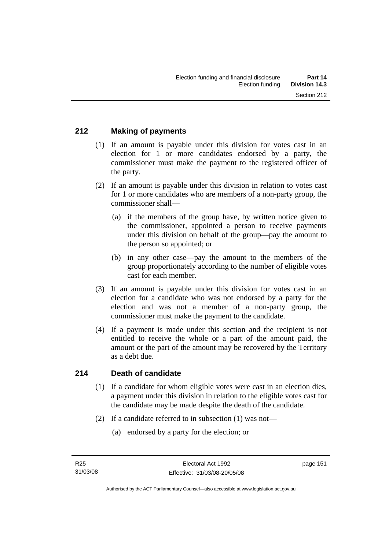# **212 Making of payments**

- (1) If an amount is payable under this division for votes cast in an election for 1 or more candidates endorsed by a party, the commissioner must make the payment to the registered officer of the party.
- (2) If an amount is payable under this division in relation to votes cast for 1 or more candidates who are members of a non-party group, the commissioner shall—
	- (a) if the members of the group have, by written notice given to the commissioner, appointed a person to receive payments under this division on behalf of the group—pay the amount to the person so appointed; or
	- (b) in any other case—pay the amount to the members of the group proportionately according to the number of eligible votes cast for each member.
- (3) If an amount is payable under this division for votes cast in an election for a candidate who was not endorsed by a party for the election and was not a member of a non-party group, the commissioner must make the payment to the candidate.
- (4) If a payment is made under this section and the recipient is not entitled to receive the whole or a part of the amount paid, the amount or the part of the amount may be recovered by the Territory as a debt due.

#### **214 Death of candidate**

- (1) If a candidate for whom eligible votes were cast in an election dies, a payment under this division in relation to the eligible votes cast for the candidate may be made despite the death of the candidate.
- (2) If a candidate referred to in subsection (1) was not—
	- (a) endorsed by a party for the election; or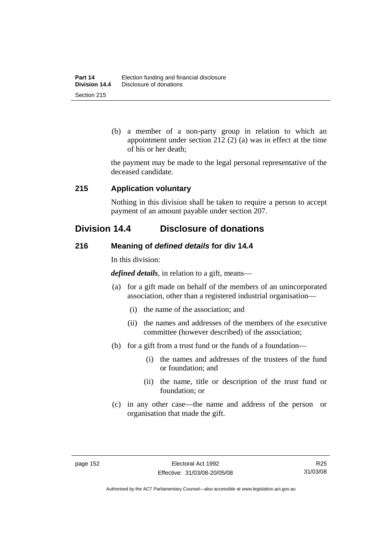(b) a member of a non-party group in relation to which an appointment under section 212 (2) (a) was in effect at the time of his or her death;

the payment may be made to the legal personal representative of the deceased candidate.

### **215 Application voluntary**

Nothing in this division shall be taken to require a person to accept payment of an amount payable under section 207.

# **Division 14.4 Disclosure of donations**

## **216 Meaning of** *defined details* **for div 14.4**

In this division:

*defined details*, in relation to a gift, means—

- (a) for a gift made on behalf of the members of an unincorporated association, other than a registered industrial organisation—
	- (i) the name of the association; and
	- (ii) the names and addresses of the members of the executive committee (however described) of the association;
- (b) for a gift from a trust fund or the funds of a foundation—
	- (i) the names and addresses of the trustees of the fund or foundation; and
	- (ii) the name, title or description of the trust fund or foundation; or
- (c) in any other case—the name and address of the person or organisation that made the gift.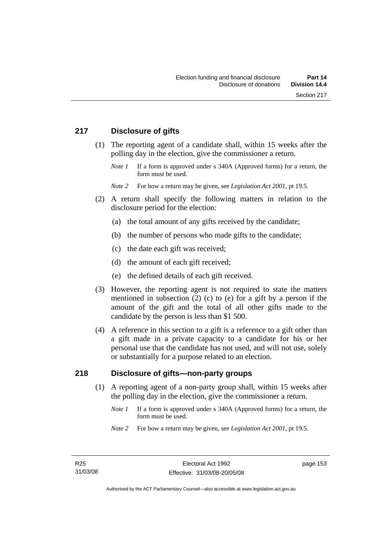# **217 Disclosure of gifts**

- (1) The reporting agent of a candidate shall, within 15 weeks after the polling day in the election, give the commissioner a return.
	- *Note 1* If a form is approved under s 340A (Approved forms) for a return, the form must be used.

*Note 2* For how a return may be given, see *Legislation Act 2001*, pt 19.5.

- (2) A return shall specify the following matters in relation to the disclosure period for the election:
	- (a) the total amount of any gifts received by the candidate;
	- (b) the number of persons who made gifts to the candidate;
	- (c) the date each gift was received;
	- (d) the amount of each gift received;
	- (e) the defined details of each gift received.
- (3) However, the reporting agent is not required to state the matters mentioned in subsection (2) (c) to (e) for a gift by a person if the amount of the gift and the total of all other gifts made to the candidate by the person is less than \$1 500.
- (4) A reference in this section to a gift is a reference to a gift other than a gift made in a private capacity to a candidate for his or her personal use that the candidate has not used, and will not use, solely or substantially for a purpose related to an election.

### **218 Disclosure of gifts—non-party groups**

- (1) A reporting agent of a non-party group shall, within 15 weeks after the polling day in the election, give the commissioner a return.
	- *Note 1* If a form is approved under s 340A (Approved forms) for a return, the form must be used.
	- *Note 2* For how a return may be given, see *Legislation Act 2001*, pt 19.5.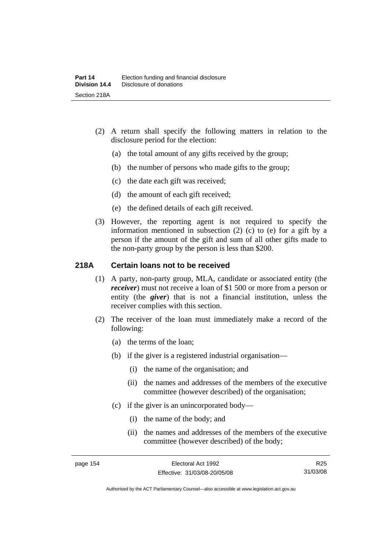- (2) A return shall specify the following matters in relation to the disclosure period for the election:
	- (a) the total amount of any gifts received by the group;
	- (b) the number of persons who made gifts to the group;
	- (c) the date each gift was received;
	- (d) the amount of each gift received;
	- (e) the defined details of each gift received.
- (3) However, the reporting agent is not required to specify the information mentioned in subsection (2) (c) to (e) for a gift by a person if the amount of the gift and sum of all other gifts made to the non-party group by the person is less than \$200.

### **218A Certain loans not to be received**

- (1) A party, non-party group, MLA, candidate or associated entity (the *receiver*) must not receive a loan of \$1 500 or more from a person or entity (the *giver*) that is not a financial institution, unless the receiver complies with this section.
- (2) The receiver of the loan must immediately make a record of the following:
	- (a) the terms of the loan;
	- (b) if the giver is a registered industrial organisation—
		- (i) the name of the organisation; and
		- (ii) the names and addresses of the members of the executive committee (however described) of the organisation;
	- (c) if the giver is an unincorporated body—
		- (i) the name of the body; and
		- (ii) the names and addresses of the members of the executive committee (however described) of the body;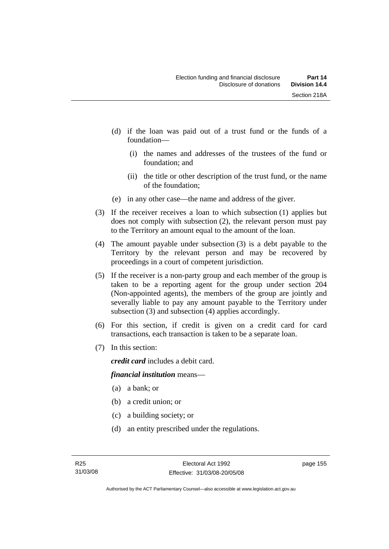- (d) if the loan was paid out of a trust fund or the funds of a foundation—
	- (i) the names and addresses of the trustees of the fund or foundation; and
	- (ii) the title or other description of the trust fund, or the name of the foundation;
- (e) in any other case—the name and address of the giver.
- (3) If the receiver receives a loan to which subsection (1) applies but does not comply with subsection (2), the relevant person must pay to the Territory an amount equal to the amount of the loan.
- (4) The amount payable under subsection (3) is a debt payable to the Territory by the relevant person and may be recovered by proceedings in a court of competent jurisdiction.
- (5) If the receiver is a non-party group and each member of the group is taken to be a reporting agent for the group under section 204 (Non-appointed agents), the members of the group are jointly and severally liable to pay any amount payable to the Territory under subsection (3) and subsection (4) applies accordingly.
- (6) For this section, if credit is given on a credit card for card transactions, each transaction is taken to be a separate loan.
- (7) In this section:

*credit card* includes a debit card.

### *financial institution* means—

- (a) a bank; or
- (b) a credit union; or
- (c) a building society; or
- (d) an entity prescribed under the regulations.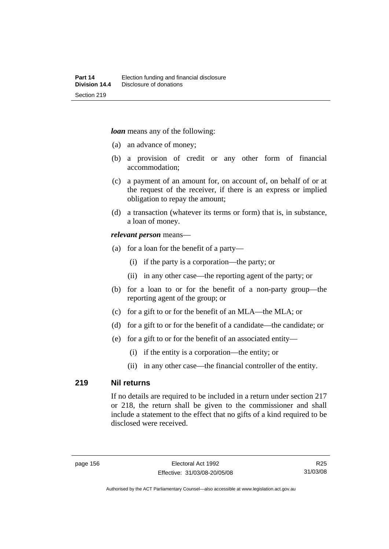*loan* means any of the following:

- (a) an advance of money;
- (b) a provision of credit or any other form of financial accommodation;
- (c) a payment of an amount for, on account of, on behalf of or at the request of the receiver, if there is an express or implied obligation to repay the amount;
- (d) a transaction (whatever its terms or form) that is, in substance, a loan of money.

#### *relevant person* means—

- (a) for a loan for the benefit of a party—
	- (i) if the party is a corporation—the party; or
	- (ii) in any other case—the reporting agent of the party; or
- (b) for a loan to or for the benefit of a non-party group—the reporting agent of the group; or
- (c) for a gift to or for the benefit of an MLA—the MLA; or
- (d) for a gift to or for the benefit of a candidate—the candidate; or
- (e) for a gift to or for the benefit of an associated entity—
	- (i) if the entity is a corporation—the entity; or
	- (ii) in any other case—the financial controller of the entity.

### **219 Nil returns**

If no details are required to be included in a return under section 217 or 218, the return shall be given to the commissioner and shall include a statement to the effect that no gifts of a kind required to be disclosed were received.

Authorised by the ACT Parliamentary Counsel—also accessible at www.legislation.act.gov.au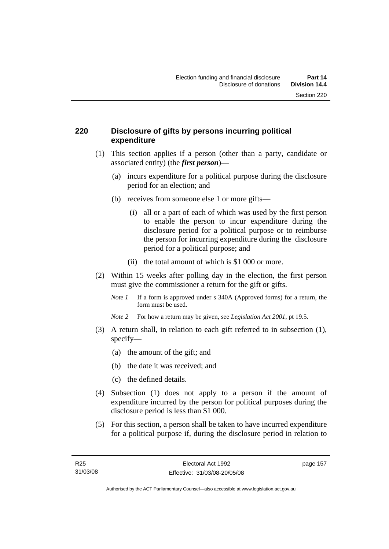# **220 Disclosure of gifts by persons incurring political expenditure**

- (1) This section applies if a person (other than a party, candidate or associated entity) (the *first person*)—
	- (a) incurs expenditure for a political purpose during the disclosure period for an election; and
	- (b) receives from someone else 1 or more gifts—
		- (i) all or a part of each of which was used by the first person to enable the person to incur expenditure during the disclosure period for a political purpose or to reimburse the person for incurring expenditure during the disclosure period for a political purpose; and
		- (ii) the total amount of which is \$1 000 or more.
- (2) Within 15 weeks after polling day in the election, the first person must give the commissioner a return for the gift or gifts.
	- *Note 1* If a form is approved under s 340A (Approved forms) for a return, the form must be used.
	- *Note 2* For how a return may be given, see *Legislation Act 2001*, pt 19.5.
- (3) A return shall, in relation to each gift referred to in subsection (1), specify—
	- (a) the amount of the gift; and
	- (b) the date it was received; and
	- (c) the defined details.
- (4) Subsection (1) does not apply to a person if the amount of expenditure incurred by the person for political purposes during the disclosure period is less than \$1 000.
- (5) For this section, a person shall be taken to have incurred expenditure for a political purpose if, during the disclosure period in relation to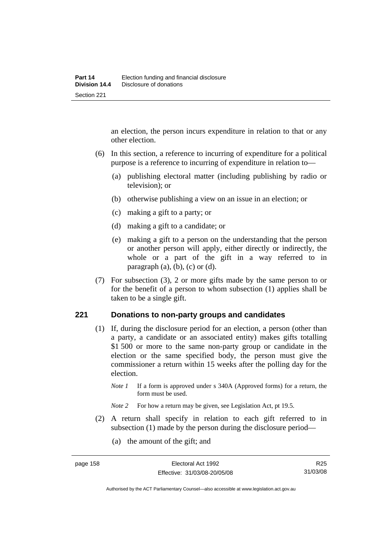an election, the person incurs expenditure in relation to that or any other election.

- (6) In this section, a reference to incurring of expenditure for a political purpose is a reference to incurring of expenditure in relation to—
	- (a) publishing electoral matter (including publishing by radio or television); or
	- (b) otherwise publishing a view on an issue in an election; or
	- (c) making a gift to a party; or
	- (d) making a gift to a candidate; or
	- (e) making a gift to a person on the understanding that the person or another person will apply, either directly or indirectly, the whole or a part of the gift in a way referred to in paragraph  $(a)$ ,  $(b)$ ,  $(c)$  or  $(d)$ .
- (7) For subsection (3), 2 or more gifts made by the same person to or for the benefit of a person to whom subsection (1) applies shall be taken to be a single gift.

### **221 Donations to non-party groups and candidates**

- (1) If, during the disclosure period for an election, a person (other than a party, a candidate or an associated entity) makes gifts totalling \$1,500 or more to the same non-party group or candidate in the election or the same specified body, the person must give the commissioner a return within 15 weeks after the polling day for the election.
	- *Note 1* If a form is approved under s 340A (Approved forms) for a return, the form must be used.
	- *Note* 2 For how a return may be given, see Legislation Act, pt 19.5.
- (2) A return shall specify in relation to each gift referred to in subsection (1) made by the person during the disclosure period—
	- (a) the amount of the gift; and

Authorised by the ACT Parliamentary Counsel—also accessible at www.legislation.act.gov.au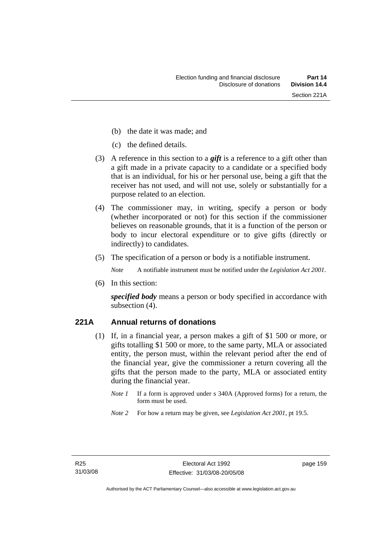- (b) the date it was made; and
- (c) the defined details.
- (3) A reference in this section to a *gift* is a reference to a gift other than a gift made in a private capacity to a candidate or a specified body that is an individual, for his or her personal use, being a gift that the receiver has not used, and will not use, solely or substantially for a purpose related to an election.
- (4) The commissioner may, in writing, specify a person or body (whether incorporated or not) for this section if the commissioner believes on reasonable grounds, that it is a function of the person or body to incur electoral expenditure or to give gifts (directly or indirectly) to candidates.
- (5) The specification of a person or body is a notifiable instrument.

*Note* A notifiable instrument must be notified under the *Legislation Act 2001*.

(6) In this section:

*specified body* means a person or body specified in accordance with subsection (4).

# **221A Annual returns of donations**

- (1) If, in a financial year, a person makes a gift of \$1 500 or more, or gifts totalling \$1 500 or more, to the same party, MLA or associated entity, the person must, within the relevant period after the end of the financial year, give the commissioner a return covering all the gifts that the person made to the party, MLA or associated entity during the financial year.
	- *Note 1* If a form is approved under s 340A (Approved forms) for a return, the form must be used.
	- *Note 2* For how a return may be given, see *Legislation Act 2001*, pt 19.5.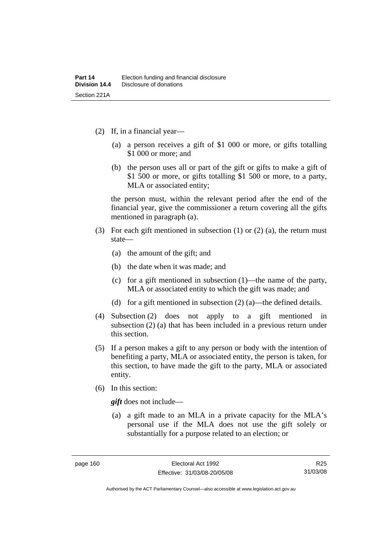- (2) If, in a financial year—
	- (a) a person receives a gift of \$1 000 or more, or gifts totalling \$1 000 or more; and
	- (b) the person uses all or part of the gift or gifts to make a gift of \$1 500 or more, or gifts totalling \$1 500 or more, to a party, MLA or associated entity;

the person must, within the relevant period after the end of the financial year, give the commissioner a return covering all the gifts mentioned in paragraph (a).

- (3) For each gift mentioned in subsection (1) or (2) (a), the return must state—
	- (a) the amount of the gift; and
	- (b) the date when it was made; and
	- (c) for a gift mentioned in subsection (1)—the name of the party, MLA or associated entity to which the gift was made; and
	- (d) for a gift mentioned in subsection (2) (a)—the defined details.
- (4) Subsection (2) does not apply to a gift mentioned in subsection (2) (a) that has been included in a previous return under this section.
- (5) If a person makes a gift to any person or body with the intention of benefiting a party, MLA or associated entity, the person is taken, for this section, to have made the gift to the party, MLA or associated entity.
- (6) In this section:

*gift* does not include—

 (a) a gift made to an MLA in a private capacity for the MLA's personal use if the MLA does not use the gift solely or substantially for a purpose related to an election; or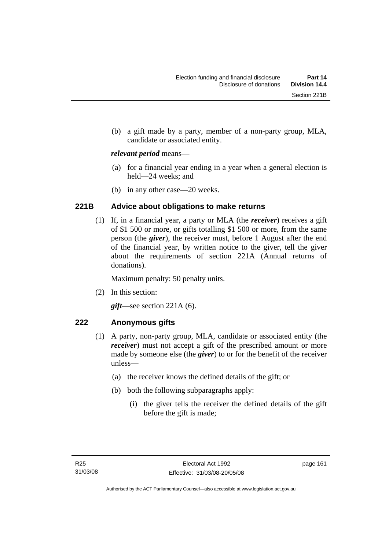(b) a gift made by a party, member of a non-party group, MLA, candidate or associated entity.

### *relevant period* means—

- (a) for a financial year ending in a year when a general election is held—24 weeks; and
- (b) in any other case—20 weeks.

# **221B Advice about obligations to make returns**

 (1) If, in a financial year, a party or MLA (the *receiver*) receives a gift of \$1 500 or more, or gifts totalling \$1 500 or more, from the same person (the *giver*), the receiver must, before 1 August after the end of the financial year, by written notice to the giver, tell the giver about the requirements of section 221A (Annual returns of donations).

Maximum penalty: 50 penalty units.

(2) In this section:

*gift*—see section 221A (6).

# **222 Anonymous gifts**

- (1) A party, non-party group, MLA, candidate or associated entity (the *receiver*) must not accept a gift of the prescribed amount or more made by someone else (the *giver*) to or for the benefit of the receiver unless—
	- (a) the receiver knows the defined details of the gift; or
	- (b) both the following subparagraphs apply:
		- (i) the giver tells the receiver the defined details of the gift before the gift is made;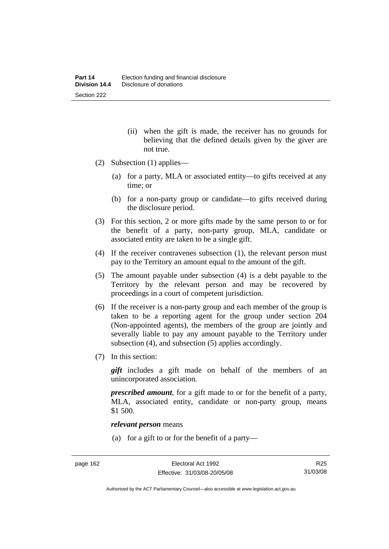- (ii) when the gift is made, the receiver has no grounds for believing that the defined details given by the giver are not true.
- (2) Subsection (1) applies—
	- (a) for a party, MLA or associated entity—to gifts received at any time; or
	- (b) for a non-party group or candidate—to gifts received during the disclosure period.
- (3) For this section, 2 or more gifts made by the same person to or for the benefit of a party, non-party group, MLA, candidate or associated entity are taken to be a single gift.
- (4) If the receiver contravenes subsection (1), the relevant person must pay to the Territory an amount equal to the amount of the gift.
- (5) The amount payable under subsection (4) is a debt payable to the Territory by the relevant person and may be recovered by proceedings in a court of competent jurisdiction.
- (6) If the receiver is a non-party group and each member of the group is taken to be a reporting agent for the group under section 204 (Non-appointed agents), the members of the group are jointly and severally liable to pay any amount payable to the Territory under subsection (4), and subsection (5) applies accordingly.
- (7) In this section:

*gift* includes a gift made on behalf of the members of an unincorporated association.

*prescribed amount*, for a gift made to or for the benefit of a party, MLA, associated entity, candidate or non-party group, means \$1 500.

#### *relevant person* means

(a) for a gift to or for the benefit of a party—

Authorised by the ACT Parliamentary Counsel—also accessible at www.legislation.act.gov.au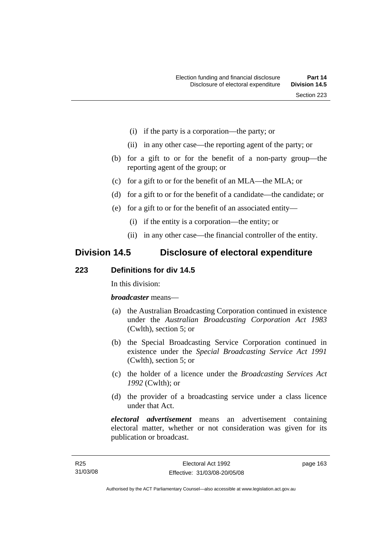- (i) if the party is a corporation—the party; or
- (ii) in any other case—the reporting agent of the party; or
- (b) for a gift to or for the benefit of a non-party group—the reporting agent of the group; or
- (c) for a gift to or for the benefit of an MLA—the MLA; or
- (d) for a gift to or for the benefit of a candidate—the candidate; or
- (e) for a gift to or for the benefit of an associated entity—
	- (i) if the entity is a corporation—the entity; or
	- (ii) in any other case—the financial controller of the entity.

# **Division 14.5 Disclosure of electoral expenditure**

# **223 Definitions for div 14.5**

In this division:

*broadcaster* means—

- (a) the Australian Broadcasting Corporation continued in existence under the *Australian Broadcasting Corporation Act 1983* (Cwlth), section 5; or
- (b) the Special Broadcasting Service Corporation continued in existence under the *Special Broadcasting Service Act 1991*  (Cwlth), section 5; or
- (c) the holder of a licence under the *Broadcasting Services Act 1992* (Cwlth); or
- (d) the provider of a broadcasting service under a class licence under that Act.

*electoral advertisement* means an advertisement containing electoral matter, whether or not consideration was given for its publication or broadcast.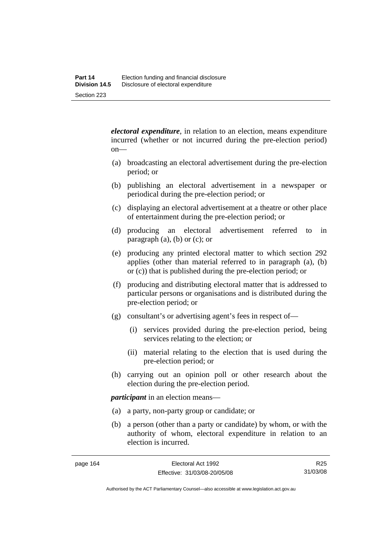*electoral expenditure*, in relation to an election, means expenditure incurred (whether or not incurred during the pre-election period) on—

- (a) broadcasting an electoral advertisement during the pre-election period; or
- (b) publishing an electoral advertisement in a newspaper or periodical during the pre-election period; or
- (c) displaying an electoral advertisement at a theatre or other place of entertainment during the pre-election period; or
- (d) producing an electoral advertisement referred to in paragraph  $(a)$ ,  $(b)$  or  $(c)$ ; or
- (e) producing any printed electoral matter to which section 292 applies (other than material referred to in paragraph (a), (b) or (c)) that is published during the pre-election period; or
- (f) producing and distributing electoral matter that is addressed to particular persons or organisations and is distributed during the pre-election period; or
- (g) consultant's or advertising agent's fees in respect of—
	- (i) services provided during the pre-election period, being services relating to the election; or
	- (ii) material relating to the election that is used during the pre-election period; or
- (h) carrying out an opinion poll or other research about the election during the pre-election period.

*participant* in an election means—

- (a) a party, non-party group or candidate; or
- (b) a person (other than a party or candidate) by whom, or with the authority of whom, electoral expenditure in relation to an election is incurred.

Authorised by the ACT Parliamentary Counsel—also accessible at www.legislation.act.gov.au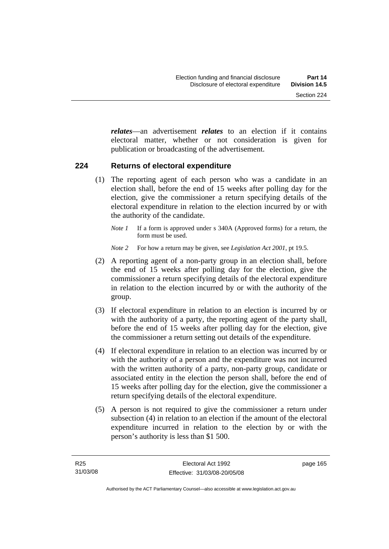*relates*—an advertisement *relates* to an election if it contains electoral matter, whether or not consideration is given for publication or broadcasting of the advertisement.

## **224 Returns of electoral expenditure**

- (1) The reporting agent of each person who was a candidate in an election shall, before the end of 15 weeks after polling day for the election, give the commissioner a return specifying details of the electoral expenditure in relation to the election incurred by or with the authority of the candidate.
	- *Note 1* If a form is approved under s 340A (Approved forms) for a return, the form must be used.
	- *Note 2* For how a return may be given, see *Legislation Act 2001*, pt 19.5.
- (2) A reporting agent of a non-party group in an election shall, before the end of 15 weeks after polling day for the election, give the commissioner a return specifying details of the electoral expenditure in relation to the election incurred by or with the authority of the group.
- (3) If electoral expenditure in relation to an election is incurred by or with the authority of a party, the reporting agent of the party shall, before the end of 15 weeks after polling day for the election, give the commissioner a return setting out details of the expenditure.
- (4) If electoral expenditure in relation to an election was incurred by or with the authority of a person and the expenditure was not incurred with the written authority of a party, non-party group, candidate or associated entity in the election the person shall, before the end of 15 weeks after polling day for the election, give the commissioner a return specifying details of the electoral expenditure.
- (5) A person is not required to give the commissioner a return under subsection (4) in relation to an election if the amount of the electoral expenditure incurred in relation to the election by or with the person's authority is less than \$1 500.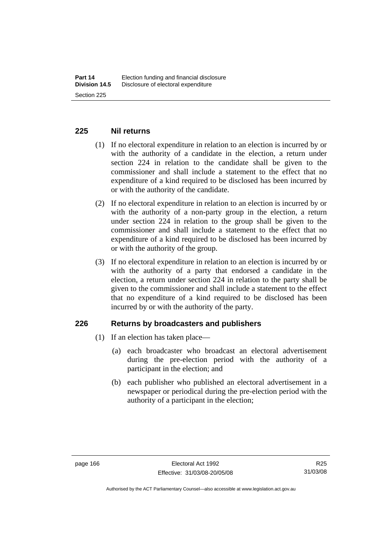# **225 Nil returns**

- (1) If no electoral expenditure in relation to an election is incurred by or with the authority of a candidate in the election, a return under section 224 in relation to the candidate shall be given to the commissioner and shall include a statement to the effect that no expenditure of a kind required to be disclosed has been incurred by or with the authority of the candidate.
- (2) If no electoral expenditure in relation to an election is incurred by or with the authority of a non-party group in the election, a return under section 224 in relation to the group shall be given to the commissioner and shall include a statement to the effect that no expenditure of a kind required to be disclosed has been incurred by or with the authority of the group.
- (3) If no electoral expenditure in relation to an election is incurred by or with the authority of a party that endorsed a candidate in the election, a return under section 224 in relation to the party shall be given to the commissioner and shall include a statement to the effect that no expenditure of a kind required to be disclosed has been incurred by or with the authority of the party.

## **226 Returns by broadcasters and publishers**

- (1) If an election has taken place—
	- (a) each broadcaster who broadcast an electoral advertisement during the pre-election period with the authority of a participant in the election; and
	- (b) each publisher who published an electoral advertisement in a newspaper or periodical during the pre-election period with the authority of a participant in the election;

Authorised by the ACT Parliamentary Counsel—also accessible at www.legislation.act.gov.au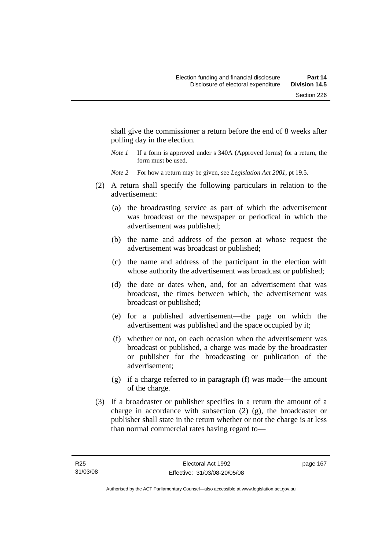shall give the commissioner a return before the end of 8 weeks after polling day in the election.

- *Note 1* If a form is approved under s 340A (Approved forms) for a return, the form must be used.
- *Note 2* For how a return may be given, see *Legislation Act 2001*, pt 19.5.
- (2) A return shall specify the following particulars in relation to the advertisement:
	- (a) the broadcasting service as part of which the advertisement was broadcast or the newspaper or periodical in which the advertisement was published;
	- (b) the name and address of the person at whose request the advertisement was broadcast or published;
	- (c) the name and address of the participant in the election with whose authority the advertisement was broadcast or published;
	- (d) the date or dates when, and, for an advertisement that was broadcast, the times between which, the advertisement was broadcast or published;
	- (e) for a published advertisement—the page on which the advertisement was published and the space occupied by it;
	- (f) whether or not, on each occasion when the advertisement was broadcast or published, a charge was made by the broadcaster or publisher for the broadcasting or publication of the advertisement;
	- (g) if a charge referred to in paragraph (f) was made—the amount of the charge.
- (3) If a broadcaster or publisher specifies in a return the amount of a charge in accordance with subsection (2) (g), the broadcaster or publisher shall state in the return whether or not the charge is at less than normal commercial rates having regard to—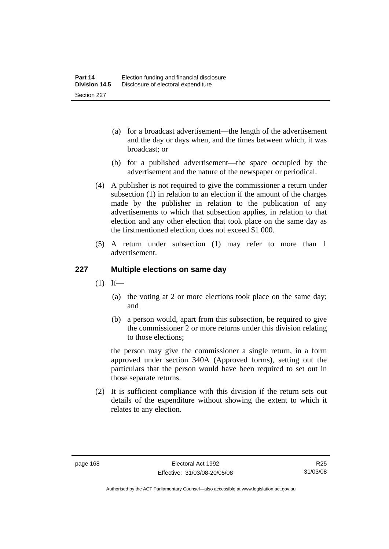- (a) for a broadcast advertisement—the length of the advertisement and the day or days when, and the times between which, it was broadcast; or
- (b) for a published advertisement—the space occupied by the advertisement and the nature of the newspaper or periodical.
- (4) A publisher is not required to give the commissioner a return under subsection (1) in relation to an election if the amount of the charges made by the publisher in relation to the publication of any advertisements to which that subsection applies, in relation to that election and any other election that took place on the same day as the firstmentioned election, does not exceed \$1 000.
- (5) A return under subsection (1) may refer to more than 1 advertisement.

# **227 Multiple elections on same day**

- $(1)$  If—
	- (a) the voting at 2 or more elections took place on the same day; and
	- (b) a person would, apart from this subsection, be required to give the commissioner 2 or more returns under this division relating to those elections;

the person may give the commissioner a single return, in a form approved under section 340A (Approved forms), setting out the particulars that the person would have been required to set out in those separate returns.

 (2) It is sufficient compliance with this division if the return sets out details of the expenditure without showing the extent to which it relates to any election.

Authorised by the ACT Parliamentary Counsel—also accessible at www.legislation.act.gov.au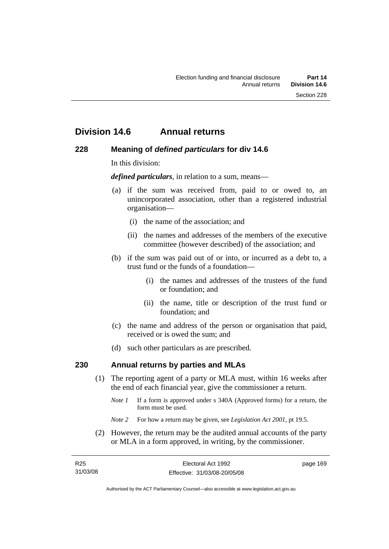# **Division 14.6 Annual returns**

# **228 Meaning of** *defined particulars* **for div 14.6**

In this division:

*defined particulars*, in relation to a sum, means—

- (a) if the sum was received from, paid to or owed to, an unincorporated association, other than a registered industrial organisation—
	- (i) the name of the association; and
	- (ii) the names and addresses of the members of the executive committee (however described) of the association; and
- (b) if the sum was paid out of or into, or incurred as a debt to, a trust fund or the funds of a foundation—
	- (i) the names and addresses of the trustees of the fund or foundation; and
	- (ii) the name, title or description of the trust fund or foundation; and
- (c) the name and address of the person or organisation that paid, received or is owed the sum; and
- (d) such other particulars as are prescribed.

## **230 Annual returns by parties and MLAs**

- (1) The reporting agent of a party or MLA must, within 16 weeks after the end of each financial year, give the commissioner a return.
	- *Note 1* If a form is approved under s 340A (Approved forms) for a return, the form must be used.
	- *Note 2* For how a return may be given, see *Legislation Act 2001*, pt 19.5.
- (2) However, the return may be the audited annual accounts of the party or MLA in a form approved, in writing, by the commissioner.

| R25      | Electoral Act 1992           | page 169 |
|----------|------------------------------|----------|
| 31/03/08 | Effective: 31/03/08-20/05/08 |          |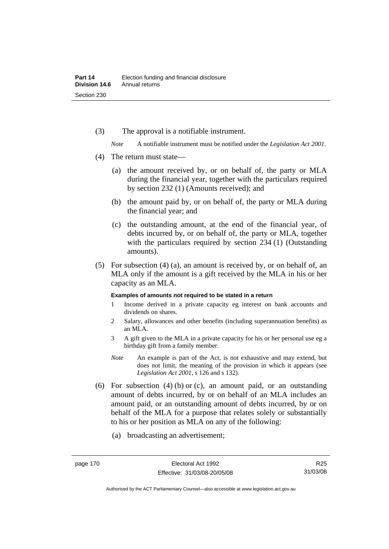(3) The approval is a notifiable instrument.

*Note* A notifiable instrument must be notified under the *Legislation Act 2001*.

- (4) The return must state—
	- (a) the amount received by, or on behalf of, the party or MLA during the financial year, together with the particulars required by section 232 (1) (Amounts received); and
	- (b) the amount paid by, or on behalf of, the party or MLA during the financial year; and
	- (c) the outstanding amount, at the end of the financial year, of debts incurred by, or on behalf of, the party or MLA, together with the particulars required by section 234 (1) (Outstanding amounts).
- (5) For subsection (4) (a), an amount is received by, or on behalf of, an MLA only if the amount is a gift received by the MLA in his or her capacity as an MLA.

#### **Examples of amounts not required to be stated in a return**

- 1 Income derived in a private capacity eg interest on bank accounts and dividends on shares.
- 2 Salary, allowances and other benefits (including superannuation benefits) as an MLA.
- 3 A gift given to the MLA in a private capacity for his or her personal use eg a birthday gift from a family member.
- *Note* An example is part of the Act, is not exhaustive and may extend, but does not limit, the meaning of the provision in which it appears (see *Legislation Act 2001*, s 126 and s 132).
- (6) For subsection  $(4)$  (b) or (c), an amount paid, or an outstanding amount of debts incurred, by or on behalf of an MLA includes an amount paid, or an outstanding amount of debts incurred, by or on behalf of the MLA for a purpose that relates solely or substantially to his or her position as MLA on any of the following:
	- (a) broadcasting an advertisement;

Authorised by the ACT Parliamentary Counsel—also accessible at www.legislation.act.gov.au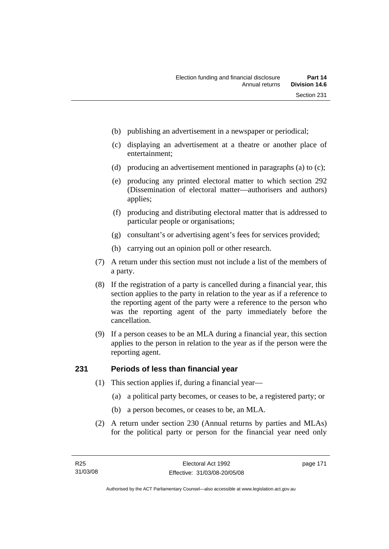- (b) publishing an advertisement in a newspaper or periodical;
- (c) displaying an advertisement at a theatre or another place of entertainment;
- (d) producing an advertisement mentioned in paragraphs (a) to (c);
- (e) producing any printed electoral matter to which section 292 (Dissemination of electoral matter—authorisers and authors) applies;
- (f) producing and distributing electoral matter that is addressed to particular people or organisations;
- (g) consultant's or advertising agent's fees for services provided;
- (h) carrying out an opinion poll or other research.
- (7) A return under this section must not include a list of the members of a party.
- (8) If the registration of a party is cancelled during a financial year, this section applies to the party in relation to the year as if a reference to the reporting agent of the party were a reference to the person who was the reporting agent of the party immediately before the cancellation.
- (9) If a person ceases to be an MLA during a financial year, this section applies to the person in relation to the year as if the person were the reporting agent.

# **231 Periods of less than financial year**

- (1) This section applies if, during a financial year—
	- (a) a political party becomes, or ceases to be, a registered party; or
	- (b) a person becomes, or ceases to be, an MLA.
- (2) A return under section 230 (Annual returns by parties and MLAs) for the political party or person for the financial year need only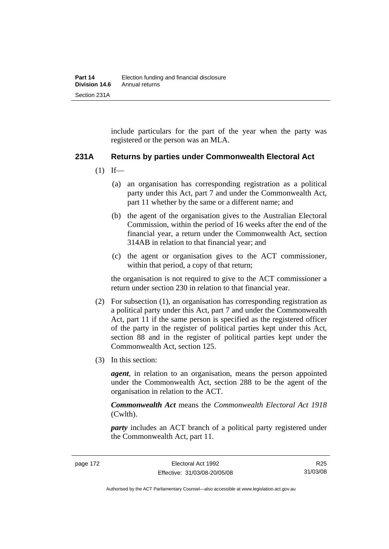include particulars for the part of the year when the party was registered or the person was an MLA.

# **231A Returns by parties under Commonwealth Electoral Act**

- $(1)$  If—
	- (a) an organisation has corresponding registration as a political party under this Act, part 7 and under the Commonwealth Act, part 11 whether by the same or a different name; and
	- (b) the agent of the organisation gives to the Australian Electoral Commission, within the period of 16 weeks after the end of the financial year, a return under the Commonwealth Act, section 314AB in relation to that financial year; and
	- (c) the agent or organisation gives to the ACT commissioner, within that period, a copy of that return;

the organisation is not required to give to the ACT commissioner a return under section 230 in relation to that financial year.

- (2) For subsection (1), an organisation has corresponding registration as a political party under this Act, part 7 and under the Commonwealth Act, part 11 if the same person is specified as the registered officer of the party in the register of political parties kept under this Act, section 88 and in the register of political parties kept under the Commonwealth Act, section 125.
- (3) In this section:

*agent*, in relation to an organisation, means the person appointed under the Commonwealth Act, section 288 to be the agent of the organisation in relation to the ACT.

*Commonwealth Act* means the *Commonwealth Electoral Act 1918* (Cwlth).

*party* includes an ACT branch of a political party registered under the Commonwealth Act, part 11.

R25 31/03/08

Authorised by the ACT Parliamentary Counsel—also accessible at www.legislation.act.gov.au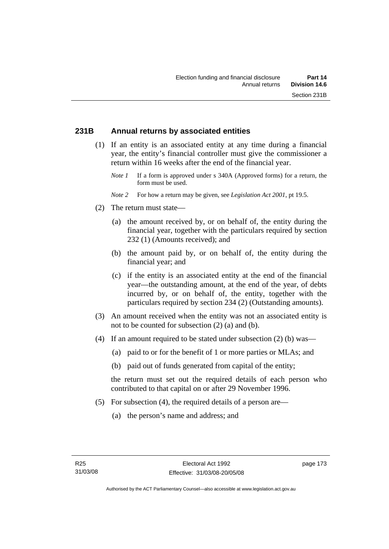# **231B Annual returns by associated entities**

- (1) If an entity is an associated entity at any time during a financial year, the entity's financial controller must give the commissioner a return within 16 weeks after the end of the financial year.
	- *Note 1* If a form is approved under s 340A (Approved forms) for a return, the form must be used.
	- *Note 2* For how a return may be given, see *Legislation Act 2001*, pt 19.5.
- (2) The return must state—
	- (a) the amount received by, or on behalf of, the entity during the financial year, together with the particulars required by section 232 (1) (Amounts received); and
	- (b) the amount paid by, or on behalf of, the entity during the financial year; and
	- (c) if the entity is an associated entity at the end of the financial year—the outstanding amount, at the end of the year, of debts incurred by, or on behalf of, the entity, together with the particulars required by section 234 (2) (Outstanding amounts).
- (3) An amount received when the entity was not an associated entity is not to be counted for subsection (2) (a) and (b).
- (4) If an amount required to be stated under subsection (2) (b) was—
	- (a) paid to or for the benefit of 1 or more parties or MLAs; and
	- (b) paid out of funds generated from capital of the entity;

the return must set out the required details of each person who contributed to that capital on or after 29 November 1996.

- (5) For subsection (4), the required details of a person are—
	- (a) the person's name and address; and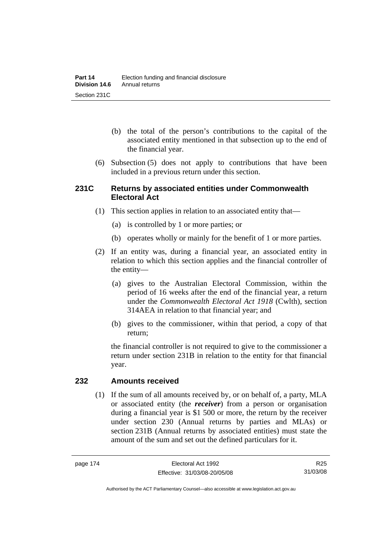- (b) the total of the person's contributions to the capital of the associated entity mentioned in that subsection up to the end of the financial year.
- (6) Subsection (5) does not apply to contributions that have been included in a previous return under this section.

## **231C Returns by associated entities under Commonwealth Electoral Act**

- (1) This section applies in relation to an associated entity that—
	- (a) is controlled by 1 or more parties; or
	- (b) operates wholly or mainly for the benefit of 1 or more parties.
- (2) If an entity was, during a financial year, an associated entity in relation to which this section applies and the financial controller of the entity—
	- (a) gives to the Australian Electoral Commission, within the period of 16 weeks after the end of the financial year, a return under the *Commonwealth Electoral Act 1918* (Cwlth), section 314AEA in relation to that financial year; and
	- (b) gives to the commissioner, within that period, a copy of that return;

the financial controller is not required to give to the commissioner a return under section 231B in relation to the entity for that financial year.

## **232 Amounts received**

 (1) If the sum of all amounts received by, or on behalf of, a party, MLA or associated entity (the *receiver*) from a person or organisation during a financial year is \$1 500 or more, the return by the receiver under section 230 (Annual returns by parties and MLAs) or section 231B (Annual returns by associated entities) must state the amount of the sum and set out the defined particulars for it.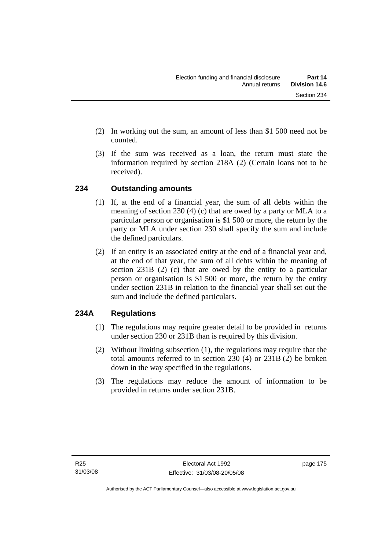- (2) In working out the sum, an amount of less than \$1 500 need not be counted.
- (3) If the sum was received as a loan, the return must state the information required by section 218A (2) (Certain loans not to be received).

# **234 Outstanding amounts**

- (1) If, at the end of a financial year, the sum of all debts within the meaning of section 230 (4) (c) that are owed by a party or MLA to a particular person or organisation is \$1 500 or more, the return by the party or MLA under section 230 shall specify the sum and include the defined particulars.
- (2) If an entity is an associated entity at the end of a financial year and, at the end of that year, the sum of all debts within the meaning of section 231B (2) (c) that are owed by the entity to a particular person or organisation is \$1 500 or more, the return by the entity under section 231B in relation to the financial year shall set out the sum and include the defined particulars.

# **234A Regulations**

- (1) The regulations may require greater detail to be provided in returns under section 230 or 231B than is required by this division.
- (2) Without limiting subsection (1), the regulations may require that the total amounts referred to in section 230 (4) or 231B (2) be broken down in the way specified in the regulations.
- (3) The regulations may reduce the amount of information to be provided in returns under section 231B.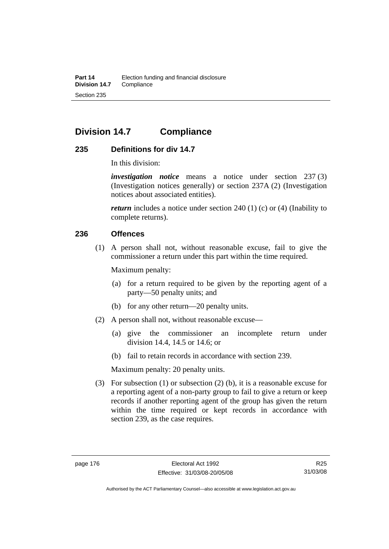# **Division 14.7 Compliance**

# **235 Definitions for div 14.7**

In this division:

*investigation notice* means a notice under section 237 (3) (Investigation notices generally) or section 237A (2) (Investigation notices about associated entities).

*return* includes a notice under section 240 (1) (c) or (4) (Inability to complete returns).

## **236 Offences**

 (1) A person shall not, without reasonable excuse, fail to give the commissioner a return under this part within the time required.

Maximum penalty:

- (a) for a return required to be given by the reporting agent of a party—50 penalty units; and
- (b) for any other return—20 penalty units.
- (2) A person shall not, without reasonable excuse—
	- (a) give the commissioner an incomplete return under division 14.4, 14.5 or 14.6; or
	- (b) fail to retain records in accordance with section 239.

Maximum penalty: 20 penalty units.

 (3) For subsection (1) or subsection (2) (b), it is a reasonable excuse for a reporting agent of a non-party group to fail to give a return or keep records if another reporting agent of the group has given the return within the time required or kept records in accordance with section 239, as the case requires.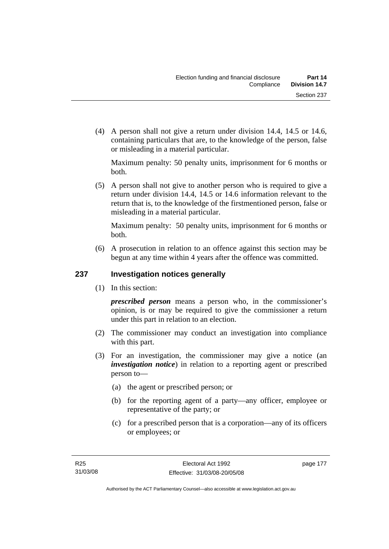(4) A person shall not give a return under division 14.4, 14.5 or 14.6, containing particulars that are, to the knowledge of the person, false or misleading in a material particular.

Maximum penalty: 50 penalty units, imprisonment for 6 months or both.

 (5) A person shall not give to another person who is required to give a return under division 14.4, 14.5 or 14.6 information relevant to the return that is, to the knowledge of the firstmentioned person, false or misleading in a material particular.

Maximum penalty: 50 penalty units, imprisonment for 6 months or both.

 (6) A prosecution in relation to an offence against this section may be begun at any time within 4 years after the offence was committed.

# **237 Investigation notices generally**

(1) In this section:

*prescribed person* means a person who, in the commissioner's opinion, is or may be required to give the commissioner a return under this part in relation to an election.

- (2) The commissioner may conduct an investigation into compliance with this part.
- (3) For an investigation, the commissioner may give a notice (an *investigation notice*) in relation to a reporting agent or prescribed person to—
	- (a) the agent or prescribed person; or
	- (b) for the reporting agent of a party—any officer, employee or representative of the party; or
	- (c) for a prescribed person that is a corporation—any of its officers or employees; or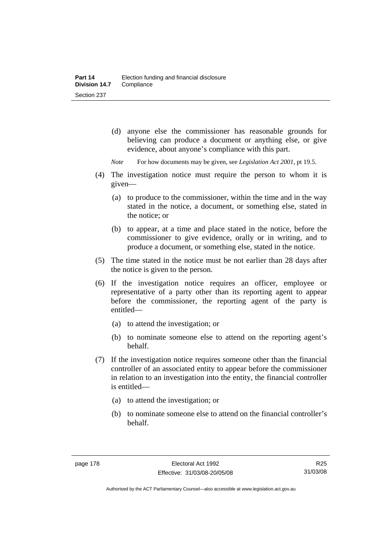- (d) anyone else the commissioner has reasonable grounds for believing can produce a document or anything else, or give evidence, about anyone's compliance with this part.
- *Note* For how documents may be given, see *Legislation Act 2001*, pt 19.5.
- (4) The investigation notice must require the person to whom it is given—
	- (a) to produce to the commissioner, within the time and in the way stated in the notice, a document, or something else, stated in the notice; or
	- (b) to appear, at a time and place stated in the notice, before the commissioner to give evidence, orally or in writing, and to produce a document, or something else, stated in the notice.
- (5) The time stated in the notice must be not earlier than 28 days after the notice is given to the person.
- (6) If the investigation notice requires an officer, employee or representative of a party other than its reporting agent to appear before the commissioner, the reporting agent of the party is entitled—
	- (a) to attend the investigation; or
	- (b) to nominate someone else to attend on the reporting agent's behalf.
- (7) If the investigation notice requires someone other than the financial controller of an associated entity to appear before the commissioner in relation to an investigation into the entity, the financial controller is entitled—
	- (a) to attend the investigation; or
	- (b) to nominate someone else to attend on the financial controller's behalf.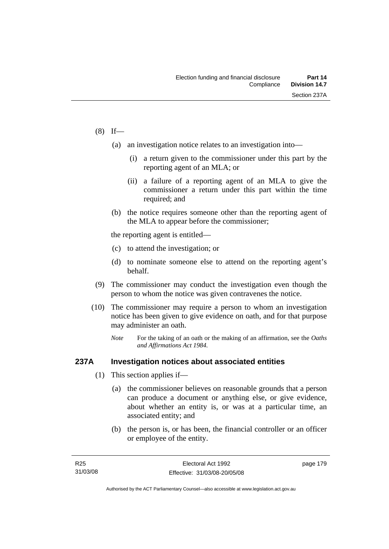#### $(8)$  If—

- (a) an investigation notice relates to an investigation into—
	- (i) a return given to the commissioner under this part by the reporting agent of an MLA; or
	- (ii) a failure of a reporting agent of an MLA to give the commissioner a return under this part within the time required; and
- (b) the notice requires someone other than the reporting agent of the MLA to appear before the commissioner;

the reporting agent is entitled—

- (c) to attend the investigation; or
- (d) to nominate someone else to attend on the reporting agent's behalf.
- (9) The commissioner may conduct the investigation even though the person to whom the notice was given contravenes the notice.
- (10) The commissioner may require a person to whom an investigation notice has been given to give evidence on oath, and for that purpose may administer an oath.
	- *Note* For the taking of an oath or the making of an affirmation, see the *Oaths and Affirmations Act 1984.*

## **237A Investigation notices about associated entities**

- (1) This section applies if—
	- (a) the commissioner believes on reasonable grounds that a person can produce a document or anything else, or give evidence, about whether an entity is, or was at a particular time, an associated entity; and
	- (b) the person is, or has been, the financial controller or an officer or employee of the entity.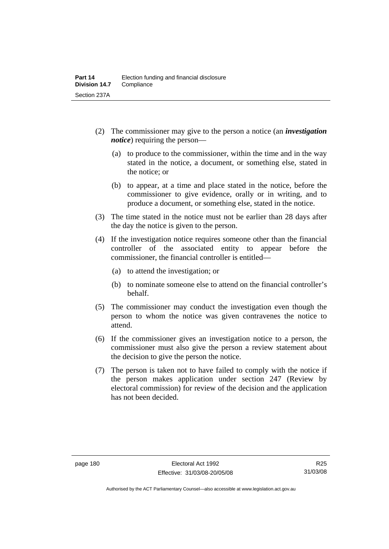- (2) The commissioner may give to the person a notice (an *investigation notice*) requiring the person—
	- (a) to produce to the commissioner, within the time and in the way stated in the notice, a document, or something else, stated in the notice; or
	- (b) to appear, at a time and place stated in the notice, before the commissioner to give evidence, orally or in writing, and to produce a document, or something else, stated in the notice.
- (3) The time stated in the notice must not be earlier than 28 days after the day the notice is given to the person.
- (4) If the investigation notice requires someone other than the financial controller of the associated entity to appear before the commissioner, the financial controller is entitled—
	- (a) to attend the investigation; or
	- (b) to nominate someone else to attend on the financial controller's behalf.
- (5) The commissioner may conduct the investigation even though the person to whom the notice was given contravenes the notice to attend.
- (6) If the commissioner gives an investigation notice to a person, the commissioner must also give the person a review statement about the decision to give the person the notice.
- (7) The person is taken not to have failed to comply with the notice if the person makes application under section 247 (Review by electoral commission) for review of the decision and the application has not been decided.

Authorised by the ACT Parliamentary Counsel—also accessible at www.legislation.act.gov.au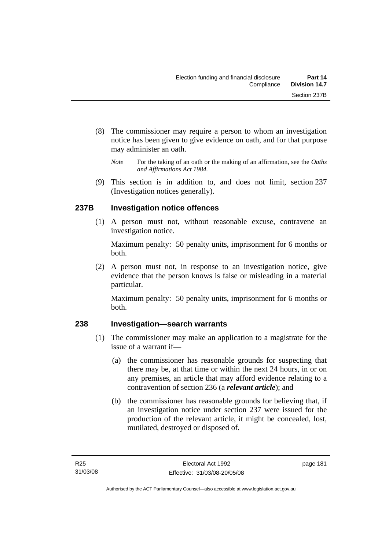- (8) The commissioner may require a person to whom an investigation notice has been given to give evidence on oath, and for that purpose may administer an oath.
	- *Note* For the taking of an oath or the making of an affirmation, see the *Oaths and Affirmations Act 1984.*
- (9) This section is in addition to, and does not limit, section 237 (Investigation notices generally).

# **237B Investigation notice offences**

 (1) A person must not, without reasonable excuse, contravene an investigation notice.

Maximum penalty: 50 penalty units, imprisonment for 6 months or both.

 (2) A person must not, in response to an investigation notice, give evidence that the person knows is false or misleading in a material particular.

Maximum penalty: 50 penalty units, imprisonment for 6 months or both.

# **238 Investigation—search warrants**

- (1) The commissioner may make an application to a magistrate for the issue of a warrant if—
	- (a) the commissioner has reasonable grounds for suspecting that there may be, at that time or within the next 24 hours, in or on any premises, an article that may afford evidence relating to a contravention of section 236 (a *relevant article*); and
	- (b) the commissioner has reasonable grounds for believing that, if an investigation notice under section 237 were issued for the production of the relevant article, it might be concealed, lost, mutilated, destroyed or disposed of.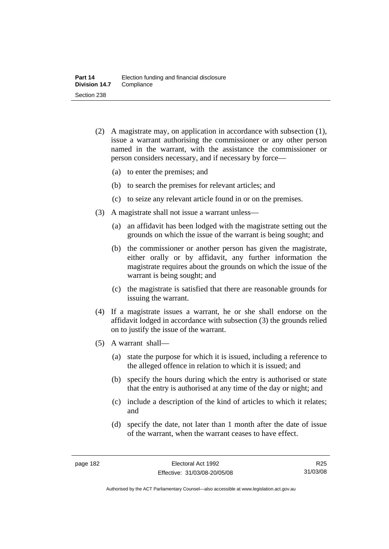- (2) A magistrate may, on application in accordance with subsection (1), issue a warrant authorising the commissioner or any other person named in the warrant, with the assistance the commissioner or person considers necessary, and if necessary by force—
	- (a) to enter the premises; and
	- (b) to search the premises for relevant articles; and
	- (c) to seize any relevant article found in or on the premises.
- (3) A magistrate shall not issue a warrant unless—
	- (a) an affidavit has been lodged with the magistrate setting out the grounds on which the issue of the warrant is being sought; and
	- (b) the commissioner or another person has given the magistrate, either orally or by affidavit, any further information the magistrate requires about the grounds on which the issue of the warrant is being sought; and
	- (c) the magistrate is satisfied that there are reasonable grounds for issuing the warrant.
- (4) If a magistrate issues a warrant, he or she shall endorse on the affidavit lodged in accordance with subsection (3) the grounds relied on to justify the issue of the warrant.
- (5) A warrant shall—
	- (a) state the purpose for which it is issued, including a reference to the alleged offence in relation to which it is issued; and
	- (b) specify the hours during which the entry is authorised or state that the entry is authorised at any time of the day or night; and
	- (c) include a description of the kind of articles to which it relates; and
	- (d) specify the date, not later than 1 month after the date of issue of the warrant, when the warrant ceases to have effect.

R25 31/03/08

Authorised by the ACT Parliamentary Counsel—also accessible at www.legislation.act.gov.au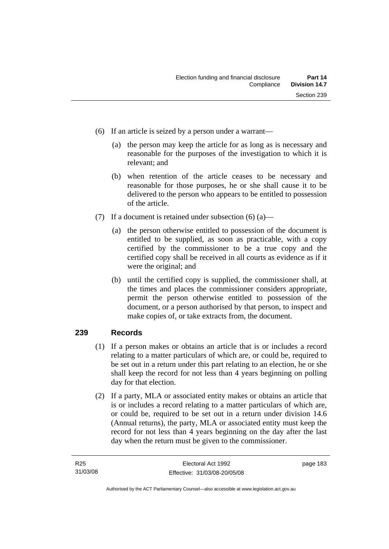- (6) If an article is seized by a person under a warrant—
	- (a) the person may keep the article for as long as is necessary and reasonable for the purposes of the investigation to which it is relevant; and
	- (b) when retention of the article ceases to be necessary and reasonable for those purposes, he or she shall cause it to be delivered to the person who appears to be entitled to possession of the article.
- (7) If a document is retained under subsection  $(6)$  (a)—
	- (a) the person otherwise entitled to possession of the document is entitled to be supplied, as soon as practicable, with a copy certified by the commissioner to be a true copy and the certified copy shall be received in all courts as evidence as if it were the original; and
	- (b) until the certified copy is supplied, the commissioner shall, at the times and places the commissioner considers appropriate, permit the person otherwise entitled to possession of the document, or a person authorised by that person, to inspect and make copies of, or take extracts from, the document.

# **239 Records**

- (1) If a person makes or obtains an article that is or includes a record relating to a matter particulars of which are, or could be, required to be set out in a return under this part relating to an election, he or she shall keep the record for not less than 4 years beginning on polling day for that election.
- (2) If a party, MLA or associated entity makes or obtains an article that is or includes a record relating to a matter particulars of which are, or could be, required to be set out in a return under division 14.6 (Annual returns), the party, MLA or associated entity must keep the record for not less than 4 years beginning on the day after the last day when the return must be given to the commissioner.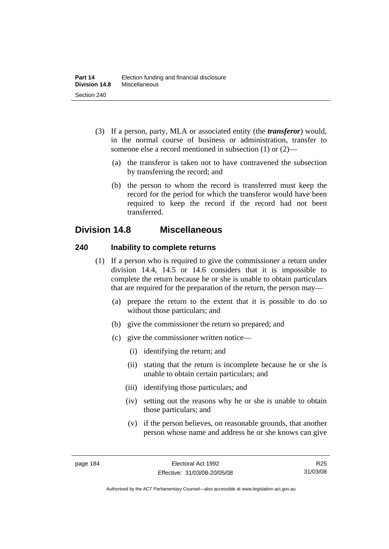- (3) If a person, party, MLA or associated entity (the *transferor*) would, in the normal course of business or administration, transfer to someone else a record mentioned in subsection (1) or (2)—
	- (a) the transferor is taken not to have contravened the subsection by transferring the record; and
	- (b) the person to whom the record is transferred must keep the record for the period for which the transferor would have been required to keep the record if the record had not been transferred.

# **Division 14.8 Miscellaneous**

# **240 Inability to complete returns**

- (1) If a person who is required to give the commissioner a return under division 14.4, 14.5 or 14.6 considers that it is impossible to complete the return because he or she is unable to obtain particulars that are required for the preparation of the return, the person may—
	- (a) prepare the return to the extent that it is possible to do so without those particulars; and
	- (b) give the commissioner the return so prepared; and
	- (c) give the commissioner written notice—
		- (i) identifying the return; and
		- (ii) stating that the return is incomplete because he or she is unable to obtain certain particulars; and
		- (iii) identifying those particulars; and
		- (iv) setting out the reasons why he or she is unable to obtain those particulars; and
		- (v) if the person believes, on reasonable grounds, that another person whose name and address he or she knows can give

R25 31/03/08

Authorised by the ACT Parliamentary Counsel—also accessible at www.legislation.act.gov.au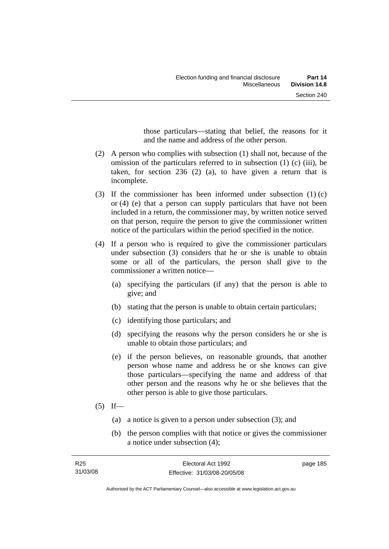those particulars—stating that belief, the reasons for it and the name and address of the other person.

- (2) A person who complies with subsection (1) shall not, because of the omission of the particulars referred to in subsection (1) (c) (iii), be taken, for section 236 (2) (a), to have given a return that is incomplete.
- (3) If the commissioner has been informed under subsection (1) (c) or (4) (e) that a person can supply particulars that have not been included in a return, the commissioner may, by written notice served on that person, require the person to give the commissioner written notice of the particulars within the period specified in the notice.
- (4) If a person who is required to give the commissioner particulars under subsection (3) considers that he or she is unable to obtain some or all of the particulars, the person shall give to the commissioner a written notice—
	- (a) specifying the particulars (if any) that the person is able to give; and
	- (b) stating that the person is unable to obtain certain particulars;
	- (c) identifying those particulars; and
	- (d) specifying the reasons why the person considers he or she is unable to obtain those particulars; and
	- (e) if the person believes, on reasonable grounds, that another person whose name and address he or she knows can give those particulars—specifying the name and address of that other person and the reasons why he or she believes that the other person is able to give those particulars.
- $(5)$  If—
	- (a) a notice is given to a person under subsection (3); and
	- (b) the person complies with that notice or gives the commissioner a notice under subsection (4);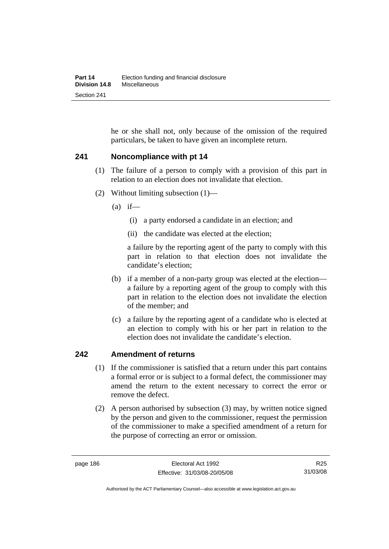he or she shall not, only because of the omission of the required particulars, be taken to have given an incomplete return.

# **241 Noncompliance with pt 14**

- (1) The failure of a person to comply with a provision of this part in relation to an election does not invalidate that election.
- (2) Without limiting subsection (1)—
	- $(a)$  if—
		- (i) a party endorsed a candidate in an election; and
		- (ii) the candidate was elected at the election;

a failure by the reporting agent of the party to comply with this part in relation to that election does not invalidate the candidate's election;

- (b) if a member of a non-party group was elected at the election a failure by a reporting agent of the group to comply with this part in relation to the election does not invalidate the election of the member; and
- (c) a failure by the reporting agent of a candidate who is elected at an election to comply with his or her part in relation to the election does not invalidate the candidate's election.

# **242 Amendment of returns**

- (1) If the commissioner is satisfied that a return under this part contains a formal error or is subject to a formal defect, the commissioner may amend the return to the extent necessary to correct the error or remove the defect.
- (2) A person authorised by subsection (3) may, by written notice signed by the person and given to the commissioner, request the permission of the commissioner to make a specified amendment of a return for the purpose of correcting an error or omission.

R25 31/03/08

Authorised by the ACT Parliamentary Counsel—also accessible at www.legislation.act.gov.au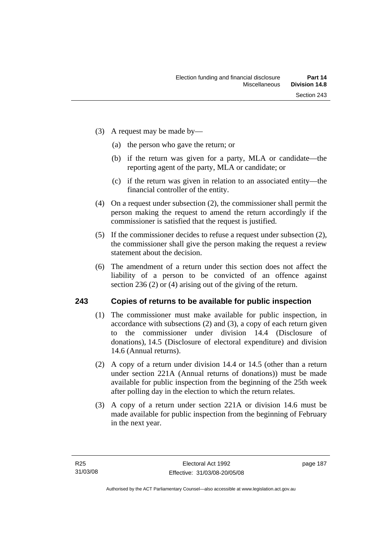- (3) A request may be made by—
	- (a) the person who gave the return; or
	- (b) if the return was given for a party, MLA or candidate—the reporting agent of the party, MLA or candidate; or
	- (c) if the return was given in relation to an associated entity—the financial controller of the entity.
- (4) On a request under subsection (2), the commissioner shall permit the person making the request to amend the return accordingly if the commissioner is satisfied that the request is justified.
- (5) If the commissioner decides to refuse a request under subsection (2), the commissioner shall give the person making the request a review statement about the decision.
- (6) The amendment of a return under this section does not affect the liability of a person to be convicted of an offence against section 236 (2) or (4) arising out of the giving of the return.

# **243 Copies of returns to be available for public inspection**

- (1) The commissioner must make available for public inspection, in accordance with subsections (2) and (3), a copy of each return given to the commissioner under division 14.4 (Disclosure of donations), 14.5 (Disclosure of electoral expenditure) and division 14.6 (Annual returns).
- (2) A copy of a return under division 14.4 or 14.5 (other than a return under section 221A (Annual returns of donations)) must be made available for public inspection from the beginning of the 25th week after polling day in the election to which the return relates.
- (3) A copy of a return under section 221A or division 14.6 must be made available for public inspection from the beginning of February in the next year.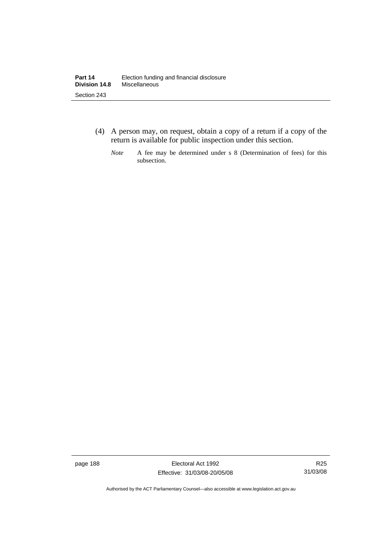- (4) A person may, on request, obtain a copy of a return if a copy of the return is available for public inspection under this section.
	- *Note* A fee may be determined under s 8 (Determination of fees) for this subsection.

page 188 **Electoral Act 1992** Effective: 31/03/08-20/05/08

Authorised by the ACT Parliamentary Counsel—also accessible at www.legislation.act.gov.au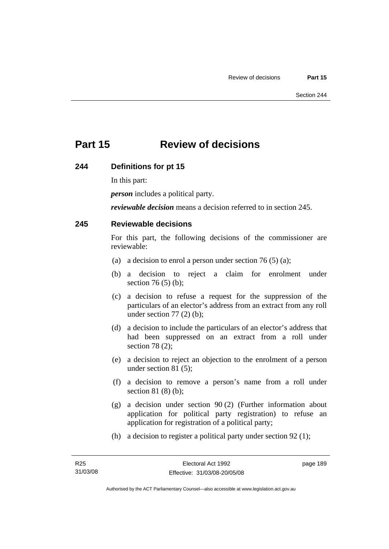# **Part 15 Review of decisions**

## **244 Definitions for pt 15**

In this part:

*person* includes a political party.

*reviewable decision* means a decision referred to in section 245.

# **245 Reviewable decisions**

For this part, the following decisions of the commissioner are reviewable:

- (a) a decision to enrol a person under section 76 (5) (a);
- (b) a decision to reject a claim for enrolment under section 76 (5) (b);
- (c) a decision to refuse a request for the suppression of the particulars of an elector's address from an extract from any roll under section  $77(2)$  (b);
- (d) a decision to include the particulars of an elector's address that had been suppressed on an extract from a roll under section 78 (2);
- (e) a decision to reject an objection to the enrolment of a person under section 81 (5);
- (f) a decision to remove a person's name from a roll under section 81 (8) (b);
- (g) a decision under section 90 (2) (Further information about application for political party registration) to refuse an application for registration of a political party;
- (h) a decision to register a political party under section 92 (1);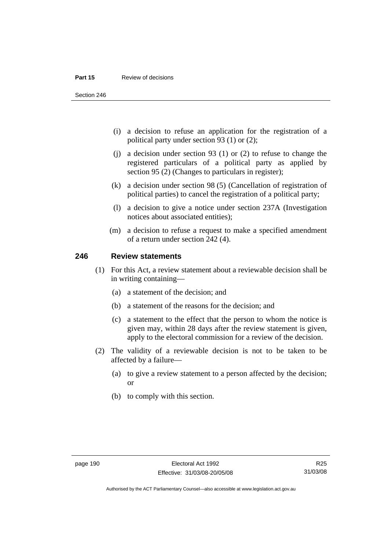#### **Part 15** Review of decisions

Section 246

- (i) a decision to refuse an application for the registration of a political party under section 93 (1) or (2);
- (j) a decision under section 93 (1) or (2) to refuse to change the registered particulars of a political party as applied by section 95 (2) (Changes to particulars in register);
- (k) a decision under section 98 (5) (Cancellation of registration of political parties) to cancel the registration of a political party;
- (l) a decision to give a notice under section 237A (Investigation notices about associated entities);
- (m) a decision to refuse a request to make a specified amendment of a return under section 242 (4).

#### **246 Review statements**

- (1) For this Act, a review statement about a reviewable decision shall be in writing containing—
	- (a) a statement of the decision; and
	- (b) a statement of the reasons for the decision; and
	- (c) a statement to the effect that the person to whom the notice is given may, within 28 days after the review statement is given, apply to the electoral commission for a review of the decision.
- (2) The validity of a reviewable decision is not to be taken to be affected by a failure—
	- (a) to give a review statement to a person affected by the decision; or
	- (b) to comply with this section.

R25 31/03/08

Authorised by the ACT Parliamentary Counsel—also accessible at www.legislation.act.gov.au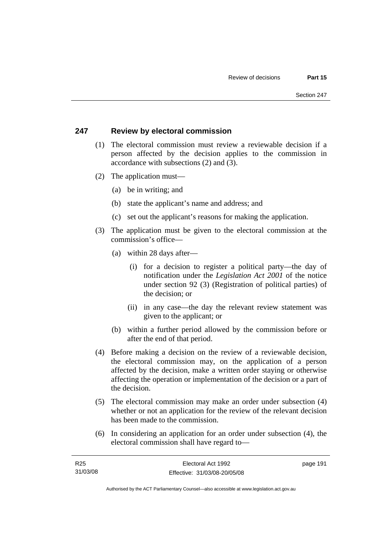# **247 Review by electoral commission**

- (1) The electoral commission must review a reviewable decision if a person affected by the decision applies to the commission in accordance with subsections (2) and (3).
- (2) The application must—
	- (a) be in writing; and
	- (b) state the applicant's name and address; and
	- (c) set out the applicant's reasons for making the application.
- (3) The application must be given to the electoral commission at the commission's office—
	- (a) within 28 days after—
		- (i) for a decision to register a political party—the day of notification under the *Legislation Act 2001* of the notice under section 92 (3) (Registration of political parties) of the decision; or
		- (ii) in any case—the day the relevant review statement was given to the applicant; or
	- (b) within a further period allowed by the commission before or after the end of that period.
- (4) Before making a decision on the review of a reviewable decision, the electoral commission may, on the application of a person affected by the decision, make a written order staying or otherwise affecting the operation or implementation of the decision or a part of the decision.
- (5) The electoral commission may make an order under subsection (4) whether or not an application for the review of the relevant decision has been made to the commission.
- (6) In considering an application for an order under subsection (4), the electoral commission shall have regard to—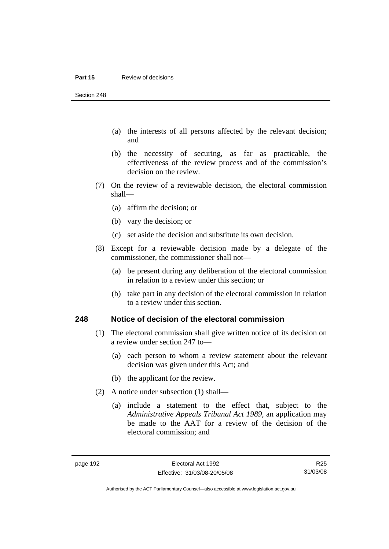#### **Part 15** Review of decisions

Section 248

- (a) the interests of all persons affected by the relevant decision; and
- (b) the necessity of securing, as far as practicable, the effectiveness of the review process and of the commission's decision on the review.
- (7) On the review of a reviewable decision, the electoral commission shall—
	- (a) affirm the decision; or
	- (b) vary the decision; or
	- (c) set aside the decision and substitute its own decision.
- (8) Except for a reviewable decision made by a delegate of the commissioner, the commissioner shall not—
	- (a) be present during any deliberation of the electoral commission in relation to a review under this section; or
	- (b) take part in any decision of the electoral commission in relation to a review under this section.

#### **248 Notice of decision of the electoral commission**

- (1) The electoral commission shall give written notice of its decision on a review under section 247 to—
	- (a) each person to whom a review statement about the relevant decision was given under this Act; and
	- (b) the applicant for the review.
- (2) A notice under subsection (1) shall—
	- (a) include a statement to the effect that, subject to the *Administrative Appeals Tribunal Act 1989*, an application may be made to the AAT for a review of the decision of the electoral commission; and

Authorised by the ACT Parliamentary Counsel—also accessible at www.legislation.act.gov.au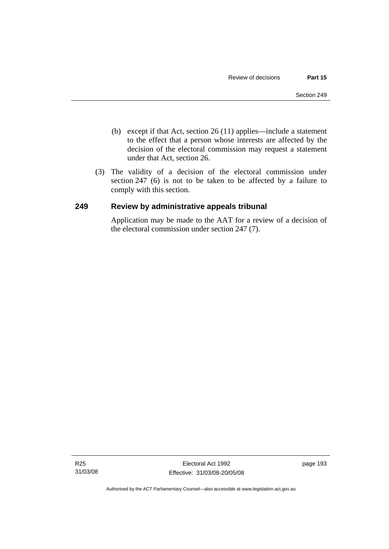- (b) except if that Act, section 26 (11) applies—include a statement to the effect that a person whose interests are affected by the decision of the electoral commission may request a statement under that Act, section 26.
- (3) The validity of a decision of the electoral commission under section 247 (6) is not to be taken to be affected by a failure to comply with this section.

# **249 Review by administrative appeals tribunal**

Application may be made to the AAT for a review of a decision of the electoral commission under section 247 (7).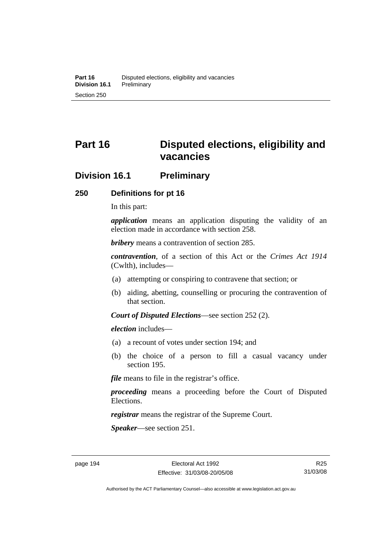# **Part 16 Disputed elections, eligibility and vacancies**

# **Division 16.1 Preliminary**

# **250 Definitions for pt 16**

In this part:

*application* means an application disputing the validity of an election made in accordance with section 258.

*bribery* means a contravention of section 285.

*contravention*, of a section of this Act or the *Crimes Act 1914* (Cwlth), includes—

- (a) attempting or conspiring to contravene that section; or
- (b) aiding, abetting, counselling or procuring the contravention of that section.

*Court of Disputed Elections*—see section 252 (2).

*election* includes—

- (a) a recount of votes under section 194; and
- (b) the choice of a person to fill a casual vacancy under section 195.

*file* means to file in the registrar's office.

*proceeding* means a proceeding before the Court of Disputed Elections.

*registrar* means the registrar of the Supreme Court.

*Speaker*—see section 251.

R25 31/03/08

Authorised by the ACT Parliamentary Counsel—also accessible at www.legislation.act.gov.au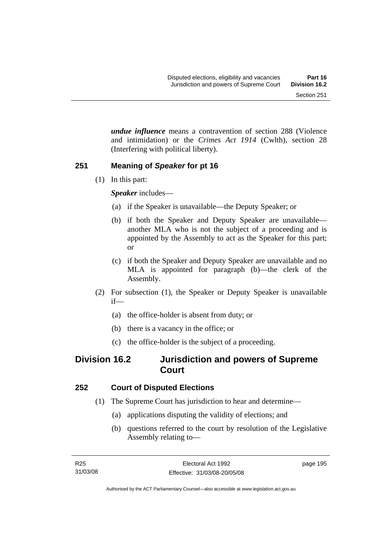*undue influence* means a contravention of section 288 (Violence and intimidation) or the *Crimes Act 1914* (Cwlth), section 28 (Interfering with political liberty).

# **251 Meaning of** *Speaker* **for pt 16**

(1) In this part:

*Speaker* includes—

- (a) if the Speaker is unavailable—the Deputy Speaker; or
- (b) if both the Speaker and Deputy Speaker are unavailable another MLA who is not the subject of a proceeding and is appointed by the Assembly to act as the Speaker for this part; or
- (c) if both the Speaker and Deputy Speaker are unavailable and no MLA is appointed for paragraph (b)—the clerk of the Assembly.
- (2) For subsection (1), the Speaker or Deputy Speaker is unavailable if—
	- (a) the office-holder is absent from duty; or
	- (b) there is a vacancy in the office; or
	- (c) the office-holder is the subject of a proceeding.

# **Division 16.2 Jurisdiction and powers of Supreme Court**

# **252 Court of Disputed Elections**

- (1) The Supreme Court has jurisdiction to hear and determine—
	- (a) applications disputing the validity of elections; and
	- (b) questions referred to the court by resolution of the Legislative Assembly relating to—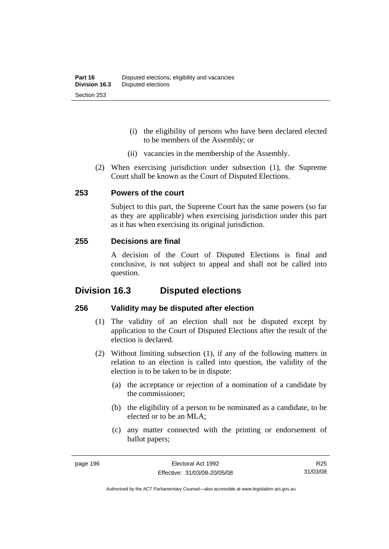- (i) the eligibility of persons who have been declared elected to be members of the Assembly; or
- (ii) vacancies in the membership of the Assembly.
- (2) When exercising jurisdiction under subsection (1), the Supreme Court shall be known as the Court of Disputed Elections.

## **253 Powers of the court**

Subject to this part, the Supreme Court has the same powers (so far as they are applicable) when exercising jurisdiction under this part as it has when exercising its original jurisdiction.

## **255 Decisions are final**

A decision of the Court of Disputed Elections is final and conclusive, is not subject to appeal and shall not be called into question.

# **Division 16.3 Disputed elections**

## **256 Validity may be disputed after election**

- (1) The validity of an election shall not be disputed except by application to the Court of Disputed Elections after the result of the election is declared.
- (2) Without limiting subsection (1), if any of the following matters in relation to an election is called into question, the validity of the election is to be taken to be in dispute:
	- (a) the acceptance or rejection of a nomination of a candidate by the commissioner;
	- (b) the eligibility of a person to be nominated as a candidate, to be elected or to be an MLA;
	- (c) any matter connected with the printing or endorsement of ballot papers;

Authorised by the ACT Parliamentary Counsel—also accessible at www.legislation.act.gov.au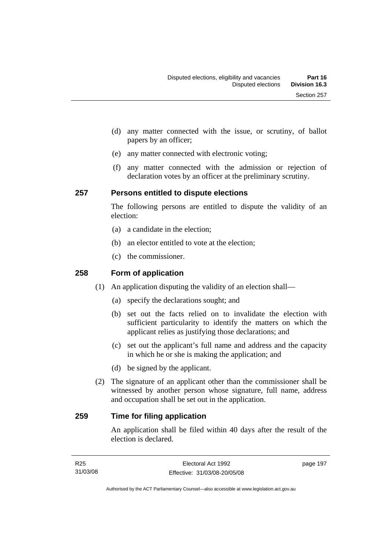- (d) any matter connected with the issue, or scrutiny, of ballot papers by an officer;
- (e) any matter connected with electronic voting;
- (f) any matter connected with the admission or rejection of declaration votes by an officer at the preliminary scrutiny.

## **257 Persons entitled to dispute elections**

The following persons are entitled to dispute the validity of an election:

- (a) a candidate in the election;
- (b) an elector entitled to vote at the election;
- (c) the commissioner.

# **258 Form of application**

- (1) An application disputing the validity of an election shall—
	- (a) specify the declarations sought; and
	- (b) set out the facts relied on to invalidate the election with sufficient particularity to identify the matters on which the applicant relies as justifying those declarations; and
	- (c) set out the applicant's full name and address and the capacity in which he or she is making the application; and
	- (d) be signed by the applicant.
- (2) The signature of an applicant other than the commissioner shall be witnessed by another person whose signature, full name, address and occupation shall be set out in the application.

# **259 Time for filing application**

An application shall be filed within 40 days after the result of the election is declared.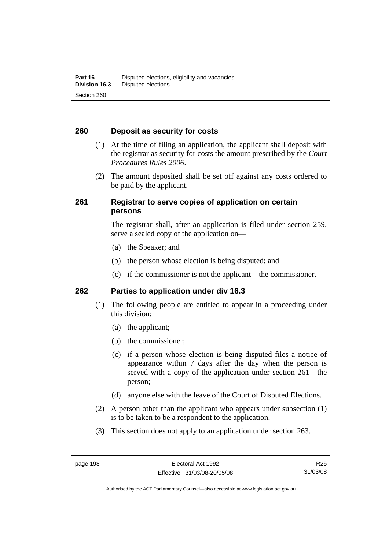# **260 Deposit as security for costs**

- (1) At the time of filing an application, the applicant shall deposit with the registrar as security for costs the amount prescribed by the *Court Procedures Rules 2006*.
- (2) The amount deposited shall be set off against any costs ordered to be paid by the applicant.

# **261 Registrar to serve copies of application on certain persons**

The registrar shall, after an application is filed under section 259, serve a sealed copy of the application on—

- (a) the Speaker; and
- (b) the person whose election is being disputed; and
- (c) if the commissioner is not the applicant—the commissioner.

## **262 Parties to application under div 16.3**

- (1) The following people are entitled to appear in a proceeding under this division:
	- (a) the applicant;
	- (b) the commissioner;
	- (c) if a person whose election is being disputed files a notice of appearance within 7 days after the day when the person is served with a copy of the application under section 261—the person;
	- (d) anyone else with the leave of the Court of Disputed Elections.
- (2) A person other than the applicant who appears under subsection (1) is to be taken to be a respondent to the application.
- (3) This section does not apply to an application under section 263.

Authorised by the ACT Parliamentary Counsel—also accessible at www.legislation.act.gov.au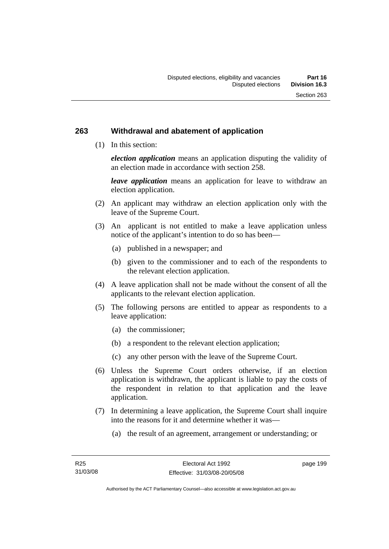#### **263 Withdrawal and abatement of application**

(1) In this section:

*election application* means an application disputing the validity of an election made in accordance with section 258.

*leave application* means an application for leave to withdraw an election application.

- (2) An applicant may withdraw an election application only with the leave of the Supreme Court.
- (3) An applicant is not entitled to make a leave application unless notice of the applicant's intention to do so has been—
	- (a) published in a newspaper; and
	- (b) given to the commissioner and to each of the respondents to the relevant election application.
- (4) A leave application shall not be made without the consent of all the applicants to the relevant election application.
- (5) The following persons are entitled to appear as respondents to a leave application:
	- (a) the commissioner;
	- (b) a respondent to the relevant election application;
	- (c) any other person with the leave of the Supreme Court.
- (6) Unless the Supreme Court orders otherwise, if an election application is withdrawn, the applicant is liable to pay the costs of the respondent in relation to that application and the leave application.
- (7) In determining a leave application, the Supreme Court shall inquire into the reasons for it and determine whether it was—
	- (a) the result of an agreement, arrangement or understanding; or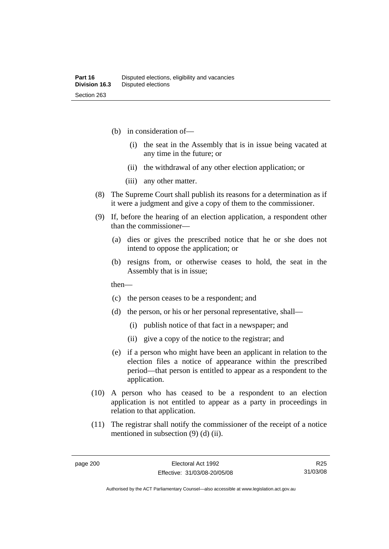- (b) in consideration of—
	- (i) the seat in the Assembly that is in issue being vacated at any time in the future; or
	- (ii) the withdrawal of any other election application; or
	- (iii) any other matter.
- (8) The Supreme Court shall publish its reasons for a determination as if it were a judgment and give a copy of them to the commissioner.
- (9) If, before the hearing of an election application, a respondent other than the commissioner—
	- (a) dies or gives the prescribed notice that he or she does not intend to oppose the application; or
	- (b) resigns from, or otherwise ceases to hold, the seat in the Assembly that is in issue;

then—

- (c) the person ceases to be a respondent; and
- (d) the person, or his or her personal representative, shall—
	- (i) publish notice of that fact in a newspaper; and
	- (ii) give a copy of the notice to the registrar; and
- (e) if a person who might have been an applicant in relation to the election files a notice of appearance within the prescribed period—that person is entitled to appear as a respondent to the application.
- (10) A person who has ceased to be a respondent to an election application is not entitled to appear as a party in proceedings in relation to that application.
- (11) The registrar shall notify the commissioner of the receipt of a notice mentioned in subsection (9) (d) (ii).

R25 31/03/08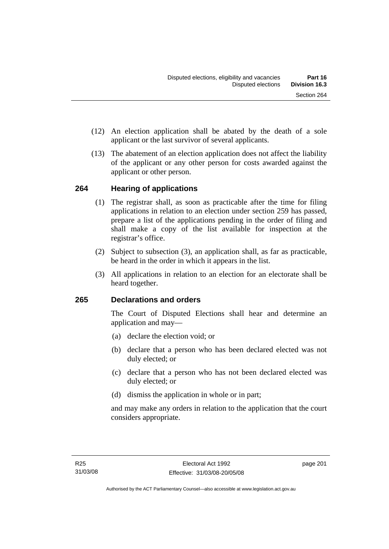- (12) An election application shall be abated by the death of a sole applicant or the last survivor of several applicants.
- (13) The abatement of an election application does not affect the liability of the applicant or any other person for costs awarded against the applicant or other person.

## **264 Hearing of applications**

- (1) The registrar shall, as soon as practicable after the time for filing applications in relation to an election under section 259 has passed, prepare a list of the applications pending in the order of filing and shall make a copy of the list available for inspection at the registrar's office.
- (2) Subject to subsection (3), an application shall, as far as practicable, be heard in the order in which it appears in the list.
- (3) All applications in relation to an election for an electorate shall be heard together.

## **265 Declarations and orders**

The Court of Disputed Elections shall hear and determine an application and may—

- (a) declare the election void; or
- (b) declare that a person who has been declared elected was not duly elected; or
- (c) declare that a person who has not been declared elected was duly elected; or
- (d) dismiss the application in whole or in part;

and may make any orders in relation to the application that the court considers appropriate.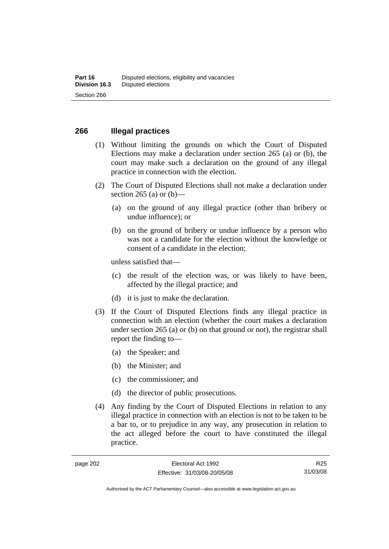#### **266 Illegal practices**

- (1) Without limiting the grounds on which the Court of Disputed Elections may make a declaration under section 265 (a) or (b), the court may make such a declaration on the ground of any illegal practice in connection with the election.
- (2) The Court of Disputed Elections shall not make a declaration under section 265 (a) or  $(b)$ —
	- (a) on the ground of any illegal practice (other than bribery or undue influence); or
	- (b) on the ground of bribery or undue influence by a person who was not a candidate for the election without the knowledge or consent of a candidate in the election;

unless satisfied that—

- (c) the result of the election was, or was likely to have been, affected by the illegal practice; and
- (d) it is just to make the declaration.
- (3) If the Court of Disputed Elections finds any illegal practice in connection with an election (whether the court makes a declaration under section 265 (a) or (b) on that ground or not), the registrar shall report the finding to—
	- (a) the Speaker; and
	- (b) the Minister; and
	- (c) the commissioner; and
	- (d) the director of public prosecutions.
- (4) Any finding by the Court of Disputed Elections in relation to any illegal practice in connection with an election is not to be taken to be a bar to, or to prejudice in any way, any prosecution in relation to the act alleged before the court to have constituted the illegal practice.

R25 31/03/08

Authorised by the ACT Parliamentary Counsel—also accessible at www.legislation.act.gov.au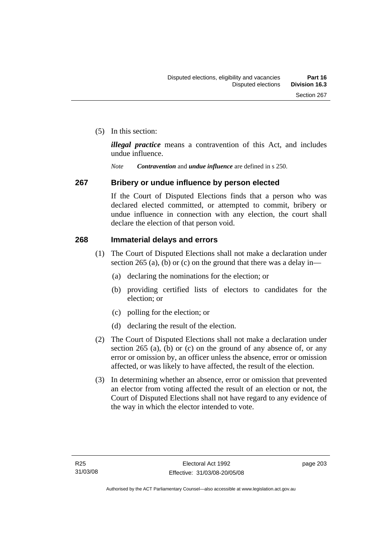(5) In this section:

*illegal practice* means a contravention of this Act, and includes undue influence.

*Note Contravention* and *undue influence* are defined in s 250.

#### **267 Bribery or undue influence by person elected**

If the Court of Disputed Elections finds that a person who was declared elected committed, or attempted to commit, bribery or undue influence in connection with any election, the court shall declare the election of that person void.

#### **268 Immaterial delays and errors**

- (1) The Court of Disputed Elections shall not make a declaration under section 265 (a), (b) or (c) on the ground that there was a delay in—
	- (a) declaring the nominations for the election; or
	- (b) providing certified lists of electors to candidates for the election; or
	- (c) polling for the election; or
	- (d) declaring the result of the election.
- (2) The Court of Disputed Elections shall not make a declaration under section 265 (a), (b) or (c) on the ground of any absence of, or any error or omission by, an officer unless the absence, error or omission affected, or was likely to have affected, the result of the election.
- (3) In determining whether an absence, error or omission that prevented an elector from voting affected the result of an election or not, the Court of Disputed Elections shall not have regard to any evidence of the way in which the elector intended to vote.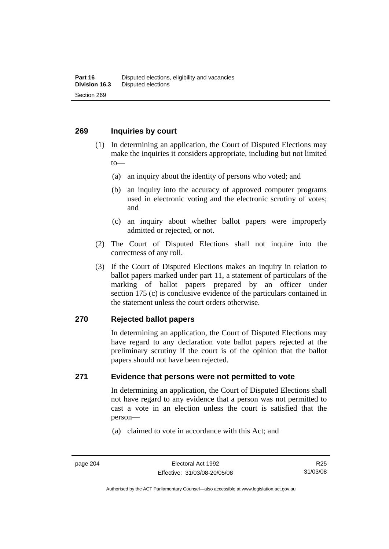#### **269 Inquiries by court**

- (1) In determining an application, the Court of Disputed Elections may make the inquiries it considers appropriate, including but not limited to—
	- (a) an inquiry about the identity of persons who voted; and
	- (b) an inquiry into the accuracy of approved computer programs used in electronic voting and the electronic scrutiny of votes; and
	- (c) an inquiry about whether ballot papers were improperly admitted or rejected, or not.
- (2) The Court of Disputed Elections shall not inquire into the correctness of any roll.
- (3) If the Court of Disputed Elections makes an inquiry in relation to ballot papers marked under part 11, a statement of particulars of the marking of ballot papers prepared by an officer under section 175 (c) is conclusive evidence of the particulars contained in the statement unless the court orders otherwise.

#### **270 Rejected ballot papers**

In determining an application, the Court of Disputed Elections may have regard to any declaration vote ballot papers rejected at the preliminary scrutiny if the court is of the opinion that the ballot papers should not have been rejected.

## **271 Evidence that persons were not permitted to vote**

In determining an application, the Court of Disputed Elections shall not have regard to any evidence that a person was not permitted to cast a vote in an election unless the court is satisfied that the person—

(a) claimed to vote in accordance with this Act; and

R25 31/03/08

Authorised by the ACT Parliamentary Counsel—also accessible at www.legislation.act.gov.au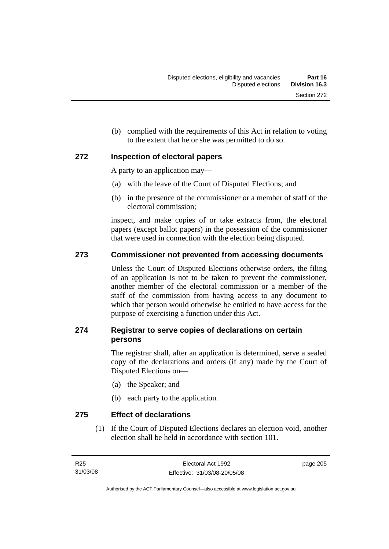(b) complied with the requirements of this Act in relation to voting to the extent that he or she was permitted to do so.

## **272 Inspection of electoral papers**

A party to an application may—

- (a) with the leave of the Court of Disputed Elections; and
- (b) in the presence of the commissioner or a member of staff of the electoral commission;

inspect, and make copies of or take extracts from, the electoral papers (except ballot papers) in the possession of the commissioner that were used in connection with the election being disputed.

## **273 Commissioner not prevented from accessing documents**

Unless the Court of Disputed Elections otherwise orders, the filing of an application is not to be taken to prevent the commissioner, another member of the electoral commission or a member of the staff of the commission from having access to any document to which that person would otherwise be entitled to have access for the purpose of exercising a function under this Act.

## **274 Registrar to serve copies of declarations on certain persons**

The registrar shall, after an application is determined, serve a sealed copy of the declarations and orders (if any) made by the Court of Disputed Elections on—

- (a) the Speaker; and
- (b) each party to the application.

## **275 Effect of declarations**

 (1) If the Court of Disputed Elections declares an election void, another election shall be held in accordance with section 101.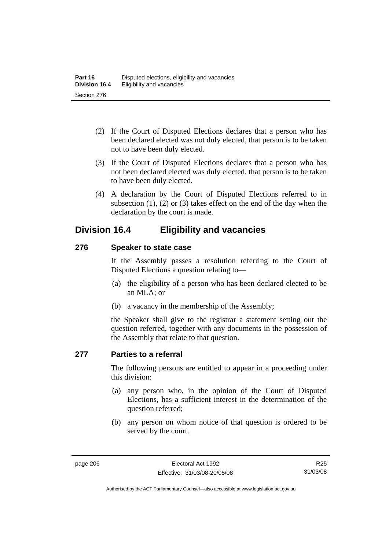- (2) If the Court of Disputed Elections declares that a person who has been declared elected was not duly elected, that person is to be taken not to have been duly elected.
- (3) If the Court of Disputed Elections declares that a person who has not been declared elected was duly elected, that person is to be taken to have been duly elected.
- (4) A declaration by the Court of Disputed Elections referred to in subsection (1), (2) or (3) takes effect on the end of the day when the declaration by the court is made.

## **Division 16.4 Eligibility and vacancies**

## **276 Speaker to state case**

If the Assembly passes a resolution referring to the Court of Disputed Elections a question relating to—

- (a) the eligibility of a person who has been declared elected to be an MLA; or
- (b) a vacancy in the membership of the Assembly;

the Speaker shall give to the registrar a statement setting out the question referred, together with any documents in the possession of the Assembly that relate to that question.

#### **277 Parties to a referral**

The following persons are entitled to appear in a proceeding under this division:

- (a) any person who, in the opinion of the Court of Disputed Elections, has a sufficient interest in the determination of the question referred;
- (b) any person on whom notice of that question is ordered to be served by the court.

Authorised by the ACT Parliamentary Counsel—also accessible at www.legislation.act.gov.au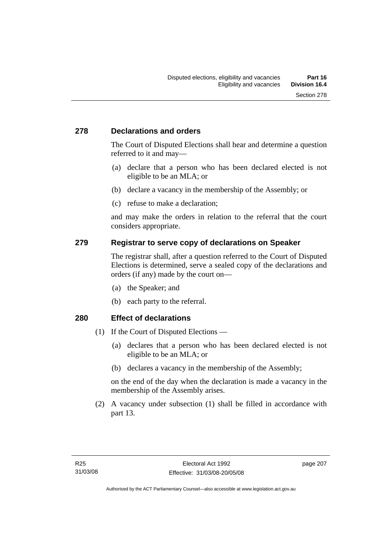## **278 Declarations and orders**

The Court of Disputed Elections shall hear and determine a question referred to it and may—

- (a) declare that a person who has been declared elected is not eligible to be an MLA; or
- (b) declare a vacancy in the membership of the Assembly; or
- (c) refuse to make a declaration;

and may make the orders in relation to the referral that the court considers appropriate.

## **279 Registrar to serve copy of declarations on Speaker**

The registrar shall, after a question referred to the Court of Disputed Elections is determined, serve a sealed copy of the declarations and orders (if any) made by the court on—

- (a) the Speaker; and
- (b) each party to the referral.

#### **280 Effect of declarations**

- (1) If the Court of Disputed Elections
	- (a) declares that a person who has been declared elected is not eligible to be an MLA; or
	- (b) declares a vacancy in the membership of the Assembly;

on the end of the day when the declaration is made a vacancy in the membership of the Assembly arises.

 (2) A vacancy under subsection (1) shall be filled in accordance with part 13.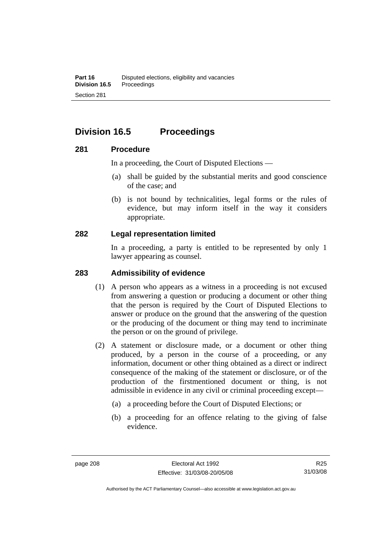## **Division 16.5 Proceedings**

## **281 Procedure**

In a proceeding, the Court of Disputed Elections —

- (a) shall be guided by the substantial merits and good conscience of the case; and
- (b) is not bound by technicalities, legal forms or the rules of evidence, but may inform itself in the way it considers appropriate.

## **282 Legal representation limited**

In a proceeding, a party is entitled to be represented by only 1 lawyer appearing as counsel.

## **283 Admissibility of evidence**

- (1) A person who appears as a witness in a proceeding is not excused from answering a question or producing a document or other thing that the person is required by the Court of Disputed Elections to answer or produce on the ground that the answering of the question or the producing of the document or thing may tend to incriminate the person or on the ground of privilege.
- (2) A statement or disclosure made, or a document or other thing produced, by a person in the course of a proceeding, or any information, document or other thing obtained as a direct or indirect consequence of the making of the statement or disclosure, or of the production of the firstmentioned document or thing, is not admissible in evidence in any civil or criminal proceeding except—
	- (a) a proceeding before the Court of Disputed Elections; or
	- (b) a proceeding for an offence relating to the giving of false evidence.

Authorised by the ACT Parliamentary Counsel—also accessible at www.legislation.act.gov.au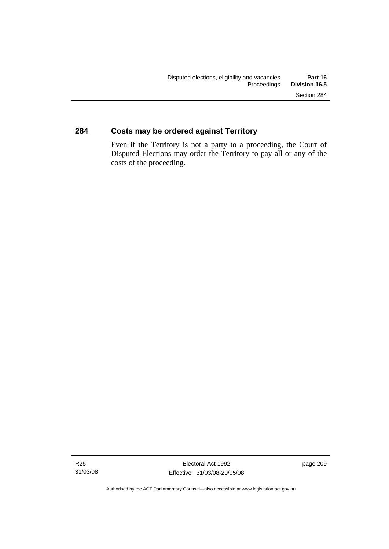## **284 Costs may be ordered against Territory**

Even if the Territory is not a party to a proceeding, the Court of Disputed Elections may order the Territory to pay all or any of the costs of the proceeding.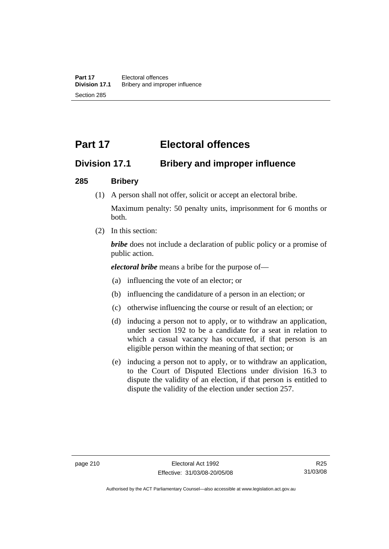# **Part 17 Electoral offences**

## **Division 17.1 Bribery and improper influence**

## **285 Bribery**

(1) A person shall not offer, solicit or accept an electoral bribe.

Maximum penalty: 50 penalty units, imprisonment for 6 months or both.

(2) In this section:

*bribe* does not include a declaration of public policy or a promise of public action.

*electoral bribe* means a bribe for the purpose of—

- (a) influencing the vote of an elector; or
- (b) influencing the candidature of a person in an election; or
- (c) otherwise influencing the course or result of an election; or
- (d) inducing a person not to apply, or to withdraw an application, under section 192 to be a candidate for a seat in relation to which a casual vacancy has occurred, if that person is an eligible person within the meaning of that section; or
- (e) inducing a person not to apply, or to withdraw an application, to the Court of Disputed Elections under division 16.3 to dispute the validity of an election, if that person is entitled to dispute the validity of the election under section 257.

Authorised by the ACT Parliamentary Counsel—also accessible at www.legislation.act.gov.au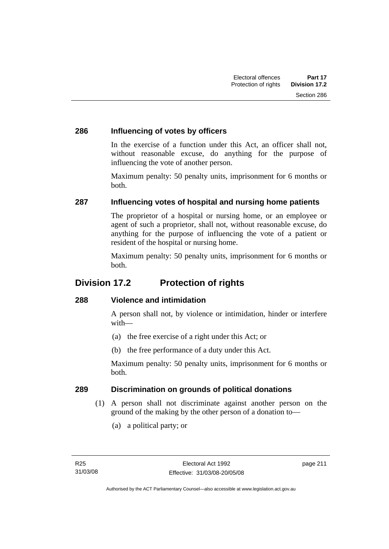## **286 Influencing of votes by officers**

In the exercise of a function under this Act, an officer shall not, without reasonable excuse, do anything for the purpose of influencing the vote of another person.

Maximum penalty: 50 penalty units, imprisonment for 6 months or both.

## **287 Influencing votes of hospital and nursing home patients**

The proprietor of a hospital or nursing home, or an employee or agent of such a proprietor, shall not, without reasonable excuse, do anything for the purpose of influencing the vote of a patient or resident of the hospital or nursing home.

Maximum penalty: 50 penalty units, imprisonment for 6 months or both.

## **Division 17.2 Protection of rights**

## **288 Violence and intimidation**

A person shall not, by violence or intimidation, hinder or interfere with—

- (a) the free exercise of a right under this Act; or
- (b) the free performance of a duty under this Act.

Maximum penalty: 50 penalty units, imprisonment for 6 months or both.

## **289 Discrimination on grounds of political donations**

- (1) A person shall not discriminate against another person on the ground of the making by the other person of a donation to—
	- (a) a political party; or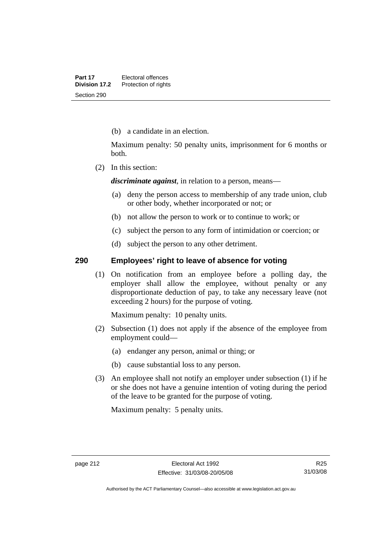(b) a candidate in an election.

Maximum penalty: 50 penalty units, imprisonment for 6 months or both.

(2) In this section:

*discriminate against*, in relation to a person, means—

- (a) deny the person access to membership of any trade union, club or other body, whether incorporated or not; or
- (b) not allow the person to work or to continue to work; or
- (c) subject the person to any form of intimidation or coercion; or
- (d) subject the person to any other detriment.

### **290 Employees' right to leave of absence for voting**

 (1) On notification from an employee before a polling day, the employer shall allow the employee, without penalty or any disproportionate deduction of pay, to take any necessary leave (not exceeding 2 hours) for the purpose of voting.

Maximum penalty: 10 penalty units.

- (2) Subsection (1) does not apply if the absence of the employee from employment could—
	- (a) endanger any person, animal or thing; or
	- (b) cause substantial loss to any person.
- (3) An employee shall not notify an employer under subsection (1) if he or she does not have a genuine intention of voting during the period of the leave to be granted for the purpose of voting.

Maximum penalty: 5 penalty units.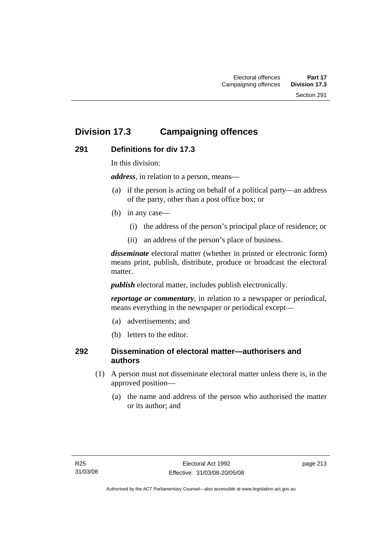## **Division 17.3 Campaigning offences**

## **291 Definitions for div 17.3**

In this division:

*address*, in relation to a person, means—

- (a) if the person is acting on behalf of a political party—an address of the party, other than a post office box; or
- (b) in any case—
	- (i) the address of the person's principal place of residence; or
	- (ii) an address of the person's place of business.

*disseminate* electoral matter (whether in printed or electronic form) means print, publish, distribute, produce or broadcast the electoral matter.

*publish* electoral matter, includes publish electronically.

*reportage or commentary*, in relation to a newspaper or periodical, means everything in the newspaper or periodical except—

- (a) advertisements; and
- (b) letters to the editor.

## **292 Dissemination of electoral matter—authorisers and authors**

- (1) A person must not disseminate electoral matter unless there is, in the approved position—
	- (a) the name and address of the person who authorised the matter or its author; and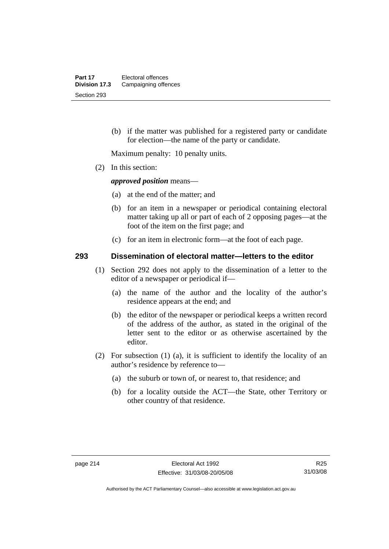(b) if the matter was published for a registered party or candidate for election—the name of the party or candidate.

Maximum penalty: 10 penalty units.

(2) In this section:

*approved position* means—

- (a) at the end of the matter; and
- (b) for an item in a newspaper or periodical containing electoral matter taking up all or part of each of 2 opposing pages—at the foot of the item on the first page; and
- (c) for an item in electronic form—at the foot of each page.

#### **293 Dissemination of electoral matter—letters to the editor**

- (1) Section 292 does not apply to the dissemination of a letter to the editor of a newspaper or periodical if—
	- (a) the name of the author and the locality of the author's residence appears at the end; and
	- (b) the editor of the newspaper or periodical keeps a written record of the address of the author, as stated in the original of the letter sent to the editor or as otherwise ascertained by the editor.
- (2) For subsection (1) (a), it is sufficient to identify the locality of an author's residence by reference to—
	- (a) the suburb or town of, or nearest to, that residence; and
	- (b) for a locality outside the ACT—the State, other Territory or other country of that residence.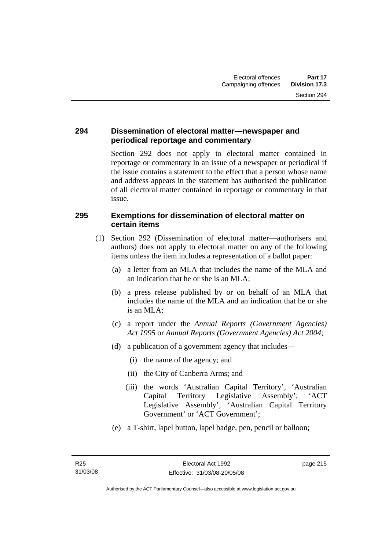## **294 Dissemination of electoral matter—newspaper and periodical reportage and commentary**

Section 292 does not apply to electoral matter contained in reportage or commentary in an issue of a newspaper or periodical if the issue contains a statement to the effect that a person whose name and address appears in the statement has authorised the publication of all electoral matter contained in reportage or commentary in that issue.

## **295 Exemptions for dissemination of electoral matter on certain items**

- (1) Section 292 (Dissemination of electoral matter—authorisers and authors) does not apply to electoral matter on any of the following items unless the item includes a representation of a ballot paper:
	- (a) a letter from an MLA that includes the name of the MLA and an indication that he or she is an MLA;
	- (b) a press release published by or on behalf of an MLA that includes the name of the MLA and an indication that he or she is an MLA;
	- (c) a report under the *Annual Reports (Government Agencies) Act 1995* or *Annual Reports (Government Agencies) Act 2004*;
	- (d) a publication of a government agency that includes—
		- (i) the name of the agency; and
		- (ii) the City of Canberra Arms; and
		- (iii) the words 'Australian Capital Territory', 'Australian Capital Territory Legislative Assembly', 'ACT Legislative Assembly', 'Australian Capital Territory Government' or 'ACT Government';
	- (e) a T-shirt, lapel button, lapel badge, pen, pencil or balloon;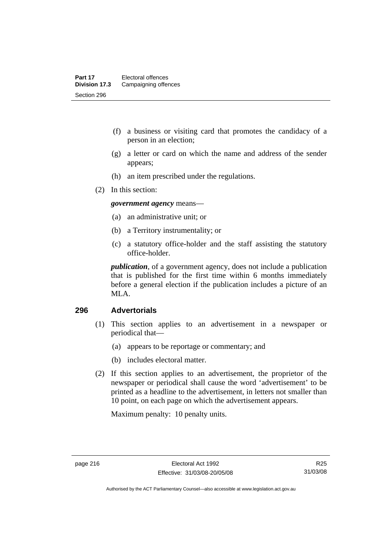- (f) a business or visiting card that promotes the candidacy of a person in an election;
- (g) a letter or card on which the name and address of the sender appears;
- (h) an item prescribed under the regulations.
- (2) In this section:

*government agency* means—

- (a) an administrative unit; or
- (b) a Territory instrumentality; or
- (c) a statutory office-holder and the staff assisting the statutory office-holder.

*publication*, of a government agency, does not include a publication that is published for the first time within 6 months immediately before a general election if the publication includes a picture of an MLA.

#### **296 Advertorials**

- (1) This section applies to an advertisement in a newspaper or periodical that—
	- (a) appears to be reportage or commentary; and
	- (b) includes electoral matter.
- (2) If this section applies to an advertisement, the proprietor of the newspaper or periodical shall cause the word 'advertisement' to be printed as a headline to the advertisement, in letters not smaller than 10 point, on each page on which the advertisement appears.

Maximum penalty: 10 penalty units.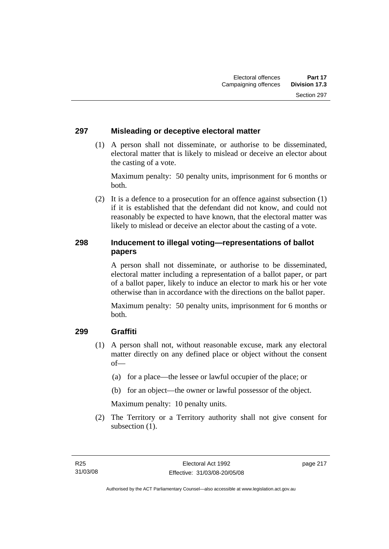## **297 Misleading or deceptive electoral matter**

 (1) A person shall not disseminate, or authorise to be disseminated, electoral matter that is likely to mislead or deceive an elector about the casting of a vote.

Maximum penalty: 50 penalty units, imprisonment for 6 months or both.

 (2) It is a defence to a prosecution for an offence against subsection (1) if it is established that the defendant did not know, and could not reasonably be expected to have known, that the electoral matter was likely to mislead or deceive an elector about the casting of a vote.

## **298 Inducement to illegal voting—representations of ballot papers**

A person shall not disseminate, or authorise to be disseminated, electoral matter including a representation of a ballot paper, or part of a ballot paper, likely to induce an elector to mark his or her vote otherwise than in accordance with the directions on the ballot paper.

Maximum penalty: 50 penalty units, imprisonment for 6 months or both.

## **299 Graffiti**

- (1) A person shall not, without reasonable excuse, mark any electoral matter directly on any defined place or object without the consent of—
	- (a) for a place—the lessee or lawful occupier of the place; or
	- (b) for an object—the owner or lawful possessor of the object.

Maximum penalty: 10 penalty units.

 (2) The Territory or a Territory authority shall not give consent for subsection  $(1)$ .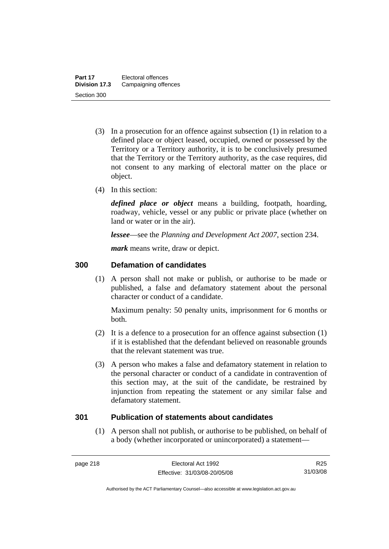- (3) In a prosecution for an offence against subsection (1) in relation to a defined place or object leased, occupied, owned or possessed by the Territory or a Territory authority, it is to be conclusively presumed that the Territory or the Territory authority, as the case requires, did not consent to any marking of electoral matter on the place or object.
- (4) In this section:

*defined place or object* means a building, footpath, hoarding, roadway, vehicle, vessel or any public or private place (whether on land or water or in the air).

*lessee*—see the *Planning and Development Act 2007*, section 234.

*mark* means write, draw or depict.

## **300 Defamation of candidates**

 (1) A person shall not make or publish, or authorise to be made or published, a false and defamatory statement about the personal character or conduct of a candidate.

Maximum penalty: 50 penalty units, imprisonment for 6 months or both.

- (2) It is a defence to a prosecution for an offence against subsection (1) if it is established that the defendant believed on reasonable grounds that the relevant statement was true.
- (3) A person who makes a false and defamatory statement in relation to the personal character or conduct of a candidate in contravention of this section may, at the suit of the candidate, be restrained by injunction from repeating the statement or any similar false and defamatory statement.

#### **301 Publication of statements about candidates**

 (1) A person shall not publish, or authorise to be published, on behalf of a body (whether incorporated or unincorporated) a statement—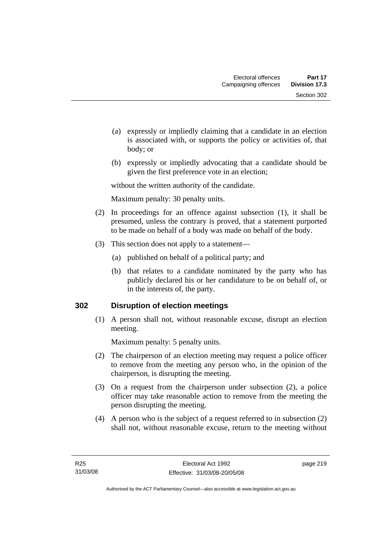- (a) expressly or impliedly claiming that a candidate in an election is associated with, or supports the policy or activities of, that body; or
- (b) expressly or impliedly advocating that a candidate should be given the first preference vote in an election;

without the written authority of the candidate.

Maximum penalty: 30 penalty units.

- (2) In proceedings for an offence against subsection (1), it shall be presumed, unless the contrary is proved, that a statement purported to be made on behalf of a body was made on behalf of the body.
- (3) This section does not apply to a statement—
	- (a) published on behalf of a political party; and
	- (b) that relates to a candidate nominated by the party who has publicly declared his or her candidature to be on behalf of, or in the interests of, the party.

## **302 Disruption of election meetings**

 (1) A person shall not, without reasonable excuse, disrupt an election meeting.

Maximum penalty: 5 penalty units.

- (2) The chairperson of an election meeting may request a police officer to remove from the meeting any person who, in the opinion of the chairperson, is disrupting the meeting.
- (3) On a request from the chairperson under subsection (2), a police officer may take reasonable action to remove from the meeting the person disrupting the meeting.
- (4) A person who is the subject of a request referred to in subsection (2) shall not, without reasonable excuse, return to the meeting without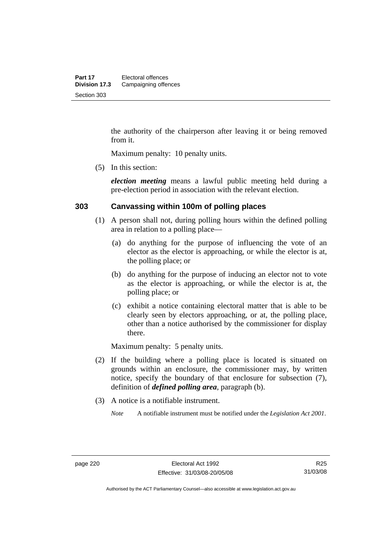the authority of the chairperson after leaving it or being removed from it.

Maximum penalty: 10 penalty units.

(5) In this section:

*election meeting* means a lawful public meeting held during a pre-election period in association with the relevant election.

#### **303 Canvassing within 100m of polling places**

- (1) A person shall not, during polling hours within the defined polling area in relation to a polling place—
	- (a) do anything for the purpose of influencing the vote of an elector as the elector is approaching, or while the elector is at, the polling place; or
	- (b) do anything for the purpose of inducing an elector not to vote as the elector is approaching, or while the elector is at, the polling place; or
	- (c) exhibit a notice containing electoral matter that is able to be clearly seen by electors approaching, or at, the polling place, other than a notice authorised by the commissioner for display there.

Maximum penalty: 5 penalty units.

- (2) If the building where a polling place is located is situated on grounds within an enclosure, the commissioner may, by written notice, specify the boundary of that enclosure for subsection (7), definition of *defined polling area*, paragraph (b).
- (3) A notice is a notifiable instrument.

*Note* A notifiable instrument must be notified under the *Legislation Act 2001*.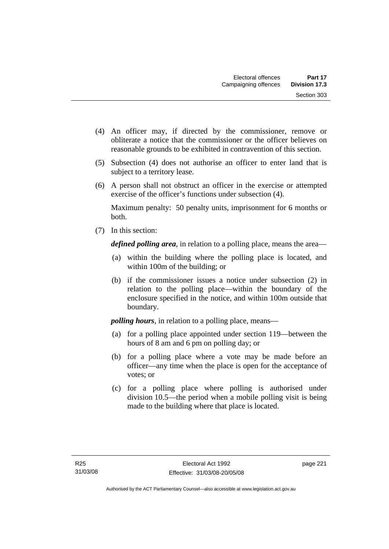- (4) An officer may, if directed by the commissioner, remove or obliterate a notice that the commissioner or the officer believes on reasonable grounds to be exhibited in contravention of this section.
- (5) Subsection (4) does not authorise an officer to enter land that is subject to a territory lease.
- (6) A person shall not obstruct an officer in the exercise or attempted exercise of the officer's functions under subsection (4).

Maximum penalty: 50 penalty units, imprisonment for 6 months or both.

(7) In this section:

*defined polling area*, in relation to a polling place, means the area—

- (a) within the building where the polling place is located, and within 100m of the building; or
- (b) if the commissioner issues a notice under subsection (2) in relation to the polling place—within the boundary of the enclosure specified in the notice, and within 100m outside that boundary.

*polling hours*, in relation to a polling place, means—

- (a) for a polling place appointed under section 119—between the hours of 8 am and 6 pm on polling day; or
- (b) for a polling place where a vote may be made before an officer—any time when the place is open for the acceptance of votes; or
- (c) for a polling place where polling is authorised under division 10.5—the period when a mobile polling visit is being made to the building where that place is located.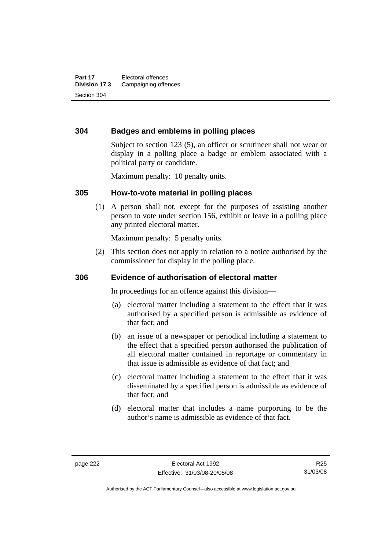## **304 Badges and emblems in polling places**

Subject to section 123 (5), an officer or scrutineer shall not wear or display in a polling place a badge or emblem associated with a political party or candidate.

Maximum penalty: 10 penalty units.

#### **305 How-to-vote material in polling places**

 (1) A person shall not, except for the purposes of assisting another person to vote under section 156, exhibit or leave in a polling place any printed electoral matter.

Maximum penalty: 5 penalty units.

 (2) This section does not apply in relation to a notice authorised by the commissioner for display in the polling place.

#### **306 Evidence of authorisation of electoral matter**

In proceedings for an offence against this division—

- (a) electoral matter including a statement to the effect that it was authorised by a specified person is admissible as evidence of that fact; and
- (b) an issue of a newspaper or periodical including a statement to the effect that a specified person authorised the publication of all electoral matter contained in reportage or commentary in that issue is admissible as evidence of that fact; and
- (c) electoral matter including a statement to the effect that it was disseminated by a specified person is admissible as evidence of that fact; and
- (d) electoral matter that includes a name purporting to be the author's name is admissible as evidence of that fact.

R25 31/03/08

Authorised by the ACT Parliamentary Counsel—also accessible at www.legislation.act.gov.au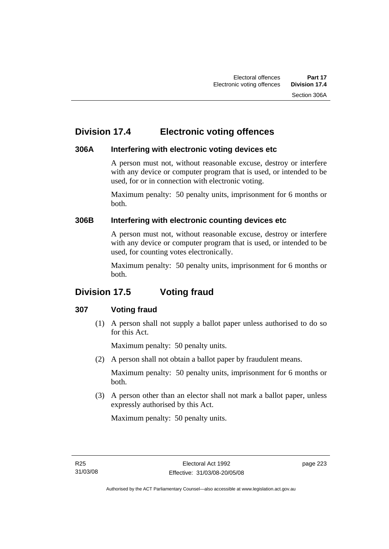## **Division 17.4 Electronic voting offences**

## **306A Interfering with electronic voting devices etc**

A person must not, without reasonable excuse, destroy or interfere with any device or computer program that is used, or intended to be used, for or in connection with electronic voting.

Maximum penalty: 50 penalty units, imprisonment for 6 months or both.

## **306B Interfering with electronic counting devices etc**

A person must not, without reasonable excuse, destroy or interfere with any device or computer program that is used, or intended to be used, for counting votes electronically.

Maximum penalty: 50 penalty units, imprisonment for 6 months or both.

## **Division 17.5 Voting fraud**

## **307 Voting fraud**

 (1) A person shall not supply a ballot paper unless authorised to do so for this Act.

Maximum penalty: 50 penalty units.

(2) A person shall not obtain a ballot paper by fraudulent means.

Maximum penalty: 50 penalty units, imprisonment for 6 months or both.

 (3) A person other than an elector shall not mark a ballot paper, unless expressly authorised by this Act.

Maximum penalty: 50 penalty units.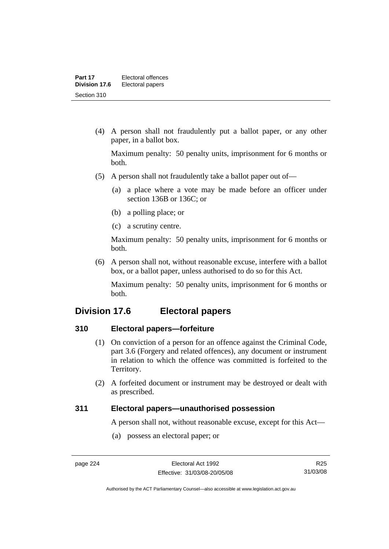(4) A person shall not fraudulently put a ballot paper, or any other paper, in a ballot box.

Maximum penalty: 50 penalty units, imprisonment for 6 months or both.

- (5) A person shall not fraudulently take a ballot paper out of—
	- (a) a place where a vote may be made before an officer under section 136B or 136C; or
	- (b) a polling place; or
	- (c) a scrutiny centre.

Maximum penalty: 50 penalty units, imprisonment for 6 months or both.

 (6) A person shall not, without reasonable excuse, interfere with a ballot box, or a ballot paper, unless authorised to do so for this Act.

Maximum penalty: 50 penalty units, imprisonment for 6 months or both.

## **Division 17.6 Electoral papers**

#### **310 Electoral papers—forfeiture**

- (1) On conviction of a person for an offence against the Criminal Code, part 3.6 (Forgery and related offences), any document or instrument in relation to which the offence was committed is forfeited to the Territory.
- (2) A forfeited document or instrument may be destroyed or dealt with as prescribed.

#### **311 Electoral papers—unauthorised possession**

A person shall not, without reasonable excuse, except for this Act—

(a) possess an electoral paper; or

Authorised by the ACT Parliamentary Counsel—also accessible at www.legislation.act.gov.au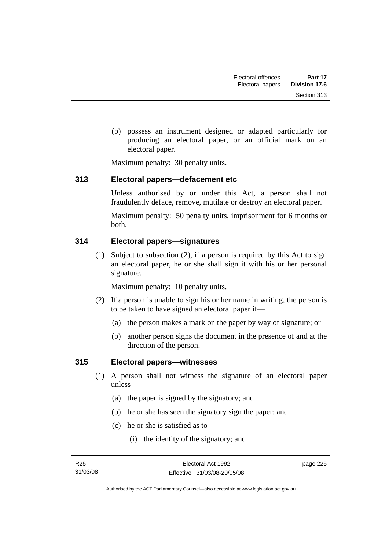(b) possess an instrument designed or adapted particularly for producing an electoral paper, or an official mark on an electoral paper.

Maximum penalty: 30 penalty units.

## **313 Electoral papers—defacement etc**

Unless authorised by or under this Act, a person shall not fraudulently deface, remove, mutilate or destroy an electoral paper.

Maximum penalty: 50 penalty units, imprisonment for 6 months or both.

## **314 Electoral papers—signatures**

 (1) Subject to subsection (2), if a person is required by this Act to sign an electoral paper, he or she shall sign it with his or her personal signature.

Maximum penalty: 10 penalty units.

- (2) If a person is unable to sign his or her name in writing, the person is to be taken to have signed an electoral paper if—
	- (a) the person makes a mark on the paper by way of signature; or
	- (b) another person signs the document in the presence of and at the direction of the person.

## **315 Electoral papers—witnesses**

- (1) A person shall not witness the signature of an electoral paper unless—
	- (a) the paper is signed by the signatory; and
	- (b) he or she has seen the signatory sign the paper; and
	- (c) he or she is satisfied as to—
		- (i) the identity of the signatory; and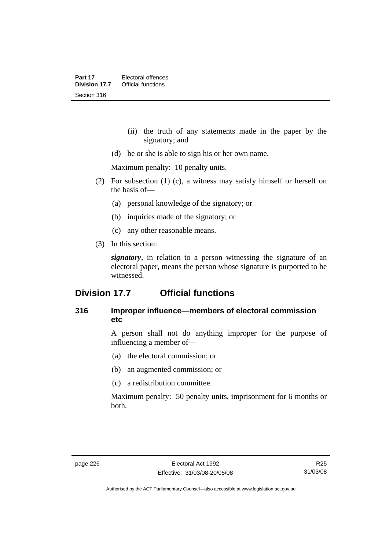- (ii) the truth of any statements made in the paper by the signatory; and
- (d) he or she is able to sign his or her own name.

Maximum penalty: 10 penalty units.

- (2) For subsection (1) (c), a witness may satisfy himself or herself on the basis of—
	- (a) personal knowledge of the signatory; or
	- (b) inquiries made of the signatory; or
	- (c) any other reasonable means.
- (3) In this section:

*signatory*, in relation to a person witnessing the signature of an electoral paper, means the person whose signature is purported to be witnessed.

## **Division 17.7 Official functions**

### **316 Improper influence—members of electoral commission etc**

A person shall not do anything improper for the purpose of influencing a member of—

- (a) the electoral commission; or
- (b) an augmented commission; or
- (c) a redistribution committee.

Maximum penalty: 50 penalty units, imprisonment for 6 months or both.

R25 31/03/08

Authorised by the ACT Parliamentary Counsel—also accessible at www.legislation.act.gov.au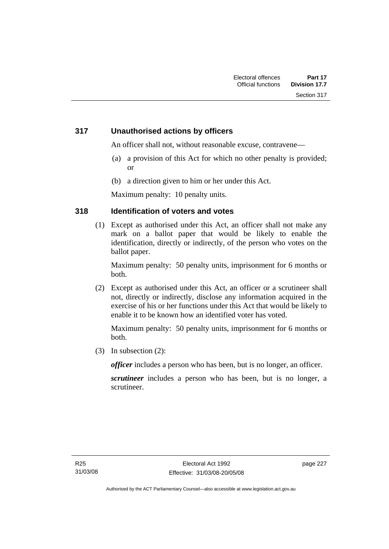## **317 Unauthorised actions by officers**

An officer shall not, without reasonable excuse, contravene—

- (a) a provision of this Act for which no other penalty is provided; or
- (b) a direction given to him or her under this Act.

Maximum penalty: 10 penalty units.

## **318 Identification of voters and votes**

 (1) Except as authorised under this Act, an officer shall not make any mark on a ballot paper that would be likely to enable the identification, directly or indirectly, of the person who votes on the ballot paper.

Maximum penalty: 50 penalty units, imprisonment for 6 months or both.

 (2) Except as authorised under this Act, an officer or a scrutineer shall not, directly or indirectly, disclose any information acquired in the exercise of his or her functions under this Act that would be likely to enable it to be known how an identified voter has voted.

Maximum penalty: 50 penalty units, imprisonment for 6 months or both.

(3) In subsection (2):

*officer* includes a person who has been, but is no longer, an officer.

*scrutineer* includes a person who has been, but is no longer, a scrutineer.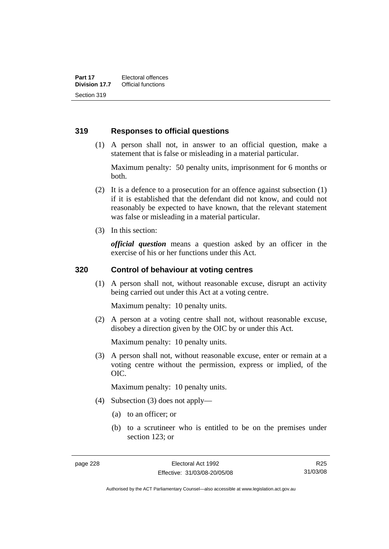#### **319 Responses to official questions**

 (1) A person shall not, in answer to an official question, make a statement that is false or misleading in a material particular.

Maximum penalty: 50 penalty units, imprisonment for 6 months or both.

- (2) It is a defence to a prosecution for an offence against subsection (1) if it is established that the defendant did not know, and could not reasonably be expected to have known, that the relevant statement was false or misleading in a material particular.
- (3) In this section:

*official question* means a question asked by an officer in the exercise of his or her functions under this Act.

#### **320 Control of behaviour at voting centres**

 (1) A person shall not, without reasonable excuse, disrupt an activity being carried out under this Act at a voting centre.

Maximum penalty: 10 penalty units.

 (2) A person at a voting centre shall not, without reasonable excuse, disobey a direction given by the OIC by or under this Act.

Maximum penalty: 10 penalty units.

 (3) A person shall not, without reasonable excuse, enter or remain at a voting centre without the permission, express or implied, of the OIC.

Maximum penalty: 10 penalty units.

- (4) Subsection (3) does not apply—
	- (a) to an officer; or
	- (b) to a scrutineer who is entitled to be on the premises under section 123; or

R25 31/03/08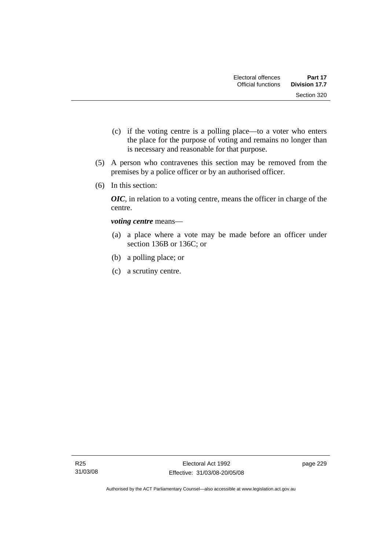- (c) if the voting centre is a polling place—to a voter who enters the place for the purpose of voting and remains no longer than is necessary and reasonable for that purpose.
- (5) A person who contravenes this section may be removed from the premises by a police officer or by an authorised officer.
- (6) In this section:

*OIC*, in relation to a voting centre, means the officer in charge of the centre.

*voting centre* means—

- (a) a place where a vote may be made before an officer under section 136B or 136C; or
- (b) a polling place; or
- (c) a scrutiny centre.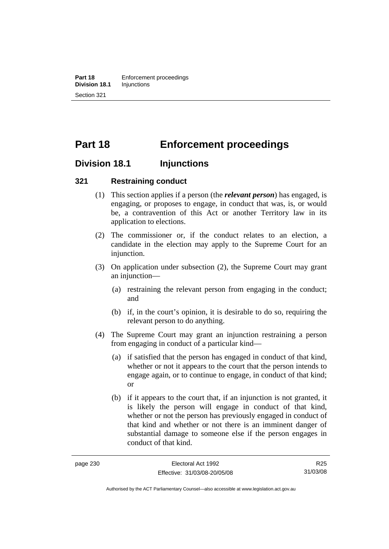## **Part 18 Enforcement proceedings**

## **Division 18.1 Injunctions**

#### **321 Restraining conduct**

- (1) This section applies if a person (the *relevant person*) has engaged, is engaging, or proposes to engage, in conduct that was, is, or would be, a contravention of this Act or another Territory law in its application to elections.
- (2) The commissioner or, if the conduct relates to an election, a candidate in the election may apply to the Supreme Court for an injunction.
- (3) On application under subsection (2), the Supreme Court may grant an injunction—
	- (a) restraining the relevant person from engaging in the conduct; and
	- (b) if, in the court's opinion, it is desirable to do so, requiring the relevant person to do anything.
- (4) The Supreme Court may grant an injunction restraining a person from engaging in conduct of a particular kind—
	- (a) if satisfied that the person has engaged in conduct of that kind, whether or not it appears to the court that the person intends to engage again, or to continue to engage, in conduct of that kind; or
	- (b) if it appears to the court that, if an injunction is not granted, it is likely the person will engage in conduct of that kind, whether or not the person has previously engaged in conduct of that kind and whether or not there is an imminent danger of substantial damage to someone else if the person engages in conduct of that kind.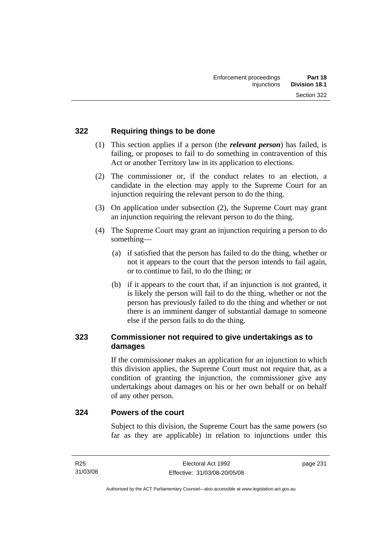## **322 Requiring things to be done**

- (1) This section applies if a person (the *relevant person*) has failed, is failing, or proposes to fail to do something in contravention of this Act or another Territory law in its application to elections.
- (2) The commissioner or, if the conduct relates to an election, a candidate in the election may apply to the Supreme Court for an injunction requiring the relevant person to do the thing.
- (3) On application under subsection (2), the Supreme Court may grant an injunction requiring the relevant person to do the thing.
- (4) The Supreme Court may grant an injunction requiring a person to do something—
	- (a) if satisfied that the person has failed to do the thing, whether or not it appears to the court that the person intends to fail again, or to continue to fail, to do the thing; or
	- (b) if it appears to the court that, if an injunction is not granted, it is likely the person will fail to do the thing, whether or not the person has previously failed to do the thing and whether or not there is an imminent danger of substantial damage to someone else if the person fails to do the thing.

## **323 Commissioner not required to give undertakings as to damages**

If the commissioner makes an application for an injunction to which this division applies, the Supreme Court must not require that, as a condition of granting the injunction, the commissioner give any undertakings about damages on his or her own behalf or on behalf of any other person.

#### **324 Powers of the court**

Subject to this division, the Supreme Court has the same powers (so far as they are applicable) in relation to injunctions under this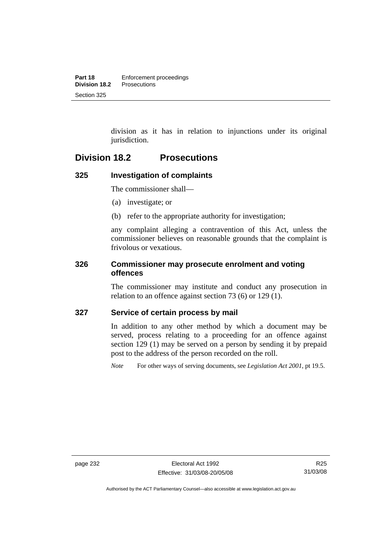division as it has in relation to injunctions under its original jurisdiction.

## **Division 18.2 Prosecutions**

## **325 Investigation of complaints**

The commissioner shall—

- (a) investigate; or
- (b) refer to the appropriate authority for investigation;

any complaint alleging a contravention of this Act, unless the commissioner believes on reasonable grounds that the complaint is frivolous or vexatious.

#### **326 Commissioner may prosecute enrolment and voting offences**

The commissioner may institute and conduct any prosecution in relation to an offence against section 73 (6) or 129 (1).

#### **327 Service of certain process by mail**

In addition to any other method by which a document may be served, process relating to a proceeding for an offence against section 129 (1) may be served on a person by sending it by prepaid post to the address of the person recorded on the roll.

*Note* For other ways of serving documents, see *Legislation Act 2001*, pt 19.5.

Authorised by the ACT Parliamentary Counsel—also accessible at www.legislation.act.gov.au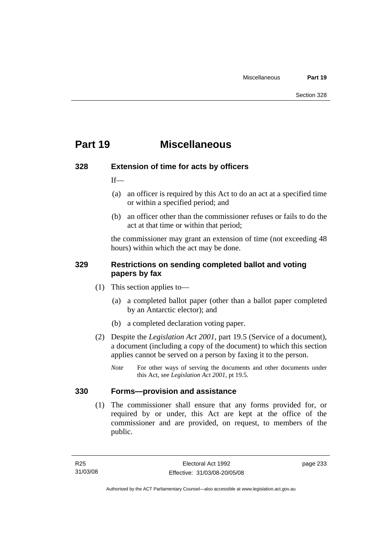## **Part 19 Miscellaneous**

## **328 Extension of time for acts by officers**

If—

- (a) an officer is required by this Act to do an act at a specified time or within a specified period; and
- (b) an officer other than the commissioner refuses or fails to do the act at that time or within that period;

the commissioner may grant an extension of time (not exceeding 48 hours) within which the act may be done.

## **329 Restrictions on sending completed ballot and voting papers by fax**

- (1) This section applies to—
	- (a) a completed ballot paper (other than a ballot paper completed by an Antarctic elector); and
	- (b) a completed declaration voting paper.
- (2) Despite the *Legislation Act 2001*, part 19.5 (Service of a document), a document (including a copy of the document) to which this section applies cannot be served on a person by faxing it to the person.
	- *Note* For other ways of serving the documents and other documents under this Act, see *Legislation Act 2001*, pt 19.5.

## **330 Forms—provision and assistance**

 (1) The commissioner shall ensure that any forms provided for, or required by or under, this Act are kept at the office of the commissioner and are provided, on request, to members of the public.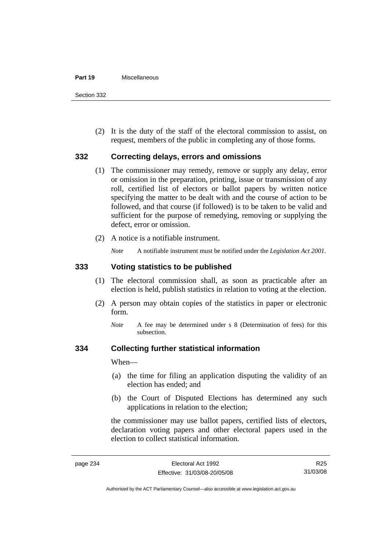#### **Part 19** Miscellaneous

Section 332

 (2) It is the duty of the staff of the electoral commission to assist, on request, members of the public in completing any of those forms.

#### **332 Correcting delays, errors and omissions**

- (1) The commissioner may remedy, remove or supply any delay, error or omission in the preparation, printing, issue or transmission of any roll, certified list of electors or ballot papers by written notice specifying the matter to be dealt with and the course of action to be followed, and that course (if followed) is to be taken to be valid and sufficient for the purpose of remedying, removing or supplying the defect, error or omission.
- (2) A notice is a notifiable instrument.

*Note* A notifiable instrument must be notified under the *Legislation Act 2001*.

#### **333 Voting statistics to be published**

- (1) The electoral commission shall, as soon as practicable after an election is held, publish statistics in relation to voting at the election.
- (2) A person may obtain copies of the statistics in paper or electronic form.
	- *Note* A fee may be determined under s 8 (Determination of fees) for this subsection.

#### **334 Collecting further statistical information**

When—

- (a) the time for filing an application disputing the validity of an election has ended; and
- (b) the Court of Disputed Elections has determined any such applications in relation to the election;

the commissioner may use ballot papers, certified lists of electors, declaration voting papers and other electoral papers used in the election to collect statistical information.

R25 31/03/08

Authorised by the ACT Parliamentary Counsel—also accessible at www.legislation.act.gov.au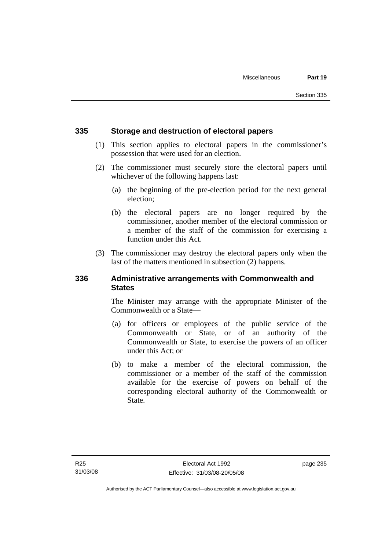### **335 Storage and destruction of electoral papers**

- (1) This section applies to electoral papers in the commissioner's possession that were used for an election.
- (2) The commissioner must securely store the electoral papers until whichever of the following happens last:
	- (a) the beginning of the pre-election period for the next general election;
	- (b) the electoral papers are no longer required by the commissioner, another member of the electoral commission or a member of the staff of the commission for exercising a function under this Act.
- (3) The commissioner may destroy the electoral papers only when the last of the matters mentioned in subsection (2) happens.

### **336 Administrative arrangements with Commonwealth and States**

The Minister may arrange with the appropriate Minister of the Commonwealth or a State—

- (a) for officers or employees of the public service of the Commonwealth or State, or of an authority of the Commonwealth or State, to exercise the powers of an officer under this Act; or
- (b) to make a member of the electoral commission, the commissioner or a member of the staff of the commission available for the exercise of powers on behalf of the corresponding electoral authority of the Commonwealth or State.

page 235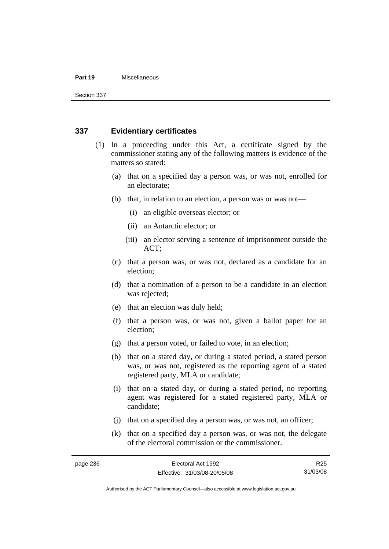#### **Part 19** Miscellaneous

Section 337

### **337 Evidentiary certificates**

- (1) In a proceeding under this Act, a certificate signed by the commissioner stating any of the following matters is evidence of the matters so stated:
	- (a) that on a specified day a person was, or was not, enrolled for an electorate;
	- (b) that, in relation to an election, a person was or was not—
		- (i) an eligible overseas elector; or
		- (ii) an Antarctic elector; or
		- (iii) an elector serving a sentence of imprisonment outside the ACT;
	- (c) that a person was, or was not, declared as a candidate for an election;
	- (d) that a nomination of a person to be a candidate in an election was rejected;
	- (e) that an election was duly held;
	- (f) that a person was, or was not, given a ballot paper for an election;
	- (g) that a person voted, or failed to vote, in an election;
	- (h) that on a stated day, or during a stated period, a stated person was, or was not, registered as the reporting agent of a stated registered party, MLA or candidate;
	- (i) that on a stated day, or during a stated period, no reporting agent was registered for a stated registered party, MLA or candidate;
	- (j) that on a specified day a person was, or was not, an officer;
	- (k) that on a specified day a person was, or was not, the delegate of the electoral commission or the commissioner.

R25 31/03/08

Authorised by the ACT Parliamentary Counsel—also accessible at www.legislation.act.gov.au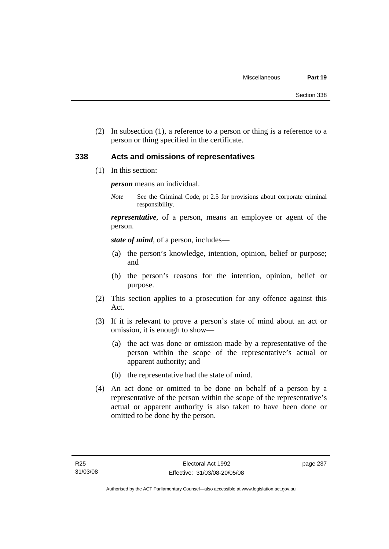(2) In subsection (1), a reference to a person or thing is a reference to a person or thing specified in the certificate.

#### **338 Acts and omissions of representatives**

(1) In this section:

*person* means an individual.

*Note* See the Criminal Code, pt 2.5 for provisions about corporate criminal responsibility.

*representative*, of a person, means an employee or agent of the person.

*state of mind*, of a person, includes—

- (a) the person's knowledge, intention, opinion, belief or purpose; and
- (b) the person's reasons for the intention, opinion, belief or purpose.
- (2) This section applies to a prosecution for any offence against this Act.
- (3) If it is relevant to prove a person's state of mind about an act or omission, it is enough to show—
	- (a) the act was done or omission made by a representative of the person within the scope of the representative's actual or apparent authority; and
	- (b) the representative had the state of mind.
- (4) An act done or omitted to be done on behalf of a person by a representative of the person within the scope of the representative's actual or apparent authority is also taken to have been done or omitted to be done by the person.

page 237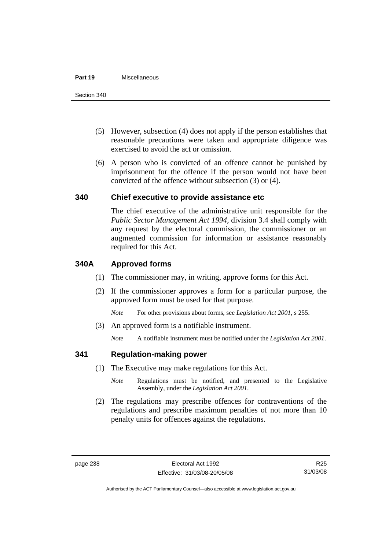#### **Part 19** Miscellaneous

- (5) However, subsection (4) does not apply if the person establishes that reasonable precautions were taken and appropriate diligence was exercised to avoid the act or omission.
- (6) A person who is convicted of an offence cannot be punished by imprisonment for the offence if the person would not have been convicted of the offence without subsection (3) or (4).

### **340 Chief executive to provide assistance etc**

The chief executive of the administrative unit responsible for the *Public Sector Management Act 1994*, division 3.4 shall comply with any request by the electoral commission, the commissioner or an augmented commission for information or assistance reasonably required for this Act.

### **340A Approved forms**

- (1) The commissioner may, in writing, approve forms for this Act.
- (2) If the commissioner approves a form for a particular purpose, the approved form must be used for that purpose.

*Note* For other provisions about forms, see *Legislation Act 2001*, s 255.

(3) An approved form is a notifiable instrument.

*Note* A notifiable instrument must be notified under the *Legislation Act 2001*.

### **341 Regulation-making power**

- (1) The Executive may make regulations for this Act.
	- *Note* **Regulations** must be notified, and presented to the Legislative Assembly, under the *Legislation Act 2001*.
- (2) The regulations may prescribe offences for contraventions of the regulations and prescribe maximum penalties of not more than 10 penalty units for offences against the regulations.

Authorised by the ACT Parliamentary Counsel—also accessible at www.legislation.act.gov.au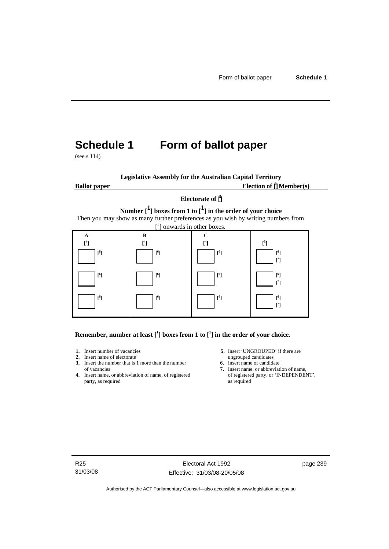# **Schedule 1 Form of ballot paper**

(see s 114)

**Legislative Assembly for the Australian Capital Territory Ballot paper** Election of  $\prod_{i=1}^{n} \text{Member}(s)$ 

#### **Electorate of [ 2 ]**

**Number [1] boxes from 1 to [1] in the order of your choice**  Then you may show as many further preferences as you wish by writing numbers from



**Remember, number at least**  $\begin{bmatrix} 1 \end{bmatrix}$  boxes from 1 to  $\begin{bmatrix} 1 \end{bmatrix}$  in the order of your choice.

- 
- 
- **2.** Insert name of electorate ungrouped candidates<br> **3.** Insert the number that is 1 more than the number **6.** Insert name of candidate **3.** Insert the number that is 1 more than the number
- **4.** Insert name, or abbreviation of name, of registered of registere party, as required as party, as required
- **1.** Insert number of vacancies **5.** Insert 'UNGROUPED' if there are **2.** Insert name of electorate **1.** Insert name of electorate
	-
	- of vacancies **7.** Insert name, or abbreviation of name, or abbreviation of name, or abbreviation of name, of registered **7.** Insert name, or 'INDEPENDENT',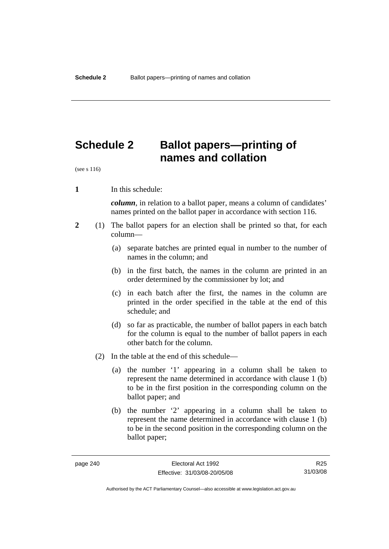# **Schedule 2 Ballot papers—printing of names and collation**

(see s 116)

**1** In this schedule:

*column*, in relation to a ballot paper, means a column of candidates' names printed on the ballot paper in accordance with section 116.

- **2** (1) The ballot papers for an election shall be printed so that, for each column—
	- (a) separate batches are printed equal in number to the number of names in the column; and
	- (b) in the first batch, the names in the column are printed in an order determined by the commissioner by lot; and
	- (c) in each batch after the first, the names in the column are printed in the order specified in the table at the end of this schedule; and
	- (d) so far as practicable, the number of ballot papers in each batch for the column is equal to the number of ballot papers in each other batch for the column.
	- (2) In the table at the end of this schedule—
		- (a) the number '1' appearing in a column shall be taken to represent the name determined in accordance with clause 1 (b) to be in the first position in the corresponding column on the ballot paper; and
		- (b) the number '2' appearing in a column shall be taken to represent the name determined in accordance with clause 1 (b) to be in the second position in the corresponding column on the ballot paper;

R25 31/03/08

Authorised by the ACT Parliamentary Counsel—also accessible at www.legislation.act.gov.au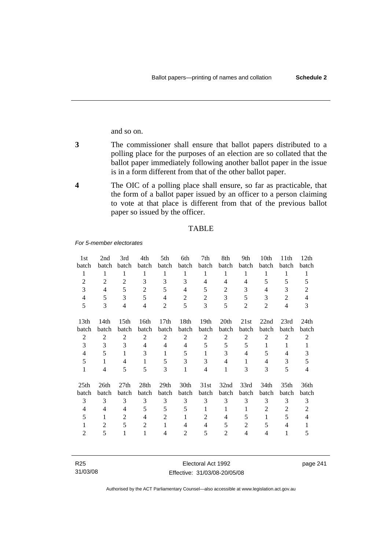and so on.

- **3** The commissioner shall ensure that ballot papers distributed to a polling place for the purposes of an election are so collated that the ballot paper immediately following another ballot paper in the issue is in a form different from that of the other ballot paper.
- **4** The OIC of a polling place shall ensure, so far as practicable, that the form of a ballot paper issued by an officer to a person claiming to vote at that place is different from that of the previous ballot paper so issued by the officer.

#### TABLE

*For 5-member electorates*

| 1st              | 2nd            | 3rd              | 4th            | 5th              | 6th            | 7th              | 8th            | 9th            | 10th           | 11 <sup>th</sup> | 12th           |
|------------------|----------------|------------------|----------------|------------------|----------------|------------------|----------------|----------------|----------------|------------------|----------------|
| batch            | batch          | <b>batch</b>     | batch          | batch            | batch          | batch            | batch          | batch          | <b>batch</b>   | batch            | batch          |
| 1                | 1              | 1                | 1              | 1                | 1              | 1                | 1              | 1              | 1              | 1                | 1              |
| 2                | 2              | 2                | 3              | 3                | 3              | 4                | 4              | 4              | 5              | 5                | 5              |
| 3                | $\overline{4}$ | 5                | $\overline{2}$ | 5                | $\overline{4}$ | 5                | 2              | 3              | 4              | 3                | 2              |
| 4                | 5              | 3                | 5              | 4                | $\overline{2}$ | 2                | 3              | 5              | 3              | $\overline{2}$   | $\overline{4}$ |
| 5                | 3              | $\overline{4}$   | $\overline{4}$ | 2                | 5              | 3                | 5              | $\overline{2}$ | 2              | $\overline{4}$   | 3              |
| 13 <sub>th</sub> | 14th           | 15 <sup>th</sup> | 16th           | 17 <sub>th</sub> | 18th           | 19 <sub>th</sub> | 20th           | 21st           | 22nd           | 23rd             | 24th           |
| batch            | batch          | batch            | batch          | batch            | batch          | batch            | batch          | batch          | batch          | batch            | batch          |
| $\overline{2}$   | $\overline{2}$ | $\overline{2}$   | $\overline{2}$ | $\overline{2}$   | $\overline{c}$ | $\overline{2}$   | $\overline{2}$ | $\overline{2}$ | $\overline{2}$ | $\overline{2}$   | 2              |
| 3                | 3              | 3                | $\overline{4}$ | 4                | 4              | 5                | 5              | 5              | 1              | 1                | 1              |
| 4                | 5              | 1                | 3              | 1                | 5              | 1                | 3              | 4              | 5              | 4                | 3              |
| 5                | 1              | 4                | 1              | 5                | 3              | 3                | 4              | 1              | 4              | 3                | 5              |
| 1                | 4              | 5                | 5              | 3                | $\mathbf{1}$   | 4                | 1              | 3              | 3              | 5                | 4              |
| 25 <sub>th</sub> | 26th           | 27th             | 28th           | 29 <sub>th</sub> | 30th           | 31st             | 32nd           | 33rd           | 34th           | 35 <sub>th</sub> | 36th           |
| batch            | batch          | batch            | batch          | batch            | batch          | batch            | batch          | batch          | batch          | batch            | batch          |
| 3                | 3              | 3                | 3              | 3                | 3              | 3                | 3              | 3              | 3              | 3                | 3              |
| $\overline{4}$   | 4              | 4                | 5              | 5                | 5              | 1                | 1              | 1              | $\overline{2}$ | 2                | 2              |
| 5                | 1              | 2                | 4              | 2                | 1              | 2                | 4              | 5              | 1              | 5                | 4              |
| 1                | 2              | 5                | 2              | 1                | 4              | 4                | 5              | 2              | 5              | 4                |                |
| 2                | 5              | 1                | 1              | 4                | 2              | 5                | 2              | 4              | 4              | 1                | 5              |

| R25      | Electoral Act 1992           | page 241 |
|----------|------------------------------|----------|
| 31/03/08 | Effective: 31/03/08-20/05/08 |          |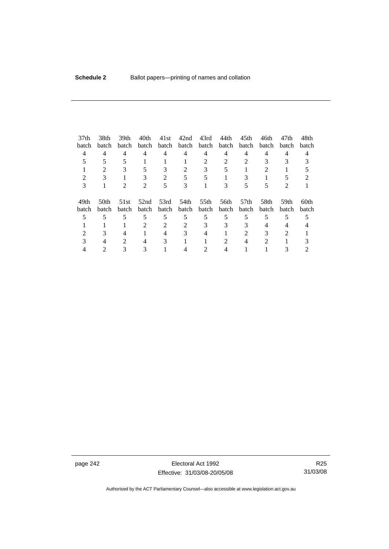| 37 <sub>th</sub> | 38th  | 39th  | 40th  | 41st  | 42nd  | 43rd  | 44th  | 45th  | 46th  | 47th  | 48th             |
|------------------|-------|-------|-------|-------|-------|-------|-------|-------|-------|-------|------------------|
| batch            | batch | batch | batch | batch | batch | batch | batch | batch | batch | batch | batch            |
|                  | 4     | 4     | 4     | 4     | 4     | 4     | 4     | 4     | 4     | 4     | 4                |
|                  |       |       |       |       |       | 2     | 2     |       |       | 3     |                  |
|                  |       |       |       | 3     | 2     | 3     |       |       |       |       |                  |
|                  | 3     |       | 3     | 2     |       |       |       | 3     |       |       |                  |
| 3                |       |       | 2     | 5     | 3     |       |       |       |       | 2     |                  |
|                  |       |       |       |       |       |       |       |       |       |       |                  |
| 49th             | 50th  | 51st  | 52nd  | 53rd  | 54th  | 55th  | 56th  | 57th  | 58th  | 59th  | 60 <sub>th</sub> |
| batch            | batch | batch | batch | batch | batch | batch | batch | batch | batch | batch | batch            |
|                  | 5     |       | 5     | 5     | 5     | 5     | 5     |       |       |       |                  |
|                  |       |       | 2     | 2     |       | 3     | 3     | 3     | 4     | 4     |                  |
|                  |       | 4     |       | 4     |       |       |       | 2     |       |       |                  |
|                  |       | 2     | 4     | 3     |       |       |       |       | 2     |       |                  |
|                  |       |       |       |       |       |       |       |       |       |       |                  |

page 242 **Electoral Act 1992** Effective: 31/03/08-20/05/08

R25 31/03/08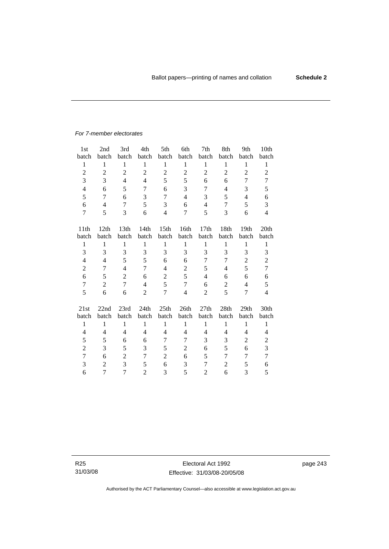#### *For 7-member electorates*

| 1 <sub>st</sub> | 2nd              | 3rd              | 4th            | 5th              | 6th                     | 7th            | 8th            | 9th              | 10th           |
|-----------------|------------------|------------------|----------------|------------------|-------------------------|----------------|----------------|------------------|----------------|
| batch           | batch            | batch            | batch          | batch            | batch                   | batch          | batch          | batch            | batch          |
| $\mathbf{1}$    | $\mathbf{1}$     | $\mathbf{1}$     | $\mathbf{1}$   | $\mathbf{1}$     | $\mathbf{1}$            | $\mathbf{1}$   | $\,1$          | $\mathbf{1}$     | $\mathbf{1}$   |
| $\overline{2}$  | $\boldsymbol{2}$ | $\overline{2}$   | $\overline{2}$ | $\overline{2}$   | $\overline{2}$          | $\overline{2}$ | $\overline{2}$ | $\overline{2}$   | $\overline{2}$ |
| 3               | 3                | $\overline{4}$   | 4              | 5                | 5                       | 6              | 6              | 7                | 7              |
| $\overline{4}$  | 6                | 5                | 7              | 6                | 3                       | 7              | 4              | 3                | 5              |
| 5               | 7                | 6                | 3              | 7                | $\overline{\mathbf{4}}$ | 3              | 5              | $\overline{4}$   | 6              |
| 6               | $\overline{4}$   | 7                | 5              | 3                | 6                       | $\overline{4}$ | 7              | 5                | 3              |
| 7               | 5                | 3                | 6              | $\overline{4}$   | 7                       | 5              | 3              | 6                | $\overline{4}$ |
|                 |                  |                  |                |                  |                         |                |                |                  |                |
| 11th            | 12th             | 13 <sup>th</sup> | 14th           | 15 <sup>th</sup> | 16th                    | 17th           | 18th           | 19 <sub>th</sub> | 20th           |
| batch           | batch            | batch            | batch          | batch            | batch                   | batch          | batch          | batch            | batch          |
| 1               | 1                | 1                | 1              | $\mathbf{1}$     | 1                       | $\mathbf{1}$   | 1              | $\mathbf{1}$     | $\mathbf{1}$   |
| 3               | 3                | 3                | 3              | 3                | 3                       | 3              | 3              | 3                | 3              |
| 4               | $\overline{4}$   | 5                | 5              | 6                | 6                       | 7              | 7              | $\overline{2}$   | $\overline{2}$ |
| $\overline{c}$  | 7                | $\overline{4}$   | $\overline{7}$ | 4                | $\mathbf{2}$            | 5              | 4              | 5                | $\overline{7}$ |
| 6               | 5                | $\overline{2}$   | 6              | $\overline{c}$   | 5                       | $\overline{4}$ | 6              | 6                | 6              |
| $\overline{7}$  | $\overline{2}$   | $\overline{7}$   | $\overline{4}$ | 5                | $\tau$                  | 6              | $\overline{2}$ | $\overline{4}$   | 5              |
| 5               | 6                | 6                | $\overline{c}$ | $\overline{7}$   | $\overline{4}$          | 2              | 5              | 7                | $\overline{4}$ |
|                 |                  |                  |                |                  |                         |                |                |                  |                |
| 21st            | 22nd             | 23rd             | 24th           | 25th             | 26th                    | 27th           | 28th           | 29th             | 30th           |
| batch           | batch            | batch            | batch          | batch            | batch                   | batch          | batch          | batch            | batch          |
| $\mathbf{1}$    | $\mathbf{1}$     | $\mathbf{1}$     | $\mathbf{1}$   | $\mathbf{1}$     | $\mathbf{1}$            | $\mathbf{1}$   | $\mathbf{1}$   | $\mathbf{1}$     | $\mathbf{1}$   |
| $\overline{4}$  | $\overline{4}$   | $\overline{4}$   | 4              | 4                | $\overline{4}$          | 4              | 4              | 4                | $\overline{4}$ |
| 5               | 5                | 6                | 6              | 7                | 7                       | 3              | 3              | $\overline{c}$   | $\overline{c}$ |
| $\mathbf{2}$    | 3                | 5                | 3              | 5                | $\overline{c}$          | 6              | 5              | 6                | 3              |
| $\overline{7}$  | 6                | $\overline{c}$   | 7              | $\overline{2}$   | 6                       | 5              | 7              | 7                | $\tau$         |
| 3               | $\overline{2}$   | 3                | 5              | 6                | 3                       | 7              | $\overline{2}$ | 5                | 6              |
| 6               | 7                | 7                | $\overline{2}$ | 3                | 5                       | $\overline{2}$ | 6              | 3                | 5              |

R25 31/03/08 page 243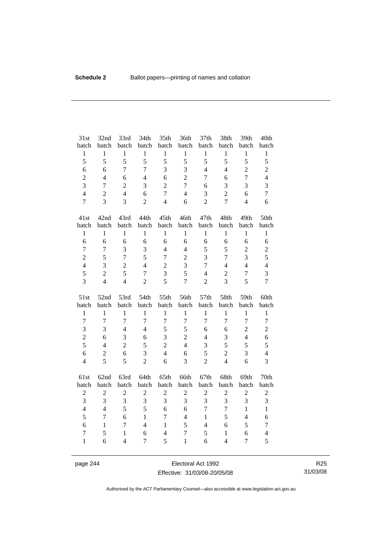| 31st<br>batch     | 32nd<br>batch    | 33rd<br>batch                  | 34th<br>batch       | 35th<br>batch       | 36th<br>batch     | 37th<br>batch    | 38th<br>batch                  | 39th<br>batch       | 40th<br>batch       |
|-------------------|------------------|--------------------------------|---------------------|---------------------|-------------------|------------------|--------------------------------|---------------------|---------------------|
| $\,1$             | $\mathbf{1}$     | $\mathbf{1}$                   | $\mathbf{1}$        | $\mathbf{1}$        | $\mathbf{1}$      | $\mathbf{1}$     | $\mathbf{1}$                   | $\mathbf{1}$        | $\mathbf{1}$        |
| 5                 | 5                | 5                              | 5                   | 5                   | 5                 | 5                | 5                              | 5                   | 5                   |
| 6                 | 6                | $\overline{7}$                 | $\overline{7}$      | 3                   | 3                 | $\overline{4}$   | $\overline{4}$                 | $\overline{c}$      | $\overline{c}$      |
| $\overline{c}$    | $\overline{4}$   | 6                              | $\overline{4}$      | 6                   | $\overline{2}$    | $\overline{7}$   | 6                              | $\overline{7}$      | $\overline{4}$      |
| 3                 | $\overline{7}$   | $\overline{2}$                 | 3                   | $\overline{2}$      | $\overline{7}$    | 6                | 3                              | 3                   | 3                   |
| $\overline{4}$    | $\overline{2}$   | $\overline{4}$                 | 6                   | $\overline{7}$      | $\overline{4}$    | 3                | $\overline{2}$                 | 6                   | $\overline{7}$      |
| $\overline{7}$    | $\overline{3}$   | 3                              | $\overline{2}$      | $\overline{4}$      | 6                 | $\overline{2}$   | $\overline{7}$                 | $\overline{4}$      | 6                   |
| 41st              | 42nd             | 43rd                           | 44th                | 45th                | 46th              | 47th             | 48th                           | 49th                | 50th                |
| batch             | batch            | batch                          | batch               | batch               | batch             | batch            | batch                          | batch               | batch               |
| $\,1$             | $\mathbf{1}$     | $\mathbf{1}$                   | $\mathbf{1}$        | $\mathbf{1}$        | $\mathbf{1}$      | $\mathbf{1}$     | $\mathbf{1}$                   | $\mathbf{1}$        | $\mathbf{1}$        |
| 6                 | 6                | 6                              | 6                   | 6                   | 6                 | 6                | 6                              | 6                   | 6                   |
| $\overline{7}$    | $\overline{7}$   | 3                              | 3                   | $\overline{4}$      | $\overline{4}$    | 5                | 5                              | $\overline{c}$      | $\overline{c}$      |
| $\overline{c}$    | 5                | $\overline{7}$                 | 5                   | $\overline{7}$      | $\overline{c}$    | 3                | $\overline{7}$                 | $\overline{3}$      | 5                   |
| $\overline{4}$    | 3                | $\overline{2}$                 | $\overline{4}$      | $\sqrt{2}$          | 3                 | $\overline{7}$   | $\overline{4}$                 | $\overline{4}$      | $\overline{4}$      |
| 5                 | $\overline{c}$   | 5                              | $\tau$              | 3                   | 5                 | $\overline{4}$   | $\mathfrak{2}$                 | $\tau$              | 3                   |
| 3                 | $\overline{4}$   | $\overline{4}$                 | $\overline{2}$      | 5                   | $\overline{7}$    | $\overline{2}$   | 3                              | 5                   | $\overline{7}$      |
|                   |                  |                                |                     |                     |                   |                  |                                |                     |                     |
| 51st              | 52nd             | 53rd                           | 54th                | 55th                | 56th              | 57th             | 58th                           | 59th                | 60th                |
| batch             | batch            | batch                          | batch               | batch               | batch             | batch            | batch                          | batch               | batch               |
| $\mathbf{1}$      | $\mathbf{1}$     | $\mathbf{1}$                   | $\mathbf{1}$        | $\mathbf{1}$        | $\mathbf{1}$      | $\mathbf{1}$     | $\mathbf{1}$                   | $\mathbf{1}$        | $\mathbf{1}$        |
| $\overline{7}$    | $\overline{7}$   | $\overline{7}$                 | $\overline{7}$      | $\overline{7}$      | $\overline{7}$    | $\overline{7}$   | $\overline{7}$                 | $\overline{7}$      | $\overline{7}$      |
| 3                 | 3                | $\overline{4}$                 | $\overline{4}$      | 5                   | 5                 | 6                | 6                              | $\overline{c}$      | $\overline{c}$      |
| $\overline{c}$    | 6                | $\overline{3}$                 | 6                   | 3                   | $\overline{2}$    | $\overline{4}$   | 3                              | $\overline{4}$      | 6                   |
| 5                 | $\overline{4}$   | $\overline{2}$                 | 5                   | $\overline{2}$      | $\overline{4}$    | 3                | 5                              | 5                   | 5                   |
| $\epsilon$        | $\boldsymbol{2}$ | 6                              | 3                   | $\overline{4}$      | 6                 | 5                | $\overline{2}$                 | 3                   | $\overline{4}$      |
| $\overline{4}$    | 5                | 5                              | $\overline{2}$      | 6                   | $\overline{3}$    | $\overline{2}$   | $\overline{4}$                 | 6                   | 3                   |
| 61st              | 62nd             | 63rd                           | 64th                | 65th                | 66th              | 67th             | 68th                           | 69th                | 70th                |
| batch             | batch            | batch                          | batch               | batch               | batch             | batch            | batch                          | batch               | batch               |
| $\boldsymbol{2}$  | $\overline{c}$   | $\overline{c}$                 | $\overline{c}$      | $\boldsymbol{2}$    | $\sqrt{2}$        | $\boldsymbol{2}$ | $\sqrt{2}$                     | $\overline{2}$      | $\sqrt{2}$          |
| $\overline{3}$    | $\overline{3}$   | $\overline{3}$                 | $\overline{3}$      | 3                   | $\overline{3}$    | 3                | $\overline{3}$                 | $\overline{3}$      | 3                   |
| $\overline{4}$    | $\overline{4}$   | 5                              | 5                   | 6                   | 6                 | $\overline{7}$   | $\tau$                         | $\mathbf{1}$        | $\mathbf{1}$        |
| 5                 | $\boldsymbol{7}$ | 6                              | $\mathbf{1}$        | $\overline{7}$      | $\overline{4}$    | $\mathbf{1}$     | 5                              | $\overline{4}$      | 6                   |
| 6                 | $\mathbf{1}$     | $\overline{7}$                 | $\overline{4}$      | $\mathbf{1}$        | 5                 | $\overline{4}$   | 6                              | 5                   | $\tau$              |
| 7<br>$\mathbf{1}$ | 5<br>6           | $\mathbf{1}$<br>$\overline{4}$ | 6<br>$\overline{7}$ | $\overline{4}$<br>5 | 7<br>$\mathbf{1}$ | 5<br>6           | $\mathbf{1}$<br>$\overline{4}$ | 6<br>$\overline{7}$ | $\overline{4}$<br>5 |

page 244 Electoral Act 1992 Effective: 31/03/08-20/05/08

R25 31/03/08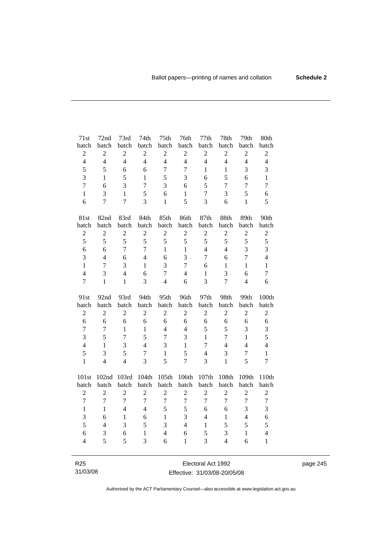| 71st                    | 72nd             | 73rd           | 74th           | 75 <sup>th</sup> | 76th             | 77th             | 78th           | 79th             | 80th             |
|-------------------------|------------------|----------------|----------------|------------------|------------------|------------------|----------------|------------------|------------------|
| batch                   | batch            | batch          | batch          | batch            | batch            | batch            | batch          | batch            | batch            |
| $\overline{c}$          | $\boldsymbol{2}$ | $\overline{2}$ | $\overline{2}$ | $\overline{2}$   | $\overline{c}$   | $\boldsymbol{2}$ | $\overline{c}$ | $\boldsymbol{2}$ | $\sqrt{2}$       |
| $\overline{4}$          | $\overline{4}$   | $\overline{4}$ | $\overline{4}$ | $\overline{4}$   | $\overline{4}$   | $\overline{4}$   | $\overline{4}$ | $\overline{4}$   | $\overline{4}$   |
| 5                       | 5                | 6              | 6              | $\overline{7}$   | $\overline{7}$   | $\mathbf{1}$     | $\mathbf{1}$   | 3                | 3                |
| 3                       | 1                | 5              | $\mathbf{1}$   | 5                | 3                | 6                | 5              | 6                | $\mathbf{1}$     |
| $\overline{7}$          | 6                | 3              | $\overline{7}$ | 3                | 6                | 5                | 7              | 7                | $\overline{7}$   |
| $\mathbf{1}$            | 3                | $\mathbf{1}$   | 5              | 6                | $\mathbf{1}$     | $\tau$           | 3              | 5                | 6                |
| 6                       | $\overline{7}$   | $\overline{7}$ | $\overline{3}$ | $\mathbf{1}$     | 5                | 3                | 6              | $\mathbf{1}$     | 5                |
| 81st                    | 82nd             | 83rd           | 84th           | 85th             | 86th             | 87th             | 88th           | 89th             | 90th             |
| batch                   | batch            | batch          | batch          | batch            | batch            | batch            | batch          | batch            | batch            |
| $\overline{2}$          | $\overline{2}$   | $\overline{2}$ | $\overline{c}$ | $\overline{c}$   | $\overline{2}$   | $\overline{2}$   | $\overline{c}$ | $\overline{2}$   | $\overline{2}$   |
| 5                       | 5                | 5              | 5              | 5                | 5                | 5                | 5              | 5                | 5                |
| 6                       | 6                | $\overline{7}$ | $\overline{7}$ | $\mathbf{1}$     | $\mathbf{1}$     | $\overline{4}$   | $\overline{4}$ | 3                | $\overline{3}$   |
| 3                       | $\overline{4}$   | 6              | $\overline{4}$ | 6                | $\overline{3}$   | 7                | 6              | $\overline{7}$   | $\overline{4}$   |
| $\mathbf{1}$            | $\overline{7}$   | 3              | $\mathbf{1}$   | $\overline{3}$   | $\overline{7}$   | 6                | $\mathbf{1}$   | $\mathbf{1}$     | $\mathbf{1}$     |
| $\overline{\mathbf{4}}$ | 3                | $\overline{4}$ | 6              | $\overline{7}$   | $\overline{4}$   | $\mathbf{1}$     | 3              | 6                | $\boldsymbol{7}$ |
| $\overline{7}$          | $\mathbf{1}$     | $\mathbf{1}$   | 3              | $\overline{4}$   | 6                | $\overline{3}$   | $\overline{7}$ | $\overline{4}$   | 6                |
|                         |                  |                |                |                  |                  |                  |                |                  |                  |
| 91st                    | 92nd             | 93rd           | 94th           | 95th             | 96th             | 97th             | 98th           | 99th             | 100th            |
| batch                   | batch            | batch          | batch          | batch            | batch            | batch            | batch          | batch            | batch            |
| $\boldsymbol{2}$        | $\overline{2}$   | $\overline{2}$ | $\overline{2}$ | $\overline{2}$   | $\overline{2}$   | $\mathfrak{2}$   | $\overline{c}$ | $\overline{2}$   | $\boldsymbol{2}$ |
| 6                       | 6                | 6              | 6              | 6                | 6                | 6                | 6              | 6                | 6                |
| $\overline{7}$          | $\overline{7}$   | $\mathbf{1}$   | $\mathbf{1}$   | $\overline{4}$   | $\overline{4}$   | 5                | 5              | 3                | 3                |
| $\overline{3}$          | 5                | $\overline{7}$ | 5              | $\overline{7}$   | 3                | $\mathbf{1}$     | $\overline{7}$ | $\mathbf{1}$     | 5                |
| $\overline{\mathbf{4}}$ | $\mathbf{1}$     | 3              | $\overline{4}$ | 3                | $\mathbf{1}$     | $\overline{7}$   | $\overline{4}$ | $\overline{4}$   | $\overline{4}$   |
| 5                       | 3                | 5              | $\overline{7}$ | $\mathbf{1}$     | 5                | $\overline{4}$   | 3              | $\tau$           | $\mathbf{1}$     |
| $\mathbf{1}$            | $\overline{4}$   | $\overline{4}$ | 3              | 5                | $\overline{7}$   | 3                | $\mathbf{1}$   | 5                | $\overline{7}$   |
| 101st                   | 102nd            | 103rd          | 104th          | 105th            | 106th            | 107th            | 108th          | 109th            | 110th            |
| batch                   | batch            | batch          | batch          | batch            | batch            | batch            | batch          | batch            | batch            |
| $\overline{c}$          | $\overline{2}$   | $\overline{2}$ | $\overline{2}$ | $\overline{2}$   | $\overline{2}$   | $\overline{c}$   | $\mathbf{2}$   | $\overline{2}$   | $\mathfrak{2}$   |
| $\overline{7}$          | $\overline{7}$   | $\overline{7}$ | $\overline{7}$ | $\overline{7}$   | $\boldsymbol{7}$ | $\overline{7}$   | $\overline{7}$ | $\overline{7}$   | $\boldsymbol{7}$ |
| $\mathbf{1}$            | $\mathbf{1}$     | $\overline{4}$ | $\overline{4}$ | 5                | 5                | 6                | 6              | 3                | 3                |
| 3                       | 6                | $\mathbf{1}$   | 6              | $\mathbf{1}$     | 3                | $\overline{4}$   | $\mathbf{1}$   | $\overline{4}$   | 6                |
| 5                       | $\overline{4}$   | 3              | 5              | 3                | $\overline{4}$   | $\mathbf{1}$     | 5              | 5                | 5                |
| 6                       | 3                | 6              | $\mathbf{1}$   | $\overline{4}$   | 6                | 5                | 3              | $\mathbf{1}$     | $\overline{4}$   |
| $\overline{4}$          | 5                | 5              | 3              | 6                | $\mathbf{1}$     | 3                | $\overline{4}$ | 6                | $\mathbf{1}$     |

R25 31/03/08

Electoral Act 1992 Effective: 31/03/08-20/05/08 page 245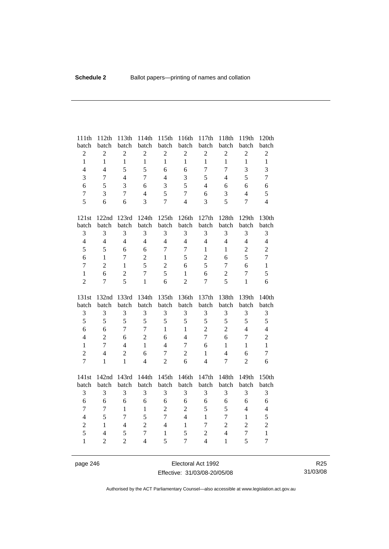| 111th             | 112th                            | 113th               | 114th                              | 115th             | 116th               | 117th                            | 118th                          | 119th          | 120th                          |
|-------------------|----------------------------------|---------------------|------------------------------------|-------------------|---------------------|----------------------------------|--------------------------------|----------------|--------------------------------|
| batch             | batch                            | batch               | batch                              | batch             | batch               | batch                            | batch                          | batch          | batch                          |
| $\overline{c}$    | $\sqrt{2}$                       | $\overline{c}$      | $\overline{c}$                     | $\overline{c}$    | $\overline{c}$      | $\sqrt{2}$                       | $\sqrt{2}$                     | $\overline{c}$ | $\sqrt{2}$                     |
| $\mathbf{1}$      | $\mathbf{1}$                     | $\mathbf{1}$        | $\mathbf{1}$                       | $\mathbf{1}$      | $\mathbf{1}$        | $\mathbf{1}$                     | $\mathbf{1}$                   | $\mathbf{1}$   | $\mathbf{1}$                   |
| $\overline{4}$    | $\overline{4}$                   | 5                   | 5                                  | 6                 | 6                   | $\overline{7}$                   | $\overline{7}$                 | 3              | 3                              |
| 3                 | $\tau$                           | $\overline{4}$      | $\overline{7}$                     | $\overline{4}$    | 3                   | 5                                | $\overline{4}$                 | 5              | $\overline{7}$                 |
| 6                 | 5                                | 3                   | 6                                  | 3                 | 5                   | $\overline{4}$                   | 6                              | 6              | 6                              |
| $\boldsymbol{7}$  | 3                                | $\tau$              | $\overline{4}$                     | 5                 | $\tau$              | 6                                | 3                              | $\overline{4}$ | 5                              |
| 5                 | 6                                | 6                   | $\overline{3}$                     | $\overline{7}$    | $\overline{4}$      | 3                                | 5                              | $\overline{7}$ | $\overline{4}$                 |
| $121st$           | 122nd                            | 123rd               | 124th                              | 125th             | 126th               | 127th                            | 128th                          | 129th          | 130th                          |
| batch             | batch                            | batch               | batch                              | batch             | batch               | batch                            | batch                          | batch          | batch                          |
| $\mathfrak{Z}$    | 3                                | 3                   | 3                                  | 3                 | 3                   | 3                                | 3                              | 3              | 3                              |
| $\overline{4}$    | $\overline{4}$                   | $\overline{4}$      | $\overline{4}$                     | $\overline{4}$    | $\overline{4}$      | $\overline{4}$                   | $\overline{4}$                 | $\overline{4}$ | $\overline{4}$                 |
| 5                 | 5                                | 6                   | 6                                  | $\overline{7}$    | $\overline{7}$      | 1                                | $\mathbf{1}$                   | $\mathbf{2}$   | $\overline{c}$                 |
| 6                 | $\mathbf{1}$                     | $\overline{7}$      | $\overline{2}$                     | $\mathbf{1}$      | 5                   | $\overline{c}$                   | 6                              | 5              | $\overline{7}$                 |
| $\tau$            | $\overline{c}$                   | $\mathbf{1}$        | 5                                  | $\overline{2}$    | 6                   | 5                                | $\tau$                         | 6              | $\mathbf{1}$                   |
| $\mathbf{1}$      | 6                                | $\overline{2}$      | $\overline{7}$                     | 5                 | $\mathbf{1}$        | 6                                | $\overline{2}$                 | $\overline{7}$ | 5                              |
| $\overline{2}$    | $\overline{7}$                   | 5                   | $\mathbf{1}$                       | 6                 | $\overline{c}$      | $\tau$                           | 5                              | $\mathbf{1}$   | 6                              |
|                   |                                  |                     |                                    |                   |                     |                                  |                                |                |                                |
| 131st             | 132nd                            | 133rd               | 134th                              | 135th             | 136th               | 137th                            | 138th                          | 139th          | 140th                          |
| batch             | batch                            | batch               | batch                              | batch             | batch               | batch                            | batch                          | batch          | batch                          |
| $\mathfrak{Z}$    | 3                                | 3                   | 3                                  | 3                 | 3                   | 3                                | 3                              | 3              | 3                              |
| 5                 | 5                                | 5                   | 5                                  | 5                 | 5                   | 5                                | 5                              | 5              | 5                              |
| 6                 | 6                                | $\overline{7}$      | $\overline{7}$                     | $\mathbf{1}$      | $\mathbf{1}$        | $\overline{2}$                   | $\overline{2}$                 | $\overline{4}$ | $\overline{4}$                 |
| $\overline{4}$    | $\overline{2}$                   | 6                   | $\overline{2}$                     | 6                 | $\overline{4}$      | $\overline{7}$                   | 6                              | $\overline{7}$ | $\overline{c}$                 |
| $\mathbf{1}$      | $\overline{7}$                   | $\overline{4}$      | $\mathbf{1}$                       | $\overline{4}$    | $\overline{7}$      | 6                                | $\mathbf{1}$                   | $\mathbf{1}$   | $\mathbf{1}$                   |
| $\overline{c}$    | $\overline{4}$                   | $\overline{c}$      | 6                                  | $\overline{7}$    | $\overline{c}$      | $\mathbf{1}$                     | $\overline{4}$                 | 6              | $\overline{7}$                 |
| $\overline{7}$    | $\mathbf{1}$                     | $\mathbf{1}$        | $\overline{4}$                     | $\overline{2}$    | 6                   | $\overline{4}$                   | $\boldsymbol{7}$               | $\overline{c}$ | 6                              |
| 141st             |                                  | 142nd 143rd         | 144th                              | 145th             | 146th               | 147th                            | 148th                          | 149th          | 150th                          |
| batch             | batch                            | batch               | batch                              | batch             | batch               | batch                            | batch                          | batch          | batch                          |
| $\mathfrak{Z}$    | 3                                | 3                   | 3                                  | 3                 | 3                   | 3                                | 3                              | 3              | 3                              |
| 6                 | 6                                | 6                   | 6                                  | 6                 | 6                   | 6                                | 6                              | 6              | 6                              |
| $\overline{7}$    | $\tau$                           | $\mathbf{1}$        | $\mathbf{1}$                       | $\overline{2}$    | $\overline{c}$      | 5                                | 5                              | $\overline{4}$ | $\overline{4}$                 |
| $\overline{4}$    | 5                                | $\overline{7}$      | 5                                  | $\overline{7}$    | $\overline{4}$      | $\mathbf{1}$                     | $\overline{7}$                 | $\mathbf{1}$   | 5                              |
| $\overline{2}$    | $\mathbf{1}$                     | 4                   | $\overline{2}$                     | $\overline{4}$    | $\mathbf{1}$        | $\tau$                           | $\sqrt{2}$                     | $\overline{2}$ | $\overline{c}$                 |
| 5<br>$\mathbf{1}$ | $\overline{4}$<br>$\overline{2}$ | 5<br>$\overline{2}$ | $\boldsymbol{7}$<br>$\overline{4}$ | $\mathbf{1}$<br>5 | 5<br>$\overline{7}$ | $\overline{c}$<br>$\overline{4}$ | $\overline{4}$<br>$\mathbf{1}$ | 7<br>5         | $\mathbf{1}$<br>$\overline{7}$ |

page 246 Electoral Act 1992 Effective: 31/03/08-20/05/08

R25 31/03/08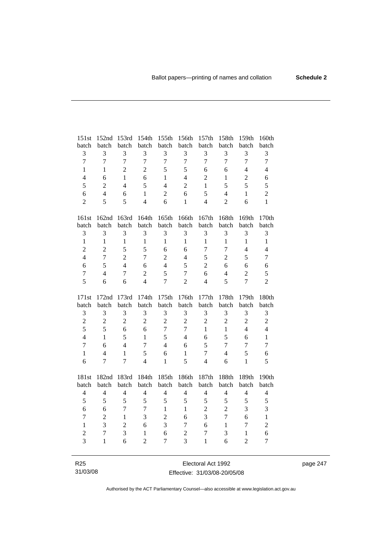| 151st          | 152nd          | 153rd          | 154th          | 155th          | 156th            | 157th                    | 158th          | 159th            | 160th          |
|----------------|----------------|----------------|----------------|----------------|------------------|--------------------------|----------------|------------------|----------------|
| batch          | batch          | batch          | batch          | batch          | batch            | batch                    | batch          | batch            | batch          |
| $\mathfrak{Z}$ | 3              | 3              | 3              | 3              | 3                | 3                        | 3              | 3                | 3              |
| $\overline{7}$ | $\overline{7}$ | $\overline{7}$ | $\overline{7}$ | $\overline{7}$ | $\overline{7}$   | $\overline{7}$           | $\overline{7}$ | $\overline{7}$   | $\overline{7}$ |
| $\mathbf{1}$   | 1              | $\overline{c}$ | $\overline{2}$ | 5              | 5                | 6                        | 6              | $\overline{4}$   | $\overline{4}$ |
| $\overline{4}$ | 6              | $\mathbf{1}$   | 6              | 1              | $\overline{4}$   | $\overline{2}$           | $\mathbf{1}$   | $\overline{2}$   | 6              |
| 5              | $\overline{2}$ | $\overline{4}$ | 5              | $\overline{4}$ | $\overline{c}$   | $\mathbf{1}$             | 5              | 5                | 5              |
| 6              | $\overline{4}$ | 6              | $\mathbf{1}$   | $\overline{2}$ | 6                | 5                        | $\overline{4}$ | $\mathbf{1}$     | $\overline{2}$ |
| $\overline{2}$ | 5              | 5              | $\overline{4}$ | 6              | $\mathbf{1}$     | $\overline{4}$           | $\overline{2}$ | 6                | $\mathbf{1}$   |
|                |                |                |                |                |                  |                          |                |                  |                |
| 161st          | 162nd          | 163rd          | 164th          | 165th          | 166th            | 167th                    | 168th          | 169th            | 170th          |
| batch          | batch          | batch          | batch          | batch          | batch            | batch                    | batch          | batch            | batch          |
| 3              | 3              | 3              | 3              | 3              | 3                | 3                        | 3              | 3                | 3              |
| $\mathbf{1}$   | $\mathbf{1}$   | $\mathbf{1}$   | $\mathbf{1}$   | $\mathbf{1}$   | $\mathbf{1}$     | $\mathbf{1}$             | $\mathbf{1}$   | $\mathbf{1}$     | $\mathbf{1}$   |
| $\overline{c}$ | $\overline{2}$ | 5              | 5              | 6              | 6                | $\tau$                   | $\tau$         | $\overline{4}$   | $\overline{4}$ |
| $\overline{4}$ | $\overline{7}$ | $\overline{2}$ | $\overline{7}$ | $\overline{2}$ | $\overline{4}$   | 5                        | $\overline{2}$ | 5                | $\overline{7}$ |
| $\sqrt{6}$     | 5              | $\overline{4}$ | 6              | $\overline{4}$ | 5                | $\overline{2}$           | 6              | 6                | 6              |
| $\overline{7}$ | $\overline{4}$ | $\overline{7}$ | $\overline{2}$ | 5              | $\overline{7}$   | 6                        | $\overline{4}$ | $\overline{c}$   | 5              |
| 5              | 6              | 6              | $\overline{4}$ | $\overline{7}$ | $\overline{c}$   | $\overline{\mathcal{L}}$ | 5              | $\overline{7}$   | $\overline{2}$ |
|                |                |                |                |                |                  |                          |                |                  |                |
|                |                |                |                |                |                  |                          |                |                  |                |
| 171st          | 172nd          | 173rd          | 174th          | 175th          | 176th            | 177th                    | 178th          | 179th            | 180th          |
| batch          | batch          | batch          | batch          | batch          | batch            | batch                    | batch          | batch            | batch          |
| $\mathfrak 3$  | 3              | 3              | 3              | 3              | 3                | 3                        | 3              | 3                | $\mathfrak{Z}$ |
| $\overline{2}$ | $\overline{2}$ | $\overline{2}$ | $\overline{2}$ | $\overline{2}$ | $\overline{c}$   | $\overline{2}$           | $\overline{2}$ | $\overline{2}$   | $\overline{c}$ |
| 5              | 5              | 6              | 6              | $\overline{7}$ | $\boldsymbol{7}$ | $\mathbf{1}$             | $\mathbf{1}$   | $\overline{4}$   | $\overline{4}$ |
| $\overline{4}$ | $\mathbf{1}$   | 5              | $\mathbf{1}$   | 5              | $\overline{4}$   | 6                        | 5              | 6                | $\mathbf{1}$   |
| $\overline{7}$ | 6              | $\overline{4}$ | $\overline{7}$ | $\overline{4}$ | 6                | 5                        | $\overline{7}$ | $\overline{7}$   | $\overline{7}$ |
| $\mathbf{1}$   | $\overline{4}$ | 1              | 5              | 6              | $\mathbf{1}$     | 7                        | $\overline{4}$ | 5                | 6              |
| 6              | 7              | $\overline{7}$ | $\overline{4}$ | $\mathbf{1}$   | 5                | $\overline{4}$           | 6              | $\mathbf{1}$     | 5              |
|                |                |                |                |                |                  |                          |                |                  |                |
| 181st          | 182nd          | 183rd          | 184th          | 185th          | 186th            | 187th                    | 188th          | 189th            | 190th          |
| batch          | batch          | batch          | batch          | batch          | batch            | batch                    | batch          | batch            | batch          |
| $\overline{4}$ | $\overline{4}$ | $\overline{4}$ | $\overline{4}$ | $\overline{4}$ | $\overline{4}$   | $\overline{4}$           | $\overline{4}$ | $\overline{4}$   | $\overline{4}$ |
| 5              | 5              | 5              | 5              | 5              | 5                | 5                        | 5              | 5                | 5              |
| 6              | 6              | 7              | 7              | $\mathbf{1}$   | $\mathbf{1}$     | $\overline{c}$           | $\overline{2}$ | 3                | 3              |
| $\tau$         | $\overline{2}$ | 1              | 3              | $\overline{2}$ | 6                | 3                        | $\overline{7}$ | 6                | $\mathbf{1}$   |
| $\mathbf{1}$   | 3              | $\overline{2}$ | 6              | 3              | $\tau$           | 6                        | $\mathbf{1}$   | $\boldsymbol{7}$ | $\overline{c}$ |
| $\overline{c}$ | $\overline{7}$ | 3              | $\mathbf{1}$   | 6              | $\overline{2}$   | $\tau$                   | 3              | $\mathbf{1}$     | 6              |
| $\overline{3}$ | $\mathbf{1}$   | 6              | $\overline{2}$ | 7              | 3                | $\mathbf{1}$             | 6              | $\overline{2}$   | $\overline{7}$ |

R25 31/03/08

Electoral Act 1992 Effective: 31/03/08-20/05/08 page 247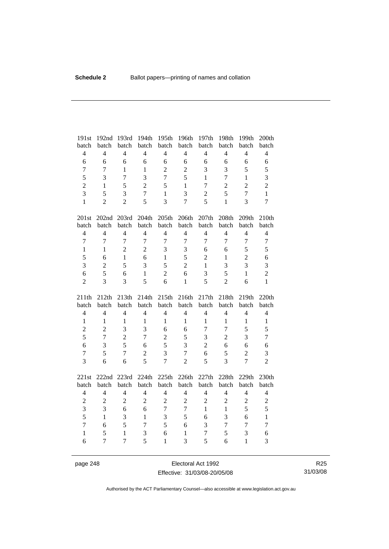| 191st          | 192nd          | 193rd          | 194th          | 195th             | 196th          | 197th          | 198th          | 199th          | 200th            |
|----------------|----------------|----------------|----------------|-------------------|----------------|----------------|----------------|----------------|------------------|
| batch          | batch          | batch          | batch          | batch             | batch          | batch          | batch          | batch          | batch            |
| $\overline{4}$ | $\overline{4}$ | $\overline{4}$ | $\overline{4}$ | $\overline{4}$    | $\overline{4}$ | $\overline{4}$ | $\overline{4}$ | $\overline{4}$ | $\overline{4}$   |
| 6              | 6              | 6              | 6              | 6                 | 6              | $\sqrt{6}$     | 6              | 6              | $\sqrt{6}$       |
| $\overline{7}$ | $\overline{7}$ | $\mathbf{1}$   | $\mathbf{1}$   | $\overline{2}$    | $\overline{2}$ | 3              | 3              | 5              | 5                |
| 5              | 3              | $\overline{7}$ | $\overline{3}$ | $\overline{7}$    | 5              | $\mathbf{1}$   | $\overline{7}$ | $\mathbf{1}$   | 3                |
| $\overline{c}$ | 1              | 5              | $\overline{2}$ | 5                 | $\mathbf{1}$   | 7              | $\overline{2}$ | $\overline{2}$ | $\overline{c}$   |
| 3              | 5              | 3              | $\overline{7}$ | $\mathbf{1}$      | 3              | $\overline{2}$ | 5              | $\overline{7}$ | $\mathbf{1}$     |
| $\mathbf{1}$   | $\overline{2}$ | $\overline{2}$ | 5              | $\overline{3}$    | $\overline{7}$ | 5              | $\mathbf{1}$   | $\overline{3}$ | $\overline{7}$   |
| 201st          | 202nd 203rd    |                | 204th          | 205 <sub>th</sub> | 206th          | 207th          | 208th          | 209th          | 210th            |
| batch          | batch          | batch          | batch          | batch             | batch          | batch          | batch          | batch          | batch            |
| $\overline{4}$ | $\overline{4}$ | $\overline{4}$ | $\overline{4}$ | $\overline{4}$    | $\overline{4}$ | $\overline{4}$ | $\overline{4}$ | $\overline{4}$ | $\overline{4}$   |
| $\overline{7}$ | $\overline{7}$ | $\overline{7}$ | $\overline{7}$ | $\overline{7}$    | $\overline{7}$ | $\overline{7}$ | $\overline{7}$ | $\overline{7}$ | $\boldsymbol{7}$ |
| $\mathbf{1}$   | $\mathbf{1}$   | $\overline{2}$ | $\overline{2}$ | 3                 | 3              | 6              | 6              | 5              | 5                |
| 5              | 6              | $\mathbf{1}$   | 6              | $\mathbf{1}$      | 5              | $\overline{2}$ | $\mathbf{1}$   | $\overline{2}$ | 6                |
| 3              | $\overline{2}$ | 5              | 3              | 5                 | $\overline{c}$ | $\mathbf{1}$   | 3              | 3              | 3                |
| 6              | 5              | 6              | $\mathbf{1}$   | $\overline{2}$    | 6              | 3              | 5              | $\mathbf{1}$   | $\overline{2}$   |
| $\overline{2}$ | 3              | 3              | 5              | 6                 | $\mathbf{1}$   | 5              | $\overline{2}$ | 6              | $\mathbf{1}$     |
|                |                |                |                |                   |                |                |                |                |                  |
| 211th          | 212th          | 213th          | 214th          | 215th             | 216th          | 217th          | 218th          | 219th          | 220th            |
| batch          | batch          | batch          | batch          | batch             | batch          | batch          | batch          | batch          | batch            |
| $\overline{4}$ | $\overline{4}$ | $\overline{4}$ | $\overline{4}$ | $\overline{4}$    | $\overline{4}$ | $\overline{4}$ | $\overline{4}$ | $\overline{4}$ | $\overline{4}$   |
| $\mathbf{1}$   | $\mathbf{1}$   | $\mathbf{1}$   | $\mathbf{1}$   | $\mathbf{1}$      | $\mathbf{1}$   | $\mathbf{1}$   | $\mathbf{1}$   | $\mathbf{1}$   | $\,1\,$          |
| $\overline{c}$ | $\overline{2}$ | 3              | 3              | 6                 | 6              | $\tau$         | $\overline{7}$ | 5              | 5                |
| 5              | $\overline{7}$ | $\overline{2}$ | $\overline{7}$ | $\overline{c}$    | 5              | 3              | $\overline{2}$ | 3              | $\boldsymbol{7}$ |
| 6              | 3              | 5              | 6              | 5                 | 3              | $\overline{2}$ | 6              | 6              | 6                |
| $\overline{7}$ | 5              | $\overline{7}$ | $\overline{2}$ | 3                 | $\overline{7}$ | 6              | 5              | $\overline{2}$ | 3                |
| 3              | 6              | 6              | 5              | $\overline{7}$    | $\overline{2}$ | 5              | $\overline{3}$ | $\overline{7}$ | $\overline{2}$   |
| 221st          | 222nd 223rd    |                | 224th          | 225th             | 226th          | 227th          | 228th          | 229th          | 230th            |
| batch          | batch          | batch          | batch          | batch             | batch          | batch          | batch          | batch          | batch            |
| $\overline{4}$ | $\overline{4}$ | $\overline{4}$ | $\overline{4}$ | $\overline{4}$    | $\overline{4}$ | $\overline{4}$ | $\overline{4}$ | $\overline{4}$ | $\overline{4}$   |
| $\overline{c}$ | $\overline{c}$ | $\overline{2}$ | $\overline{2}$ | $\overline{2}$    | $\overline{c}$ | $\overline{2}$ | $\overline{2}$ | $\sqrt{2}$     | $\overline{2}$   |
| $\overline{3}$ | 3              | 6              | 6              | $\overline{7}$    | $\overline{7}$ | $\mathbf{1}$   | $\mathbf{1}$   | 5              | 5                |
| 5              | $\mathbf{1}$   | 3              | $\mathbf{1}$   | $\mathfrak{Z}$    | 5              | 6              | 3              | 6              | $\,1\,$          |
| $\overline{7}$ | 6              | 5              | $\overline{7}$ | 5                 | 6              | 3              | $\overline{7}$ | $\overline{7}$ | $\overline{7}$   |
| $\mathbf{1}$   | 5              | $\mathbf{1}$   | 3              | 6                 | $\mathbf{1}$   | 7              | 5              | 3              | 6                |

page 248 Electoral Act 1992 Effective: 31/03/08-20/05/08

R25 31/03/08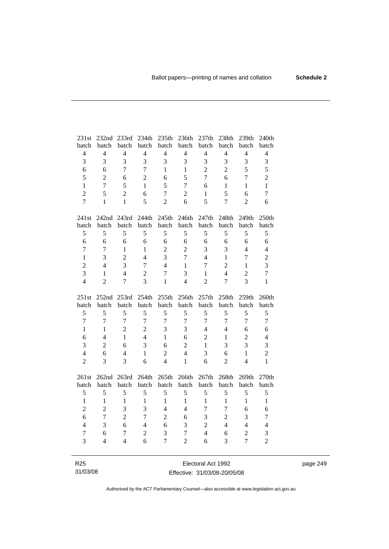| 231st                    | 232nd 233rd              |                | 234th          | 235th          | 236th          | 237th            | 238th          | 239th          | 240th                   |
|--------------------------|--------------------------|----------------|----------------|----------------|----------------|------------------|----------------|----------------|-------------------------|
| batch                    | batch                    | batch          | batch          | batch          | batch          | batch            | batch          | batch          | batch                   |
| $\overline{\mathcal{L}}$ | $\overline{4}$           | $\overline{4}$ | $\overline{4}$ | $\overline{4}$ | $\overline{4}$ | $\overline{4}$   | $\overline{4}$ | $\overline{4}$ | $\overline{4}$          |
| 3                        | 3                        | 3              | 3              | 3              | 3              | 3                | 3              | 3              | 3                       |
| 6                        | 6                        | $\overline{7}$ | $\tau$         | $\mathbf{1}$   | $\mathbf{1}$   | $\overline{2}$   | $\overline{2}$ | 5              | 5                       |
| 5                        | $\overline{c}$           | 6              | $\overline{2}$ | 6              | 5              | $\overline{7}$   | 6              | $\overline{7}$ | $\overline{c}$          |
| $\mathbf{1}$             | $\overline{7}$           | 5              | $\mathbf{1}$   | 5              | $\overline{7}$ | 6                | $\mathbf{1}$   | $\mathbf{1}$   | $\mathbf{1}$            |
| $\overline{2}$           | 5                        | $\overline{2}$ | 6              | $\overline{7}$ | $\overline{c}$ | $\mathbf{1}$     | 5              | 6              | $\tau$                  |
| $\overline{7}$           | $\mathbf{1}$             | $\mathbf{1}$   | 5              | $\overline{2}$ | 6              | 5                | $\overline{7}$ | $\overline{2}$ | 6                       |
|                          |                          |                |                |                |                |                  |                |                |                         |
| 241st                    |                          | 242nd 243rd    | 244th          | 245th          | 246th          | 247th            | 248th          | 249th          | 250th                   |
| batch                    | batch                    | batch          | batch          | batch          | batch          | batch            | batch          | batch          | batch                   |
| 5                        | 5                        | 5              | 5              | 5              | 5              | 5                | 5              | 5              | 5                       |
| 6                        | 6                        | 6              | 6              | 6              | $\sqrt{6}$     | 6                | 6              | 6              | $\sqrt{6}$              |
| $\overline{7}$           | $\tau$                   | $\mathbf{1}$   | $\mathbf{1}$   | $\overline{c}$ | $\overline{2}$ | 3                | 3              | $\overline{4}$ | $\overline{4}$          |
| $\mathbf{1}$             | 3                        | $\overline{c}$ | $\overline{4}$ | 3              | $\overline{7}$ | $\overline{4}$   | $\mathbf{1}$   | $\overline{7}$ | $\overline{c}$          |
| $\overline{2}$           | $\overline{4}$           | 3              | $\tau$         | $\overline{4}$ | $\mathbf{1}$   | $\overline{7}$   | $\overline{2}$ | $\mathbf{1}$   | 3                       |
| 3                        | $\mathbf{1}$             | $\overline{4}$ | $\overline{c}$ | $\overline{7}$ | 3              | $\mathbf{1}$     | $\overline{4}$ | $\overline{c}$ | $\overline{7}$          |
| $\overline{4}$           | $\overline{2}$           | $\overline{7}$ | 3              | $\mathbf{1}$   | $\overline{4}$ | $\overline{2}$   | $\tau$         | $\overline{3}$ | $\mathbf{1}$            |
|                          |                          |                |                |                |                |                  |                |                |                         |
|                          |                          |                |                |                |                |                  |                |                |                         |
| 251st                    | 252nd 253rd              |                | 254th          | 255th          | 256th          | 257th            | 258th          | 259th          | 260th                   |
| batch                    | batch                    | batch          | batch          | batch          | batch          | batch            | batch          | batch          | batch                   |
| 5                        | 5                        | 5              | 5              | 5              | 5              | 5                | 5              | 5              | 5                       |
| $\overline{7}$           | $\tau$                   | $\overline{7}$ | $\overline{7}$ | $\overline{7}$ | $\tau$         | $\tau$           | $\tau$         | $\overline{7}$ | $\tau$                  |
| $\mathbf{1}$             | $\mathbf{1}$             | $\overline{2}$ | $\overline{2}$ | 3              | 3              | $\overline{4}$   | $\overline{4}$ | 6              | 6                       |
| 6                        | $\overline{4}$           | $\mathbf{1}$   | $\overline{4}$ | $\mathbf{1}$   | 6              | $\overline{2}$   | $\mathbf{1}$   | $\overline{2}$ | $\overline{4}$          |
| 3                        | $\overline{2}$           | 6              | $\overline{3}$ | 6              | $\overline{2}$ | $\mathbf{1}$     | 3              | 3              | $\overline{\mathbf{3}}$ |
| $\overline{4}$           | 6                        | $\overline{4}$ | $\mathbf{1}$   | $\overline{2}$ | $\overline{4}$ | 3                | 6              | $\mathbf{1}$   | $\overline{c}$          |
| $\overline{2}$           | 3                        | 3              | 6              | $\overline{4}$ | $\mathbf{1}$   | 6                | $\overline{2}$ | $\overline{4}$ | $\mathbf{1}$            |
|                          |                          |                |                |                |                |                  |                |                |                         |
| 261st                    | 262nd                    | 263rd          | 264th          | 265th          | 266th          | 267th            | 268th          | 269th          | 270th                   |
| batch                    | batch                    | batch          | batch          | batch          | batch          | batch            | batch          | batch          | batch                   |
| 5                        | 5                        | 5              | 5              | 5              | 5              | 5                | 5              | 5              | 5                       |
| $\mathbf{1}$             | $\mathbf{1}$             | $\mathbf{1}$   | $\mathbf{1}$   | $\mathbf{1}$   | $\mathbf{1}$   | $\mathbf{1}$     | $\mathbf{1}$   | $\mathbf{1}$   | $\mathbf{1}$            |
| $\overline{c}$           | $\overline{2}$           | 3              | 3              | $\overline{4}$ | $\overline{4}$ | $\boldsymbol{7}$ | $\overline{7}$ | 6              | 6                       |
| 6                        | $\overline{7}$           | $\overline{2}$ | $\overline{7}$ | $\overline{2}$ | 6              | 3                | $\overline{2}$ | 3              | $\tau$                  |
| $\overline{4}$           | 3                        | 6              | $\overline{4}$ | 6              | 3              | $\sqrt{2}$       | $\overline{4}$ | $\overline{4}$ | $\overline{4}$          |
| $\tau$                   | 6                        | 7              | $\overline{2}$ | 3              | 7              | $\overline{4}$   | 6              | $\overline{c}$ | 3                       |
| $\overline{3}$           | $\overline{\mathcal{L}}$ | $\overline{4}$ | 6              | $\overline{7}$ | $\overline{2}$ | 6                | 3              | $\overline{7}$ | $\overline{2}$          |

R25 31/03/08

Electoral Act 1992 Effective: 31/03/08-20/05/08 page 249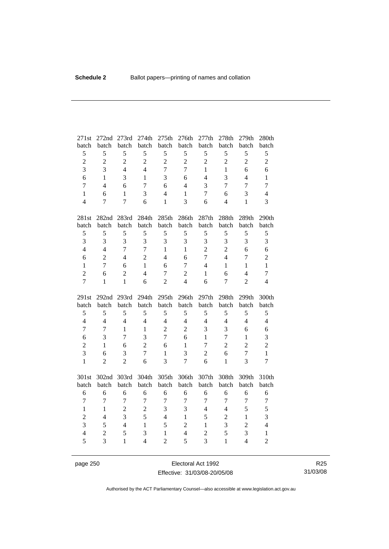| 271st               | 272nd                            | 273rd          | 274th          | 275th                          | 276th               | 277th                    | 278th            | 279th          | 280th                          |
|---------------------|----------------------------------|----------------|----------------|--------------------------------|---------------------|--------------------------|------------------|----------------|--------------------------------|
| batch               | batch                            | batch          | batch          | batch                          | batch               | batch                    | batch            | batch          | batch                          |
| 5                   | 5                                | 5              | 5              | 5                              | 5                   | 5                        | 5                | 5              | 5                              |
| $\overline{c}$      | $\overline{c}$                   | $\overline{2}$ | $\overline{2}$ | $\overline{2}$                 | $\overline{2}$      | $\overline{2}$           | $\overline{2}$   | $\overline{2}$ | $\overline{2}$                 |
| $\overline{3}$      | $\overline{3}$                   | $\overline{4}$ | $\overline{4}$ | $\overline{7}$                 | $\overline{7}$      | $\mathbf{1}$             | $\mathbf{1}$     | 6              | 6                              |
| 6                   | $\mathbf{1}$                     | 3              | $\mathbf{1}$   | 3                              | 6                   | $\overline{4}$           | $\overline{3}$   | $\overline{4}$ | $\mathbf{1}$                   |
| $\overline{7}$      | $\overline{4}$                   | 6              | $\overline{7}$ | 6                              | $\overline{4}$      | 3                        | $\overline{7}$   | $\overline{7}$ | $\overline{7}$                 |
| $\mathbf{1}$        | 6                                | $\mathbf{1}$   | 3              | $\overline{4}$                 | $\mathbf{1}$        | $\tau$                   | 6                | 3              | $\overline{4}$                 |
| $\overline{4}$      | 7                                | $\overline{7}$ | 6              | $\mathbf{1}$                   | 3                   | 6                        | $\overline{4}$   | $\mathbf{1}$   | $\overline{3}$                 |
| 281st               | 282nd                            | 283rd          | 284th          | 285th                          | 286th               | 287th                    | 288th            | 289th          | 290th                          |
| batch               | batch                            | batch          | batch          | batch                          | batch               | batch                    | batch            | batch          | batch                          |
| 5                   | 5                                | 5              | 5              | 5                              | 5                   | 5                        | 5                | 5              | 5                              |
| $\overline{3}$      | 3                                | $\overline{3}$ | 3              | 3                              | 3                   | 3                        | 3                | 3              | 3                              |
| $\overline{4}$      | $\overline{4}$                   | $\overline{7}$ | $\overline{7}$ | $\mathbf{1}$                   | $\mathbf{1}$        | $\overline{2}$           | $\overline{2}$   | 6              | 6                              |
| 6                   | $\overline{2}$                   | $\overline{4}$ | $\overline{2}$ | $\overline{4}$                 | 6                   | $\overline{7}$           | $\overline{4}$   | $\overline{7}$ | $\overline{2}$                 |
| $\mathbf{1}$        | $\overline{7}$                   | 6              | $\mathbf{1}$   | 6                              | $\overline{7}$      | $\overline{\mathcal{L}}$ | $\mathbf{1}$     | $\mathbf{1}$   | $\mathbf{1}$                   |
| $\overline{2}$      | 6                                | $\overline{2}$ | $\overline{4}$ | $\overline{7}$                 | $\overline{c}$      | 1                        | 6                | $\overline{4}$ | $\tau$                         |
| $\overline{7}$      | $\mathbf{1}$                     | $\mathbf{1}$   | 6              | $\overline{2}$                 | $\overline{4}$      | 6                        | $\overline{7}$   | $\overline{2}$ | $\overline{4}$                 |
|                     |                                  |                |                |                                |                     |                          |                  |                |                                |
| 291st               | 292 <sub>nd</sub>                | 293rd          | 294th          | 295th                          | 296th               | 297th                    | 298th            | 299th          | 300th                          |
| batch               | batch                            | batch          | batch          | batch                          | batch               | batch                    | batch            | batch          | batch                          |
| 5                   | 5                                | 5              | 5              | 5                              | 5                   | 5                        | 5                | 5              | 5                              |
| $\overline{4}$      | $\overline{4}$                   | $\overline{4}$ | $\overline{4}$ | $\overline{4}$                 | $\overline{4}$      | $\overline{4}$           | $\overline{4}$   | $\overline{4}$ | $\overline{4}$                 |
| $\overline{7}$      | $\overline{7}$                   | $\mathbf{1}$   | $\mathbf{1}$   | $\overline{2}$                 | $\overline{2}$      | 3                        | 3                | 6              | 6                              |
| 6                   | 3                                | 7              | 3              | $\overline{7}$                 | 6                   | $\mathbf{1}$             | $\tau$           | $\mathbf{1}$   | 3                              |
| $\overline{2}$      | $\mathbf{1}$                     | 6              | $\overline{2}$ | 6                              | $\mathbf{1}$        | 7                        | $\overline{2}$   | $\overline{c}$ | $\overline{2}$                 |
| 3                   | 6                                | 3              | $\overline{7}$ | $\mathbf{1}$                   | 3                   | $\overline{2}$           | 6                | $\overline{7}$ | $\mathbf{1}$                   |
| $\mathbf{1}$        | $\overline{2}$                   | $\overline{2}$ | 6              | $\overline{3}$                 | $\overline{7}$      | 6                        | $\mathbf{1}$     | 3              | $\overline{7}$                 |
| 301st               | 302nd 303rd                      |                | 304th          | 305th                          | 306th               | 307th                    | 308th            | 309th          | 310th                          |
| batch               | batch                            | batch          | batch          | batch                          | batch               | batch                    | batch            | batch          | batch                          |
| 6                   | 6                                | 6              | 6              | 6                              | 6                   | 6                        | 6                | 6              | 6                              |
| $\overline{7}$      | $\boldsymbol{7}$                 | $\overline{7}$ | $\overline{7}$ | $\overline{7}$                 | $\boldsymbol{7}$    | 7                        | $\boldsymbol{7}$ | $\overline{7}$ | $\boldsymbol{7}$               |
| $\mathbf{1}$        | $\mathbf{1}$                     | $\overline{2}$ | $\overline{2}$ | 3                              | 3                   | $\overline{4}$           | $\overline{4}$   | 5              | 5                              |
| $\overline{c}$      | $\overline{4}$                   | $\overline{3}$ | 5              | $\overline{4}$                 | $\mathbf{1}$        | 5                        | $\overline{2}$   | $\mathbf{1}$   | 3                              |
| 3                   | 5                                | $\overline{4}$ | $\mathbf{1}$   | 5                              | $\overline{2}$      | $\mathbf{1}$             | 3                | $\overline{2}$ | $\overline{4}$                 |
| $\overline{4}$<br>5 | $\overline{2}$<br>$\overline{3}$ | 5              | 3              | $\mathbf{1}$<br>$\overline{2}$ | $\overline{4}$<br>5 | $\overline{2}$<br>3      | 5                | 3              | $\mathbf{1}$<br>$\overline{2}$ |

page 250 **Electoral Act 1992** Effective: 31/03/08-20/05/08

R25 31/03/08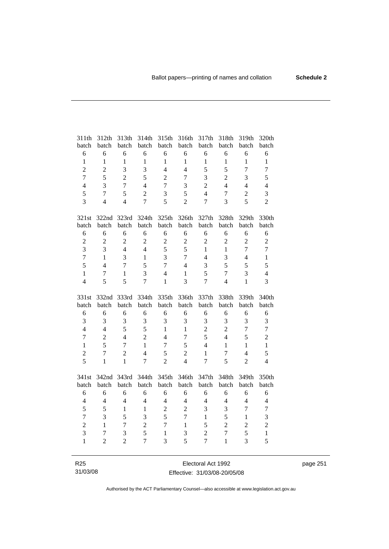| 311th            | 312th          | 313th          | 314th          | 315th            | 316th          | 317th          | 318th          | 319th            | 320th          |
|------------------|----------------|----------------|----------------|------------------|----------------|----------------|----------------|------------------|----------------|
| batch            | batch          | batch          | batch          | batch            | batch          | batch          | batch          | batch            | batch          |
| 6                | 6              | 6              | 6              | 6                | 6              | 6              | 6              | 6                | 6              |
| $\mathbf{1}$     | $\mathbf{1}$   | $\mathbf{1}$   | $\mathbf{1}$   | $\mathbf{1}$     | $\mathbf{1}$   | $\mathbf{1}$   | $\mathbf{1}$   | $\mathbf{1}$     | $\mathbf{1}$   |
| $\overline{2}$   | $\overline{2}$ | 3              | 3              | $\overline{4}$   | $\overline{4}$ | 5              | 5              | $\overline{7}$   | $\overline{7}$ |
| $\overline{7}$   | 5              | $\overline{2}$ | 5              | $\overline{2}$   | $\overline{7}$ | 3              | $\overline{c}$ | 3                | 5              |
| $\overline{4}$   | 3              | $\overline{7}$ | $\overline{4}$ | $\overline{7}$   | 3              | $\overline{c}$ | $\overline{4}$ | $\overline{4}$   | $\overline{4}$ |
| 5                | $\overline{7}$ | 5              | $\overline{c}$ | 3                | 5              | $\overline{4}$ | $\overline{7}$ | $\sqrt{2}$       | 3              |
| 3                | $\overline{4}$ | $\overline{4}$ | $\overline{7}$ | 5                | $\overline{2}$ | $\overline{7}$ | $\overline{3}$ | 5                | $\overline{2}$ |
| 321st            | 322nd          | 323rd          | 324th          | 325th            | 326th          | 327th          | 328th          | 329th            | 330th          |
| batch            | batch          | batch          | batch          | batch            | batch          | batch          | batch          | batch            | batch          |
| 6                | 6              | 6              | 6              | 6                | 6              | 6              | 6              | 6                | 6              |
| $\overline{c}$   | $\overline{c}$ | $\overline{2}$ | $\overline{2}$ | $\overline{2}$   | $\overline{2}$ | $\overline{2}$ | $\overline{c}$ | $\boldsymbol{2}$ | $\overline{2}$ |
| $\overline{3}$   | 3              | $\overline{4}$ | $\overline{4}$ | 5                | 5              | $\mathbf{1}$   | $\mathbf{1}$   | $\overline{7}$   | $\overline{7}$ |
| $\overline{7}$   | $\mathbf{1}$   | $\overline{3}$ | $\mathbf{1}$   | $\overline{3}$   | $\overline{7}$ | $\overline{4}$ | 3              | $\overline{4}$   | $\mathbf{1}$   |
| 5                | $\overline{4}$ | $\overline{7}$ | 5              | $\overline{7}$   | $\overline{4}$ | 3              | 5              | 5                | 5              |
| $\mathbf{1}$     | $\overline{7}$ | $\mathbf{1}$   | $\overline{3}$ | $\overline{4}$   | $\mathbf{1}$   | 5              | $\overline{7}$ | 3                | $\overline{4}$ |
| $\overline{4}$   | 5              | 5              | $\overline{7}$ | $\mathbf{1}$     | 3              | $\overline{7}$ | $\overline{4}$ | $\mathbf{1}$     | 3              |
|                  |                |                |                |                  |                |                |                |                  |                |
| 331st            | 332nd 333rd    |                | 334th          | 335th            | 336th          | 337th          | 338th          | 339th            | 340th          |
| batch            | batch          | batch          | batch          | batch            | batch          | batch          | batch          | batch            | batch          |
| $\epsilon$       | 6              | 6              | 6              | 6                | 6              | 6              | 6              | 6                | 6              |
| 3                | 3              | 3              | 3              | 3                | 3              | 3              | 3              | 3                | 3              |
| $\overline{4}$   | $\overline{4}$ | 5              | 5              | $\mathbf{1}$     | $\mathbf{1}$   | $\overline{2}$ | $\overline{2}$ | $\tau$           | $\overline{7}$ |
| $\boldsymbol{7}$ | $\overline{2}$ | $\overline{4}$ | $\overline{2}$ | $\overline{4}$   | $\overline{7}$ | 5              | $\overline{4}$ | 5                | $\overline{c}$ |
| $\mathbf{1}$     | 5              | $\overline{7}$ | $\mathbf{1}$   | $\boldsymbol{7}$ | 5              | $\overline{4}$ | $\mathbf{1}$   | $\mathbf{1}$     | $\,1\,$        |
| $\overline{c}$   | $\overline{7}$ | $\overline{2}$ | $\overline{4}$ | 5                | $\overline{c}$ | $\mathbf{1}$   | $\tau$         | $\overline{4}$   | 5              |
| 5                | $\mathbf{1}$   | $\mathbf{1}$   | $\overline{7}$ | $\overline{2}$   | $\overline{4}$ | $\overline{7}$ | 5              | $\overline{2}$   | $\overline{4}$ |
| 341st            | 342nd          | 343rd          | 344th          | 345th            | 346th          | 347th          | 348th          | 349th            | 350th          |
| batch            | batch          | batch          | batch          | batch            | batch          | batch          | batch          | batch            | batch          |
| 6                | 6              | 6              | 6              | 6                | 6              | 6              | 6              | 6                | 6              |
| $\overline{4}$   | $\overline{4}$ | $\overline{4}$ | $\overline{4}$ | $\overline{4}$   | $\overline{4}$ | $\overline{4}$ | $\overline{4}$ | $\overline{4}$   | $\overline{4}$ |
| 5                | 5              | $\mathbf{1}$   | $\mathbf{1}$   | $\overline{2}$   | $\overline{2}$ | 3              | $\overline{3}$ | $\overline{7}$   | $\overline{7}$ |
| $\overline{7}$   | 3              | 5              | 3              | 5                | $\overline{7}$ | $\mathbf{1}$   | 5              | $\mathbf{1}$     | 3              |
| $\overline{c}$   | $\mathbf{1}$   | 7              | $\overline{c}$ | $\overline{7}$   | $\mathbf{1}$   | 5              | $\overline{2}$ | $\overline{2}$   | $\overline{c}$ |
| 3                | $\tau$         | 3              | 5              | $\mathbf{1}$     | 3              | $\overline{2}$ | $\overline{7}$ | 5                | $\mathbf{1}$   |
| $\mathbf{1}$     | $\overline{c}$ | $\overline{2}$ | $\overline{7}$ | 3                | 5              | 7              | $\mathbf{1}$   | 3                | 5              |

page 251

R25 31/03/08

Electoral Act 1992 Effective: 31/03/08-20/05/08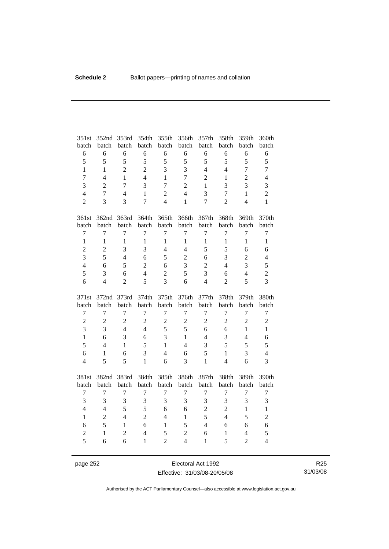| 351st            | 352nd          | 353rd          | 354th          | 355th          | 356th          | 357th          | 358th            | 359th          | 360th            |
|------------------|----------------|----------------|----------------|----------------|----------------|----------------|------------------|----------------|------------------|
| batch            | batch          | batch          | batch          | batch          | batch          | batch          | batch            | batch          | batch            |
| 6                | 6              | 6              | 6              | 6              | 6              | 6              | 6                | 6              | $\sqrt{6}$       |
| 5                | 5              | 5              | 5              | 5              | 5              | 5              | 5                | 5              | 5                |
| $\mathbf{1}$     | $\mathbf{1}$   | $\overline{2}$ | $\overline{2}$ | 3              | 3              | $\overline{4}$ | $\overline{4}$   | $\overline{7}$ | $\overline{7}$   |
| $\overline{7}$   | $\overline{4}$ | $\mathbf{1}$   | $\overline{4}$ | $\mathbf{1}$   | $\overline{7}$ | $\overline{2}$ | $\mathbf{1}$     | $\overline{c}$ | $\overline{4}$   |
| 3                | $\overline{2}$ | $\overline{7}$ | 3              | $\overline{7}$ | $\overline{c}$ | $\mathbf{1}$   | 3                | 3              | 3                |
| $\overline{4}$   | $\overline{7}$ | $\overline{4}$ | $\mathbf{1}$   | $\overline{2}$ | $\overline{4}$ | 3              | $\tau$           | $\mathbf{1}$   | $\overline{2}$   |
| $\overline{2}$   | 3              | 3              | $\overline{7}$ | $\overline{4}$ | $\mathbf{1}$   | $\overline{7}$ | $\overline{2}$   | $\overline{4}$ | $\mathbf{1}$     |
| 361st            | 362nd          | 363rd          | 364th          | 365th          | 366th          | 367th          | 368th            | 369th          | 370th            |
| batch            | batch          | batch          | batch          | batch          | batch          | batch          | batch            | batch          | batch            |
| $\tau$           | $\overline{7}$ | $\tau$         | $\overline{7}$ | 7              | $\tau$         | $\tau$         | $\boldsymbol{7}$ | $\overline{7}$ | $\boldsymbol{7}$ |
| $\mathbf{1}$     | $\mathbf{1}$   | $\mathbf{1}$   | $\mathbf{1}$   | $\mathbf{1}$   | $\mathbf{1}$   | $\mathbf{1}$   | $\mathbf{1}$     | $\mathbf{1}$   | $\mathbf{1}$     |
| $\overline{c}$   | $\overline{c}$ | 3              | 3              | $\overline{4}$ | $\overline{4}$ | 5              | 5                | 6              | 6                |
| $\overline{3}$   | 5              | $\overline{4}$ | 6              | 5              | $\overline{c}$ | 6              | 3                | $\overline{2}$ | $\overline{4}$   |
| $\overline{4}$   | 6              | 5              | $\overline{2}$ | 6              | 3              | $\overline{2}$ | $\overline{4}$   | 3              | 5                |
| 5                | 3              | 6              | $\overline{4}$ | $\overline{2}$ | 5              | 3              | 6                | $\overline{4}$ | $\overline{2}$   |
| 6                | $\overline{4}$ | $\overline{2}$ | 5              | 3              | 6              | $\overline{4}$ | $\overline{2}$   | 5              | $\overline{3}$   |
|                  |                |                |                |                |                |                |                  |                |                  |
| 371st            | 372nd          | 373rd          | 374th          | 375th          | 376th          | 377th          | 378th            | 379th          | 380th            |
| batch            | batch          | batch          | batch          | batch          | batch          | batch          | batch            | batch          | batch            |
| $\boldsymbol{7}$ | $\overline{7}$ | $\tau$         | $\tau$         | $\tau$         | $\tau$         | $\tau$         | $\boldsymbol{7}$ | $\tau$         | $\boldsymbol{7}$ |
| $\overline{c}$   | $\overline{c}$ | $\overline{2}$ | $\overline{2}$ | $\overline{c}$ | $\overline{c}$ | $\overline{2}$ | $\overline{2}$   | $\overline{c}$ | $\overline{2}$   |
| 3                | 3              | $\overline{4}$ | $\overline{4}$ | 5              | 5              | 6              | 6                | $\mathbf{1}$   | $\mathbf{1}$     |
| $\mathbf{1}$     | 6              | 3              | 6              | 3              | $\mathbf{1}$   | $\overline{4}$ | 3                | $\overline{4}$ | 6                |
| 5                | $\overline{4}$ | $\mathbf{1}$   | 5              | $\mathbf{1}$   | $\overline{4}$ | 3              | 5                | 5              | 5                |
| 6                | $\mathbf{1}$   | 6              | 3              | $\overline{4}$ | 6              | 5              | $\mathbf{1}$     | 3              | $\overline{4}$   |
| $\overline{4}$   | 5              | 5              | $\mathbf{1}$   | 6              | 3              | $\mathbf{1}$   | $\overline{4}$   | 6              | $\overline{3}$   |
| 381st            | 382nd          | 383rd          | 384th          | 385th          | 386th          | 387th          | 388th            | 389th          | 390th            |
| batch            | batch          | batch          | batch          | batch          | batch          | batch          | batch            | batch          | batch            |
| $\boldsymbol{7}$ | $\overline{7}$ | $\tau$         | $\overline{7}$ | $\tau$         | $\tau$         | $\tau$         | $\boldsymbol{7}$ | $\tau$         | $\boldsymbol{7}$ |
| 3                | 3              | 3              | 3              | 3              | 3              | 3              | 3                | 3              | 3                |
| $\overline{4}$   | $\overline{4}$ | 5              | 5              | 6              | 6              | $\overline{c}$ | $\overline{2}$   | $\mathbf{1}$   | $\,1\,$          |
| $\mathbf{1}$     | $\overline{2}$ | $\overline{4}$ | $\overline{2}$ | $\overline{4}$ | $\mathbf{1}$   | 5              | $\overline{4}$   | 5              | $\overline{c}$   |
| 6                | 5              | $\mathbf{1}$   | 6              | $\mathbf{1}$   | 5              | $\overline{4}$ | 6                | 6              | 6                |
| $\overline{2}$   | $\mathbf{1}$   | $\overline{2}$ | $\overline{4}$ | 5              | $\overline{c}$ | 6              | $\mathbf{1}$     | $\overline{4}$ | 5                |

page 252 **Electoral Act 1992** Effective: 31/03/08-20/05/08

R25 31/03/08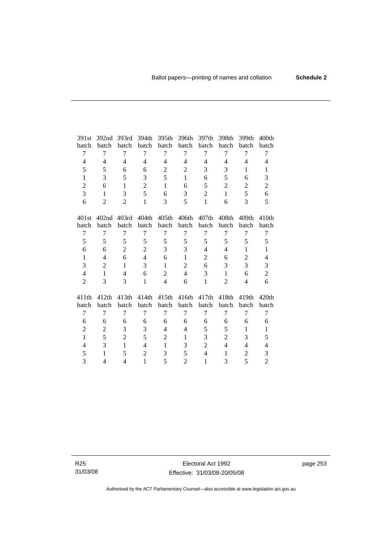| 391st                    | 392nd             | 393rd          | 394th          | 395th          | 396th          | 397th          | 398th                    | 399th             | 400 <sub>th</sub>        |
|--------------------------|-------------------|----------------|----------------|----------------|----------------|----------------|--------------------------|-------------------|--------------------------|
| batch                    | batch             | batch          | batch          | batch          | batch          | batch          | batch                    | batch             | batch                    |
| 7                        | 7                 | 7              | 7              | 7              | 7              | 7              | 7                        | 7                 | 7                        |
| $\overline{\mathcal{L}}$ | 4                 | 4              | 4              | 4              | 4              | 4              | 4                        | 4                 | 4                        |
| 5                        | 5                 | 6              | 6              | $\mathbf{2}$   | $\mathbf{2}$   | 3              | 3                        | $\mathbf{1}$      | $\mathbf{1}$             |
| $\mathbf{1}$             | 3                 | 5              | 3              | 5              | $\mathbf{1}$   | 6              | 5                        | 6                 | 3                        |
| $\overline{2}$           | 6                 | $\mathbf{1}$   | $\overline{2}$ | $\mathbf{1}$   | 6              | 5              | $\overline{2}$           | $\overline{2}$    | $\mathfrak{2}$           |
| 3                        | $\mathbf{1}$      | 3              | 5              | 6              | 3              | $\overline{2}$ | $\mathbf{1}$             | 5                 | 6                        |
| 6                        | $\overline{2}$    | $\overline{2}$ | $\mathbf{1}$   | 3              | 5              | $\mathbf{1}$   | 6                        | 3                 | 5                        |
| 401st                    | 402 <sub>nd</sub> | 403rd          | 404th          | 405th          | 406th          | 407th          | 408th                    | 409th             | 410th                    |
| batch                    | batch             | batch          | batch          | batch          | batch          | batch          | batch                    | batch             | batch                    |
| 7                        | $\overline{7}$    | 7              | $\tau$         | $\overline{7}$ | 7              | 7              | 7                        | 7                 | $\tau$                   |
| 5                        | 5                 | 5              | 5              | 5              | 5              | 5              | 5                        | 5                 | 5                        |
| 6                        | 6                 | $\overline{2}$ | $\overline{2}$ | 3              | 3              | $\overline{4}$ | $\overline{4}$           | $\mathbf{1}$      | $\mathbf{1}$             |
| $\mathbf{1}$             | 4                 | 6              | 4              | 6              | $\mathbf{1}$   | $\overline{2}$ | 6                        | $\overline{2}$    | $\overline{4}$           |
| 3                        | 2                 | $\mathbf{1}$   | 3              | $\mathbf{1}$   | $\overline{2}$ | 6              | 3                        | 3                 | 3                        |
| $\overline{4}$           | 1                 | 4              | 6              | $\overline{2}$ | $\overline{4}$ | 3              | 1                        | 6                 | $\mathbf{2}$             |
| $\overline{2}$           | 3                 | 3              | $\mathbf{1}$   | $\overline{4}$ | 6              | $\mathbf{1}$   | $\overline{2}$           | $\overline{4}$    | 6                        |
| 411th                    | 412th             | 413th          | 414th          | 415th          | 416th          | 417th          | 418th                    | 419 <sub>th</sub> | 420 <sub>th</sub>        |
| batch                    | batch             | batch          | batch          | batch          | batch          | batch          | batch                    | batch             | batch                    |
| 7                        | 7                 | 7              | 7              | $\overline{7}$ | 7              | 7              | 7                        | 7                 | 7                        |
| 6                        | 6                 | 6              | 6              | 6              | 6              | 6              | 6                        | 6                 | 6                        |
| $\overline{c}$           | $\overline{2}$    | 3              | 3              | 4              | 4              | 5              | 5                        | $\mathbf{1}$      | $\mathbf{1}$             |
| $\mathbf{1}$             | 5                 | $\overline{2}$ | 5              | $\overline{2}$ | $\mathbf{1}$   | 3              | $\overline{2}$           | 3                 | 5                        |
| 4                        | 3                 | $\mathbf{1}$   | 4              | $\mathbf{1}$   | 3              | $\overline{c}$ | $\overline{\mathcal{L}}$ | 4                 | $\overline{\mathcal{L}}$ |
| 5                        | $\mathbf{1}$      | 5              | $\overline{c}$ | 3              | 5              | $\overline{4}$ | 1                        | $\overline{c}$    | 3                        |
| 3                        | 4                 | 4              | 1              | 5              | $\overline{2}$ | $\mathbf{1}$   | 3                        | 5                 | $\mathbf{2}$             |
|                          |                   |                |                |                |                |                |                          |                   |                          |

R25 31/03/08 page 253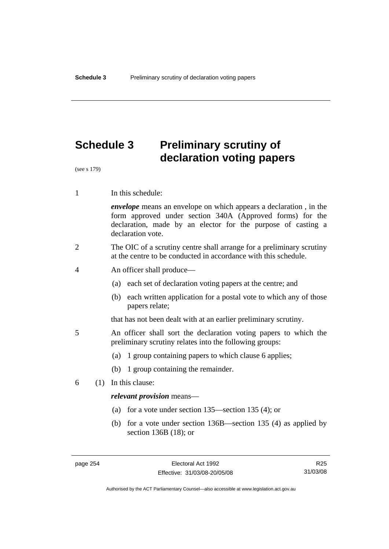# **Schedule 3 Preliminary scrutiny of declaration voting papers**

(see s 179)

1 In this schedule:

*envelope* means an envelope on which appears a declaration , in the form approved under section 340A (Approved forms) for the declaration, made by an elector for the purpose of casting a declaration vote.

- 2 The OIC of a scrutiny centre shall arrange for a preliminary scrutiny at the centre to be conducted in accordance with this schedule.
- 4 An officer shall produce—
	- (a) each set of declaration voting papers at the centre; and
	- (b) each written application for a postal vote to which any of those papers relate;

that has not been dealt with at an earlier preliminary scrutiny.

- 5 An officer shall sort the declaration voting papers to which the preliminary scrutiny relates into the following groups:
	- (a) 1 group containing papers to which clause 6 applies;
	- (b) 1 group containing the remainder.
- 6 (1) In this clause:

#### *relevant provision* means—

- (a) for a vote under section 135—section 135 (4); or
- (b) for a vote under section 136B—section 135 (4) as applied by section 136B (18); or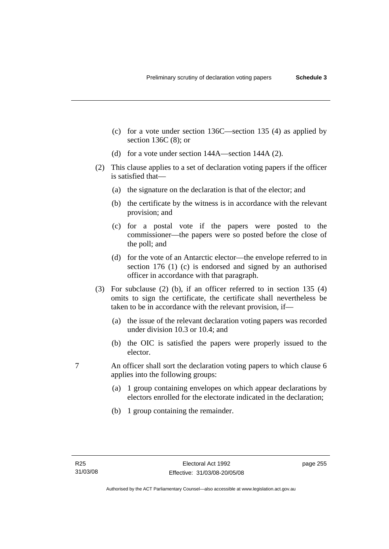- (c) for a vote under section 136C—section 135 (4) as applied by section 136C (8); or
- (d) for a vote under section 144A—section 144A (2).
- (2) This clause applies to a set of declaration voting papers if the officer is satisfied that—
	- (a) the signature on the declaration is that of the elector; and
	- (b) the certificate by the witness is in accordance with the relevant provision; and
	- (c) for a postal vote if the papers were posted to the commissioner—the papers were so posted before the close of the poll; and
	- (d) for the vote of an Antarctic elector—the envelope referred to in section 176 (1) (c) is endorsed and signed by an authorised officer in accordance with that paragraph.
- (3) For subclause (2) (b), if an officer referred to in section 135 (4) omits to sign the certificate, the certificate shall nevertheless be taken to be in accordance with the relevant provision, if—
	- (a) the issue of the relevant declaration voting papers was recorded under division 10.3 or 10.4; and
	- (b) the OIC is satisfied the papers were properly issued to the elector.
- 7 An officer shall sort the declaration voting papers to which clause 6 applies into the following groups:
	- (a) 1 group containing envelopes on which appear declarations by electors enrolled for the electorate indicated in the declaration;
	- (b) 1 group containing the remainder.

page 255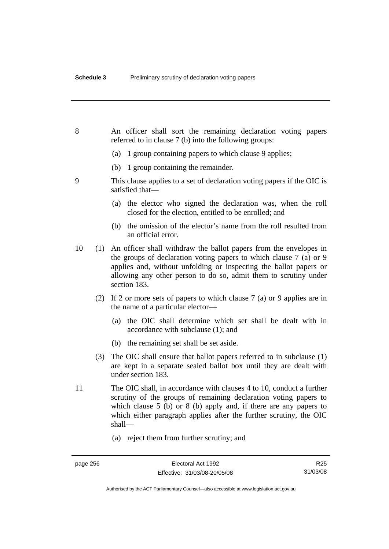| 8  |     | An officer shall sort the remaining declaration voting papers<br>referred to in clause 7 (b) into the following groups:                                                                                                                                                                              |
|----|-----|------------------------------------------------------------------------------------------------------------------------------------------------------------------------------------------------------------------------------------------------------------------------------------------------------|
|    |     | 1 group containing papers to which clause 9 applies;<br>(a)                                                                                                                                                                                                                                          |
|    |     | 1 group containing the remainder.<br>(b)                                                                                                                                                                                                                                                             |
| 9  |     | This clause applies to a set of declaration voting papers if the OIC is<br>satisfied that-                                                                                                                                                                                                           |
|    |     | (a) the elector who signed the declaration was, when the roll<br>closed for the election, entitled to be enrolled; and                                                                                                                                                                               |
|    |     | the omission of the elector's name from the roll resulted from<br>(b)<br>an official error.                                                                                                                                                                                                          |
| 10 |     | (1) An officer shall withdraw the ballot papers from the envelopes in<br>the groups of declaration voting papers to which clause 7 (a) or 9<br>applies and, without unfolding or inspecting the ballot papers or<br>allowing any other person to do so, admit them to scrutiny under<br>section 183. |
|    | (2) | If 2 or more sets of papers to which clause $7$ (a) or 9 applies are in<br>the name of a particular elector—                                                                                                                                                                                         |
|    |     | (a) the OIC shall determine which set shall be dealt with in<br>accordance with subclause (1); and                                                                                                                                                                                                   |
|    |     | the remaining set shall be set aside.<br>(b)                                                                                                                                                                                                                                                         |
|    | (3) | The OIC shall ensure that ballot papers referred to in subclause (1)<br>are kept in a separate sealed ballot box until they are dealt with<br>under section 183.                                                                                                                                     |
| 11 |     | The OIC shall, in accordance with clauses 4 to 10, conduct a further<br>scrutiny of the groups of remaining declaration voting papers to<br>which clause $5$ (b) or $8$ (b) apply and, if there are any papers to<br>which either paragraph applies after the further scrutiny, the OIC<br>shall-    |
|    |     | (a) reject them from further scrutiny; and                                                                                                                                                                                                                                                           |

R25 31/03/08

Authorised by the ACT Parliamentary Counsel—also accessible at www.legislation.act.gov.au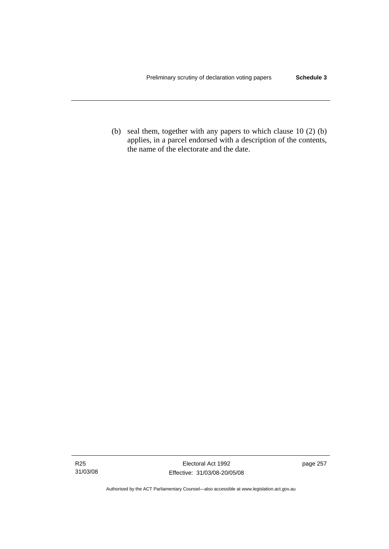(b) seal them, together with any papers to which clause 10 (2) (b) applies, in a parcel endorsed with a description of the contents, the name of the electorate and the date.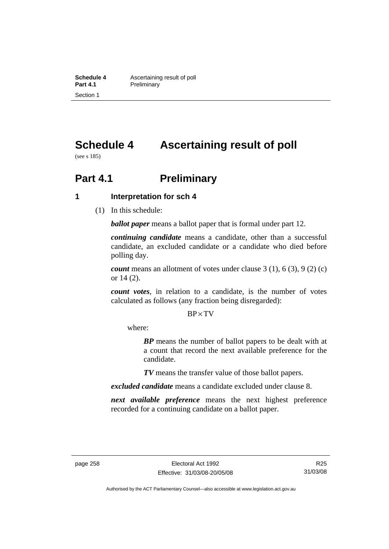**Schedule 4 Ascertaining result of poll**<br>**Part 4.1 Preliminary Preliminary** Section 1

# **Schedule 4 Ascertaining result of poll**

(see s 185)

# **Part 4.1** Preliminary

### **1 Interpretation for sch 4**

(1) In this schedule:

*ballot paper* means a ballot paper that is formal under part 12.

*continuing candidate* means a candidate, other than a successful candidate, an excluded candidate or a candidate who died before polling day.

*count* means an allotment of votes under clause 3 (1), 6 (3), 9 (2) (c) or 14 (2).

*count votes*, in relation to a candidate, is the number of votes calculated as follows (any fraction being disregarded):

 $BP \times TV$ 

where:

*BP* means the number of ballot papers to be dealt with at a count that record the next available preference for the candidate.

*TV* means the transfer value of those ballot papers.

*excluded candidate* means a candidate excluded under clause 8.

*next available preference* means the next highest preference recorded for a continuing candidate on a ballot paper.

R25 31/03/08

Authorised by the ACT Parliamentary Counsel—also accessible at www.legislation.act.gov.au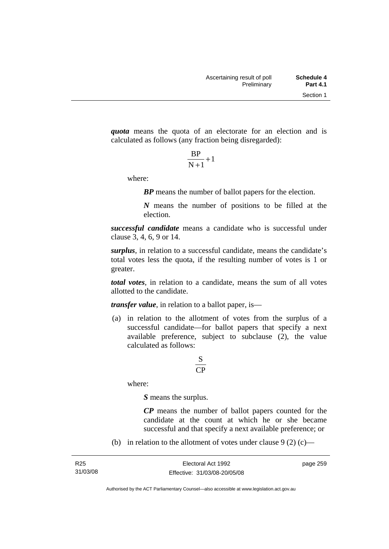*quota* means the quota of an electorate for an election and is calculated as follows (any fraction being disregarded):

$$
\frac{\text{BP}}{\text{N}+1}+1
$$

where:

*BP* means the number of ballot papers for the election.

*N* means the number of positions to be filled at the election.

*successful candidate* means a candidate who is successful under clause 3, 4, 6, 9 or 14.

*surplus*, in relation to a successful candidate, means the candidate's total votes less the quota, if the resulting number of votes is 1 or greater.

*total votes*, in relation to a candidate, means the sum of all votes allotted to the candidate.

*transfer value*, in relation to a ballot paper, is—

 (a) in relation to the allotment of votes from the surplus of a successful candidate—for ballot papers that specify a next available preference, subject to subclause (2), the value calculated as follows:

## CP S

where:

*S* means the surplus.

*CP* means the number of ballot papers counted for the candidate at the count at which he or she became successful and that specify a next available preference; or

(b) in relation to the allotment of votes under clause  $9(2)$  (c)—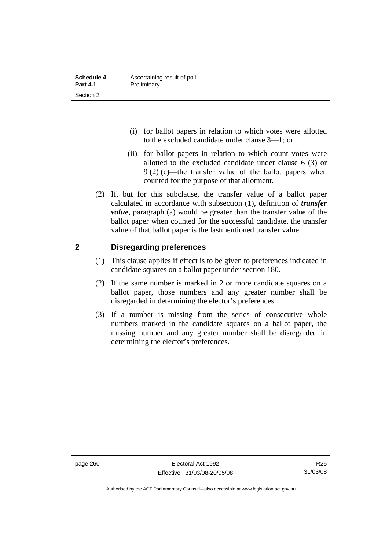| Schedule 4      | Ascertaining result of poll |
|-----------------|-----------------------------|
| <b>Part 4.1</b> | Preliminary                 |
| Section 2       |                             |

- (i) for ballot papers in relation to which votes were allotted to the excluded candidate under clause 3—1; or
- (ii) for ballot papers in relation to which count votes were allotted to the excluded candidate under clause 6 (3) or  $9(2)$  (c)—the transfer value of the ballot papers when counted for the purpose of that allotment.
- (2) If, but for this subclause, the transfer value of a ballot paper calculated in accordance with subsection (1), definition of *transfer value*, paragraph (a) would be greater than the transfer value of the ballot paper when counted for the successful candidate, the transfer value of that ballot paper is the lastmentioned transfer value.

### **2 Disregarding preferences**

- (1) This clause applies if effect is to be given to preferences indicated in candidate squares on a ballot paper under section 180.
- (2) If the same number is marked in 2 or more candidate squares on a ballot paper, those numbers and any greater number shall be disregarded in determining the elector's preferences.
- (3) If a number is missing from the series of consecutive whole numbers marked in the candidate squares on a ballot paper, the missing number and any greater number shall be disregarded in determining the elector's preferences.

Authorised by the ACT Parliamentary Counsel—also accessible at www.legislation.act.gov.au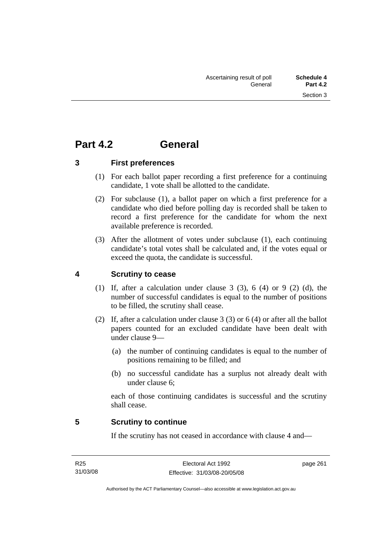# **Part 4.2 General**

**3 First preferences** 

- (1) For each ballot paper recording a first preference for a continuing candidate, 1 vote shall be allotted to the candidate.
- (2) For subclause (1), a ballot paper on which a first preference for a candidate who died before polling day is recorded shall be taken to record a first preference for the candidate for whom the next available preference is recorded.
- (3) After the allotment of votes under subclause (1), each continuing candidate's total votes shall be calculated and, if the votes equal or exceed the quota, the candidate is successful.

# **4 Scrutiny to cease**

- (1) If, after a calculation under clause  $3$  (3),  $6$  (4) or  $9$  (2) (d), the number of successful candidates is equal to the number of positions to be filled, the scrutiny shall cease.
- (2) If, after a calculation under clause 3 (3) or 6 (4) or after all the ballot papers counted for an excluded candidate have been dealt with under clause 9—
	- (a) the number of continuing candidates is equal to the number of positions remaining to be filled; and
	- (b) no successful candidate has a surplus not already dealt with under clause 6;

each of those continuing candidates is successful and the scrutiny shall cease.

# **5 Scrutiny to continue**

If the scrutiny has not ceased in accordance with clause 4 and—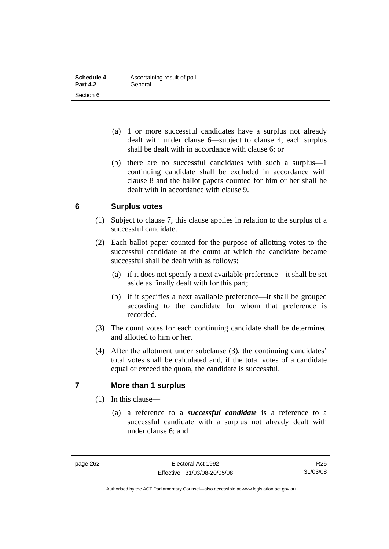| Schedule 4      | Ascertaining result of poll |  |  |  |
|-----------------|-----------------------------|--|--|--|
| <b>Part 4.2</b> | General                     |  |  |  |
| Section 6       |                             |  |  |  |

- (a) 1 or more successful candidates have a surplus not already dealt with under clause 6—subject to clause 4, each surplus shall be dealt with in accordance with clause 6; or
- (b) there are no successful candidates with such a surplus—1 continuing candidate shall be excluded in accordance with clause 8 and the ballot papers counted for him or her shall be dealt with in accordance with clause 9.

### **6 Surplus votes**

- (1) Subject to clause 7, this clause applies in relation to the surplus of a successful candidate.
- (2) Each ballot paper counted for the purpose of allotting votes to the successful candidate at the count at which the candidate became successful shall be dealt with as follows:
	- (a) if it does not specify a next available preference—it shall be set aside as finally dealt with for this part;
	- (b) if it specifies a next available preference—it shall be grouped according to the candidate for whom that preference is recorded.
- (3) The count votes for each continuing candidate shall be determined and allotted to him or her.
- (4) After the allotment under subclause (3), the continuing candidates' total votes shall be calculated and, if the total votes of a candidate equal or exceed the quota, the candidate is successful.

### **7 More than 1 surplus**

- (1) In this clause—
	- (a) a reference to a *successful candidate* is a reference to a successful candidate with a surplus not already dealt with under clause 6; and

R25 31/03/08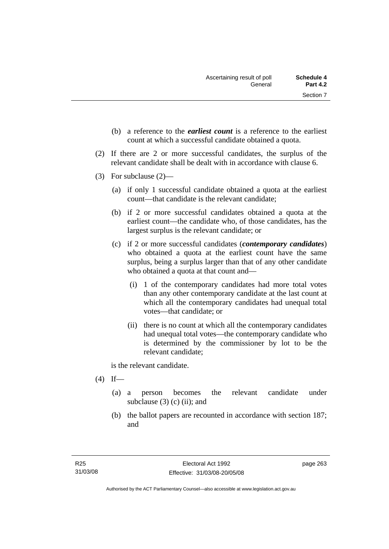- (b) a reference to the *earliest count* is a reference to the earliest count at which a successful candidate obtained a quota.
- (2) If there are 2 or more successful candidates, the surplus of the relevant candidate shall be dealt with in accordance with clause 6.
- (3) For subclause (2)—
	- (a) if only 1 successful candidate obtained a quota at the earliest count—that candidate is the relevant candidate;
	- (b) if 2 or more successful candidates obtained a quota at the earliest count—the candidate who, of those candidates, has the largest surplus is the relevant candidate; or
	- (c) if 2 or more successful candidates (*contemporary candidates*) who obtained a quota at the earliest count have the same surplus, being a surplus larger than that of any other candidate who obtained a quota at that count and—
		- (i) 1 of the contemporary candidates had more total votes than any other contemporary candidate at the last count at which all the contemporary candidates had unequal total votes—that candidate; or
		- (ii) there is no count at which all the contemporary candidates had unequal total votes—the contemporary candidate who is determined by the commissioner by lot to be the relevant candidate;

is the relevant candidate.

- $(4)$  If—
	- (a) a person becomes the relevant candidate under subclause  $(3)$  (c) (ii); and
	- (b) the ballot papers are recounted in accordance with section 187; and

page 263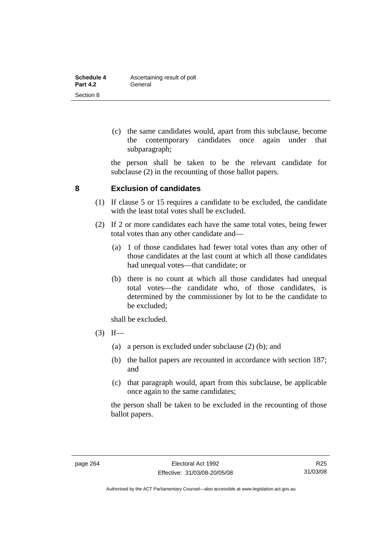| Schedule 4      | Ascertaining result of poll |  |  |  |
|-----------------|-----------------------------|--|--|--|
| <b>Part 4.2</b> | General                     |  |  |  |
| Section 8       |                             |  |  |  |

 (c) the same candidates would, apart from this subclause, become the contemporary candidates once again under that subparagraph;

the person shall be taken to be the relevant candidate for subclause (2) in the recounting of those ballot papers.

### **8 Exclusion of candidates**

- (1) If clause 5 or 15 requires a candidate to be excluded, the candidate with the least total votes shall be excluded.
- (2) If 2 or more candidates each have the same total votes, being fewer total votes than any other candidate and—
	- (a) 1 of those candidates had fewer total votes than any other of those candidates at the last count at which all those candidates had unequal votes—that candidate; or
	- (b) there is no count at which all those candidates had unequal total votes—the candidate who, of those candidates, is determined by the commissioner by lot to be the candidate to be excluded;

shall be excluded.

- $(3)$  If—
	- (a) a person is excluded under subclause (2) (b); and
	- (b) the ballot papers are recounted in accordance with section 187; and
	- (c) that paragraph would, apart from this subclause, be applicable once again to the same candidates;

the person shall be taken to be excluded in the recounting of those ballot papers.

Authorised by the ACT Parliamentary Counsel—also accessible at www.legislation.act.gov.au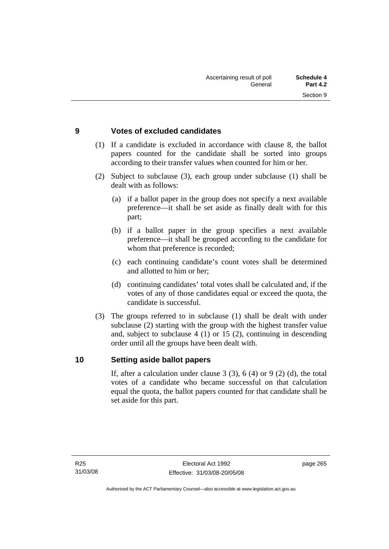## **9 Votes of excluded candidates**

- (1) If a candidate is excluded in accordance with clause 8, the ballot papers counted for the candidate shall be sorted into groups according to their transfer values when counted for him or her.
- (2) Subject to subclause (3), each group under subclause (1) shall be dealt with as follows:
	- (a) if a ballot paper in the group does not specify a next available preference—it shall be set aside as finally dealt with for this part;
	- (b) if a ballot paper in the group specifies a next available preference—it shall be grouped according to the candidate for whom that preference is recorded:
	- (c) each continuing candidate's count votes shall be determined and allotted to him or her;
	- (d) continuing candidates' total votes shall be calculated and, if the votes of any of those candidates equal or exceed the quota, the candidate is successful.
- (3) The groups referred to in subclause (1) shall be dealt with under subclause (2) starting with the group with the highest transfer value and, subject to subclause 4 (1) or 15 (2), continuing in descending order until all the groups have been dealt with.

### **10 Setting aside ballot papers**

If, after a calculation under clause  $3(3)$ ,  $6(4)$  or  $9(2)(d)$ , the total votes of a candidate who became successful on that calculation equal the quota, the ballot papers counted for that candidate shall be set aside for this part.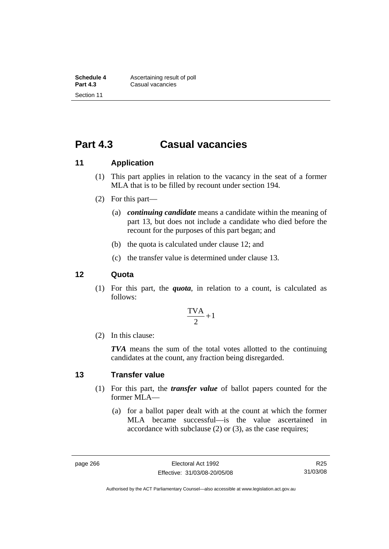# **Part 4.3 Casual vacancies**

## **11 Application**

- (1) This part applies in relation to the vacancy in the seat of a former MLA that is to be filled by recount under section 194.
- (2) For this part—
	- (a) *continuing candidate* means a candidate within the meaning of part 13, but does not include a candidate who died before the recount for the purposes of this part began; and
	- (b) the quota is calculated under clause 12; and
	- (c) the transfer value is determined under clause 13.

### **12 Quota**

 (1) For this part, the *quota*, in relation to a count, is calculated as follows:

$$
\frac{\text{TVA}}{2} + 1
$$

(2) In this clause:

*TVA* means the sum of the total votes allotted to the continuing candidates at the count, any fraction being disregarded.

### **13 Transfer value**

- (1) For this part, the *transfer value* of ballot papers counted for the former MLA—
	- (a) for a ballot paper dealt with at the count at which the former MLA became successful—is the value ascertained in accordance with subclause (2) or (3), as the case requires;

R25 31/03/08

Authorised by the ACT Parliamentary Counsel—also accessible at www.legislation.act.gov.au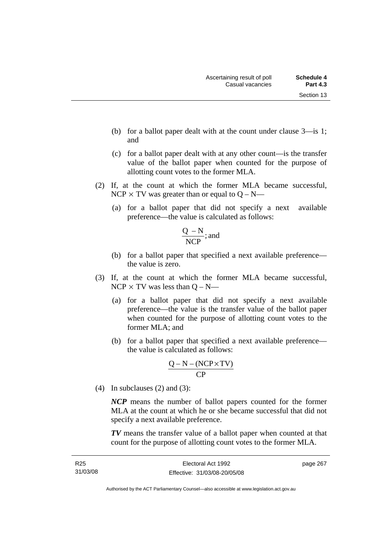- (b) for a ballot paper dealt with at the count under clause 3—is 1; and
- (c) for a ballot paper dealt with at any other count—is the transfer value of the ballot paper when counted for the purpose of allotting count votes to the former MLA.
- (2) If, at the count at which the former MLA became successful, NCP  $\times$  TV was greater than or equal to Q – N—
	- (a) for a ballot paper that did not specify a next available preference—the value is calculated as follows:

$$
\frac{Q-N}{NCP}
$$
; and

- (b) for a ballot paper that specified a next available preference the value is zero.
- (3) If, at the count at which the former MLA became successful,  $NCP \times TV$  was less than  $Q - N$ —
	- (a) for a ballot paper that did not specify a next available preference—the value is the transfer value of the ballot paper when counted for the purpose of allotting count votes to the former MLA; and
	- (b) for a ballot paper that specified a next available preference the value is calculated as follows:

$$
\frac{Q-N-(NCP \times TV)}{CP}
$$

(4) In subclauses (2) and (3):

*NCP* means the number of ballot papers counted for the former MLA at the count at which he or she became successful that did not specify a next available preference.

*TV* means the transfer value of a ballot paper when counted at that count for the purpose of allotting count votes to the former MLA.

Authorised by the ACT Parliamentary Counsel—also accessible at www.legislation.act.gov.au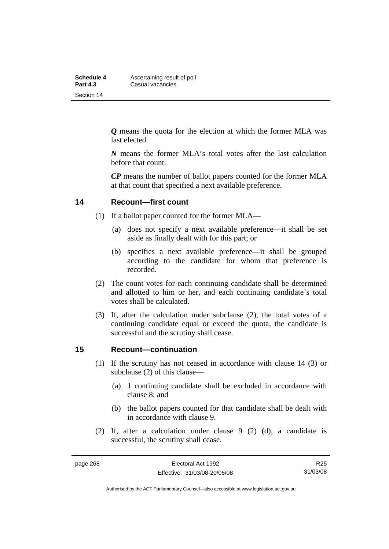| Schedule 4      | Ascertaining result of poll |  |  |  |
|-----------------|-----------------------------|--|--|--|
| <b>Part 4.3</b> | Casual vacancies            |  |  |  |
| Section 14      |                             |  |  |  |

*Q* means the quota for the election at which the former MLA was last elected.

*N* means the former MLA's total votes after the last calculation before that count.

*CP* means the number of ballot papers counted for the former MLA at that count that specified a next available preference.

### **14 Recount—first count**

- (1) If a ballot paper counted for the former MLA—
	- (a) does not specify a next available preference—it shall be set aside as finally dealt with for this part; or
	- (b) specifies a next available preference—it shall be grouped according to the candidate for whom that preference is recorded.
- (2) The count votes for each continuing candidate shall be determined and allotted to him or her, and each continuing candidate's total votes shall be calculated.
- (3) If, after the calculation under subclause (2), the total votes of a continuing candidate equal or exceed the quota, the candidate is successful and the scrutiny shall cease.

### **15 Recount—continuation**

- (1) If the scrutiny has not ceased in accordance with clause 14 (3) or subclause (2) of this clause—
	- (a) 1 continuing candidate shall be excluded in accordance with clause 8; and
	- (b) the ballot papers counted for that candidate shall be dealt with in accordance with clause 9.
- (2) If, after a calculation under clause 9 (2) (d), a candidate is successful, the scrutiny shall cease.

R25 31/03/08

Authorised by the ACT Parliamentary Counsel—also accessible at www.legislation.act.gov.au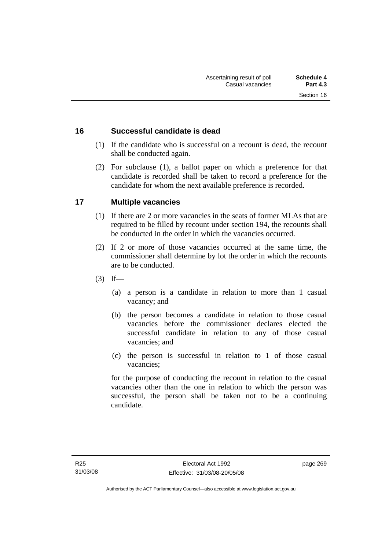### **16 Successful candidate is dead**

- (1) If the candidate who is successful on a recount is dead, the recount shall be conducted again.
- (2) For subclause (1), a ballot paper on which a preference for that candidate is recorded shall be taken to record a preference for the candidate for whom the next available preference is recorded.

# **17 Multiple vacancies**

- (1) If there are 2 or more vacancies in the seats of former MLAs that are required to be filled by recount under section 194, the recounts shall be conducted in the order in which the vacancies occurred.
- (2) If 2 or more of those vacancies occurred at the same time, the commissioner shall determine by lot the order in which the recounts are to be conducted.
- $(3)$  If—
	- (a) a person is a candidate in relation to more than 1 casual vacancy; and
	- (b) the person becomes a candidate in relation to those casual vacancies before the commissioner declares elected the successful candidate in relation to any of those casual vacancies; and
	- (c) the person is successful in relation to 1 of those casual vacancies;

for the purpose of conducting the recount in relation to the casual vacancies other than the one in relation to which the person was successful, the person shall be taken not to be a continuing candidate.

page 269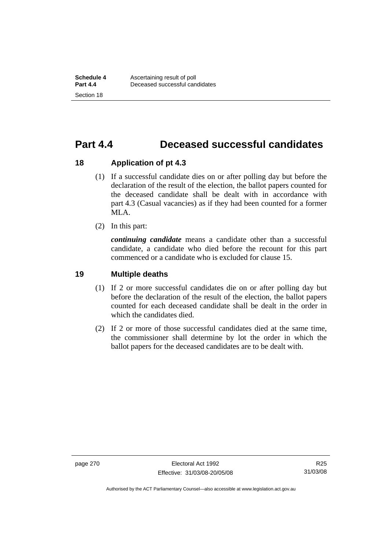# **Part 4.4 Deceased successful candidates**

### **18 Application of pt 4.3**

- (1) If a successful candidate dies on or after polling day but before the declaration of the result of the election, the ballot papers counted for the deceased candidate shall be dealt with in accordance with part 4.3 (Casual vacancies) as if they had been counted for a former MLA.
- (2) In this part:

*continuing candidate* means a candidate other than a successful candidate, a candidate who died before the recount for this part commenced or a candidate who is excluded for clause 15.

### **19 Multiple deaths**

- (1) If 2 or more successful candidates die on or after polling day but before the declaration of the result of the election, the ballot papers counted for each deceased candidate shall be dealt in the order in which the candidates died.
- (2) If 2 or more of those successful candidates died at the same time, the commissioner shall determine by lot the order in which the ballot papers for the deceased candidates are to be dealt with.

Authorised by the ACT Parliamentary Counsel—also accessible at www.legislation.act.gov.au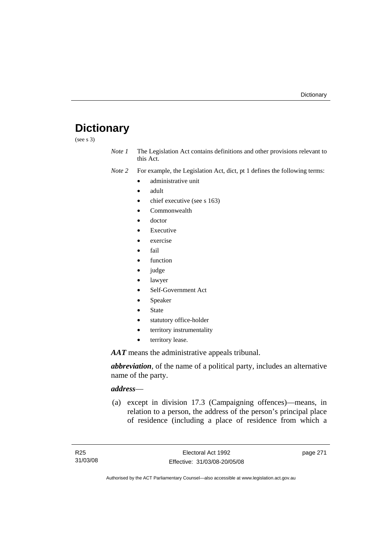# **Dictionary**

(see s 3)

*Note 1* The Legislation Act contains definitions and other provisions relevant to this Act.

*Note 2* For example, the Legislation Act, dict, pt 1 defines the following terms:

- administrative unit
	- adult
	- chief executive (see s 163)
	- Commonwealth
	- doctor
	- **Executive**
	- exercise
	- fail
	- function
	- judge
	- lawyer
	- Self-Government Act
	- **Speaker**
	- **State**
	- statutory office-holder
	- territory instrumentality
	- territory lease.

*AAT* means the administrative appeals tribunal.

*abbreviation*, of the name of a political party, includes an alternative name of the party.

## *address*—

 (a) except in division 17.3 (Campaigning offences)—means, in relation to a person, the address of the person's principal place of residence (including a place of residence from which a

page 271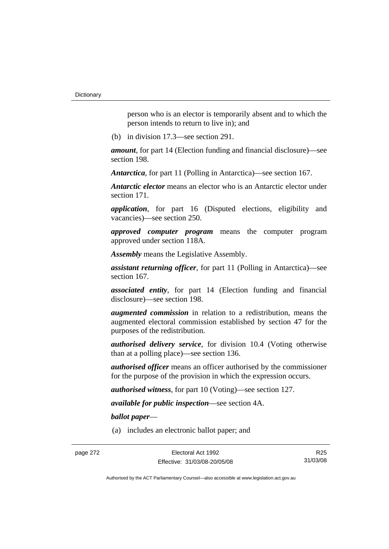person who is an elector is temporarily absent and to which the person intends to return to live in); and

(b) in division 17.3—see section 291.

*amount*, for part 14 (Election funding and financial disclosure)—see section 198.

*Antarctica*, for part 11 (Polling in Antarctica)—see section 167.

*Antarctic elector* means an elector who is an Antarctic elector under section 171.

*application*, for part 16 (Disputed elections, eligibility and vacancies)—see section 250.

*approved computer program* means the computer program approved under section 118A.

*Assembly* means the Legislative Assembly.

*assistant returning officer*, for part 11 (Polling in Antarctica)—see section 167.

*associated entity*, for part 14 (Election funding and financial disclosure)—see section 198.

*augmented commission* in relation to a redistribution, means the augmented electoral commission established by section 47 for the purposes of the redistribution.

*authorised delivery service*, for division 10.4 (Voting otherwise than at a polling place)—see section 136.

*authorised officer* means an officer authorised by the commissioner for the purpose of the provision in which the expression occurs.

*authorised witness*, for part 10 (Voting)—see section 127.

*available for public inspection*—see section 4A.

*ballot paper*—

(a) includes an electronic ballot paper; and

R25 31/03/08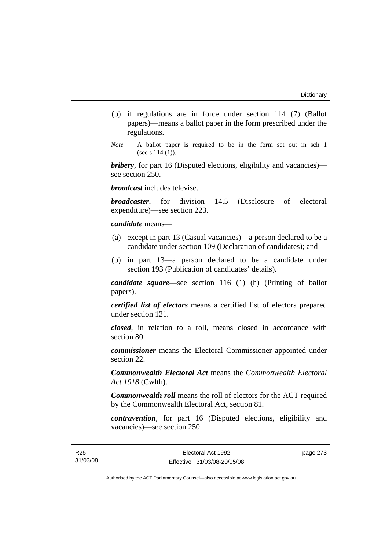- (b) if regulations are in force under section 114 (7) (Ballot papers)—means a ballot paper in the form prescribed under the regulations.
- *Note* A ballot paper is required to be in the form set out in sch 1 (see s 114 (1)).

*bribery*, for part 16 (Disputed elections, eligibility and vacancies) see section 250.

*broadcast* includes televise.

*broadcaster*, for division 14.5 (Disclosure of electoral expenditure)—see section 223.

### *candidate* means—

- (a) except in part 13 (Casual vacancies)—a person declared to be a candidate under section 109 (Declaration of candidates); and
- (b) in part 13—a person declared to be a candidate under section 193 (Publication of candidates' details).

*candidate square*—see section 116 (1) (h) (Printing of ballot papers).

*certified list of electors* means a certified list of electors prepared under section 121.

*closed*, in relation to a roll, means closed in accordance with section 80.

*commissioner* means the Electoral Commissioner appointed under section 22.

*Commonwealth Electoral Act* means the *Commonwealth Electoral Act 1918* (Cwlth).

*Commonwealth roll* means the roll of electors for the ACT required by the Commonwealth Electoral Act, section 81.

*contravention*, for part 16 (Disputed elections, eligibility and vacancies)—see section 250.

page 273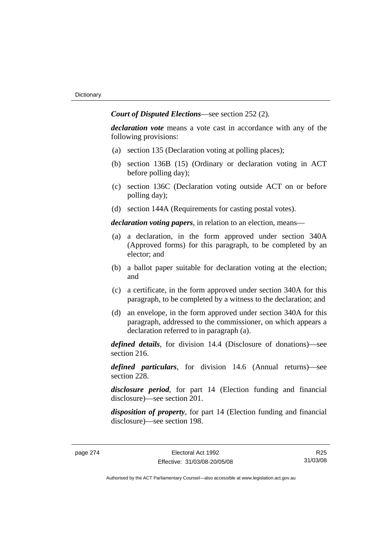*Court of Disputed Elections*—see section 252 (2).

*declaration vote* means a vote cast in accordance with any of the following provisions:

- (a) section 135 (Declaration voting at polling places);
- (b) section 136B (15) (Ordinary or declaration voting in ACT before polling day);
- (c) section 136C (Declaration voting outside ACT on or before polling day);
- (d) section 144A (Requirements for casting postal votes).

*declaration voting papers*, in relation to an election, means—

- (a) a declaration, in the form approved under section 340A (Approved forms) for this paragraph, to be completed by an elector; and
- (b) a ballot paper suitable for declaration voting at the election; and
- (c) a certificate, in the form approved under section 340A for this paragraph, to be completed by a witness to the declaration; and
- (d) an envelope, in the form approved under section 340A for this paragraph, addressed to the commissioner, on which appears a declaration referred to in paragraph (a).

*defined details*, for division 14.4 (Disclosure of donations)—see section 216.

*defined particulars*, for division 14.6 (Annual returns)—see section 228.

*disclosure period*, for part 14 (Election funding and financial disclosure)—see section 201.

*disposition of property*, for part 14 (Election funding and financial disclosure)—see section 198.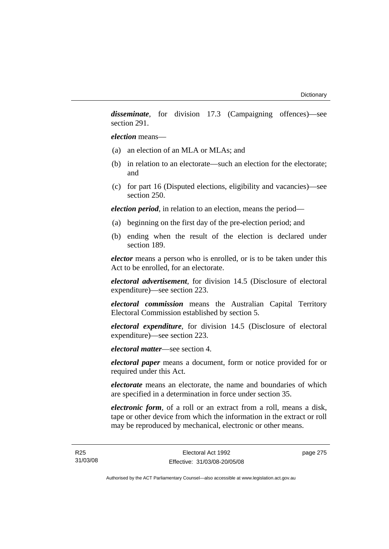*disseminate*, for division 17.3 (Campaigning offences)—see section 291.

*election* means—

- (a) an election of an MLA or MLAs; and
- (b) in relation to an electorate—such an election for the electorate; and
- (c) for part 16 (Disputed elections, eligibility and vacancies)—see section 250.

*election period*, in relation to an election, means the period—

- (a) beginning on the first day of the pre-election period; and
- (b) ending when the result of the election is declared under section 189.

*elector* means a person who is enrolled, or is to be taken under this Act to be enrolled, for an electorate.

*electoral advertisement*, for division 14.5 (Disclosure of electoral expenditure)—see section 223.

*electoral commission* means the Australian Capital Territory Electoral Commission established by section 5.

*electoral expenditure*, for division 14.5 (Disclosure of electoral expenditure)—see section 223.

*electoral matter*—see section 4.

*electoral paper* means a document, form or notice provided for or required under this Act.

*electorate* means an electorate, the name and boundaries of which are specified in a determination in force under section 35.

*electronic form*, of a roll or an extract from a roll, means a disk, tape or other device from which the information in the extract or roll may be reproduced by mechanical, electronic or other means.

page 275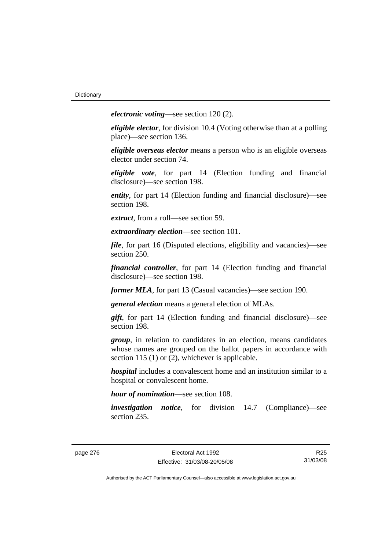*electronic voting*—see section 120 (2).

*eligible elector*, for division 10.4 (Voting otherwise than at a polling place)—see section 136.

*eligible overseas elector* means a person who is an eligible overseas elector under section 74.

*eligible vote*, for part 14 (Election funding and financial disclosure)—see section 198.

*entity*, for part 14 (Election funding and financial disclosure)—see section 198.

*extract*, from a roll—see section 59.

*extraordinary election*—see section 101.

*file*, for part 16 (Disputed elections, eligibility and vacancies)—see section 250.

*financial controller*, for part 14 (Election funding and financial disclosure)—see section 198.

*former MLA*, for part 13 (Casual vacancies)—see section 190.

*general election* means a general election of MLAs.

*gift*, for part 14 (Election funding and financial disclosure)—see section 198.

*group*, in relation to candidates in an election, means candidates whose names are grouped on the ballot papers in accordance with section 115 (1) or (2), whichever is applicable.

*hospital* includes a convalescent home and an institution similar to a hospital or convalescent home.

*hour of nomination*—see section 108.

*investigation notice*, for division 14.7 (Compliance)—see section 235.

R25 31/03/08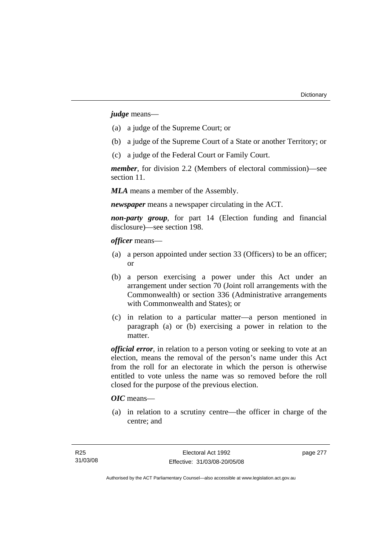*judge* means—

- (a) a judge of the Supreme Court; or
- (b) a judge of the Supreme Court of a State or another Territory; or
- (c) a judge of the Federal Court or Family Court.

*member*, for division 2.2 (Members of electoral commission)—see section 11.

*MLA* means a member of the Assembly.

*newspaper* means a newspaper circulating in the ACT.

*non-party group*, for part 14 (Election funding and financial disclosure)—see section 198.

*officer* means—

- (a) a person appointed under section 33 (Officers) to be an officer; or
- (b) a person exercising a power under this Act under an arrangement under section 70 (Joint roll arrangements with the Commonwealth) or section 336 (Administrative arrangements with Commonwealth and States); or
- (c) in relation to a particular matter—a person mentioned in paragraph (a) or (b) exercising a power in relation to the matter.

*official error*, in relation to a person voting or seeking to vote at an election, means the removal of the person's name under this Act from the roll for an electorate in which the person is otherwise entitled to vote unless the name was so removed before the roll closed for the purpose of the previous election.

## *OIC* means—

 (a) in relation to a scrutiny centre—the officer in charge of the centre; and

page 277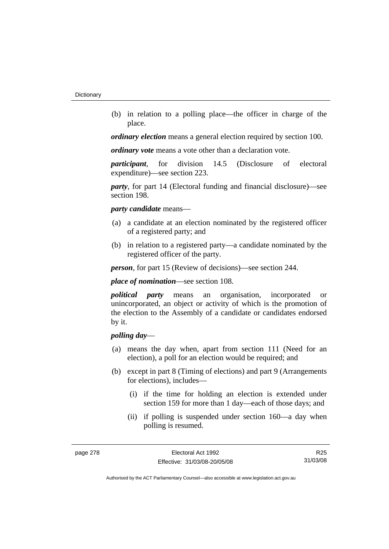(b) in relation to a polling place—the officer in charge of the place.

*ordinary election* means a general election required by section 100.

*ordinary vote* means a vote other than a declaration vote.

*participant*, for division 14.5 (Disclosure of electoral expenditure)—see section 223.

*party*, for part 14 (Electoral funding and financial disclosure)—see section 198.

#### *party candidate* means—

- (a) a candidate at an election nominated by the registered officer of a registered party; and
- (b) in relation to a registered party—a candidate nominated by the registered officer of the party.

*person*, for part 15 (Review of decisions)—see section 244.

*place of nomination*—see section 108.

*political party* means an organisation, incorporated or unincorporated, an object or activity of which is the promotion of the election to the Assembly of a candidate or candidates endorsed by it.

## *polling day*—

- (a) means the day when, apart from section 111 (Need for an election), a poll for an election would be required; and
- (b) except in part 8 (Timing of elections) and part 9 (Arrangements for elections), includes—
	- (i) if the time for holding an election is extended under section 159 for more than 1 day—each of those days; and
	- (ii) if polling is suspended under section 160—a day when polling is resumed.

R25 31/03/08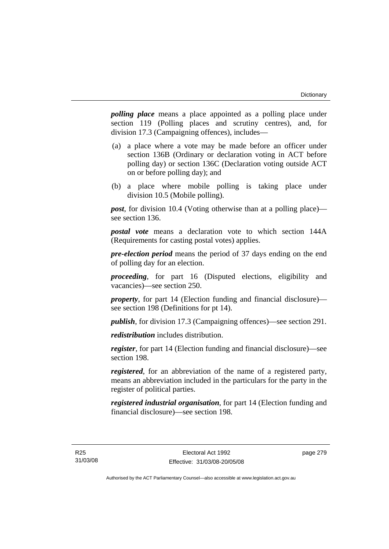*polling place* means a place appointed as a polling place under section 119 (Polling places and scrutiny centres), and, for division 17.3 (Campaigning offences), includes—

- (a) a place where a vote may be made before an officer under section 136B (Ordinary or declaration voting in ACT before polling day) or section 136C (Declaration voting outside ACT on or before polling day); and
- (b) a place where mobile polling is taking place under division 10.5 (Mobile polling).

*post*, for division 10.4 (Voting otherwise than at a polling place) see section 136.

*postal vote* means a declaration vote to which section 144A (Requirements for casting postal votes) applies.

*pre-election period* means the period of 37 days ending on the end of polling day for an election.

*proceeding*, for part 16 (Disputed elections, eligibility and vacancies)—see section 250.

*property*, for part 14 (Election funding and financial disclosure) see section 198 (Definitions for pt 14).

*publish*, for division 17.3 (Campaigning offences)—see section 291.

*redistribution* includes distribution.

*register*, for part 14 (Election funding and financial disclosure)—see section 198.

*registered*, for an abbreviation of the name of a registered party, means an abbreviation included in the particulars for the party in the register of political parties.

*registered industrial organisation*, for part 14 (Election funding and financial disclosure)—see section 198.

page 279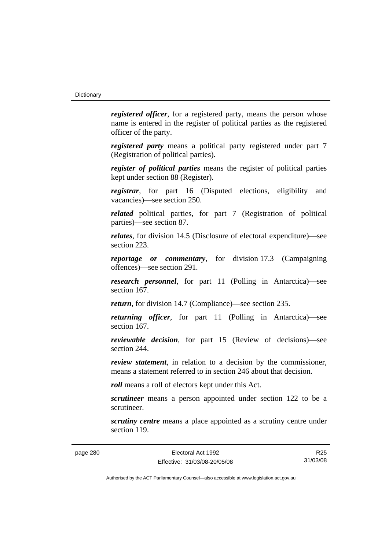*registered officer*, for a registered party, means the person whose name is entered in the register of political parties as the registered officer of the party.

*registered party* means a political party registered under part 7 (Registration of political parties).

*register of political parties* means the register of political parties kept under section 88 (Register).

*registrar*, for part 16 (Disputed elections, eligibility and vacancies)—see section 250.

*related* political parties, for part 7 (Registration of political parties)—see section 87.

*relates*, for division 14.5 (Disclosure of electoral expenditure)—see section 223.

*reportage or commentary*, for division 17.3 (Campaigning offences)—see section 291.

*research personnel*, for part 11 (Polling in Antarctica)—see section 167.

*return*, for division 14.7 (Compliance)—see section 235.

*returning officer*, for part 11 (Polling in Antarctica)—see section 167.

*reviewable decision*, for part 15 (Review of decisions)—see section 244.

*review statement*, in relation to a decision by the commissioner, means a statement referred to in section 246 about that decision.

*roll* means a roll of electors kept under this Act.

*scrutineer* means a person appointed under section 122 to be a scrutineer.

*scrutiny centre* means a place appointed as a scrutiny centre under section 119.

page 280 Electoral Act 1992 Effective: 31/03/08-20/05/08

R25 31/03/08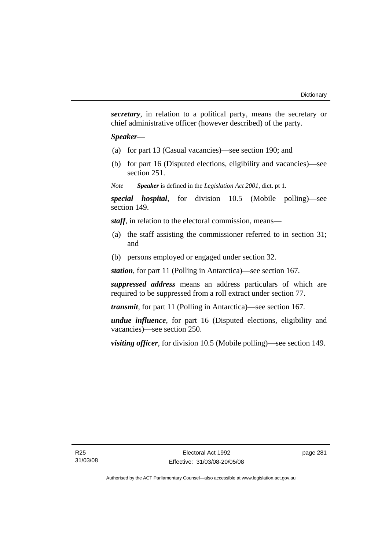*secretary*, in relation to a political party, means the secretary or chief administrative officer (however described) of the party.

#### *Speaker*—

- (a) for part 13 (Casual vacancies)—see section 190; and
- (b) for part 16 (Disputed elections, eligibility and vacancies)—see section 251.

*Note Speaker* is defined in the *Legislation Act 2001*, dict. pt 1.

*special hospital*, for division 10.5 (Mobile polling)—see section 149.

*staff*, in relation to the electoral commission, means—

- (a) the staff assisting the commissioner referred to in section 31; and
- (b) persons employed or engaged under section 32.

*station*, for part 11 (Polling in Antarctica)—see section 167.

*suppressed address* means an address particulars of which are required to be suppressed from a roll extract under section 77.

*transmit*, for part 11 (Polling in Antarctica)—see section 167.

*undue influence*, for part 16 (Disputed elections, eligibility and vacancies)—see section 250.

*visiting officer*, for division 10.5 (Mobile polling)—see section 149.

page 281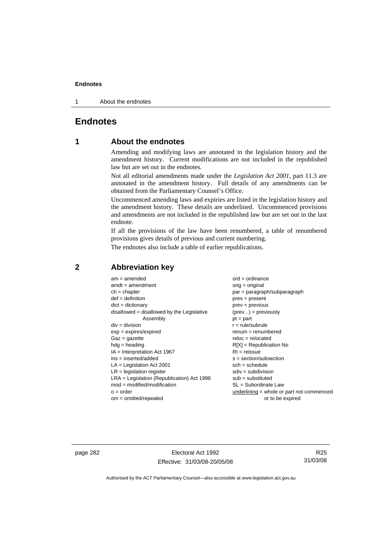1 About the endnotes

## **Endnotes**

## **1 About the endnotes**

Amending and modifying laws are annotated in the legislation history and the amendment history. Current modifications are not included in the republished law but are set out in the endnotes.

Not all editorial amendments made under the *Legislation Act 2001*, part 11.3 are annotated in the amendment history. Full details of any amendments can be obtained from the Parliamentary Counsel's Office.

Uncommenced amending laws and expiries are listed in the legislation history and the amendment history. These details are underlined. Uncommenced provisions and amendments are not included in the republished law but are set out in the last endnote.

If all the provisions of the law have been renumbered, a table of renumbered provisions gives details of previous and current numbering.

The endnotes also include a table of earlier republications.

| $am = amended$                               | $ord = ordinance$                         |
|----------------------------------------------|-------------------------------------------|
| $amdt = amendment$                           | $orig = original$                         |
| $ch = chapter$                               | par = paragraph/subparagraph              |
| $def = definition$                           | $pres = present$                          |
| $dict = dictionary$                          | $prev = previous$                         |
| $disallowed = disallowed by the Legislative$ | $(\text{prev}) = \text{previously}$       |
| Assembly                                     | $pt = part$                               |
| $div = division$                             | $r = rule/subrule$                        |
| $exp = expires/expired$                      | $renum = renumbered$                      |
| $Gaz = gazette$                              | $reloc = relocated$                       |
| $hdg =$ heading                              | $R[X]$ = Republication No                 |
| $IA = Interpretation Act 1967$               | $RI = reissue$                            |
| $ins = inserted/added$                       | $s = section/subsection$                  |
| $LA =$ Legislation Act 2001                  | $sch = schedule$                          |
| $LR =$ legislation register                  | $sdiv = subdivision$                      |
| $LRA =$ Legislation (Republication) Act 1996 | $sub = substituted$                       |
| $mod = modified/modification$                | $SL = Subordinate$ Law                    |
| $o = order$                                  | underlining = whole or part not commenced |
| $om = omitted/report$                        | or to be expired                          |
|                                              |                                           |

## **2 Abbreviation key**

page 282 Electoral Act 1992 Effective: 31/03/08-20/05/08

R25 31/03/08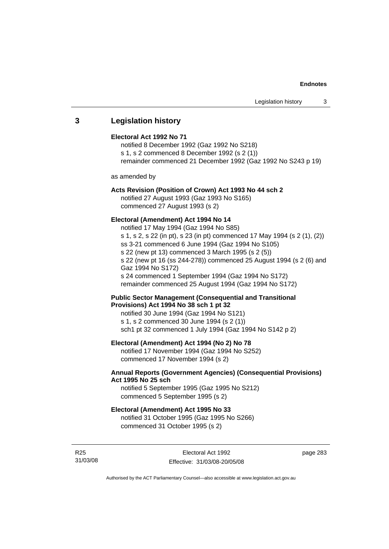## **3 Legislation history**

#### **Electoral Act 1992 No 71**

notified 8 December 1992 (Gaz 1992 No S218) s 1, s 2 commenced 8 December 1992 (s 2 (1)) remainder commenced 21 December 1992 (Gaz 1992 No S243 p 19)

as amended by

## **Acts Revision (Position of Crown) Act 1993 No 44 sch 2**

notified 27 August 1993 (Gaz 1993 No S165) commenced 27 August 1993 (s 2)

#### **Electoral (Amendment) Act 1994 No 14**

notified 17 May 1994 (Gaz 1994 No S85) s 1, s 2, s 22 (in pt), s 23 (in pt) commenced 17 May 1994 (s 2 (1), (2)) ss 3-21 commenced 6 June 1994 (Gaz 1994 No S105) s 22 (new pt 13) commenced 3 March 1995 (s 2 (5)) s 22 (new pt 16 (ss 244-278)) commenced 25 August 1994 (s 2 (6) and Gaz 1994 No S172) s 24 commenced 1 September 1994 (Gaz 1994 No S172) remainder commenced 25 August 1994 (Gaz 1994 No S172)

### **Public Sector Management (Consequential and Transitional Provisions) Act 1994 No 38 sch 1 pt 32**

notified 30 June 1994 (Gaz 1994 No S121) s 1, s 2 commenced 30 June 1994 (s 2 (1)) sch1 pt 32 commenced 1 July 1994 (Gaz 1994 No S142 p 2)

## **Electoral (Amendment) Act 1994 (No 2) No 78**

notified 17 November 1994 (Gaz 1994 No S252) commenced 17 November 1994 (s 2)

### **Annual Reports (Government Agencies) (Consequential Provisions) Act 1995 No 25 sch**

notified 5 September 1995 (Gaz 1995 No S212) commenced 5 September 1995 (s 2)

#### **Electoral (Amendment) Act 1995 No 33**

notified 31 October 1995 (Gaz 1995 No S266) commenced 31 October 1995 (s 2)

R25 31/03/08 page 283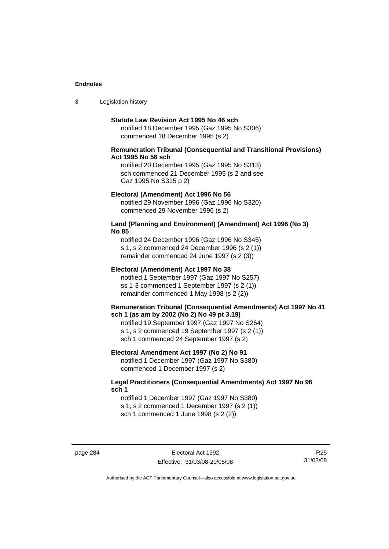3 Legislation history

#### **Statute Law Revision Act 1995 No 46 sch**

notified 18 December 1995 (Gaz 1995 No S306) commenced 18 December 1995 (s 2)

#### **Remuneration Tribunal (Consequential and Transitional Provisions) Act 1995 No 56 sch**

notified 20 December 1995 (Gaz 1995 No S313) sch commenced 21 December 1995 (s 2 and see Gaz 1995 No S315 p 2)

#### **Electoral (Amendment) Act 1996 No 56**

notified 29 November 1996 (Gaz 1996 No S320) commenced 29 November 1996 (s 2)

#### **Land (Planning and Environment) (Amendment) Act 1996 (No 3) No 85**

notified 24 December 1996 (Gaz 1996 No S345) s 1, s 2 commenced 24 December 1996 (s 2 (1)) remainder commenced 24 June 1997 (s 2 (3))

#### **Electoral (Amendment) Act 1997 No 38**

notified 1 September 1997 (Gaz 1997 No S257) ss 1-3 commenced 1 September 1997 (s 2 (1)) remainder commenced 1 May 1998 (s 2 (2))

#### **Remuneration Tribunal (Consequential Amendments) Act 1997 No 41 sch 1 (as am by 2002 (No 2) No 49 pt 3.19)**

notified 19 September 1997 (Gaz 1997 No S264) s 1, s 2 commenced 19 September 1997 (s 2 (1)) sch 1 commenced 24 September 1997 (s 2)

#### **Electoral Amendment Act 1997 (No 2) No 91**

notified 1 December 1997 (Gaz 1997 No S380) commenced 1 December 1997 (s 2)

### **Legal Practitioners (Consequential Amendments) Act 1997 No 96 sch 1**

notified 1 December 1997 (Gaz 1997 No S380) s 1, s 2 commenced 1 December 1997 (s 2 (1)) sch 1 commenced 1 June 1998 (s 2 (2))

page 284 Electoral Act 1992 Effective: 31/03/08-20/05/08

R25 31/03/08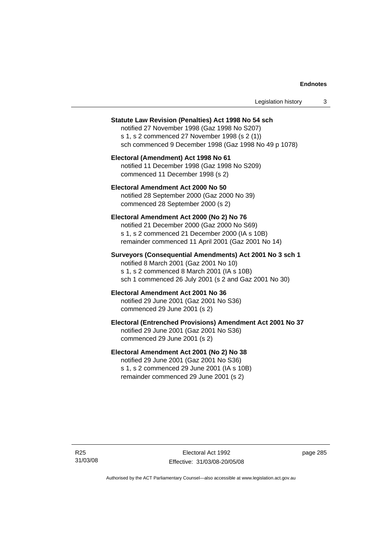| Legislation history |  |
|---------------------|--|
|---------------------|--|

#### **Statute Law Revision (Penalties) Act 1998 No 54 sch**

notified 27 November 1998 (Gaz 1998 No S207) s 1, s 2 commenced 27 November 1998 (s 2 (1)) sch commenced 9 December 1998 (Gaz 1998 No 49 p 1078)

#### **Electoral (Amendment) Act 1998 No 61**  notified 11 December 1998 (Gaz 1998 No S209) commenced 11 December 1998 (s 2)

**Electoral Amendment Act 2000 No 50**  notified 28 September 2000 (Gaz 2000 No 39) commenced 28 September 2000 (s 2)

#### **Electoral Amendment Act 2000 (No 2) No 76**

notified 21 December 2000 (Gaz 2000 No S69) s 1, s 2 commenced 21 December 2000 (IA s 10B) remainder commenced 11 April 2001 (Gaz 2001 No 14)

### **Surveyors (Consequential Amendments) Act 2001 No 3 sch 1**

notified 8 March 2001 (Gaz 2001 No 10) s 1, s 2 commenced 8 March 2001 (IA s 10B) sch 1 commenced 26 July 2001 (s 2 and Gaz 2001 No 30)

## **Electoral Amendment Act 2001 No 36**

notified 29 June 2001 (Gaz 2001 No S36) commenced 29 June 2001 (s 2)

### **Electoral (Entrenched Provisions) Amendment Act 2001 No 37**

notified 29 June 2001 (Gaz 2001 No S36) commenced 29 June 2001 (s 2)

### **Electoral Amendment Act 2001 (No 2) No 38**

notified 29 June 2001 (Gaz 2001 No S36) s 1, s 2 commenced 29 June 2001 (IA s 10B) remainder commenced 29 June 2001 (s 2)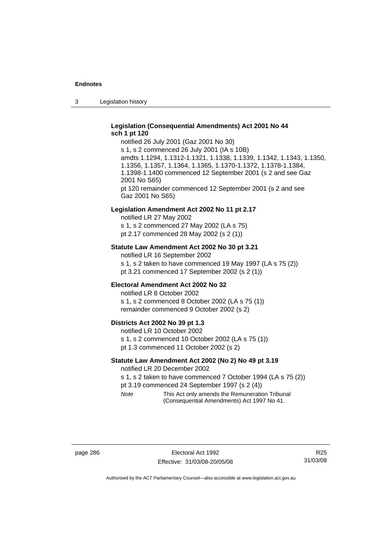3 Legislation history

### **Legislation (Consequential Amendments) Act 2001 No 44 sch 1 pt 120**

notified 26 July 2001 (Gaz 2001 No 30) s 1, s 2 commenced 26 July 2001 (IA s 10B) amdts 1.1294, 1.1312-1.1321, 1.1338, 1.1339, 1.1342, 1.1343, 1.1350, 1.1356, 1.1357, 1.1364, 1.1365, 1.1370-1.1372, 1.1378-1.1384, 1.1398-1.1400 commenced 12 September 2001 (s 2 and see Gaz 2001 No S65) pt 120 remainder commenced 12 September 2001 (s 2 and see Gaz 2001 No S65)

#### **Legislation Amendment Act 2002 No 11 pt 2.17**

notified LR 27 May 2002 s 1, s 2 commenced 27 May 2002 (LA s 75) pt 2.17 commenced 28 May 2002 (s 2 (1))

#### **Statute Law Amendment Act 2002 No 30 pt 3.21**

notified LR 16 September 2002 s 1, s 2 taken to have commenced 19 May 1997 (LA s 75 (2)) pt 3.21 commenced 17 September 2002 (s 2 (1))

#### **Electoral Amendment Act 2002 No 32**

notified LR 8 October 2002 s 1, s 2 commenced 8 October 2002 (LA s 75 (1)) remainder commenced 9 October 2002 (s 2)

#### **Districts Act 2002 No 39 pt 1.3**

notified LR 10 October 2002 s 1, s 2 commenced 10 October 2002 (LA s 75 (1)) pt 1.3 commenced 11 October 2002 (s 2)

#### **Statute Law Amendment Act 2002 (No 2) No 49 pt 3.19**

notified LR 20 December 2002

s 1, s 2 taken to have commenced 7 October 1994 (LA s 75 (2)) pt 3.19 commenced 24 September 1997 (s 2 (4))

*Note* This Act only amends the Remuneration Tribunal (Consequential Amendments) Act 1997 No 41.

page 286 **Electoral Act 1992** Effective: 31/03/08-20/05/08

R25 31/03/08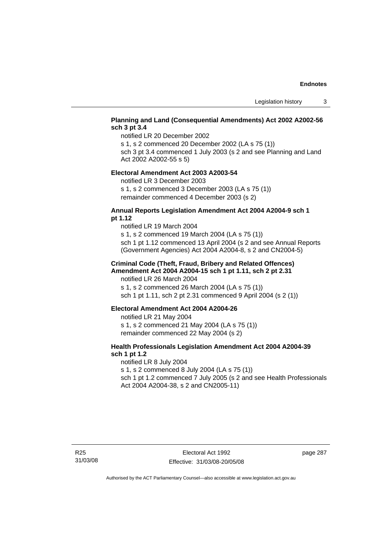## **Planning and Land (Consequential Amendments) Act 2002 A2002-56 sch 3 pt 3.4**

notified LR 20 December 2002

s 1, s 2 commenced 20 December 2002 (LA s 75 (1))

sch 3 pt 3.4 commenced 1 July 2003 (s 2 and see Planning and Land Act 2002 A2002-55 s 5)

#### **Electoral Amendment Act 2003 A2003-54**

notified LR 3 December 2003

s 1, s 2 commenced 3 December 2003 (LA s 75 (1)) remainder commenced 4 December 2003 (s 2)

#### **Annual Reports Legislation Amendment Act 2004 A2004-9 sch 1 pt 1.12**

notified LR 19 March 2004 s 1, s 2 commenced 19 March 2004 (LA s 75 (1)) sch 1 pt 1.12 commenced 13 April 2004 (s 2 and see Annual Reports (Government Agencies) Act 2004 A2004-8, s 2 and CN2004-5)

#### **Criminal Code (Theft, Fraud, Bribery and Related Offences) Amendment Act 2004 A2004-15 sch 1 pt 1.11, sch 2 pt 2.31**

notified LR 26 March 2004 s 1, s 2 commenced 26 March 2004 (LA s 75 (1)) sch 1 pt 1.11, sch 2 pt 2.31 commenced 9 April 2004 (s 2 (1))

#### **Electoral Amendment Act 2004 A2004-26**

notified LR 21 May 2004 s 1, s 2 commenced 21 May 2004 (LA s 75 (1)) remainder commenced 22 May 2004 (s 2)

### **Health Professionals Legislation Amendment Act 2004 A2004-39 sch 1 pt 1.2**

notified LR 8 July 2004 s 1, s 2 commenced 8 July 2004 (LA s 75 (1)) sch 1 pt 1.2 commenced 7 July 2005 (s 2 and see Health Professionals Act 2004 A2004-38, s 2 and CN2005-11)

page 287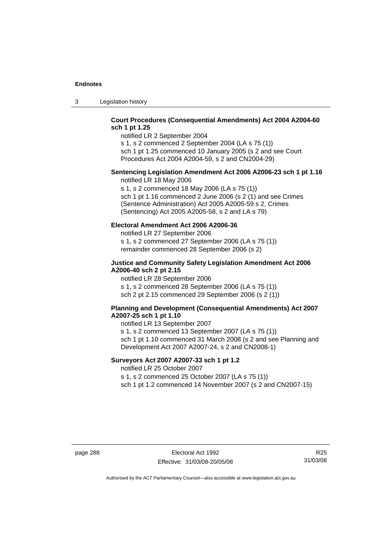3 Legislation history

## **Court Procedures (Consequential Amendments) Act 2004 A2004-60 sch 1 pt 1.25**

notified LR 2 September 2004 s 1, s 2 commenced 2 September 2004 (LA s 75 (1)) sch 1 pt 1.25 commenced 10 January 2005 (s 2 and see Court

Procedures Act 2004 A2004-59, s 2 and CN2004-29)

## **Sentencing Legislation Amendment Act 2006 A2006-23 sch 1 pt 1.16**

notified LR 18 May 2006

s 1, s 2 commenced 18 May 2006 (LA s 75 (1)) sch 1 pt 1.16 commenced 2 June 2006 (s 2 (1) and see Crimes (Sentence Administration) Act 2005 A2005-59 s 2, Crimes (Sentencing) Act 2005 A2005-58, s 2 and LA s 79)

### **Electoral Amendment Act 2006 A2006-36**

notified LR 27 September 2006 s 1, s 2 commenced 27 September 2006 (LA s 75 (1)) remainder commenced 28 September 2006 (s 2)

#### **Justice and Community Safety Legislation Amendment Act 2006 A2006-40 sch 2 pt 2.15**

notified LR 28 September 2006 s 1, s 2 commenced 28 September 2006 (LA s 75 (1)) sch 2 pt 2.15 commenced 29 September 2006 (s 2 (1))

### **Planning and Development (Consequential Amendments) Act 2007 A2007-25 sch 1 pt 1.10**

notified LR 13 September 2007 s 1, s 2 commenced 13 September 2007 (LA s 75 (1)) sch 1 pt 1.10 commenced 31 March 2008 (s 2 and see Planning and Development Act 2007 A2007-24, s 2 and CN2008-1)

## **Surveyors Act 2007 A2007-33 sch 1 pt 1.2**

notified LR 25 October 2007

s 1, s 2 commenced 25 October 2007 (LA s 75 (1))

sch 1 pt 1.2 commenced 14 November 2007 (s 2 and CN2007-15)

page 288 Electoral Act 1992 Effective: 31/03/08-20/05/08

R25 31/03/08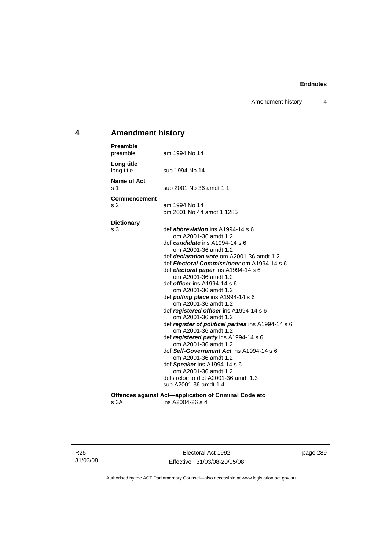Amendment history 4

## **4 Amendment history**

| <b>Preamble</b><br>preamble           | am 1994 No 14                                                                                                                                                                                                                                                                                                                                                                                                                                                                                                                                                                                                                                                                                                                 |
|---------------------------------------|-------------------------------------------------------------------------------------------------------------------------------------------------------------------------------------------------------------------------------------------------------------------------------------------------------------------------------------------------------------------------------------------------------------------------------------------------------------------------------------------------------------------------------------------------------------------------------------------------------------------------------------------------------------------------------------------------------------------------------|
| Long title<br>long title              | sub 1994 No 14                                                                                                                                                                                                                                                                                                                                                                                                                                                                                                                                                                                                                                                                                                                |
| <b>Name of Act</b><br>s 1             | sub 2001 No 36 amdt 1.1                                                                                                                                                                                                                                                                                                                                                                                                                                                                                                                                                                                                                                                                                                       |
| <b>Commencement</b><br>s <sub>2</sub> | am 1994 No 14<br>om 2001 No 44 amdt 1.1285                                                                                                                                                                                                                                                                                                                                                                                                                                                                                                                                                                                                                                                                                    |
| <b>Dictionary</b><br>s <sub>3</sub>   | def <i>abbreviation</i> ins A1994-14 s 6<br>om A2001-36 amdt 1.2<br>def <i>candidate</i> ins A1994-14 s 6<br>om A2001-36 amdt 1.2<br>def <i>declaration vote</i> om A2001-36 amdt 1.2<br>def Electoral Commissioner om A1994-14 s 6<br>def electoral paper ins A1994-14 s 6<br>om A2001-36 amdt 1.2<br>def <i>officer</i> ins A1994-14 s 6<br>om A2001-36 amdt 1.2<br>def <i>polling place</i> ins A1994-14 s 6<br>om A2001-36 amdt 1.2<br>def registered officer ins A1994-14 s 6<br>om A2001-36 amdt 1.2<br>def register of political parties ins A1994-14 s 6<br>om A2001-36 amdt 1.2<br>def registered party ins A1994-14 s 6<br>om A2001-36 amdt 1.2<br>def Self-Government Act ins A1994-14 s 6<br>om A2001-36 amdt 1.2 |
|                                       | def Speaker ins A1994-14 s 6<br>om A2001-36 amdt 1.2<br>defs reloc to dict A2001-36 amdt 1.3<br>sub A2001-36 amdt 1.4                                                                                                                                                                                                                                                                                                                                                                                                                                                                                                                                                                                                         |
| s 3A                                  | Offences against Act-application of Criminal Code etc<br>ins A2004-26 s 4                                                                                                                                                                                                                                                                                                                                                                                                                                                                                                                                                                                                                                                     |

Electoral Act 1992 Effective: 31/03/08-20/05/08 page 289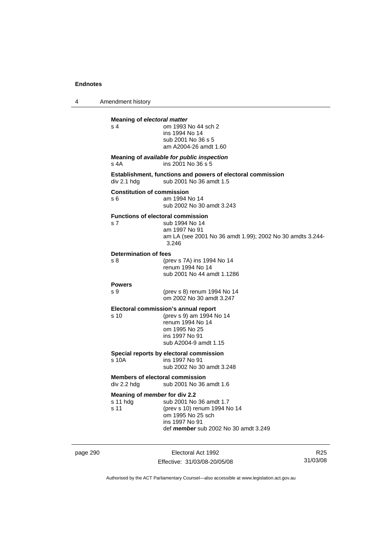4 Amendment history

| <b>Meaning of electoral matter</b><br>s <sub>4</sub>       | om 1993 No 44 sch 2<br>ins 1994 No 14<br>sub 2001 No 36 s 5<br>am A2004-26 amdt 1.60                                                             |
|------------------------------------------------------------|--------------------------------------------------------------------------------------------------------------------------------------------------|
| s 4A                                                       | Meaning of available for public inspection<br>ins 2001 No 36 s 5                                                                                 |
| div 2.1 hdg                                                | Establishment, functions and powers of electoral commission<br>sub 2001 No 36 amdt 1.5                                                           |
| <b>Constitution of commission</b><br>s 6                   | am 1994 No 14<br>sub 2002 No 30 amdt 3.243                                                                                                       |
| <b>Functions of electoral commission</b><br>s <sub>7</sub> | sub 1994 No 14<br>am 1997 No 91<br>am LA (see 2001 No 36 amdt 1.99); 2002 No 30 amdts 3.244-<br>3.246                                            |
| <b>Determination of fees</b><br>s 8                        | (prev s 7A) ins 1994 No 14<br>renum 1994 No 14<br>sub 2001 No 44 amdt 1.1286                                                                     |
| <b>Powers</b><br>S <sub>9</sub>                            | (prev s 8) renum 1994 No 14<br>om 2002 No 30 amdt 3.247                                                                                          |
| s <sub>10</sub>                                            | Electoral commission's annual report<br>(prev s 9) am 1994 No 14<br>renum 1994 No 14<br>om 1995 No 25<br>ins 1997 No 91<br>sub A2004-9 amdt 1.15 |
| s 10A                                                      | Special reports by electoral commission<br>ins 1997 No 91<br>sub 2002 No 30 amdt 3.248                                                           |
| <b>Members of electoral commission</b><br>div 2.2 hdg      | sub 2001 No 36 amdt 1.6                                                                                                                          |
| Meaning of member for div 2.2<br>s 11 hdg<br>s 11          | sub 2001 No 36 amdt 1.7<br>(prev s 10) renum 1994 No 14<br>om 1995 No 25 sch<br>ins 1997 No 91<br>def member sub 2002 No 30 amdt 3.249           |

page 290 Electoral Act 1992 Effective: 31/03/08-20/05/08

R25 31/03/08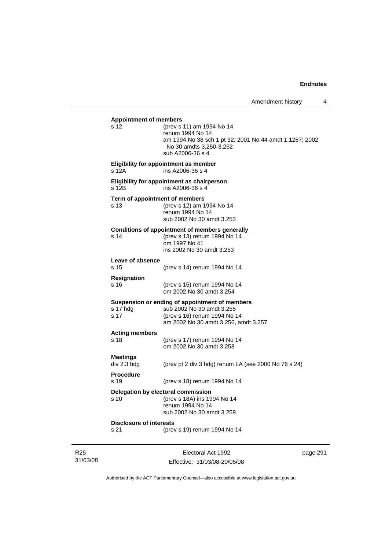**Appointment of members**  s 12 (prev s 11) am 1994 No 14 renum 1994 No 14 am 1994 No 38 sch 1 pt 32; 2001 No 44 amdt 1.1287; 2002 No 30 amdts 3.250-3.252 sub A2006-36 s 4 **Eligibility for appointment as member**  s 12A ins A2006-36 s 4 **Eligibility for appointment as chairperson**  s 12B ins A2006-36 s 4 **Term of appointment of members**  s 13 (prev s 12) am 1994 No 14 renum 1994 No 14 sub 2002 No 30 amdt 3.253 **Conditions of appointment of members generally**  s 14 (prev s 13) renum 1994 No 14 om 1997 No 41 ins 2002 No 30 amdt 3.253 **Leave of absence**  (prev s 14) renum 1994 No 14 **Resignation**  s 16 (prev s 15) renum 1994 No 14 om 2002 No 30 amdt 3.254 **Suspension or ending of appointment of members**  s 17 hdg sub 2002 No 30 amdt 3.255 s 17 (prev s 16) renum 1994 No 14 am 2002 No 30 amdt 3.256, amdt 3.257 **Acting members**  s 18 (prev s 17) renum 1994 No 14 om 2002 No 30 amdt 3.258 **Meetings**  div 2.3 hdg (prev pt 2 div 3 hdg) renum LA (see 2000 No 76 s 24) **Procedure**  s 19 (prev s 18) renum 1994 No 14 **Delegation by electoral commission**  s 20 (prev s 18A) ins 1994 No 14 renum 1994 No 14 sub 2002 No 30 amdt 3.259 **Disclosure of interests**  s 21 (prev s 19) renum 1994 No 14

R25 31/03/08

Electoral Act 1992 Effective: 31/03/08-20/05/08 page 291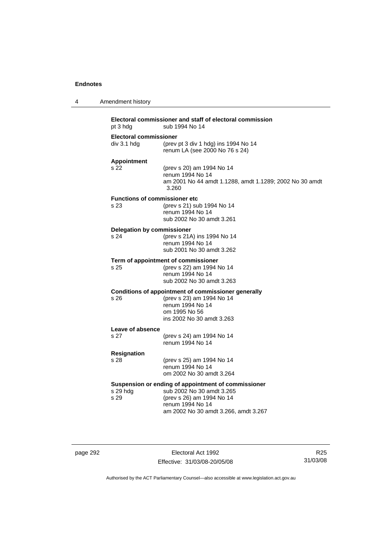| 4 | Amendment history                            |                                                                                                                                                                           |
|---|----------------------------------------------|---------------------------------------------------------------------------------------------------------------------------------------------------------------------------|
|   | pt 3 hdg                                     | Electoral commissioner and staff of electoral commission<br>sub 1994 No 14                                                                                                |
|   | Electoral commissioner<br>div 3.1 hdg        | (prev pt 3 div 1 hdg) ins 1994 No 14<br>renum LA (see 2000 No 76 s 24)                                                                                                    |
|   | <b>Appointment</b><br>s 22                   | (prev s 20) am 1994 No 14<br>renum 1994 No 14<br>am 2001 No 44 amdt 1.1288, amdt 1.1289; 2002 No 30 amdt<br>3.260                                                         |
|   | <b>Functions of commissioner etc</b><br>s 23 | (prev s 21) sub 1994 No 14<br>renum 1994 No 14<br>sub 2002 No 30 amdt 3.261                                                                                               |
|   | <b>Delegation by commissioner</b><br>s 24    | (prev s 21A) ins 1994 No 14<br>renum 1994 No 14<br>sub 2001 No 30 amdt 3.262                                                                                              |
|   | s 25                                         | Term of appointment of commissioner<br>(prev s 22) am 1994 No 14<br>renum 1994 No 14<br>sub 2002 No 30 amdt 3.263                                                         |
|   | s 26                                         | Conditions of appointment of commissioner generally<br>(prev s 23) am 1994 No 14<br>renum 1994 No 14<br>om 1995 No 56<br>ins 2002 No 30 amdt 3.263                        |
|   | Leave of absence<br>s 27                     | (prev s 24) am 1994 No 14<br>renum 1994 No 14                                                                                                                             |
|   | <b>Resignation</b><br>s 28                   | (prev s 25) am 1994 No 14<br>renum 1994 No 14<br>om 2002 No 30 amdt 3.264                                                                                                 |
|   | s 29 hdg<br>s 29                             | Suspension or ending of appointment of commissioner<br>sub 2002 No 30 amdt 3.265<br>(prev s 26) am 1994 No 14<br>renum 1994 No 14<br>am 2002 No 30 amdt 3.266, amdt 3.267 |

page 292 Electoral Act 1992 Effective: 31/03/08-20/05/08

R25 31/03/08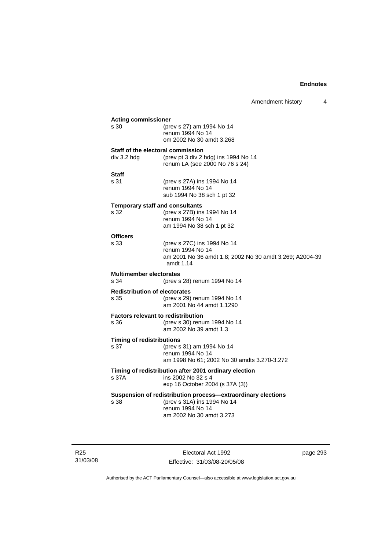|                                                   |                                                                                                                                             | Amendment history | 4 |
|---------------------------------------------------|---------------------------------------------------------------------------------------------------------------------------------------------|-------------------|---|
| <b>Acting commissioner</b><br>s 30                | (prev s 27) am 1994 No 14<br>renum 1994 No 14<br>om 2002 No 30 amdt 3.268                                                                   |                   |   |
| Staff of the electoral commission<br>div 3.2 hdg  | (prev pt 3 div 2 hdg) ins 1994 No 14<br>renum LA (see 2000 No 76 s 24)                                                                      |                   |   |
| Staff<br>s 31                                     | (prev s 27A) ins 1994 No 14<br>renum 1994 No 14<br>sub 1994 No 38 sch 1 pt 32                                                               |                   |   |
| <b>Temporary staff and consultants</b><br>s 32    | (prev s 27B) ins 1994 No 14<br>renum 1994 No 14<br>am 1994 No 38 sch 1 pt 32                                                                |                   |   |
| <b>Officers</b><br>s 33                           | (prev s 27C) ins 1994 No 14<br>renum 1994 No 14<br>am 2001 No 36 amdt 1.8; 2002 No 30 amdt 3.269; A2004-39<br>amdt 1.14                     |                   |   |
| <b>Multimember electorates</b><br>s 34            | (prev s 28) renum 1994 No 14                                                                                                                |                   |   |
| <b>Redistribution of electorates</b><br>s 35      | (prev s 29) renum 1994 No 14<br>am 2001 No 44 amdt 1.1290                                                                                   |                   |   |
| <b>Factors relevant to redistribution</b><br>s 36 | (prev s 30) renum 1994 No 14<br>am 2002 No 39 amdt 1.3                                                                                      |                   |   |
| <b>Timing of redistributions</b><br>s 37          | (prev s 31) am 1994 No 14<br>renum 1994 No 14<br>am 1998 No 61; 2002 No 30 amdts 3.270-3.272                                                |                   |   |
| s 37A                                             | Timing of redistribution after 2001 ordinary election<br>ins 2002 No 32 s 4<br>exp 16 October 2004 (s 37A (3))                              |                   |   |
| s 38                                              | Suspension of redistribution process-extraordinary elections<br>(prev s 31A) ins 1994 No 14<br>renum 1994 No 14<br>am 2002 No 30 amdt 3.273 |                   |   |

R25 31/03/08

Electoral Act 1992 Effective: 31/03/08-20/05/08 page 293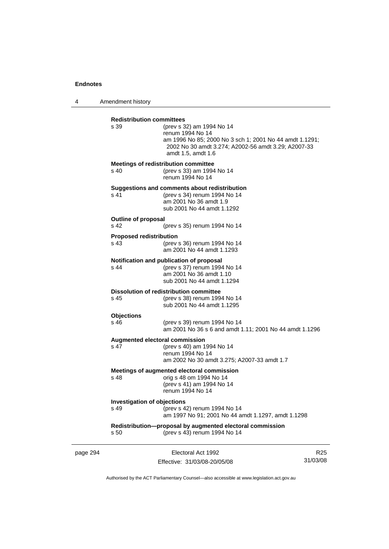4 Amendment history

| page 294 |                                               | Electoral Act 1992                                                                                                                                                                    | R. |
|----------|-----------------------------------------------|---------------------------------------------------------------------------------------------------------------------------------------------------------------------------------------|----|
|          | s 50                                          | Redistribution-proposal by augmented electoral commission<br>(prev s 43) renum 1994 No 14                                                                                             |    |
|          | <b>Investigation of objections</b><br>s 49    | (prev s 42) renum 1994 No 14<br>am 1997 No 91; 2001 No 44 amdt 1.1297, amdt 1.1298                                                                                                    |    |
|          | s 48                                          | Meetings of augmented electoral commission<br>orig s 48 om 1994 No 14<br>(prev s 41) am 1994 No 14<br>renum 1994 No 14                                                                |    |
|          | <b>Augmented electoral commission</b><br>s 47 | (prev s 40) am 1994 No 14<br>renum 1994 No 14<br>am 2002 No 30 amdt 3.275; A2007-33 amdt 1.7                                                                                          |    |
|          | <b>Objections</b><br>s 46                     | (prev s 39) renum 1994 No 14<br>am 2001 No 36 s 6 and amdt 1.11; 2001 No 44 amdt 1.1296                                                                                               |    |
|          | s 45                                          | <b>Dissolution of redistribution committee</b><br>(prev s 38) renum 1994 No 14<br>sub 2001 No 44 amdt 1.1295                                                                          |    |
|          | s 44                                          | Notification and publication of proposal<br>(prev s 37) renum 1994 No 14<br>am 2001 No 36 amdt 1.10<br>sub 2001 No 44 amdt 1.1294                                                     |    |
|          | <b>Proposed redistribution</b><br>s 43        | (prev s 36) renum 1994 No 14<br>am 2001 No 44 amdt 1.1293                                                                                                                             |    |
|          | <b>Outline of proposal</b><br>s 42            | (prev s 35) renum 1994 No 14                                                                                                                                                          |    |
|          | s 41                                          | Suggestions and comments about redistribution<br>(prev s 34) renum 1994 No 14<br>am 2001 No 36 amdt 1.9<br>sub 2001 No 44 amdt 1.1292                                                 |    |
|          | s 40                                          | Meetings of redistribution committee<br>(prev s 33) am 1994 No 14<br>renum 1994 No 14                                                                                                 |    |
|          | <b>Redistribution committees</b><br>s 39      | (prev s 32) am 1994 No 14<br>renum 1994 No 14<br>am 1996 No 85; 2000 No 3 sch 1; 2001 No 44 amdt 1.1291;<br>2002 No 30 amdt 3.274; A2002-56 amdt 3.29; A2007-33<br>amdt 1.5, amdt 1.6 |    |
|          |                                               |                                                                                                                                                                                       |    |

Effective: 31/03/08-20/05/08

 $25$ 31/03/08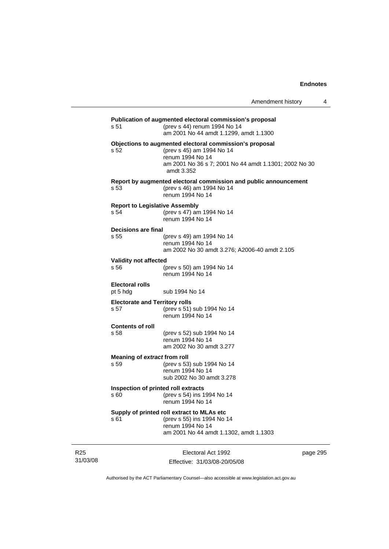| s 51                                          | Publication of augmented electoral commission's proposal<br>(prev s 44) renum 1994 No 14<br>am 2001 No 44 amdt 1.1299, amdt 1.1300                                              |
|-----------------------------------------------|---------------------------------------------------------------------------------------------------------------------------------------------------------------------------------|
| s 52                                          | Objections to augmented electoral commission's proposal<br>(prev s 45) am 1994 No 14<br>renum 1994 No 14<br>am 2001 No 36 s 7; 2001 No 44 amdt 1.1301; 2002 No 30<br>amdt 3.352 |
| s 53                                          | Report by augmented electoral commission and public announcement<br>(prev s 46) am 1994 No 14<br>renum 1994 No 14                                                               |
| <b>Report to Legislative Assembly</b><br>s 54 | (prev s 47) am 1994 No 14<br>renum 1994 No 14                                                                                                                                   |
| <b>Decisions are final</b><br>s 55            | (prev s 49) am 1994 No 14<br>renum 1994 No 14<br>am 2002 No 30 amdt 3.276; A2006-40 amdt 2.105                                                                                  |
| <b>Validity not affected</b><br>s 56          | (prev s 50) am 1994 No 14<br>renum 1994 No 14                                                                                                                                   |
| <b>Electoral rolls</b><br>pt 5 hdg            | sub 1994 No 14                                                                                                                                                                  |
| <b>Electorate and Territory rolls</b><br>s 57 | (prev s 51) sub 1994 No 14<br>renum 1994 No 14                                                                                                                                  |
| <b>Contents of roll</b><br>s 58               | (prev s 52) sub 1994 No 14<br>renum 1994 No 14<br>am 2002 No 30 amdt 3.277                                                                                                      |
| Meaning of extract from roll<br>s 59          | (prev s 53) sub 1994 No 14<br>renum 1994 No 14<br>sub 2002 No 30 amdt 3.278                                                                                                     |
| Inspection of printed roll extracts<br>s 60   | (prev s 54) ins 1994 No 14<br>renum 1994 No 14                                                                                                                                  |
| s <sub>61</sub>                               | Supply of printed roll extract to MLAs etc<br>(prev s 55) ins 1994 No 14<br>renum 1994 No 14<br>am 2001 No 44 amdt 1.1302, amdt 1.1303                                          |
|                                               |                                                                                                                                                                                 |

R25 31/03/08

Electoral Act 1992 Effective: 31/03/08-20/05/08 page 295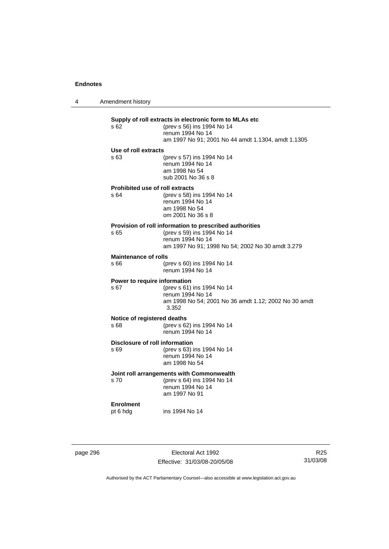4 Amendment history **Supply of roll extracts in electronic form to MLAs etc**  (prev s 56) ins 1994 No 14 renum 1994 No 14 am 1997 No 91; 2001 No 44 amdt 1.1304, amdt 1.1305 **Use of roll extracts**  s 63 (prev s 57) ins 1994 No 14 renum 1994 No 14 am 1998 No 54 sub 2001 No 36 s 8 **Prohibited use of roll extracts**  s 64 (prev s 58) ins 1994 No 14 renum 1994 No 14 am 1998 No 54 om 2001 No 36 s 8 **Provision of roll information to prescribed authorities**<br>s 65 (prev s 59) ins 1994 No 14 (prev s 59) ins 1994 No 14 renum 1994 No 14 am 1997 No 91; 1998 No 54; 2002 No 30 amdt 3.279 **Maintenance of rolls**  s 66 (prev s 60) ins 1994 No 14 renum 1994 No 14 **Power to require information**  s 67 (prev s 61) ins 1994 No 14 renum 1994 No 14 am 1998 No 54; 2001 No 36 amdt 1.12; 2002 No 30 amdt 3.352 **Notice of registered deaths**  s 68 (prev s 62) ins 1994 No 14 renum 1994 No 14 **Disclosure of roll information**  s 69 (prev s 63) ins 1994 No 14 renum 1994 No 14 am 1998 No 54 **Joint roll arrangements with Commonwealth**  s 70 (prev s 64) ins 1994 No 14 renum 1994 No 14 am 1997 No 91 **Enrolment**  pt 6 hdg ins 1994 No 14

page 296 **Electoral Act 1992** Effective: 31/03/08-20/05/08

R25 31/03/08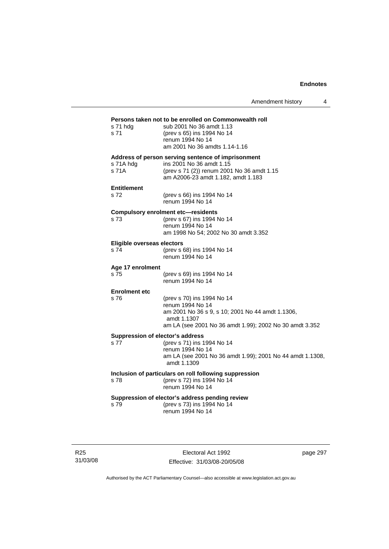| s 71 hdg<br>s 71                                  | Persons taken not to be enrolled on Commonwealth roll<br>sub 2001 No 36 amdt 1.13<br>(prev s 65) ins 1994 No 14<br>renum 1994 No 14<br>am 2001 No 36 amdts 1.14-1.16         |
|---------------------------------------------------|------------------------------------------------------------------------------------------------------------------------------------------------------------------------------|
| s 71A hdg<br>s 71A                                | Address of person serving sentence of imprisonment<br>ins 2001 No 36 amdt 1.15<br>(prev s 71 (2)) renum 2001 No 36 amdt 1.15<br>am A2006-23 amdt 1.182, amdt 1.183           |
| <b>Entitlement</b><br>s 72                        | (prev s 66) ins 1994 No 14<br>renum 1994 No 14                                                                                                                               |
| <b>Compulsory enrolment etc-residents</b><br>s 73 | (prev s 67) ins 1994 No 14<br>renum 1994 No 14<br>am 1998 No 54; 2002 No 30 amdt 3.352                                                                                       |
| Eligible overseas electors<br>s 74                | (prev s 68) ins 1994 No 14<br>renum 1994 No 14                                                                                                                               |
| Age 17 enrolment<br>s 75                          | (prev s 69) ins 1994 No 14<br>renum 1994 No 14                                                                                                                               |
| <b>Enrolment etc</b><br>s 76                      | (prev s 70) ins 1994 No 14<br>renum 1994 No 14<br>am 2001 No 36 s 9, s 10; 2001 No 44 amdt 1.1306,<br>amdt 1.1307<br>am LA (see 2001 No 36 amdt 1.99); 2002 No 30 amdt 3.352 |
| Suppression of elector's address<br>s 77          | (prev s 71) ins 1994 No 14<br>renum 1994 No 14<br>am LA (see 2001 No 36 amdt 1.99); 2001 No 44 amdt 1.1308,<br>amdt 1.1309                                                   |
| s 78                                              | Inclusion of particulars on roll following suppression<br>(prev s 72) ins 1994 No 14<br>renum 1994 No 14                                                                     |
| s 79                                              | Suppression of elector's address pending review<br>(prev s 73) ins 1994 No 14<br>renum 1994 No 14                                                                            |

R25 31/03/08

Electoral Act 1992 Effective: 31/03/08-20/05/08 page 297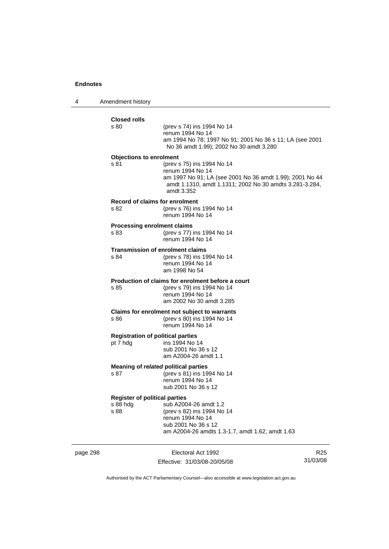4 Amendment history

| <b>Closed rolls</b><br>s 80          | (prev s 74) ins 1994 No 14                                                                                                        |
|--------------------------------------|-----------------------------------------------------------------------------------------------------------------------------------|
|                                      | renum 1994 No 14                                                                                                                  |
|                                      | am 1994 No 78; 1997 No 91; 2001 No 36 s 11; LA (see 2001<br>No 36 amdt 1.99); 2002 No 30 amdt 3.280                               |
| <b>Objections to enrolment</b>       |                                                                                                                                   |
| s 81                                 | (prev s 75) ins 1994 No 14<br>renum 1994 No 14                                                                                    |
|                                      | am 1997 No 91; LA (see 2001 No 36 amdt 1.99); 2001 No 44<br>amdt 1.1310, amdt 1.1311; 2002 No 30 amdts 3.281-3.284,<br>amdt 3.352 |
|                                      | <b>Record of claims for enrolment</b>                                                                                             |
| s 82                                 | (prev s 76) ins 1994 No 14<br>renum 1994 No 14                                                                                    |
| <b>Processing enrolment claims</b>   |                                                                                                                                   |
| s 83                                 | (prev s 77) ins 1994 No 14<br>renum 1994 No 14                                                                                    |
|                                      | <b>Transmission of enrolment claims</b>                                                                                           |
| s 84                                 | (prev s 78) ins 1994 No 14<br>renum 1994 No 14                                                                                    |
|                                      | am 1998 No 54                                                                                                                     |
|                                      | Production of claims for enrolment before a court                                                                                 |
| s 85                                 | (prev s 79) ins 1994 No 14<br>renum 1994 No 14                                                                                    |
|                                      | am 2002 No 30 amdt 3.285                                                                                                          |
|                                      | Claims for enrolment not subject to warrants                                                                                      |
| s 86                                 | (prev s 80) ins 1994 No 14<br>renum 1994 No 14                                                                                    |
|                                      | <b>Registration of political parties</b>                                                                                          |
| pt 7 hdg                             | ins 1994 No 14<br>sub 2001 No 36 s 12                                                                                             |
|                                      | am A2004-26 amdt 1.1                                                                                                              |
|                                      | Meaning of related political parties                                                                                              |
| s 87                                 | (prev s 81) ins 1994 No 14<br>renum 1994 No 14                                                                                    |
|                                      | sub 2001 No 36 s 12                                                                                                               |
| <b>Register of political parties</b> |                                                                                                                                   |
| s 88 hda                             | sub A2004-26 amdt 1.2                                                                                                             |
| s 88                                 | (prev s 82) ins 1994 No 14<br>renum 1994 No 14                                                                                    |
|                                      | sub 2001 No 36 s 12                                                                                                               |
|                                      | am A2004-26 amdts 1.3-1.7, amdt 1.62, amdt 1.63                                                                                   |

page 298 Electoral Act 1992 Effective: 31/03/08-20/05/08

R25 31/03/08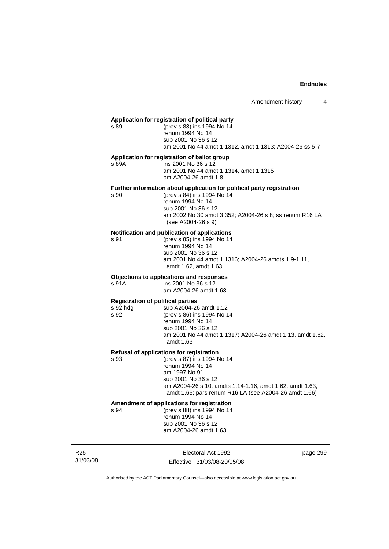#### **Application for registration of political party**

s 89 (prev s 83) ins 1994 No 14 renum 1994 No 14 sub 2001 No 36 s 12 am 2001 No 44 amdt 1.1312, amdt 1.1313; A2004-26 ss 5-7

#### **Application for registration of ballot group**

s 89A ins 2001 No 36 s 12 am 2001 No 44 amdt 1.1314, amdt 1.1315 om A2004-26 amdt 1.8

#### **Further information about application for political party registration**

s 90 (prev s 84) ins 1994 No 14 renum 1994 No 14 sub 2001 No 36 s 12 am 2002 No 30 amdt 3.352; A2004-26 s 8; ss renum R16 LA (see A2004-26 s 9)

#### **Notification and publication of applications**

s 91 (prev s 85) ins 1994 No 14 renum 1994 No 14 sub 2001 No 36 s 12 am 2001 No 44 amdt 1.1316; A2004-26 amdts 1.9-1.11, amdt 1.62, amdt 1.63

#### **Objections to applications and responses**

s 91A ins 2001 No 36 s 12 am A2004-26 amdt 1.63

#### **Registration of political parties**

s 92 hdg sub A2004-26 amdt 1.12 s 92 (prev s 86) ins 1994 No 14 renum 1994 No 14 sub 2001 No 36 s 12 am 2001 No 44 amdt 1.1317; A2004-26 amdt 1.13, amdt 1.62, amdt 1.63

#### **Refusal of applications for registration**

s 93 (prev s 87) ins 1994 No 14 renum 1994 No 14 am 1997 No 91 sub 2001 No 36 s 12 am A2004-26 s 10, amdts 1.14-1.16, amdt 1.62, amdt 1.63, amdt 1.65; pars renum R16 LA (see A2004-26 amdt 1.66)

# **Amendment of applications for registration**

s 94 (prev s 88) ins 1994 No 14 renum 1994 No 14 sub 2001 No 36 s 12 am A2004-26 amdt 1.63

R25 31/03/08

Electoral Act 1992 Effective: 31/03/08-20/05/08 page 299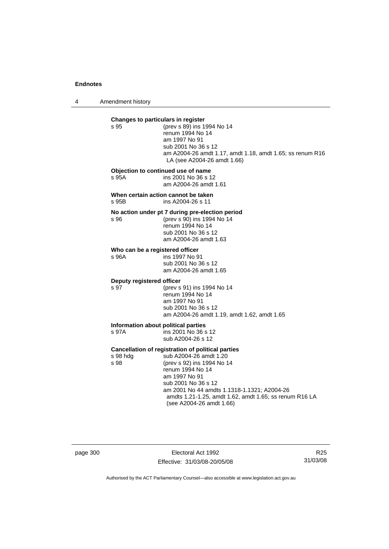4 Amendment history

| Changes to particulars in register           |                                                                                                                                                                                                                                                                                                                   |
|----------------------------------------------|-------------------------------------------------------------------------------------------------------------------------------------------------------------------------------------------------------------------------------------------------------------------------------------------------------------------|
| s 95                                         | (prev s 89) ins 1994 No 14<br>renum 1994 No 14<br>am 1997 No 91<br>sub 2001 No 36 s 12<br>am A2004-26 amdt 1.17, amdt 1.18, amdt 1.65; ss renum R16<br>LA (see A2004-26 amdt 1.66)                                                                                                                                |
| s 95A                                        | Objection to continued use of name<br>ins 2001 No 36 s 12<br>am A2004-26 amdt 1.61                                                                                                                                                                                                                                |
| s 95B                                        | When certain action cannot be taken<br>ins A2004-26 s 11                                                                                                                                                                                                                                                          |
| s 96                                         | No action under pt 7 during pre-election period<br>(prev s 90) ins 1994 No 14<br>renum 1994 No 14<br>sub 2001 No 36 s 12<br>am A2004-26 amdt 1.63                                                                                                                                                                 |
| Who can be a registered officer<br>s 96A     | ins 1997 No 91<br>sub 2001 No 36 s 12<br>am A2004-26 amdt 1.65                                                                                                                                                                                                                                                    |
| Deputy registered officer<br>s 97            | (prev s 91) ins 1994 No 14<br>renum 1994 No 14<br>am 1997 No 91<br>sub 2001 No 36 s 12<br>am A2004-26 amdt 1.19, amdt 1.62, amdt 1.65                                                                                                                                                                             |
| Information about political parties<br>s 97A | ins 2001 No 36 s 12<br>sub A2004-26 s 12                                                                                                                                                                                                                                                                          |
| s 98 hdg<br>s 98                             | <b>Cancellation of registration of political parties</b><br>sub A2004-26 amdt 1.20<br>(prev s 92) ins 1994 No 14<br>renum 1994 No 14<br>am 1997 No 91<br>sub 2001 No 36 s 12<br>am 2001 No 44 amdts 1.1318-1.1321; A2004-26<br>amdts 1.21-1.25, amdt 1.62, amdt 1.65; ss renum R16 LA<br>(see A2004-26 amdt 1.66) |

page 300 Electoral Act 1992 Effective: 31/03/08-20/05/08

R25 31/03/08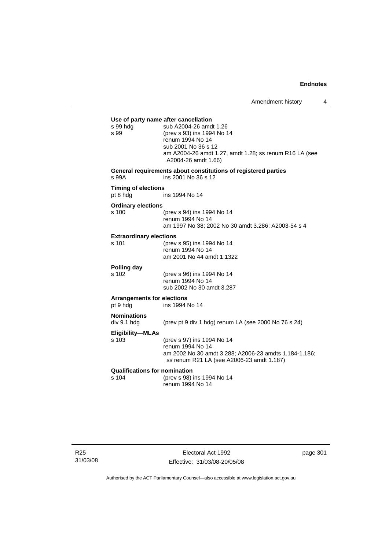| s 99 hdg<br>s 99                              | Use of party name after cancellation<br>sub A2004-26 amdt 1.26<br>(prev s 93) ins 1994 No 14<br>renum 1994 No 14<br>sub 2001 No 36 s 12<br>am A2004-26 amdt 1.27, amdt 1.28; ss renum R16 LA (see<br>A2004-26 amdt 1.66) |
|-----------------------------------------------|--------------------------------------------------------------------------------------------------------------------------------------------------------------------------------------------------------------------------|
| s 99A                                         | General requirements about constitutions of registered parties<br>ins 2001 No 36 s 12                                                                                                                                    |
| <b>Timing of elections</b><br>pt 8 hdg        | ins 1994 No 14                                                                                                                                                                                                           |
| <b>Ordinary elections</b><br>s 100            | (prev s 94) ins 1994 No 14<br>renum 1994 No 14<br>am 1997 No 38; 2002 No 30 amdt 3.286; A2003-54 s 4                                                                                                                     |
| <b>Extraordinary elections</b><br>s 101       | (prev s 95) ins 1994 No 14<br>renum 1994 No 14<br>am 2001 No 44 amdt 1.1322                                                                                                                                              |
| Polling day<br>s 102                          | (prev s 96) ins 1994 No 14<br>renum 1994 No 14<br>sub 2002 No 30 amdt 3.287                                                                                                                                              |
| <b>Arrangements for elections</b><br>pt 9 hdg | ins 1994 No 14                                                                                                                                                                                                           |
| <b>Nominations</b><br>div 9.1 hdg             | (prev pt 9 div 1 hdg) renum LA (see 2000 No 76 s 24)                                                                                                                                                                     |
| <b>Eligibility-MLAs</b><br>s 103              | (prev s 97) ins 1994 No 14<br>renum 1994 No 14<br>am 2002 No 30 amdt 3.288; A2006-23 amdts 1.184-1.186;<br>ss renum R21 LA (see A2006-23 amdt 1.187)                                                                     |
| <b>Qualifications for nomination</b><br>s 104 | (prev s 98) ins 1994 No 14<br>renum 1994 No 14                                                                                                                                                                           |

R25 31/03/08

Electoral Act 1992 Effective: 31/03/08-20/05/08 page 301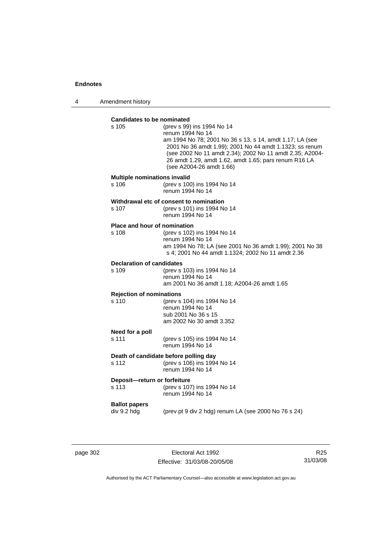4 Amendment history

## **Candidates to be nominated**

| Candidates to be nominated                          |                                                                                                                                                                                                                                                                                                                        |
|-----------------------------------------------------|------------------------------------------------------------------------------------------------------------------------------------------------------------------------------------------------------------------------------------------------------------------------------------------------------------------------|
| s 105                                               | (prev s 99) ins 1994 No 14<br>renum 1994 No 14<br>am 1994 No 78; 2001 No 36 s 13, s 14, amdt 1.17; LA (see<br>2001 No 36 amdt 1.99); 2001 No 44 amdt 1.1323; ss renum<br>(see 2002 No 11 amdt 2.34); 2002 No 11 amdt 2.35; A2004-<br>26 amdt 1.29, amdt 1.62, amdt 1.65; pars renum R16 LA<br>(see A2004-26 amdt 1.66) |
| <b>Multiple nominations invalid</b><br>s 106        | (prev s 100) ins 1994 No 14<br>renum 1994 No 14                                                                                                                                                                                                                                                                        |
| s 107                                               | Withdrawal etc of consent to nomination<br>(prev s 101) ins 1994 No 14<br>renum 1994 No 14                                                                                                                                                                                                                             |
| Place and hour of nomination<br>s 108               | (prev s 102) ins 1994 No 14<br>renum 1994 No 14<br>am 1994 No 78; LA (see 2001 No 36 amdt 1.99); 2001 No 38<br>s 4; 2001 No 44 amdt 1.1324; 2002 No 11 amdt 2.36                                                                                                                                                       |
| <b>Declaration of candidates</b><br>s 109           | (prev s 103) ins 1994 No 14<br>renum 1994 No 14<br>am 2001 No 36 amdt 1.18; A2004-26 amdt 1.65                                                                                                                                                                                                                         |
| <b>Rejection of nominations</b><br>s <sub>110</sub> | (prev s 104) ins 1994 No 14<br>renum 1994 No 14<br>sub 2001 No 36 s 15<br>am 2002 No 30 amdt 3.352                                                                                                                                                                                                                     |
| Need for a poll<br>s 111                            | (prev s 105) ins 1994 No 14<br>renum 1994 No 14                                                                                                                                                                                                                                                                        |
| s 112                                               | Death of candidate before polling day<br>(prev s 106) ins 1994 No 14<br>renum 1994 No 14                                                                                                                                                                                                                               |
| Deposit-return or forfeiture<br>s 113               | (prev s 107) ins 1994 No 14<br>renum 1994 No 14                                                                                                                                                                                                                                                                        |
| <b>Ballot papers</b><br>div 9.2 hdg                 | (prev pt 9 div 2 hdg) renum LA (see 2000 No 76 s 24)                                                                                                                                                                                                                                                                   |
|                                                     |                                                                                                                                                                                                                                                                                                                        |

page 302 Electoral Act 1992 Effective: 31/03/08-20/05/08

R25 31/03/08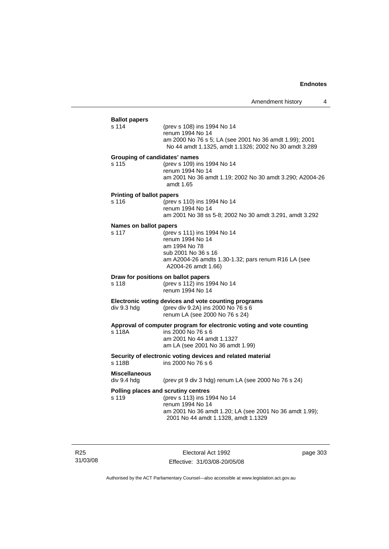| <b>Ballot papers</b><br>s 114          | (prev s 108) ins 1994 No 14<br>renum 1994 No 14<br>am 2000 No 76 s 5; LA (see 2001 No 36 amdt 1.99); 2001<br>No 44 amdt 1.1325, amdt 1.1326; 2002 No 30 amdt 3.289                       |
|----------------------------------------|------------------------------------------------------------------------------------------------------------------------------------------------------------------------------------------|
| Grouping of candidates' names<br>s 115 | (prev s 109) ins 1994 No 14<br>renum 1994 No 14<br>am 2001 No 36 amdt 1.19; 2002 No 30 amdt 3.290; A2004-26<br>amdt 1.65                                                                 |
| <b>Printing of ballot papers</b>       |                                                                                                                                                                                          |
| s 116                                  | (prev s 110) ins 1994 No 14<br>renum 1994 No 14<br>am 2001 No 38 ss 5-8; 2002 No 30 amdt 3.291, amdt 3.292                                                                               |
| Names on ballot papers                 |                                                                                                                                                                                          |
| s 117                                  | (prev s 111) ins 1994 No 14<br>renum 1994 No 14<br>am 1994 No 78<br>sub 2001 No 36 s 16<br>am A2004-26 amdts 1.30-1.32; pars renum R16 LA (see<br>A2004-26 amdt 1.66)                    |
| s 118                                  | Draw for positions on ballot papers<br>(prev s 112) ins 1994 No 14<br>renum 1994 No 14                                                                                                   |
| div 9.3 hdg                            | Electronic voting devices and vote counting programs<br>(prev div 9.2A) ins 2000 No 76 s 6<br>renum LA (see 2000 No 76 s 24)                                                             |
| s 118A                                 | Approval of computer program for electronic voting and vote counting<br>ins 2000 No 76 s 6<br>am 2001 No 44 amdt 1.1327<br>am LA (see 2001 No 36 amdt 1.99)                              |
| s 118B                                 | Security of electronic voting devices and related material<br>ins 2000 No 76 s 6                                                                                                         |
| <b>Miscellaneous</b><br>div 9.4 hdg    | (prev pt 9 div 3 hdg) renum LA (see 2000 No 76 s 24)                                                                                                                                     |
| s 119                                  | Polling places and scrutiny centres<br>(prev s 113) ins 1994 No 14<br>renum 1994 No 14<br>am 2001 No 36 amdt 1.20; LA (see 2001 No 36 amdt 1.99);<br>2001 No 44 amdt 1.1328, amdt 1.1329 |

R25 31/03/08

Electoral Act 1992 Effective: 31/03/08-20/05/08 page 303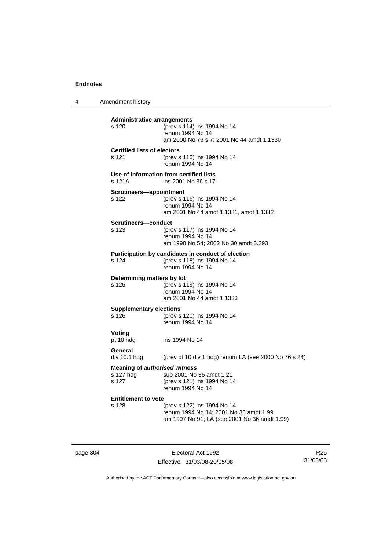4 Amendment history **Administrative arrangements** s 120 (prev s 114) ins 1994 No 14 renum 1994 No 14 am 2000 No 76 s 7; 2001 No 44 amdt 1.1330 **Certified lists of electors** s 121 (prev s 115) ins 1994 No 14 renum 1994 No 14 **Use of information from certified lists** s 121A ins 2001 No 36 s 17 **Scrutineers—appointment** s 122 (prev s 116) ins 1994 No 14 renum 1994 No 14 am 2001 No 44 amdt 1.1331, amdt 1.1332 **Scrutineers—conduct** s 123 (prev s 117) ins 1994 No 14 renum 1994 No 14 am 1998 No 54; 2002 No 30 amdt 3.293 **Participation by candidates in conduct of election**<br>s 124 (prev s 118) ins 1994 No 14 (prev s 118) ins 1994 No 14 renum 1994 No 14 **Determining matters by lot** s 125 (prev s 119) ins 1994 No 14 renum 1994 No 14 am 2001 No 44 amdt 1.1333 **Supplementary elections** s 126 (prev s 120) ins 1994 No 14 renum 1994 No 14 **Voting** pt 10 hdg ins 1994 No 14 **General**  div 10.1 hdg (prev pt 10 div 1 hdg) renum LA (see 2000 No 76 s 24) **Meaning of** *authorised witness* s 127 hdg sub 2001 No 36 amdt 1.21<br>s 127 (prev s 121) ins 1994 No 1 (prev s 121) ins 1994 No 14 renum 1994 No 14 **Entitlement to vote**  s 128 (prev s 122) ins 1994 No 14 renum 1994 No 14; 2001 No 36 amdt 1.99 am 1997 No 91; LA (see 2001 No 36 amdt 1.99)

page 304 Electoral Act 1992 Effective: 31/03/08-20/05/08

R25 31/03/08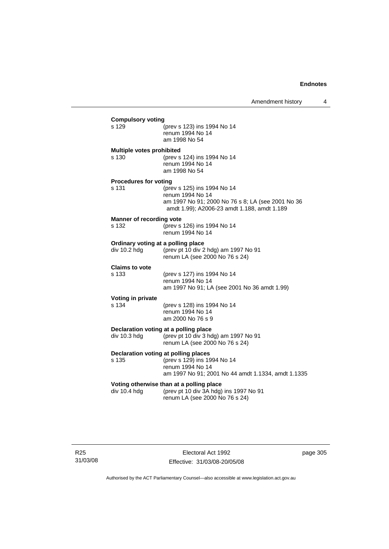| s 129                                 | (prev s 123) ins 1994 No 14<br>renum 1994 No 14<br>am 1998 No 54                                                                                    |
|---------------------------------------|-----------------------------------------------------------------------------------------------------------------------------------------------------|
| Multiple votes prohibited<br>s 130    | (prev s 124) ins 1994 No 14<br>renum 1994 No 14<br>am 1998 No 54                                                                                    |
| <b>Procedures for voting</b><br>s 131 | (prev s 125) ins 1994 No 14<br>renum 1994 No 14<br>am 1997 No 91; 2000 No 76 s 8; LA (see 2001 No 36<br>amdt 1.99); A2006-23 amdt 1.188, amdt 1.189 |
| Manner of recording vote<br>s 132     | (prev s 126) ins 1994 No 14<br>renum 1994 No 14                                                                                                     |
| div 10.2 hdg                          | Ordinary voting at a polling place<br>(prev pt 10 div 2 hdg) am 1997 No 91<br>renum LA (see 2000 No 76 s 24)                                        |
| <b>Claims to vote</b><br>s 133        | (prev s 127) ins 1994 No 14<br>renum 1994 No 14<br>am 1997 No 91; LA (see 2001 No 36 amdt 1.99)                                                     |
| Voting in private<br>s 134            | (prev s 128) ins 1994 No 14<br>renum 1994 No 14<br>am 2000 No 76 s 9                                                                                |
| div 10.3 hdg                          | Declaration voting at a polling place<br>(prev pt 10 div 3 hdg) am 1997 No 91<br>renum LA (see 2000 No 76 s 24)                                     |
| s 135                                 | Declaration voting at polling places<br>(prev s 129) ins 1994 No 14<br>renum 1994 No 14<br>am 1997 No 91; 2001 No 44 amdt 1.1334, amdt 1.1335       |
| div 10.4 hdg                          | Voting otherwise than at a polling place<br>(prev pt 10 div 3A hdg) ins 1997 No 91<br>renum LA (see 2000 No 76 s 24)                                |

Electoral Act 1992 Effective: 31/03/08-20/05/08 page 305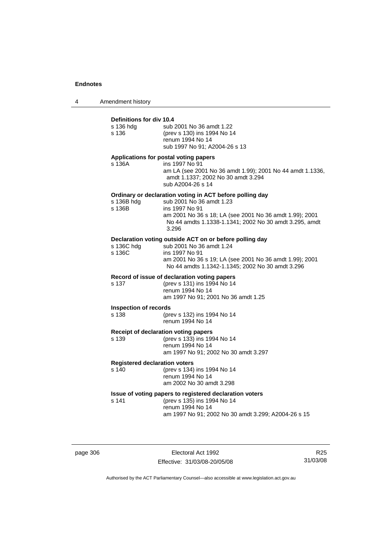4 Amendment history

## **Definitions for div 10.4**

| s 136 hdg<br>s 136                            | sub 2001 No 36 amdt 1.22<br>(prev s 130) ins 1994 No 14<br>renum 1994 No 14<br>sub 1997 No 91; A2004-26 s 13                                                                                                                         |
|-----------------------------------------------|--------------------------------------------------------------------------------------------------------------------------------------------------------------------------------------------------------------------------------------|
| s 136A                                        | Applications for postal voting papers<br>ins 1997 No 91<br>am LA (see 2001 No 36 amdt 1.99); 2001 No 44 amdt 1.1336,<br>amdt 1.1337; 2002 No 30 amdt 3.294<br>sub A2004-26 s 14                                                      |
| s 136B hdg<br>s 136B                          | Ordinary or declaration voting in ACT before polling day<br>sub 2001 No 36 amdt 1.23<br>ins 1997 No 91<br>am 2001 No 36 s 18; LA (see 2001 No 36 amdt 1.99); 2001<br>No 44 amdts 1.1338-1.1341; 2002 No 30 amdt 3.295, amdt<br>3.296 |
| s 136C hdg<br>s 136C                          | Declaration voting outside ACT on or before polling day<br>sub 2001 No 36 amdt 1.24<br>ins 1997 No 91<br>am 2001 No 36 s 19; LA (see 2001 No 36 amdt 1.99); 2001<br>No 44 amdts 1.1342-1.1345; 2002 No 30 amdt 3.296                 |
| s 137                                         | Record of issue of declaration voting papers<br>(prev s 131) ins 1994 No 14<br>renum 1994 No 14<br>am 1997 No 91; 2001 No 36 amdt 1.25                                                                                               |
| <b>Inspection of records</b><br>s 138         | (prev s 132) ins 1994 No 14<br>renum 1994 No 14                                                                                                                                                                                      |
| s 139                                         | Receipt of declaration voting papers<br>(prev s 133) ins 1994 No 14<br>renum 1994 No 14<br>am 1997 No 91; 2002 No 30 amdt 3.297                                                                                                      |
| <b>Registered declaration voters</b><br>s 140 | (prev s 134) ins 1994 No 14<br>renum 1994 No 14<br>am 2002 No 30 amdt 3.298                                                                                                                                                          |
| s 141                                         | Issue of voting papers to registered declaration voters<br>(prev s 135) ins 1994 No 14<br>renum 1994 No 14<br>am 1997 No 91; 2002 No 30 amdt 3.299; A2004-26 s 15                                                                    |

page 306 Electoral Act 1992 Effective: 31/03/08-20/05/08

R25 31/03/08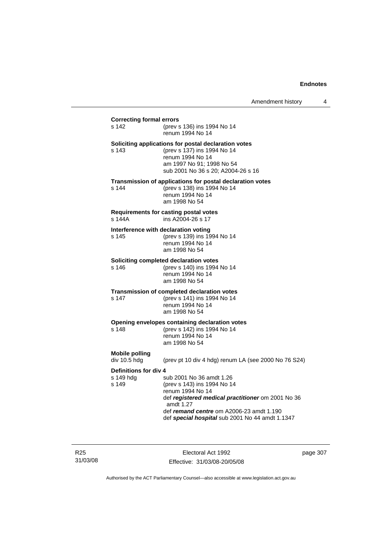## **Correcting formal errors** s 142 (prev s 136) ins 1994 No 14 renum 1994 No 14 **Soliciting applications for postal declaration votes** s 143 (prev s 137) ins 1994 No 14 renum 1994 No 14 am 1997 No 91; 1998 No 54 sub 2001 No 36 s 20; A2004-26 s 16 **Transmission of applications for postal declaration votes** s 144 (prev s 138) ins 1994 No 14 renum 1994 No 14 am 1998 No 54 **Requirements for casting postal votes**  s 144A ins A2004-26 s 17 **Interference with declaration voting** s 145 (prev s 139) ins 1994 No 14 renum 1994 No 14 am 1998 No 54 **Soliciting completed declaration votes**<br>s 146 (prev s 140) ins 1994 (prev s 140) ins 1994 No 14 renum 1994 No 14 am 1998 No 54 **Transmission of completed declaration votes** s 147 (prev s 141) ins 1994 No 14 renum 1994 No 14 am 1998 No 54 **Opening envelopes containing declaration votes** s 148 (prev s 142) ins 1994 No 14 renum 1994 No 14 am 1998 No 54 **Mobile polling**  (prev pt 10 div 4 hdg) renum LA (see 2000 No 76 S24) **Definitions for div 4**<br>s 149 hdq s sub 2001 No 36 amdt 1.26 s 149 (prev s 143) ins 1994 No 14 renum 1994 No 14 def *registered medical practitioner* om 2001 No 36 amdt 1.27 def *remand centre* om A2006-23 amdt 1.190 def *special hospital* sub 2001 No 44 amdt 1.1347

R25 31/03/08

Electoral Act 1992 Effective: 31/03/08-20/05/08 page 307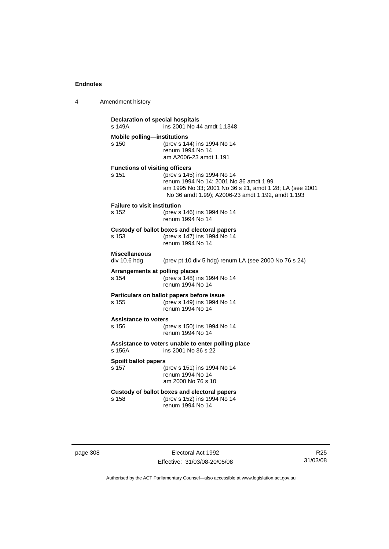| 4        | Amendment history                                                        |                                                                                                                                                                                       |  |  |
|----------|--------------------------------------------------------------------------|---------------------------------------------------------------------------------------------------------------------------------------------------------------------------------------|--|--|
|          | Declaration of special hospitals<br>ins 2001 No 44 amdt 1.1348<br>s 149A |                                                                                                                                                                                       |  |  |
|          | <b>Mobile polling-institutions</b><br>s 150                              | (prev s 144) ins 1994 No 14<br>renum 1994 No 14<br>am A2006-23 amdt 1.191                                                                                                             |  |  |
|          | <b>Functions of visiting officers</b><br>s 151                           | (prev s 145) ins 1994 No 14<br>renum 1994 No 14; 2001 No 36 amdt 1.99<br>am 1995 No 33; 2001 No 36 s 21, amdt 1.28; LA (see 2001<br>No 36 amdt 1.99); A2006-23 amdt 1.192, amdt 1.193 |  |  |
|          | <b>Failure to visit institution</b><br>s 152                             | (prev s 146) ins 1994 No 14<br>renum 1994 No 14                                                                                                                                       |  |  |
|          | s 153                                                                    | Custody of ballot boxes and electoral papers<br>(prev s 147) ins 1994 No 14<br>renum 1994 No 14                                                                                       |  |  |
|          | <b>Miscellaneous</b><br>div 10.6 hdg                                     | (prev pt 10 div 5 hdg) renum LA (see 2000 No 76 s 24)                                                                                                                                 |  |  |
|          | Arrangements at polling places<br>s 154                                  | (prev s 148) ins 1994 No 14<br>renum 1994 No 14                                                                                                                                       |  |  |
|          | s 155                                                                    | Particulars on ballot papers before issue<br>(prev s 149) ins 1994 No 14<br>renum 1994 No 14                                                                                          |  |  |
|          | <b>Assistance to voters</b><br>s 156                                     | (prev s 150) ins 1994 No 14<br>renum 1994 No 14                                                                                                                                       |  |  |
|          | s 156A                                                                   | Assistance to voters unable to enter polling place<br>ins 2001 No 36 s 22                                                                                                             |  |  |
|          | <b>Spoilt ballot papers</b><br>s 157                                     | (prev s 151) ins 1994 No 14<br>renum 1994 No 14<br>am 2000 No 76 s 10                                                                                                                 |  |  |
|          | s 158                                                                    | Custody of ballot boxes and electoral papers<br>(prev s 152) ins 1994 No 14<br>renum 1994 No 14                                                                                       |  |  |
|          |                                                                          |                                                                                                                                                                                       |  |  |
| page 308 |                                                                          | Electoral Act 1992                                                                                                                                                                    |  |  |

Authorised by the ACT Parliamentary Counsel—also accessible at www.legislation.act.gov.au

R25 31/03/08

Effective: 31/03/08-20/05/08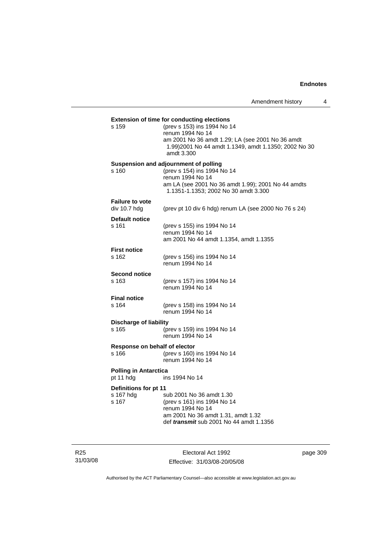|                               | <b>Extension of time for conducting elections</b>                                                         |
|-------------------------------|-----------------------------------------------------------------------------------------------------------|
| s 159                         | (prev s 153) ins 1994 No 14                                                                               |
|                               | renum 1994 No 14                                                                                          |
|                               | am 2001 No 36 amdt 1.29; LA (see 2001 No 36 amdt<br>1.99) 2001 No 44 amdt 1.1349, amdt 1.1350; 2002 No 30 |
|                               | amdt 3.300                                                                                                |
|                               | Suspension and adjournment of polling                                                                     |
| s 160                         | (prev s 154) ins 1994 No 14                                                                               |
|                               | renum 1994 No 14<br>am LA (see 2001 No 36 amdt 1.99); 2001 No 44 amdts                                    |
|                               | 1.1351-1.1353; 2002 No 30 amdt 3.300                                                                      |
| <b>Failure to vote</b>        |                                                                                                           |
| div 10.7 hdg                  | (prev pt 10 div 6 hdg) renum LA (see 2000 No 76 s 24)                                                     |
| <b>Default notice</b>         |                                                                                                           |
| s 161                         | (prev s 155) ins 1994 No 14                                                                               |
|                               | renum 1994 No 14<br>am 2001 No 44 amdt 1.1354, amdt 1.1355                                                |
|                               |                                                                                                           |
| <b>First notice</b><br>s 162  | (prev s 156) ins 1994 No 14                                                                               |
|                               | renum 1994 No 14                                                                                          |
| <b>Second notice</b>          |                                                                                                           |
| s 163                         | (prev s 157) ins 1994 No 14                                                                               |
|                               | renum 1994 No 14                                                                                          |
| <b>Final notice</b>           |                                                                                                           |
| s 164                         | (prev s 158) ins 1994 No 14                                                                               |
|                               | renum 1994 No 14                                                                                          |
| <b>Discharge of liability</b> |                                                                                                           |
| s 165                         | (prev s 159) ins 1994 No 14                                                                               |
|                               | renum 1994 No 14                                                                                          |
| Response on behalf of elector |                                                                                                           |
| s 166                         | (prev s 160) ins 1994 No 14<br>renum 1994 No 14                                                           |
|                               |                                                                                                           |
| <b>Polling in Antarctica</b>  | ins 1994 No 14                                                                                            |
| pt 11 hdg                     |                                                                                                           |
| Definitions for pt 11         |                                                                                                           |
| s 167 hdg<br>s 167            | sub 2001 No 36 amdt 1.30                                                                                  |
|                               | (prev s 161) ins 1994 No 14<br>renum 1994 No 14                                                           |
|                               | am 2001 No 36 amdt 1.31, amdt 1.32                                                                        |
|                               |                                                                                                           |

R25 31/03/08

Electoral Act 1992 Effective: 31/03/08-20/05/08 page 309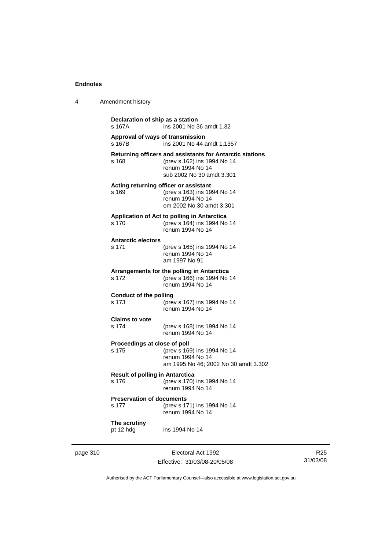4 Amendment history

| s 167A                                          | ins 2001 No 36 amdt 1.32                                                                                                                 |
|-------------------------------------------------|------------------------------------------------------------------------------------------------------------------------------------------|
| Approval of ways of transmission<br>s 167B      | ins 2001 No 44 amdt 1.1357                                                                                                               |
| s 168                                           | Returning officers and assistants for Antarctic stations<br>(prev s 162) ins 1994 No 14<br>renum 1994 No 14<br>sub 2002 No 30 amdt 3.301 |
| s 169                                           | Acting returning officer or assistant<br>(prev s 163) ins 1994 No 14<br>renum 1994 No 14<br>om 2002 No 30 amdt 3.301                     |
| s 170                                           | Application of Act to polling in Antarctica<br>(prev s 164) ins 1994 No 14<br>renum 1994 No 14                                           |
| <b>Antarctic electors</b><br>s 171              | (prev s 165) ins 1994 No 14<br>renum 1994 No 14<br>am 1997 No 91                                                                         |
| s 172                                           | Arrangements for the polling in Antarctica<br>(prev s 166) ins 1994 No 14<br>renum 1994 No 14                                            |
| <b>Conduct of the polling</b><br>s 173          | (prev s 167) ins 1994 No 14<br>renum 1994 No 14                                                                                          |
| <b>Claims to vote</b><br>s 174                  | (prev s 168) ins 1994 No 14<br>renum 1994 No 14                                                                                          |
| Proceedings at close of poll<br>s 175           | (prev s 169) ins 1994 No 14<br>renum 1994 No 14<br>am 1995 No 46; 2002 No 30 amdt 3.302                                                  |
| <b>Result of polling in Antarctica</b><br>s 176 | (prev s 170) ins 1994 No 14<br>renum 1994 No 14                                                                                          |
| <b>Preservation of documents</b><br>s 177       | (prev s 171) ins 1994 No 14<br>renum 1994 No 14                                                                                          |
| The scrutiny<br>pt 12 hdg                       | ins 1994 No 14                                                                                                                           |

page 310 **Electoral Act 1992** Effective: 31/03/08-20/05/08

R25 31/03/08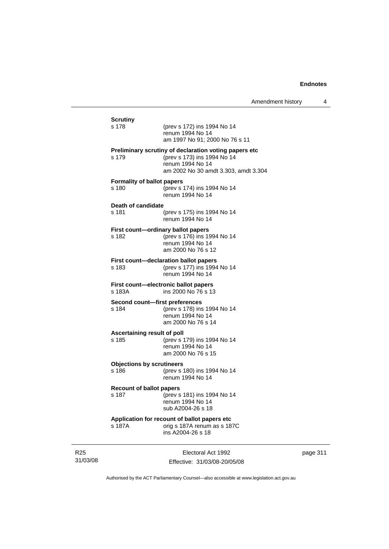| <b>Scrutiny</b>                   |                                                                                         |
|-----------------------------------|-----------------------------------------------------------------------------------------|
| s 178                             | (prev s 172) ins 1994 No 14<br>renum 1994 No 14<br>am 1997 No 91; 2000 No 76 s 11       |
|                                   | Preliminary scrutiny of declaration voting papers etc                                   |
| s 179                             | (prev s 173) ins 1994 No 14<br>renum 1994 No 14<br>am 2002 No 30 amdt 3.303, amdt 3.304 |
| <b>Formality of ballot papers</b> |                                                                                         |
| s 180                             | (prev s 174) ins 1994 No 14<br>renum 1994 No 14                                         |
| Death of candidate                |                                                                                         |
| s 181                             | (prev s 175) ins 1994 No 14<br>renum 1994 No 14                                         |
| s 182                             | First count-ordinary ballot papers                                                      |
|                                   | (prev s 176) ins 1994 No 14<br>renum 1994 No 14                                         |
|                                   | am 2000 No 76 s 12                                                                      |
| s 183                             | First count-declaration ballot papers<br>(prev s 177) ins 1994 No 14                    |
|                                   | renum 1994 No 14                                                                        |
| s 183A                            | First count-electronic ballot papers<br>ins 2000 No 76 s 13                             |
| Second count-first preferences    |                                                                                         |
| s 184                             | (prev s 178) ins 1994 No 14<br>renum 1994 No 14                                         |
|                                   | am 2000 No 76 s 14                                                                      |
| Ascertaining result of poll       |                                                                                         |
| s 185                             | (prev s 179) ins 1994 No 14<br>renum 1994 No 14                                         |
|                                   | am 2000 No 76 s 15                                                                      |
| <b>Objections by scrutineers</b>  |                                                                                         |
| s 186                             | (prev s 180) ins 1994 No 14<br>renum 1994 No 14                                         |
| <b>Recount of ballot papers</b>   |                                                                                         |
| s 187                             | (prev s 181) ins 1994 No 14                                                             |
|                                   | renum 1994 No 14<br>sub A2004-26 s 18                                                   |
|                                   | Application for recount of ballot papers etc                                            |
| s 187A                            | orig s 187A renum as s 187C                                                             |

R25 31/03/08

Electoral Act 1992 Effective: 31/03/08-20/05/08 page 311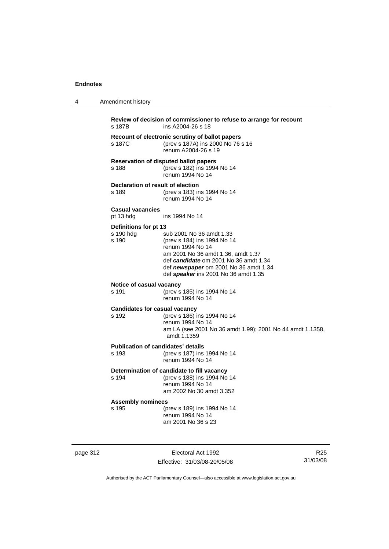4 Amendment history

| s 187B                                        | ins A2004-26 s 18                                                                                                                                                                                                                           |
|-----------------------------------------------|---------------------------------------------------------------------------------------------------------------------------------------------------------------------------------------------------------------------------------------------|
| s 187C                                        | Recount of electronic scrutiny of ballot papers<br>(prev s 187A) ins 2000 No 76 s 16<br>renum A2004-26 s 19                                                                                                                                 |
| s 188                                         | <b>Reservation of disputed ballot papers</b><br>(prev s 182) ins 1994 No 14<br>renum 1994 No 14                                                                                                                                             |
| Declaration of result of election<br>s 189    | (prev s 183) ins 1994 No 14<br>renum 1994 No 14                                                                                                                                                                                             |
| <b>Casual vacancies</b><br>pt 13 hdg          | ins 1994 No 14                                                                                                                                                                                                                              |
| Definitions for pt 13<br>s 190 hdg<br>s.190   | sub 2001 No 36 amdt 1.33<br>(prev s 184) ins 1994 No 14<br>renum 1994 No 14<br>am 2001 No 36 amdt 1.36, amdt 1.37<br>def candidate om 2001 No 36 amdt 1.34<br>def newspaper om 2001 No 36 amdt 1.34<br>def speaker ins 2001 No 36 amdt 1.35 |
| Notice of casual vacancy<br>s 191             | (prev s 185) ins 1994 No 14<br>renum 1994 No 14                                                                                                                                                                                             |
| <b>Candidates for casual vacancy</b><br>s 192 | (prev s 186) ins 1994 No 14<br>renum 1994 No 14<br>am LA (see 2001 No 36 amdt 1.99); 2001 No 44 amdt 1.1358,<br>amdt 1.1359                                                                                                                 |
| s 193                                         | <b>Publication of candidates' details</b><br>(prev s 187) ins 1994 No 14<br>renum 1994 No 14                                                                                                                                                |
| s 194                                         | Determination of candidate to fill vacancy<br>(prev s 188) ins 1994 No 14<br>renum 1994 No 14<br>am 2002 No 30 amdt 3.352                                                                                                                   |
| <b>Assembly nominees</b><br>s 195             | (prev s 189) ins 1994 No 14<br>renum 1994 No 14<br>am 2001 No 36 s 23                                                                                                                                                                       |

page 312 **Electoral Act 1992** Effective: 31/03/08-20/05/08

R25 31/03/08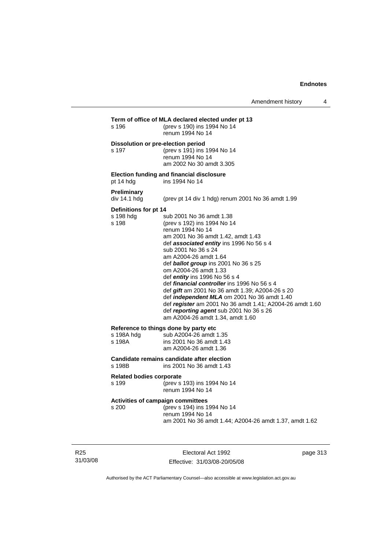| s 196                                       | (prev s 190) ins 1994 No 14<br>renum 1994 No 14                                                                                                                                                                                                                                                                                                                                                                                                                                                                                                                                                                                  |
|---------------------------------------------|----------------------------------------------------------------------------------------------------------------------------------------------------------------------------------------------------------------------------------------------------------------------------------------------------------------------------------------------------------------------------------------------------------------------------------------------------------------------------------------------------------------------------------------------------------------------------------------------------------------------------------|
| s 197                                       | Dissolution or pre-election period<br>(prev s 191) ins 1994 No 14<br>renum 1994 No 14<br>am 2002 No 30 amdt 3.305                                                                                                                                                                                                                                                                                                                                                                                                                                                                                                                |
| pt 14 hdg                                   | <b>Election funding and financial disclosure</b><br>ins 1994 No 14                                                                                                                                                                                                                                                                                                                                                                                                                                                                                                                                                               |
| Preliminary<br>div 14.1 hdg                 | (prev pt 14 div 1 hdg) renum 2001 No 36 amdt 1.99                                                                                                                                                                                                                                                                                                                                                                                                                                                                                                                                                                                |
| Definitions for pt 14<br>s 198 hdg<br>s 198 | sub 2001 No 36 amdt 1.38<br>(prev s 192) ins 1994 No 14<br>renum 1994 No 14<br>am 2001 No 36 amdt 1.42, amdt 1.43<br>def associated entity ins 1996 No 56 s 4<br>sub 2001 No 36 s 24<br>am A2004-26 amdt 1.64<br>def <b>ballot group</b> ins 2001 No 36 s 25<br>om A2004-26 amdt 1.33<br>def <i>entity</i> ins 1996 No 56 s 4<br>def <i>financial controller</i> ins 1996 No 56 s 4<br>def gift am 2001 No 36 amdt 1.39; A2004-26 s 20<br>def independent MLA om 2001 No 36 amdt 1.40<br>def register am 2001 No 36 amdt 1.41; A2004-26 amdt 1.60<br>def reporting agent sub 2001 No 36 s 26<br>am A2004-26 amdt 1.34, amdt 1.60 |
| s 198A hdg<br>s 198A                        | Reference to things done by party etc<br>sub A2004-26 amdt 1.35<br>ins 2001 No 36 amdt 1.43<br>am A2004-26 amdt 1.36                                                                                                                                                                                                                                                                                                                                                                                                                                                                                                             |
| s 198B                                      | Candidate remains candidate after election<br>ins 2001 No 36 amdt 1.43                                                                                                                                                                                                                                                                                                                                                                                                                                                                                                                                                           |
| <b>Related bodies corporate</b><br>s 199    | (prev s 193) ins 1994 No 14<br>renum 1994 No 14                                                                                                                                                                                                                                                                                                                                                                                                                                                                                                                                                                                  |
| s 200                                       | Activities of campaign committees<br>(prev s 194) ins 1994 No 14<br>renum 1994 No 14<br>am 2001 No 36 amdt 1.44; A2004-26 amdt 1.37, amdt 1.62                                                                                                                                                                                                                                                                                                                                                                                                                                                                                   |

R25 31/03/08

Electoral Act 1992 Effective: 31/03/08-20/05/08 page 313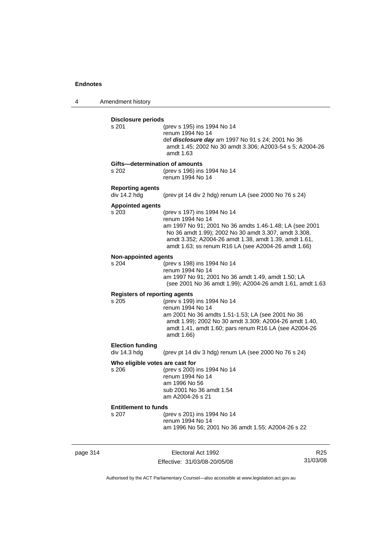4 Amendment history

| <b>Disclosure periods</b><br>s 201   | (prev s 195) ins 1994 No 14                                                                                     |
|--------------------------------------|-----------------------------------------------------------------------------------------------------------------|
|                                      | renum 1994 No 14                                                                                                |
|                                      | def <i>disclosure day</i> am 1997 No 91 s 24; 2001 No 36                                                        |
|                                      | amdt 1.45; 2002 No 30 amdt 3.306; A2003-54 s 5; A2004-26                                                        |
|                                      | amdt 1.63                                                                                                       |
|                                      | Gifts-determination of amounts                                                                                  |
| s 202                                | (prev s 196) ins 1994 No 14                                                                                     |
|                                      | renum 1994 No 14                                                                                                |
| <b>Reporting agents</b>              |                                                                                                                 |
| div 14.2 hdg                         | (prev pt 14 div 2 hdg) renum LA (see 2000 No 76 s 24)                                                           |
| <b>Appointed agents</b>              |                                                                                                                 |
| s 203                                | (prev s 197) ins 1994 No 14                                                                                     |
|                                      | renum 1994 No 14                                                                                                |
|                                      | am 1997 No 91; 2001 No 36 amdts 1.46-1.48; LA (see 2001<br>No 36 amdt 1.99); 2002 No 30 amdt 3.307, amdt 3.308, |
|                                      | amdt 3.352; A2004-26 amdt 1.38, amdt 1.39, amdt 1.61,                                                           |
|                                      | amdt 1.63; ss renum R16 LA (see A2004-26 amdt 1.66)                                                             |
|                                      |                                                                                                                 |
| <b>Non-appointed agents</b><br>s 204 | (prev s 198) ins 1994 No 14                                                                                     |
|                                      | renum 1994 No 14                                                                                                |
|                                      | am 1997 No 91; 2001 No 36 amdt 1.49, amdt 1.50; LA                                                              |
|                                      | (see 2001 No 36 amdt 1.99); A2004-26 amdt 1.61, amdt 1.63                                                       |
| <b>Registers of reporting agents</b> |                                                                                                                 |
| s 205                                | (prev s 199) ins 1994 No 14                                                                                     |
|                                      | renum 1994 No 14                                                                                                |
|                                      | am 2001 No 36 amdts 1.51-1.53; LA (see 2001 No 36                                                               |
|                                      | amdt 1.99); 2002 No 30 amdt 3.309; A2004-26 amdt 1.40,                                                          |
|                                      | amdt 1.41, amdt 1.60; pars renum R16 LA (see A2004-26                                                           |
|                                      | amdt 1.66)                                                                                                      |
| <b>Election funding</b>              |                                                                                                                 |
| div 14.3 hdg                         | (prev pt 14 div 3 hdg) renum LA (see 2000 No 76 s 24)                                                           |
| Who eligible votes are cast for      |                                                                                                                 |
| s 206                                | (prev s 200) ins 1994 No 14                                                                                     |
|                                      | renum 1994 No 14<br>am 1996 No 56                                                                               |
|                                      | sub 2001 No 36 amdt 1.54                                                                                        |
|                                      | am A2004-26 s 21                                                                                                |
| <b>Entitlement to funds</b>          |                                                                                                                 |
| s 207                                | (prev s 201) ins 1994 No 14                                                                                     |
|                                      | renum 1994 No 14                                                                                                |
|                                      | am 1996 No 56; 2001 No 36 amdt 1.55; A2004-26 s 22                                                              |

page 314 Electoral Act 1992 Effective: 31/03/08-20/05/08

R25 31/03/08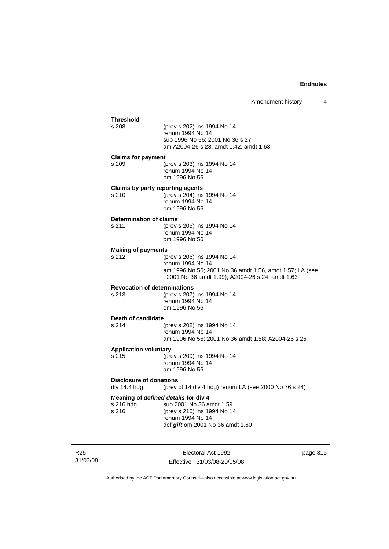| <b>Threshold</b>                                 |                                                                             |
|--------------------------------------------------|-----------------------------------------------------------------------------|
| s 208                                            | (prev s 202) ins 1994 No 14<br>renum 1994 No 14                             |
|                                                  | sub 1996 No 56; 2001 No 36 s 27                                             |
|                                                  | am A2004-26 s 23, amdt 1.42, amdt 1.63                                      |
| <b>Claims for payment</b><br>s 209               | (prev s 203) ins 1994 No 14                                                 |
|                                                  | renum 1994 No 14<br>om 1996 No 56                                           |
| <b>Claims by party reporting agents</b><br>s 210 | (prev s 204) ins 1994 No 14                                                 |
|                                                  | renum 1994 No 14                                                            |
|                                                  | om 1996 No 56                                                               |
| <b>Determination of claims</b><br>s 211          | (prev s 205) ins 1994 No 14                                                 |
|                                                  | renum 1994 No 14                                                            |
| <b>Making of payments</b>                        | om 1996 No 56                                                               |
| s 212                                            | (prev s 206) ins 1994 No 14                                                 |
|                                                  | renum 1994 No 14<br>am 1996 No 56; 2001 No 36 amdt 1.56, amdt 1.57; LA (see |
|                                                  | 2001 No 36 amdt 1.99); A2004-26 s 24, amdt 1.63                             |
| <b>Revocation of determinations</b><br>s 213     | (prev s 207) ins 1994 No 14                                                 |
|                                                  | renum 1994 No 14                                                            |
|                                                  | om 1996 No 56                                                               |
| Death of candidate<br>s 214                      | (prev s 208) ins 1994 No 14                                                 |
|                                                  | renum 1994 No 14                                                            |
| <b>Application voluntary</b>                     | am 1996 No 56; 2001 No 36 amdt 1.58; A2004-26 s 26                          |
| s 215                                            | (prev s 209) ins 1994 No 14                                                 |
|                                                  | renum 1994 No 14<br>am 1996 No 56                                           |
| <b>Disclosure of donations</b><br>div 14.4 hdg   | (prev pt 14 div 4 hdg) renum LA (see 2000 No 76 s 24)                       |
| Meaning of defined details for div 4             |                                                                             |
| s 216 hdg<br>s 216                               | sub 2001 No 36 amdt 1.59<br>(prev s 210) ins 1994 No 14                     |
|                                                  | renum 1994 No 14                                                            |
|                                                  | def gift om 2001 No 36 amdt 1.60                                            |
|                                                  |                                                                             |

R25 31/03/08

Electoral Act 1992 Effective: 31/03/08-20/05/08 page 315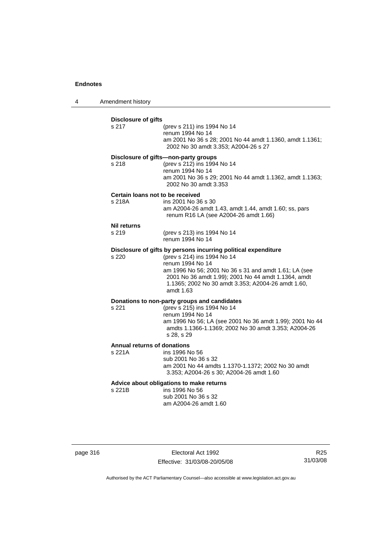4 Amendment history

|                                              | (prev s 211) ins 1994 No 14<br>renum 1994 No 14<br>am 2001 No 36 s 28; 2001 No 44 amdt 1.1360, amdt 1.1361;<br>2002 No 30 amdt 3.353; A2004-26 s 27                                                                                                                                                  |
|----------------------------------------------|------------------------------------------------------------------------------------------------------------------------------------------------------------------------------------------------------------------------------------------------------------------------------------------------------|
| s 218                                        | Disclosure of gifts-non-party groups<br>(prev s 212) ins 1994 No 14<br>renum 1994 No 14<br>am 2001 No 36 s 29; 2001 No 44 amdt 1.1362, amdt 1.1363;<br>2002 No 30 amdt 3.353                                                                                                                         |
| s 218A                                       | Certain loans not to be received<br>ins 2001 No 36 s 30<br>am A2004-26 amdt 1.43, amdt 1.44, amdt 1.60; ss, pars<br>renum R16 LA (see A2004-26 amdt 1.66)                                                                                                                                            |
| <b>Nil returns</b><br>s 219                  | (prev s 213) ins 1994 No 14<br>renum 1994 No 14                                                                                                                                                                                                                                                      |
| s 220                                        | Disclosure of gifts by persons incurring political expenditure<br>(prev s 214) ins 1994 No 14<br>renum 1994 No 14<br>am 1996 No 56; 2001 No 36 s 31 and amdt 1.61; LA (see<br>2001 No 36 amdt 1.99); 2001 No 44 amdt 1.1364, amdt<br>1.1365; 2002 No 30 amdt 3.353; A2004-26 amdt 1.60,<br>amdt 1.63 |
| s 221                                        | Donations to non-party groups and candidates<br>(prev s 215) ins 1994 No 14<br>renum 1994 No 14<br>am 1996 No 56; LA (see 2001 No 36 amdt 1.99); 2001 No 44<br>amdts 1.1366-1.1369; 2002 No 30 amdt 3.353; A2004-26<br>s 28, s 29                                                                    |
| <b>Annual returns of donations</b><br>s 221A | ins 1996 No 56<br>sub 2001 No 36 s 32<br>am 2001 No 44 amdts 1.1370-1.1372; 2002 No 30 amdt<br>3.353; A2004-26 s 30; A2004-26 amdt 1.60                                                                                                                                                              |
| s 221B                                       | Advice about obligations to make returns<br>ins 1996 No 56<br>sub 2001 No 36 s 32<br>am A2004-26 amdt 1.60                                                                                                                                                                                           |

page 316 **Electoral Act 1992** Effective: 31/03/08-20/05/08

R25 31/03/08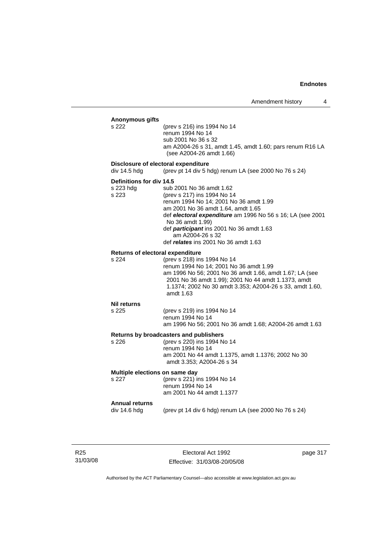| Anonymous gifts<br>s 222                       | (prev s 216) ins 1994 No 14<br>renum 1994 No 14<br>sub 2001 No 36 s 32<br>am A2004-26 s 31, amdt 1.45, amdt 1.60; pars renum R16 LA<br>(see A2004-26 amdt 1.66)                                                                                                                                                                          |
|------------------------------------------------|------------------------------------------------------------------------------------------------------------------------------------------------------------------------------------------------------------------------------------------------------------------------------------------------------------------------------------------|
| div 14.5 hdg                                   | Disclosure of electoral expenditure<br>(prev pt 14 div 5 hdg) renum LA (see 2000 No 76 s 24)                                                                                                                                                                                                                                             |
| Definitions for div 14.5<br>s 223 hdg<br>s 223 | sub 2001 No 36 amdt 1.62<br>(prev s 217) ins 1994 No 14<br>renum 1994 No 14; 2001 No 36 amdt 1.99<br>am 2001 No 36 amdt 1.64, amdt 1.65<br>def electoral expenditure am 1996 No 56 s 16; LA (see 2001<br>No 36 amdt 1.99)<br>def participant ins 2001 No 36 amdt 1.63<br>am A2004-26 s 32<br>def <i>relates</i> ins 2001 No 36 amdt 1.63 |
| Returns of electoral expenditure<br>s 224      | (prev s 218) ins 1994 No 14<br>renum 1994 No 14; 2001 No 36 amdt 1.99<br>am 1996 No 56; 2001 No 36 amdt 1.66, amdt 1.67; LA (see<br>2001 No 36 amdt 1.99); 2001 No 44 amdt 1.1373, amdt<br>1.1374; 2002 No 30 amdt 3.353; A2004-26 s 33, amdt 1.60,<br>amdt 1.63                                                                         |
| Nil returns<br>s 225                           | (prev s 219) ins 1994 No 14<br>renum 1994 No 14<br>am 1996 No 56; 2001 No 36 amdt 1.68; A2004-26 amdt 1.63                                                                                                                                                                                                                               |
| s 226                                          | Returns by broadcasters and publishers<br>(prev s 220) ins 1994 No 14<br>renum 1994 No 14<br>am 2001 No 44 amdt 1.1375, amdt 1.1376; 2002 No 30<br>amdt 3.353; A2004-26 s 34                                                                                                                                                             |
| Multiple elections on same day<br>s 227        | (prev s 221) ins 1994 No 14<br>renum 1994 No 14<br>am 2001 No 44 amdt 1.1377                                                                                                                                                                                                                                                             |
| <b>Annual returns</b><br>div 14.6 hdg          | (prev pt 14 div 6 hdg) renum LA (see 2000 No 76 s 24)                                                                                                                                                                                                                                                                                    |

R25 31/03/08

Electoral Act 1992 Effective: 31/03/08-20/05/08 page 317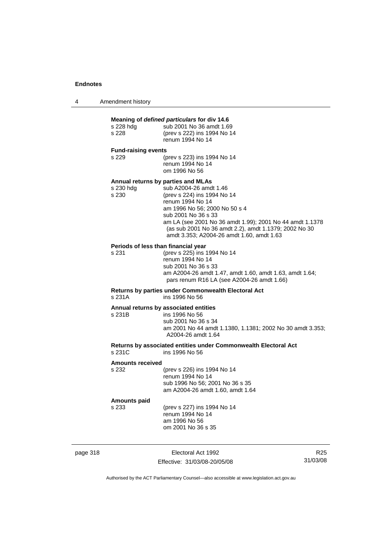| Amendment history<br>4 |  |
|------------------------|--|
|------------------------|--|

| s 228 hdg<br>s 228           | Meaning of defined particulars for div 14.6<br>sub 2001 No 36 amdt 1.69<br>(prev s 222) ins 1994 No 14<br>renum 1994 No 14                                                                                                                                                                                                                |  |
|------------------------------|-------------------------------------------------------------------------------------------------------------------------------------------------------------------------------------------------------------------------------------------------------------------------------------------------------------------------------------------|--|
| <b>Fund-raising events</b>   |                                                                                                                                                                                                                                                                                                                                           |  |
| s 229                        | (prev s 223) ins 1994 No 14<br>renum 1994 No 14<br>om 1996 No 56                                                                                                                                                                                                                                                                          |  |
| s 230 hdg<br>s 230           | Annual returns by parties and MLAs<br>sub A2004-26 amdt 1.46<br>(prev s 224) ins 1994 No 14<br>renum 1994 No 14<br>am 1996 No 56; 2000 No 50 s 4<br>sub 2001 No 36 s 33<br>am LA (see 2001 No 36 amdt 1.99); 2001 No 44 amdt 1.1378<br>(as sub 2001 No 36 amdt 2.2), amdt 1.1379; 2002 No 30<br>amdt 3.353; A2004-26 amdt 1.60, amdt 1.63 |  |
| s 231                        | Periods of less than financial year<br>(prev s 225) ins 1994 No 14<br>renum 1994 No 14<br>sub 2001 No 36 s 33<br>am A2004-26 amdt 1.47, amdt 1.60, amdt 1.63, amdt 1.64;<br>pars renum R16 LA (see A2004-26 amdt 1.66)                                                                                                                    |  |
| s 231A                       | Returns by parties under Commonwealth Electoral Act<br>ins 1996 No 56                                                                                                                                                                                                                                                                     |  |
| s 231B                       | Annual returns by associated entities<br>ins 1996 No 56<br>sub 2001 No 36 s 34<br>am 2001 No 44 amdt 1.1380, 1.1381; 2002 No 30 amdt 3.353;<br>A2004-26 amdt 1.64                                                                                                                                                                         |  |
| s 231C                       | Returns by associated entities under Commonwealth Electoral Act<br>ins 1996 No 56                                                                                                                                                                                                                                                         |  |
| <b>Amounts received</b>      |                                                                                                                                                                                                                                                                                                                                           |  |
| s 232                        | (prev s 226) ins 1994 No 14<br>renum 1994 No 14<br>sub 1996 No 56; 2001 No 36 s 35<br>am A2004-26 amdt 1.60, amdt 1.64                                                                                                                                                                                                                    |  |
| <b>Amounts paid</b><br>s 233 | (prev s 227) ins 1994 No 14<br>renum 1994 No 14<br>am 1996 No 56<br>om 2001 No 36 s 35                                                                                                                                                                                                                                                    |  |

page 318 Electoral Act 1992 Effective: 31/03/08-20/05/08

R25 31/03/08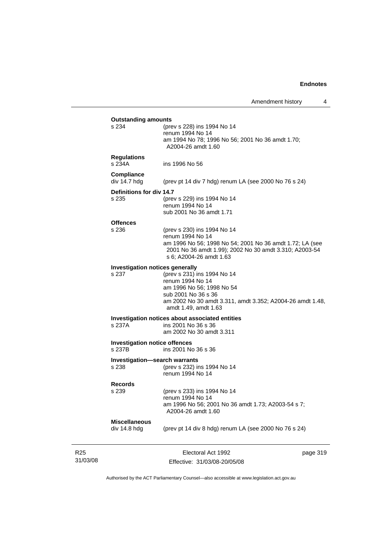| s 234                                          | (prev s 228) ins 1994 No 14                                                                                                                                                                                                        |  |
|------------------------------------------------|------------------------------------------------------------------------------------------------------------------------------------------------------------------------------------------------------------------------------------|--|
|                                                | renum 1994 No 14<br>am 1994 No 78; 1996 No 56; 2001 No 36 amdt 1.70;<br>A2004-26 amdt 1.60                                                                                                                                         |  |
| <b>Regulations</b><br>s 234A                   | ins 1996 No 56                                                                                                                                                                                                                     |  |
| <b>Compliance</b><br>div 14.7 hdg              | (prev pt 14 div 7 hdg) renum LA (see 2000 No 76 s 24)                                                                                                                                                                              |  |
| Definitions for div 14.7<br>s 235              | (prev s 229) ins 1994 No 14<br>renum 1994 No 14<br>sub 2001 No 36 amdt 1.71                                                                                                                                                        |  |
| <b>Offences</b><br>s 236                       | (prev s 230) ins 1994 No 14<br>renum 1994 No 14<br>am 1996 No 56; 1998 No 54; 2001 No 36 amdt 1.72; LA (see<br>2001 No 36 amdt 1.99); 2002 No 30 amdt 3.310; A2003-54<br>s 6; A2004-26 amdt 1.63                                   |  |
| s 237                                          | <b>Investigation notices generally</b><br>(prev s 231) ins 1994 No 14<br>renum 1994 No 14<br>am 1996 No 56; 1998 No 54<br>sub 2001 No 36 s 36<br>am 2002 No 30 amdt 3.311, amdt 3.352; A2004-26 amdt 1.48,<br>amdt 1.49, amdt 1.63 |  |
| s 237A                                         | Investigation notices about associated entities<br>ins 2001 No 36 s 36<br>am 2002 No 30 amdt 3.311                                                                                                                                 |  |
| <b>Investigation notice offences</b><br>s 237B | ins 2001 No 36 s 36                                                                                                                                                                                                                |  |
| s 238                                          | <b>Investigation-search warrants</b><br>(prev s 232) ins 1994 No 14<br>renum 1994 No 14                                                                                                                                            |  |
| <b>Records</b><br>s 239                        | (prev s 233) ins 1994 No 14<br>renum 1994 No 14<br>am 1996 No 56; 2001 No 36 amdt 1.73; A2003-54 s 7;<br>A2004-26 amdt 1.60                                                                                                        |  |
| <b>Miscellaneous</b><br>div 14.8 hdg           | (prev pt 14 div 8 hdg) renum LA (see 2000 No 76 s 24)                                                                                                                                                                              |  |

R25 31/03/08

Effective: 31/03/08-20/05/08

page 319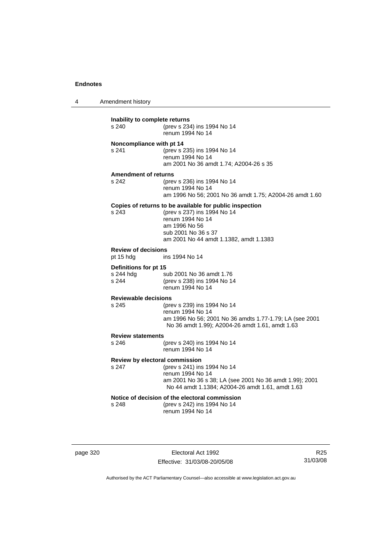4 Amendment history

| Inability to complete returns<br>s 240 | (prev s 234) ins 1994 No 14<br>renum 1994 No 14                                                                                                                                              |  |  |
|----------------------------------------|----------------------------------------------------------------------------------------------------------------------------------------------------------------------------------------------|--|--|
| Noncompliance with pt 14<br>s 241      | (prev s 235) ins 1994 No 14<br>renum 1994 No 14<br>am 2001 No 36 amdt 1.74; A2004-26 s 35                                                                                                    |  |  |
| <b>Amendment of returns</b>            |                                                                                                                                                                                              |  |  |
| s 242                                  | (prev s 236) ins 1994 No 14<br>renum 1994 No 14<br>am 1996 No 56; 2001 No 36 amdt 1.75; A2004-26 amdt 1.60                                                                                   |  |  |
| s.243                                  | Copies of returns to be available for public inspection<br>(prev s 237) ins 1994 No 14<br>renum 1994 No 14<br>am 1996 No 56<br>sub 2001 No 36 s 37<br>am 2001 No 44 amdt 1.1382, amdt 1.1383 |  |  |
| <b>Review of decisions</b>             |                                                                                                                                                                                              |  |  |
| pt 15 hdg                              | ins 1994 No 14                                                                                                                                                                               |  |  |
| Definitions for pt 15                  |                                                                                                                                                                                              |  |  |
| s 244 hdg<br>s 244                     | sub 2001 No 36 amdt 1.76<br>(prev s 238) ins 1994 No 14<br>renum 1994 No 14                                                                                                                  |  |  |
| <b>Reviewable decisions</b>            |                                                                                                                                                                                              |  |  |
| s 245                                  | (prev s 239) ins 1994 No 14<br>renum 1994 No 14<br>am 1996 No 56; 2001 No 36 amdts 1.77-1.79; LA (see 2001<br>No 36 amdt 1.99); A2004-26 amdt 1.61, amdt 1.63                                |  |  |
| <b>Review statements</b>               |                                                                                                                                                                                              |  |  |
| s 246                                  | (prev s 240) ins 1994 No 14<br>renum 1994 No 14                                                                                                                                              |  |  |
| Review by electoral commission         |                                                                                                                                                                                              |  |  |
| s 247                                  | (prev s 241) ins 1994 No 14<br>renum 1994 No 14<br>am 2001 No 36 s 38; LA (see 2001 No 36 amdt 1.99); 2001<br>No 44 amdt 1.1384; A2004-26 amdt 1.61, amdt 1.63                               |  |  |
|                                        | Notice of decision of the electoral commission                                                                                                                                               |  |  |
| s 248                                  | (prev s 242) ins 1994 No 14<br>renum 1994 No 14                                                                                                                                              |  |  |

page 320 Electoral Act 1992 Effective: 31/03/08-20/05/08

R25 31/03/08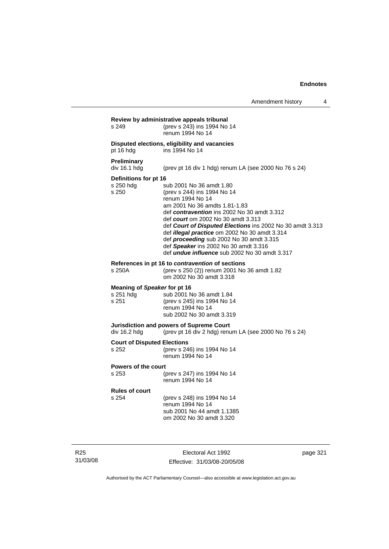| s 249                                              | Review by administrative appeals tribunal<br>(prev s 243) ins 1994 No 14<br>renum 1994 No 14                                                                                                                                                                                                                                                                                                                                                                        |
|----------------------------------------------------|---------------------------------------------------------------------------------------------------------------------------------------------------------------------------------------------------------------------------------------------------------------------------------------------------------------------------------------------------------------------------------------------------------------------------------------------------------------------|
| pt 16 hdg                                          | Disputed elections, eligibility and vacancies<br>ins 1994 No 14                                                                                                                                                                                                                                                                                                                                                                                                     |
| <b>Preliminary</b><br>div 16.1 hdg                 | (prev pt 16 div 1 hdg) renum LA (see 2000 No 76 s 24)                                                                                                                                                                                                                                                                                                                                                                                                               |
| Definitions for pt 16<br>s 250 hdg<br>s 250        | sub 2001 No 36 amdt 1.80<br>(prev s 244) ins 1994 No 14<br>renum 1994 No 14<br>am 2001 No 36 amdts 1.81-1.83<br>def contravention ins 2002 No 30 amdt 3.312<br>def <i>court</i> om 2002 No 30 amdt 3.313<br>def Court of Disputed Elections ins 2002 No 30 amdt 3.313<br>def illegal practice om 2002 No 30 amdt 3.314<br>def proceeding sub 2002 No 30 amdt 3.315<br>def Speaker ins 2002 No 30 amdt 3.316<br>def <i>undue influence</i> sub 2002 No 30 amdt 3.317 |
| s 250A                                             | References in pt 16 to contravention of sections<br>(prev s 250 (2)) renum 2001 No 36 amdt 1.82<br>om 2002 No 30 amdt 3.318                                                                                                                                                                                                                                                                                                                                         |
| Meaning of Speaker for pt 16<br>s 251 hdg<br>s 251 | sub 2001 No 36 amdt 1.84<br>(prev s 245) ins 1994 No 14<br>renum 1994 No 14<br>sub 2002 No 30 amdt 3.319                                                                                                                                                                                                                                                                                                                                                            |
| div 16.2 hdg                                       | Jurisdiction and powers of Supreme Court<br>(prev pt 16 div 2 hdg) renum LA (see 2000 No 76 s 24)                                                                                                                                                                                                                                                                                                                                                                   |
| <b>Court of Disputed Elections</b><br>s 252        | (prev s 246) ins 1994 No 14<br>renum 1994 No 14                                                                                                                                                                                                                                                                                                                                                                                                                     |
| Powers of the court<br>s 253                       | (prev s 247) ins 1994 No 14<br>renum 1994 No 14                                                                                                                                                                                                                                                                                                                                                                                                                     |
| <b>Rules of court</b><br>s 254                     | (prev s 248) ins 1994 No 14<br>renum 1994 No 14<br>sub 2001 No 44 amdt 1.1385<br>om 2002 No 30 amdt 3.320                                                                                                                                                                                                                                                                                                                                                           |

R25 31/03/08

Electoral Act 1992 Effective: 31/03/08-20/05/08 page 321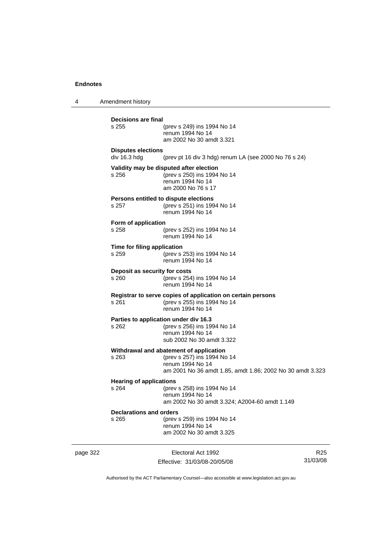4 Amendment history page 322 Electoral Act 1992 R25 **Decisions are final** (prev s 249) ins 1994 No 14 renum 1994 No 14 am 2002 No 30 amdt 3.321 **Disputes elections**  div 16.3 hdg (prev pt 16 div 3 hdg) renum LA (see 2000 No 76 s 24) **Validity may be disputed after election** s 256 (prev s 250) ins 1994 No 14 renum 1994 No 14 am 2000 No 76 s 17 **Persons entitled to dispute elections**<br>s 257 (prev s 251) ins 199 s 257 (prev s 251) ins 1994 No 14 renum 1994 No 14 **Form of application** s 258 (prev s 252) ins 1994 No 14 renum 1994 No 14 **Time for filing application** s 259 (prev s 253) ins 1994 No 14 renum 1994 No 14 **Deposit as security for costs** s 260 (prev s 254) ins 1994 No 14 renum 1994 No 14 **Registrar to serve copies of application on certain persons** s 261 (prev s 255) ins 1994 No 14 renum 1994 No 14 **Parties to application under div 16.3**<br>s 262 (prev s 256) ins 19 (prev s 256) ins 1994 No 14 renum 1994 No 14 sub 2002 No 30 amdt 3.322 **Withdrawal and abatement of application** s 263 (prev s 257) ins 1994 No 14 renum 1994 No 14 am 2001 No 36 amdt 1.85, amdt 1.86; 2002 No 30 amdt 3.323 **Hearing of applications**<br>s 264 (prev s 264 (prev s 258) ins 1994 No 14 renum 1994 No 14 am 2002 No 30 amdt 3.324; A2004-60 amdt 1.149 **Declarations and orders** s 265 (prev s 259) ins 1994 No 14 renum 1994 No 14 am 2002 No 30 amdt 3.325

Effective: 31/03/08-20/05/08

31/03/08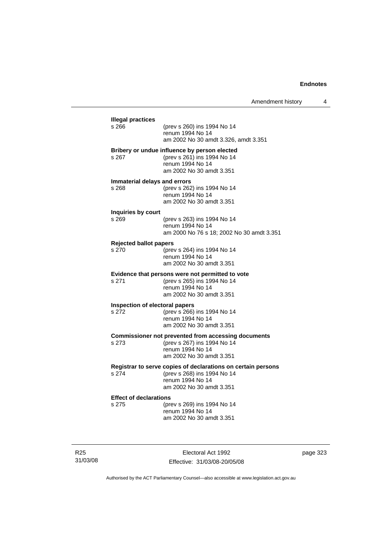| <b>Illegal practices</b><br>s 266 | (prev s 260) ins 1994 No 14                                                               |
|-----------------------------------|-------------------------------------------------------------------------------------------|
|                                   | renum 1994 No 14                                                                          |
|                                   | am 2002 No 30 amdt 3.326, amdt 3.351                                                      |
|                                   | Bribery or undue influence by person elected                                              |
| s 267                             | (prev s 261) ins 1994 No 14<br>renum 1994 No 14                                           |
|                                   | am 2002 No 30 amdt 3.351                                                                  |
|                                   | Immaterial delays and errors                                                              |
| s 268                             | (prev s 262) ins 1994 No 14                                                               |
|                                   | renum 1994 No 14<br>am 2002 No 30 amdt 3.351                                              |
| Inquiries by court                |                                                                                           |
| s 269                             | (prev s 263) ins 1994 No 14                                                               |
|                                   | renum 1994 No 14                                                                          |
|                                   | am 2000 No 76 s 18; 2002 No 30 amdt 3.351                                                 |
| <b>Rejected ballot papers</b>     |                                                                                           |
| s 270                             | (prev s 264) ins 1994 No 14<br>renum 1994 No 14                                           |
|                                   | am 2002 No 30 amdt 3.351                                                                  |
|                                   | Evidence that persons were not permitted to vote                                          |
| s 271                             | (prev s 265) ins 1994 No 14                                                               |
|                                   | renum 1994 No 14<br>am 2002 No 30 amdt 3.351                                              |
|                                   | Inspection of electoral papers                                                            |
| s 272                             | (prev s 266) ins 1994 No 14                                                               |
|                                   | renum 1994 No 14                                                                          |
|                                   | am 2002 No 30 amdt 3.351                                                                  |
| s 273                             | <b>Commissioner not prevented from accessing documents</b><br>(prev s 267) ins 1994 No 14 |
|                                   | renum 1994 No 14                                                                          |
|                                   | am 2002 No 30 amdt 3.351                                                                  |
|                                   | Registrar to serve copies of declarations on certain persons                              |
| s 274                             | (prev s 268) ins 1994 No 14                                                               |
|                                   | renum 1994 No 14<br>am 2002 No 30 amdt 3.351                                              |
| <b>Effect of declarations</b>     |                                                                                           |
| s 275                             | (prev s 269) ins 1994 No 14                                                               |
|                                   | renum 1994 No 14                                                                          |
|                                   | am 2002 No 30 amdt 3.351                                                                  |

R25 31/03/08

Electoral Act 1992 Effective: 31/03/08-20/05/08 page 323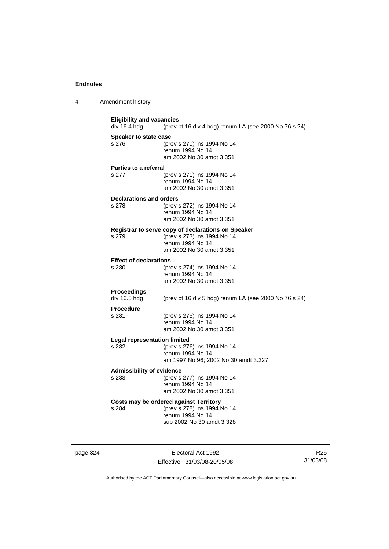| $\boldsymbol{\Lambda}$ | Amendment history |  |
|------------------------|-------------------|--|
|------------------------|-------------------|--|

**Eligibility and vacancies**<br>div 16.4 hdg (prev p (prev pt 16 div 4 hdg) renum LA (see 2000 No 76 s 24) **Speaker to state case** s 276 (prev s 270) ins 1994 No 14 renum 1994 No 14 am 2002 No 30 amdt 3.351 **Parties to a referral** s 277 (prev s 271) ins 1994 No 14 renum 1994 No 14 am 2002 No 30 amdt 3.351 **Declarations and orders** s 278 (prev s 272) ins 1994 No 14 renum 1994 No 14 am 2002 No 30 amdt 3.351 **Registrar to serve copy of declarations on Speaker** s 279 (prev s 273) ins 1994 No 14 renum 1994 No 14 am 2002 No 30 amdt 3.351 **Effect of declarations**<br>s 280 (pre (prev s 274) ins 1994 No 14 renum 1994 No 14 am 2002 No 30 amdt 3.351 **Proceedings**  div 16.5 hdg (prev pt 16 div 5 hdg) renum LA (see 2000 No 76 s 24) **Procedure** s 281 (prev s 275) ins 1994 No 14 renum 1994 No 14 am 2002 No 30 amdt 3.351 **Legal representation limited**<br>s 282 (prev s 276) (prev s 276) ins 1994 No 14 renum 1994 No 14 am 1997 No 96; 2002 No 30 amdt 3.327 **Admissibility of evidence** s 283 (prev s 277) ins 1994 No 14 renum 1994 No 14 am 2002 No 30 amdt 3.351 **Costs may be ordered against Territory** s 284 (prev s 278) ins 1994 No 14 renum 1994 No 14 sub 2002 No 30 amdt 3.328

page 324 Electoral Act 1992 Effective: 31/03/08-20/05/08

R25 31/03/08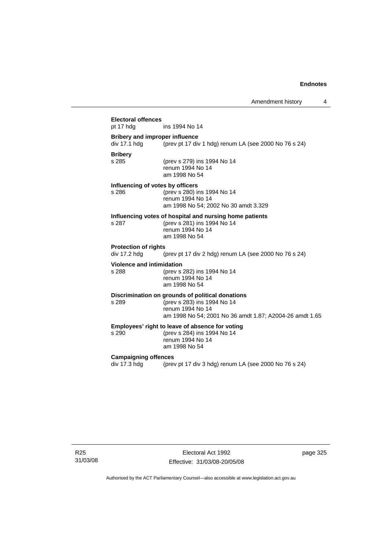## **Electoral offences** ins 1994 No 14 **Bribery and improper influence**  div 17.1 hdg (prev pt 17 div 1 hdg) renum LA (see 2000 No 76 s 24) **Bribery** (prev s 279) ins 1994 No 14 renum 1994 No 14 am 1998 No 54 **Influencing of votes by officers** s 286 (prev s 280) ins 1994 No 14 renum 1994 No 14 am 1998 No 54; 2002 No 30 amdt 3.329 **Influencing votes of hospital and nursing home patients** s 287 (prev s 281) ins 1994 No 14 renum 1994 No 14 am 1998 No 54 **Protection of rights**  div 17.2 hdg (prev pt 17 div 2 hdg) renum LA (see 2000 No 76 s 24) **Violence and intimidation** s 288 (prev s 282) ins 1994 No 14 renum 1994 No 14 am 1998 No 54 **Discrimination on grounds of political donations** s 289 (prev s 283) ins 1994 No 14 renum 1994 No 14 am 1998 No 54; 2001 No 36 amdt 1.87; A2004-26 amdt 1.65 **Employees' right to leave of absence for voting**<br>s 290 (prev s 284) ins 1994 No 14 (prev s 284) ins 1994 No 14 renum 1994 No 14 am 1998 No 54 **Campaigning offences**  div 17.3 hdg (prev pt 17 div 3 hdg) renum LA (see 2000 No 76 s 24)

R25 31/03/08

Electoral Act 1992 Effective: 31/03/08-20/05/08 page 325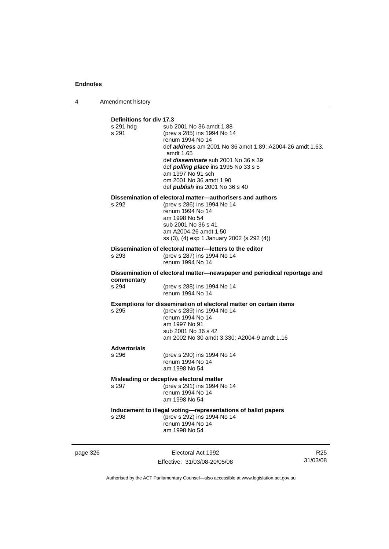4 Amendment history

| Definitions for div 17.3<br>s 291 hdg<br>s 291 | sub 2001 No 36 amdt 1.88<br>(prev s 285) ins 1994 No 14<br>renum 1994 No 14<br>def <b>address</b> am 2001 No 36 amdt 1.89; A2004-26 amdt 1.63,<br>amdt 1.65<br>def <i>disseminate</i> sub 2001 No 36 s 39<br>def <i>polling place</i> ins 1995 No 33 s 5<br>am 1997 No 91 sch<br>om 2001 No 36 amdt 1.90<br>def <i>publish</i> ins 2001 No 36 s 40 |  |  |
|------------------------------------------------|----------------------------------------------------------------------------------------------------------------------------------------------------------------------------------------------------------------------------------------------------------------------------------------------------------------------------------------------------|--|--|
| s 292                                          | Dissemination of electoral matter-authorisers and authors<br>(prev s 286) ins 1994 No 14                                                                                                                                                                                                                                                           |  |  |
|                                                | renum 1994 No 14                                                                                                                                                                                                                                                                                                                                   |  |  |
|                                                | am 1998 No 54<br>sub 2001 No 36 s 41                                                                                                                                                                                                                                                                                                               |  |  |
|                                                | am A2004-26 amdt 1.50                                                                                                                                                                                                                                                                                                                              |  |  |
|                                                | ss (3), (4) exp 1 January 2002 (s 292 (4))                                                                                                                                                                                                                                                                                                         |  |  |
| s 293                                          | Dissemination of electoral matter-letters to the editor<br>(prev s 287) ins 1994 No 14                                                                                                                                                                                                                                                             |  |  |
|                                                | renum 1994 No 14                                                                                                                                                                                                                                                                                                                                   |  |  |
| commentary                                     | Dissemination of electoral matter-newspaper and periodical reportage and                                                                                                                                                                                                                                                                           |  |  |
| s 294                                          | (prev s 288) ins 1994 No 14<br>renum 1994 No 14                                                                                                                                                                                                                                                                                                    |  |  |
|                                                | Exemptions for dissemination of electoral matter on certain items                                                                                                                                                                                                                                                                                  |  |  |
| s 295                                          | (prev s 289) ins 1994 No 14<br>renum 1994 No 14                                                                                                                                                                                                                                                                                                    |  |  |
|                                                | am 1997 No 91                                                                                                                                                                                                                                                                                                                                      |  |  |
|                                                | sub 2001 No 36 s 42<br>am 2002 No 30 amdt 3.330; A2004-9 amdt 1.16                                                                                                                                                                                                                                                                                 |  |  |
| <b>Advertorials</b>                            |                                                                                                                                                                                                                                                                                                                                                    |  |  |
| s 296                                          | (prev s 290) ins 1994 No 14<br>renum 1994 No 14                                                                                                                                                                                                                                                                                                    |  |  |
|                                                | am 1998 No 54                                                                                                                                                                                                                                                                                                                                      |  |  |
|                                                | Misleading or deceptive electoral matter                                                                                                                                                                                                                                                                                                           |  |  |
| s 297                                          | (prev s 291) ins 1994 No 14<br>renum 1994 No 14                                                                                                                                                                                                                                                                                                    |  |  |
|                                                | am 1998 No 54                                                                                                                                                                                                                                                                                                                                      |  |  |
|                                                | Inducement to illegal voting-representations of ballot papers                                                                                                                                                                                                                                                                                      |  |  |
| s 298                                          | (prev s 292) ins 1994 No 14<br>renum 1994 No 14                                                                                                                                                                                                                                                                                                    |  |  |
|                                                | am 1998 No 54                                                                                                                                                                                                                                                                                                                                      |  |  |
|                                                |                                                                                                                                                                                                                                                                                                                                                    |  |  |

page 326 Electoral Act 1992 Effective: 31/03/08-20/05/08

R25 31/03/08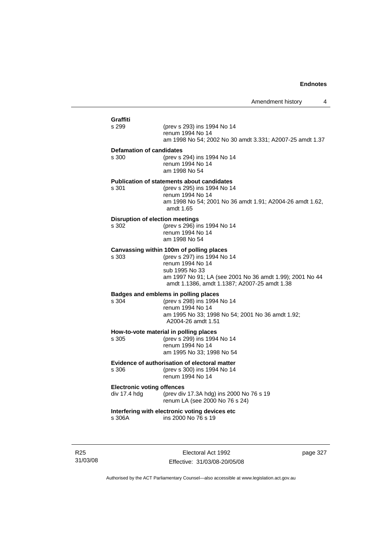## **Graffiti** (prev s 293) ins 1994 No 14 renum 1994 No 14 am 1998 No 54; 2002 No 30 amdt 3.331; A2007-25 amdt 1.37 **Defamation of candidates** s 300 (prev s 294) ins 1994 No 14 renum 1994 No 14 am 1998 No 54 **Publication of statements about candidates** s 301 (prev s 295) ins 1994 No 14 renum 1994 No 14 am 1998 No 54; 2001 No 36 amdt 1.91; A2004-26 amdt 1.62, amdt 1.65 **Disruption of election meetings**<br>s 302 (prev s 296) in (prev s 296) ins 1994 No 14 renum 1994 No 14 am 1998 No 54 **Canvassing within 100m of polling places** s 303 (prev s 297) ins 1994 No 14 renum 1994 No 14 sub 1995 No 33 am 1997 No 91; LA (see 2001 No 36 amdt 1.99); 2001 No 44 amdt 1.1386, amdt 1.1387; A2007-25 amdt 1.38 **Badges and emblems in polling places** (prev s 298) ins 1994 No 14 renum 1994 No 14 am 1995 No 33; 1998 No 54; 2001 No 36 amdt 1.92; A2004-26 amdt 1.51 **How-to-vote material in polling places** s 305 (prev s 299) ins 1994 No 14 renum 1994 No 14 am 1995 No 33; 1998 No 54 **Evidence of authorisation of electoral matter** s 306 (prev s 300) ins 1994 No 14 renum 1994 No 14

#### **Electronic voting offences**

div 17.4 hdg (prev div 17.3A hdg) ins 2000 No 76 s 19 renum LA (see 2000 No 76 s 24)

#### **Interfering with electronic voting devices etc** ins 2000 No 76 s 19

R25 31/03/08

Electoral Act 1992 Effective: 31/03/08-20/05/08 page 327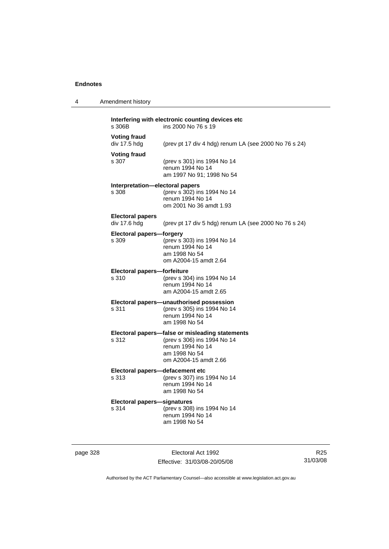4 Amendment history

| s 306B                                   | ins 2000 No 76 s 19                                                                                                                          |
|------------------------------------------|----------------------------------------------------------------------------------------------------------------------------------------------|
| <b>Voting fraud</b><br>div 17.5 hdg      | (prev pt 17 div 4 hdg) renum LA (see 2000 No 76 s 24)                                                                                        |
| <b>Voting fraud</b><br>s 307             | (prev s 301) ins 1994 No 14<br>renum 1994 No 14<br>am 1997 No 91; 1998 No 54                                                                 |
| Interpretation—electoral papers<br>s 308 | (prev s 302) ins 1994 No 14<br>renum 1994 No 14<br>om 2001 No 36 amdt 1.93                                                                   |
| <b>Electoral papers</b><br>div 17.6 hdg  | (prev pt 17 div 5 hdg) renum LA (see 2000 No 76 s 24)                                                                                        |
| <b>Electoral papers-forgery</b><br>s 309 | (prev s 303) ins 1994 No 14<br>renum 1994 No 14<br>am 1998 No 54<br>om A2004-15 amdt 2.64                                                    |
| Electoral papers-forfeiture              |                                                                                                                                              |
| s 310                                    | (prev s 304) ins 1994 No 14<br>renum 1994 No 14<br>am A2004-15 amdt 2.65                                                                     |
| s 311                                    | Electoral papers-unauthorised possession<br>(prev s 305) ins 1994 No 14<br>renum 1994 No 14<br>am 1998 No 54                                 |
| s 312                                    | Electoral papers-false or misleading statements<br>(prev s 306) ins 1994 No 14<br>renum 1994 No 14<br>am 1998 No 54<br>om A2004-15 amdt 2.66 |
|                                          |                                                                                                                                              |

#### **Electoral papers—defacement etc**<br>s 313 (prev s 307) ins s 313 (prev s 307) ins 1994 No 14

 renum 1994 No 14 am 1998 No 54

# **Electoral papers—signatures**

(prev s 308) ins 1994 No 14 renum 1994 No 14 am 1998 No 54

page 328 Electoral Act 1992 Effective: 31/03/08-20/05/08

R25 31/03/08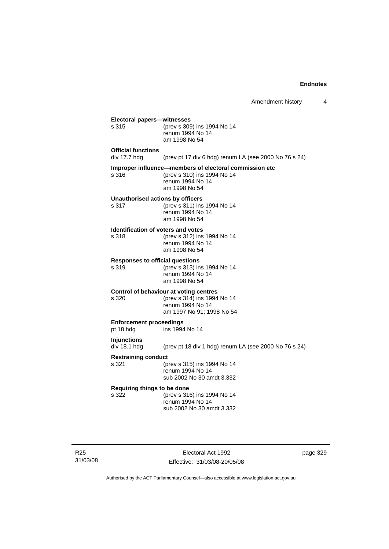$\overline{4}$ 

|                                                 | Amendment history                                                                                                          |        |
|-------------------------------------------------|----------------------------------------------------------------------------------------------------------------------------|--------|
| Electoral papers-witnesses<br>s 315             | (prev s 309) ins 1994 No 14<br>renum 1994 No 14<br>am 1998 No 54                                                           |        |
| <b>Official functions</b><br>div 17.7 hdg       | (prev pt 17 div 6 hdg) renum LA (see 2000 No 76 s 24)                                                                      |        |
| s 316                                           | Improper influence-members of electoral commission etc<br>(prev s 310) ins 1994 No 14<br>renum 1994 No 14<br>am 1998 No 54 |        |
| Unauthorised actions by officers<br>s 317       | (prev s 311) ins 1994 No 14<br>renum 1994 No 14<br>am 1998 No 54                                                           |        |
| Identification of voters and votes<br>s 318     | (prev s 312) ins 1994 No 14<br>renum 1994 No 14<br>am 1998 No 54                                                           |        |
| <b>Responses to official questions</b><br>s 319 | (prev s 313) ins 1994 No 14<br>renum 1994 No 14<br>am 1998 No 54                                                           |        |
| s 320                                           | Control of behaviour at voting centres<br>(prev s 314) ins 1994 No 14<br>renum 1994 No 14<br>am 1997 No 91; 1998 No 54     |        |
| <b>Enforcement proceedings</b><br>pt 18 hdg     | ins 1994 No 14                                                                                                             |        |
| <b>Injunctions</b><br>div 18.1 hdg              | (prev pt 18 div 1 hdg) renum LA (see 2000 No 76 s 24)                                                                      |        |
| <b>Restraining conduct</b><br>s 321             | (prev s 315) ins 1994 No 14<br>renum 1994 No 14<br>sub 2002 No 30 amdt 3.332                                               |        |
| Requiring things to be done<br>s 322            | (prev s 316) ins 1994 No 14<br>renum 1994 No 14<br>sub 2002 No 30 amdt 3.332                                               |        |
|                                                 | Electoral Act 1992                                                                                                         | page : |

R25 31/03/08

Effective: 31/03/08-20/05/08

page 329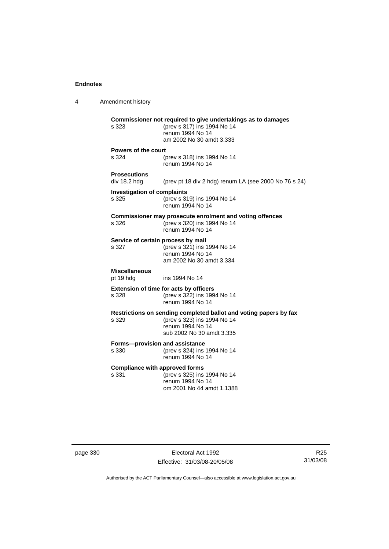4 Amendment history **Commissioner not required to give undertakings as to damages** s 323 (prev s 317) ins 1994 No 14 renum 1994 No 14 am 2002 No 30 amdt 3.333 **Powers of the court** s 324 (prev s 318) ins 1994 No 14 renum 1994 No 14 **Prosecutions**  (prev pt 18 div 2 hdg) renum LA (see 2000 No 76 s 24) **Investigation of complaints** s 325 (prev s 319) ins 1994 No 14 renum 1994 No 14 **Commissioner may prosecute enrolment and voting offences** s 326 (prev s 320) ins 1994 No 14 renum 1994 No 14 **Service of certain process by mail**<br>s 327 (prev s 321) ins 1 s 327 (prev s 321) ins 1994 No 14 renum 1994 No 14 am 2002 No 30 amdt 3.334 **Miscellaneous** pt 19 hdg ins 1994 No 14 **Extension of time for acts by officers** s 328 (prev s 322) ins 1994 No 14 renum 1994 No 14 **Restrictions on sending completed ballot and voting papers by fax** s 329 (prev s 323) ins 1994 No 14 renum 1994 No 14 sub 2002 No 30 amdt 3.335 **Forms—provision and assistance** s 330 (prev s 324) ins 1994 No 14 renum 1994 No 14 **Compliance with approved forms** s 331 (prev s 325) ins 1994 No 14 renum 1994 No 14 om 2001 No 44 amdt 1.1388

page 330 Electoral Act 1992 Effective: 31/03/08-20/05/08

R25 31/03/08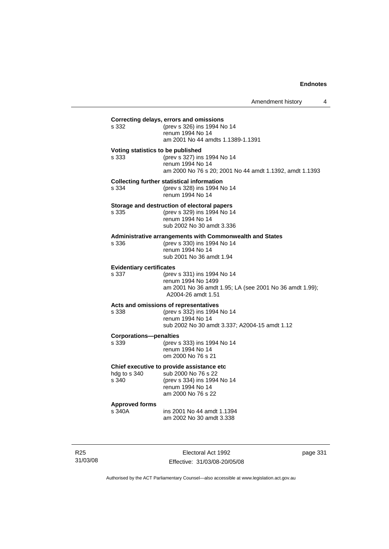| s 332                                    | (prev s 326) ins 1994 No 14<br>renum 1994 No 14<br>am 2001 No 44 amdts 1.1389-1.1391                                                            |
|------------------------------------------|-------------------------------------------------------------------------------------------------------------------------------------------------|
| s 333                                    | Voting statistics to be published<br>(prev s 327) ins 1994 No 14<br>renum 1994 No 14<br>am 2000 No 76 s 20; 2001 No 44 amdt 1.1392, amdt 1.1393 |
| s 334                                    | <b>Collecting further statistical information</b><br>(prev s 328) ins 1994 No 14<br>renum 1994 No 14                                            |
| s 335                                    | Storage and destruction of electoral papers<br>(prev s 329) ins 1994 No 14<br>renum 1994 No 14<br>sub 2002 No 30 amdt 3.336                     |
| s 336                                    | <b>Administrative arrangements with Commonwealth and States</b><br>(prev s 330) ins 1994 No 14<br>renum 1994 No 14<br>sub 2001 No 36 amdt 1.94  |
| <b>Evidentiary certificates</b><br>s 337 | (prev s 331) ins 1994 No 14<br>renum 1994 No 1499<br>am 2001 No 36 amdt 1.95; LA (see 2001 No 36 amdt 1.99);<br>A2004-26 amdt 1.51              |
| s 338                                    | Acts and omissions of representatives<br>(prev s 332) ins 1994 No 14<br>renum 1994 No 14<br>sub 2002 No 30 amdt 3.337; A2004-15 amdt 1.12       |
| <b>Corporations-penalties</b><br>s 339   | (prev s 333) ins 1994 No 14<br>renum 1994 No 14<br>om 2000 No 76 s 21                                                                           |
| hdg to s 340<br>s 340                    | Chief executive to provide assistance etc<br>sub 2000 No 76 s 22<br>(prev s 334) ins 1994 No 14<br>renum 1994 No 14<br>am 2000 No 76 s 22       |
| <b>Approved forms</b><br>s 340A          | ins 2001 No 44 amdt 1.1394<br>am 2002 No 30 amdt 3.338                                                                                          |

R25 31/03/08

Electoral Act 1992 Effective: 31/03/08-20/05/08 page 331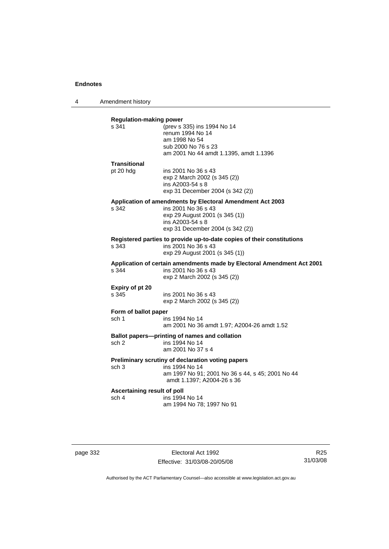4 Amendment history

| s 341                                | <b>Regulation-making power</b><br>(prev s 335) ins 1994 No 14                                 |
|--------------------------------------|-----------------------------------------------------------------------------------------------|
|                                      | renum 1994 No 14                                                                              |
|                                      | am 1998 No 54                                                                                 |
|                                      | sub 2000 No 76 s 23                                                                           |
|                                      | am 2001 No 44 amdt 1.1395, amdt 1.1396                                                        |
| Transitional                         |                                                                                               |
| pt 20 hdg                            | ins 2001 No 36 s 43                                                                           |
|                                      | exp 2 March 2002 (s 345 (2))<br>ins A2003-54 s 8                                              |
|                                      | exp 31 December 2004 (s 342 (2))                                                              |
|                                      | Application of amendments by Electoral Amendment Act 2003                                     |
| s 342                                | ins 2001 No 36 s 43                                                                           |
|                                      | exp 29 August 2001 (s 345 (1))                                                                |
|                                      | ins A2003-54 s 8                                                                              |
|                                      | exp 31 December 2004 (s 342 (2))                                                              |
|                                      | Registered parties to provide up-to-date copies of their constitutions                        |
| s 343                                | ins 2001 No 36 s 43<br>exp 29 August 2001 (s 345 (1))                                         |
|                                      |                                                                                               |
| s.344                                | Application of certain amendments made by Electoral Amendment Act 2001<br>ins 2001 No 36 s 43 |
|                                      | exp 2 March 2002 (s 345 (2))                                                                  |
| Expiry of pt 20                      |                                                                                               |
| s 345                                | ins 2001 No 36 s 43                                                                           |
|                                      | exp 2 March 2002 (s 345 (2))                                                                  |
| Form of ballot paper                 |                                                                                               |
| sch 1                                | ins 1994 No 14                                                                                |
|                                      | am 2001 No 36 amdt 1.97; A2004-26 amdt 1.52                                                   |
|                                      |                                                                                               |
|                                      | Ballot papers---printing of names and collation                                               |
| sch 2                                | ins 1994 No 14                                                                                |
|                                      | am 2001 No 37 s 4                                                                             |
|                                      | Preliminary scrutiny of declaration voting papers                                             |
| sch 3                                | ins 1994 No 14                                                                                |
|                                      | am 1997 No 91; 2001 No 36 s 44, s 45; 2001 No 44                                              |
|                                      | amdt 1.1397; A2004-26 s 36                                                                    |
| Ascertaining result of poll<br>sch 4 | ins 1994 No 14                                                                                |

page 332 Electoral Act 1992 Effective: 31/03/08-20/05/08

R25 31/03/08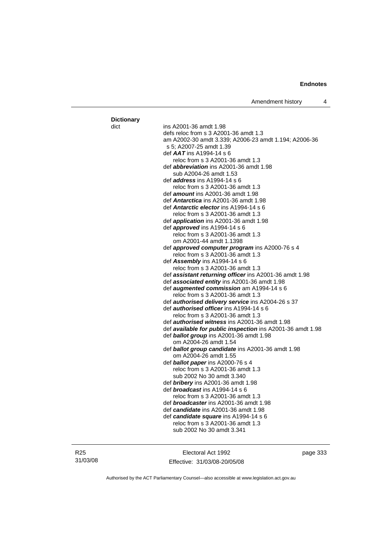Amendment history 4

#### dict ins A2001-36 amdt 1.98 defs reloc from s 3 A2001-36 amdt 1.3 am A2002-30 amdt 3.339; A2006-23 amdt 1.194; A2006-36 s 5; A2007-25 amdt 1.39 def *AAT* ins A1994-14 s 6 reloc from s 3 A2001-36 amdt 1.3 def *abbreviation* ins A2001-36 amdt 1.98 sub A2004-26 amdt 1.53 def *address* ins A1994-14 s 6 reloc from s 3 A2001-36 amdt 1.3 def *amount* ins A2001-36 amdt 1.98 def *Antarctica* ins A2001-36 amdt 1.98 def *Antarctic elector* ins A1994-14 s 6 reloc from s 3 A2001-36 amdt 1.3 def *application* ins A2001-36 amdt 1.98 def *approved* ins A1994-14 s 6 reloc from s 3 A2001-36 amdt 1.3 om A2001-44 amdt 1.1398 def *approved computer program* ins A2000-76 s 4 reloc from s 3 A2001-36 amdt 1.3 def *Assembly* ins A1994-14 s 6 reloc from s 3 A2001-36 amdt 1.3 def *assistant returning officer* ins A2001-36 amdt 1.98 def *associated entity* ins A2001-36 amdt 1.98 def *augmented commission* am A1994-14 s 6 reloc from s 3 A2001-36 amdt 1.3 def *authorised delivery service* ins A2004-26 s 37 def *authorised officer* ins A1994-14 s 6 reloc from s 3 A2001-36 amdt 1.3 def *authorised witness* ins A2001-36 amdt 1.98 def *available for public inspection* ins A2001-36 amdt 1.98 def *ballot group* ins A2001-36 amdt 1.98 om A2004-26 amdt 1.54 def *ballot group candidate* ins A2001-36 amdt 1.98 om A2004-26 amdt 1.55 def *ballot paper* ins A2000-76 s 4 reloc from s 3 A2001-36 amdt 1.3 sub 2002 No 30 amdt 3.340 def *bribery* ins A2001-36 amdt 1.98 def *broadcast* ins A1994-14 s 6 reloc from s 3 A2001-36 amdt 1.3 def *broadcaster* ins A2001-36 amdt 1.98 def *candidate* ins A2001-36 amdt 1.98 def *candidate square* ins A1994-14 s 6 reloc from s 3 A2001-36 amdt 1.3 sub 2002 No 30 amdt 3.341

R25 31/03/08 **Dictionary**

Electoral Act 1992 Effective: 31/03/08-20/05/08 page 333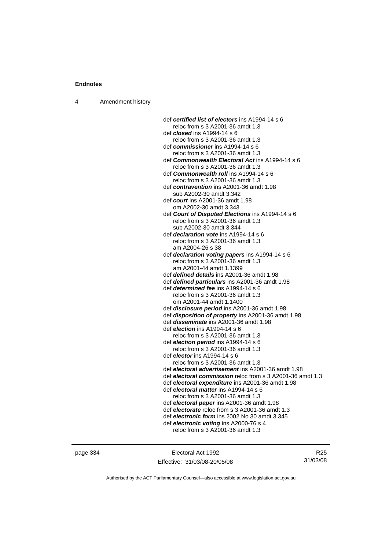|  | Amendment history |  |
|--|-------------------|--|
|--|-------------------|--|

| def certified list of electors ins A1994-14 s 6           |
|-----------------------------------------------------------|
| reloc from s 3 A2001-36 amdt 1.3                          |
| def <i>closed</i> ins A1994-14 s 6                        |
| reloc from s 3 A2001-36 amdt 1.3                          |
| def commissioner ins A1994-14 s 6                         |
| reloc from s 3 A2001-36 amdt 1.3                          |
| def Commonwealth Electoral Act ins A1994-14 s 6           |
| reloc from s 3 A2001-36 amdt 1.3                          |
| def Commonwealth roll ins A1994-14 s 6                    |
| reloc from s 3 A2001-36 amdt 1.3                          |
| def contravention ins A2001-36 amdt 1.98                  |
| sub A2002-30 amdt 3.342                                   |
| def court ins A2001-36 amdt 1.98                          |
| om A2002-30 amdt 3.343                                    |
| def Court of Disputed Elections ins A1994-14 s 6          |
| reloc from s 3 A2001-36 amdt 1.3                          |
| sub A2002-30 amdt 3.344                                   |
| def <i>declaration vote</i> ins A1994-14 s 6              |
| reloc from s 3 A2001-36 amdt 1.3                          |
| am A2004-26 s 38                                          |
| def declaration voting papers ins A1994-14 s 6            |
| reloc from s 3 A2001-36 amdt 1.3                          |
| am A2001-44 amdt 1.1399                                   |
| def defined details ins A2001-36 amdt 1.98                |
| def defined particulars ins A2001-36 amdt 1.98            |
| def <i>determined fee</i> ins A1994-14 s 6                |
| reloc from s 3 A2001-36 amdt 1.3                          |
| om A2001-44 amdt 1.1400                                   |
| def disclosure period ins A2001-36 amdt 1.98              |
| def disposition of property ins A2001-36 amdt 1.98        |
| def <i>disseminate</i> ins A2001-36 amdt 1.98             |
| def <i>election</i> ins A1994-14 s 6                      |
| reloc from s 3 A2001-36 amdt 1.3                          |
| def election period ins A1994-14 s 6                      |
| reloc from s 3 A2001-36 amdt 1.3                          |
| def <i>elector</i> ins A1994-14 s 6                       |
| reloc from s 3 A2001-36 amdt 1.3                          |
| def electoral advertisement ins A2001-36 amdt 1.98        |
| def electoral commission reloc from s 3 A2001-36 amdt 1.3 |
| def electoral expenditure ins A2001-36 amdt 1.98          |
| def electoral matter ins A1994-14 s 6                     |
| reloc from s 3 A2001-36 amdt 1.3                          |
| def electoral paper ins A2001-36 amdt 1.98                |
| def electorate reloc from s 3 A2001-36 amdt 1.3           |
| def electronic form ins 2002 No 30 amdt 3.345             |
| def electronic voting ins A2000-76 s 4                    |
| reloc from s 3 A2001-36 amdt 1.3                          |

page 334 Electoral Act 1992 Effective: 31/03/08-20/05/08

R25 31/03/08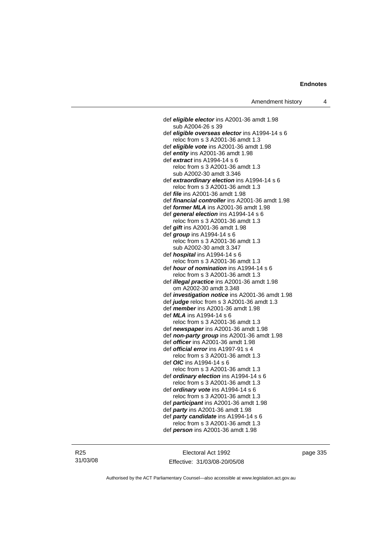def *eligible elector* ins A2001-36 amdt 1.98 sub A2004-26 s 39 def *eligible overseas elector* ins A1994-14 s 6 reloc from s 3 A2001-36 amdt 1.3 def *eligible vote* ins A2001-36 amdt 1.98 def *entity* ins A2001-36 amdt 1.98 def *extract* ins A1994-14 s 6 reloc from s 3 A2001-36 amdt 1.3 sub A2002-30 amdt 3.346 def *extraordinary election* ins A1994-14 s 6 reloc from s 3 A2001-36 amdt 1.3 def *file* ins A2001-36 amdt 1.98 def *financial controller* ins A2001-36 amdt 1.98 def *former MLA* ins A2001-36 amdt 1.98 def *general election* ins A1994-14 s 6 reloc from s 3 A2001-36 amdt 1.3 def *gift* ins A2001-36 amdt 1.98 def *group* ins A1994-14 s 6 reloc from s 3 A2001-36 amdt 1.3 sub A2002-30 amdt 3.347 def *hospital* ins A1994-14 s 6 reloc from s 3 A2001-36 amdt 1.3 def *hour of nomination* ins A1994-14 s 6 reloc from s 3 A2001-36 amdt 1.3 def *illegal practice* ins A2001-36 amdt 1.98 om A2002-30 amdt 3.348 def *investigation notice* ins A2001-36 amdt 1.98 def *judge* reloc from s 3 A2001-36 amdt 1.3 def *member* ins A2001-36 amdt 1.98 def *MLA* ins A1994-14 s 6 reloc from s 3 A2001-36 amdt 1.3 def *newspaper* ins A2001-36 amdt 1.98 def *non-party group* ins A2001-36 amdt 1.98 def *officer* ins A2001-36 amdt 1.98 def *official error* ins A1997-91 s 4 reloc from s 3 A2001-36 amdt 1.3 def *OIC* ins A1994-14 s 6 reloc from s 3 A2001-36 amdt 1.3 def *ordinary election* ins A1994-14 s 6 reloc from s 3 A2001-36 amdt 1.3 def *ordinary vote* ins A1994-14 s 6 reloc from s 3 A2001-36 amdt 1.3 def *participant* ins A2001-36 amdt 1.98 def *party* ins A2001-36 amdt 1.98 def *party candidate* ins A1994-14 s 6 reloc from s 3 A2001-36 amdt 1.3 def *person* ins A2001-36 amdt 1.98

R25 31/03/08

Electoral Act 1992 Effective: 31/03/08-20/05/08 page 335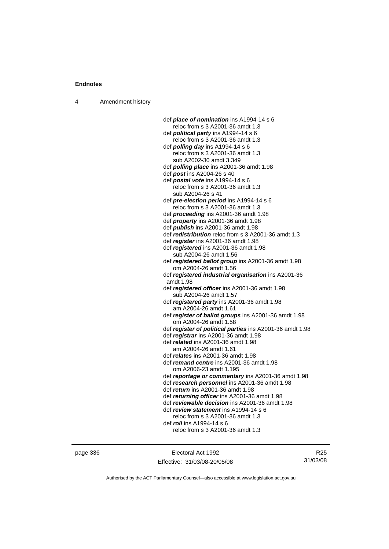4 Amendment history

| def <b>place of nomination</b> ins A1994-14 s 6            |
|------------------------------------------------------------|
| reloc from s 3 A2001-36 amdt 1.3                           |
| def <b>political party</b> ins $A1994-14 s 6$              |
| reloc from s 3 A2001-36 amdt 1.3                           |
| def <i>polling day</i> ins A1994-14 s 6                    |
| reloc from s 3 A2001-36 amdt 1.3                           |
| sub A2002-30 amdt 3.349                                    |
| def <i>polling place</i> ins A2001-36 amdt 1.98            |
| def post ins A2004-26 s 40                                 |
| def postal vote ins A1994-14 s 6                           |
| reloc from s 3 A2001-36 amdt 1.3                           |
| sub A2004-26 s 41                                          |
| def pre-election period ins A1994-14 s 6                   |
| reloc from s 3 A2001-36 amdt 1.3                           |
| def <i>proceeding</i> ins A2001-36 amdt 1.98               |
|                                                            |
| def <i>property</i> ins A2001-36 amdt 1.98                 |
| def publish ins A2001-36 amdt 1.98                         |
| def <i>redistribution</i> reloc from s 3 A2001-36 amdt 1.3 |
| def register ins A2001-36 amdt 1.98                        |
| def registered ins A2001-36 amdt 1.98                      |
| sub A2004-26 amdt 1.56                                     |
| def registered ballot group ins A2001-36 amdt 1.98         |
| om A2004-26 amdt 1.56                                      |
| def registered industrial organisation ins A2001-36        |
| amdt 1.98                                                  |
| def registered officer ins A2001-36 amdt 1.98              |
| sub A2004-26 amdt 1.57                                     |
| def registered party ins A2001-36 amdt 1.98                |
| am A2004-26 amdt 1.61                                      |
| def register of ballot groups ins A2001-36 amdt 1.98       |
| om A2004-26 amdt 1.58                                      |
| def register of political parties ins A2001-36 amdt 1.98   |
| def registrar ins A2001-36 amdt 1.98                       |
| def <i>related</i> ins A2001-36 amdt 1.98                  |
| am A2004-26 amdt 1.61                                      |
| def <i>relates</i> ins A2001-36 amdt 1.98                  |
| def remand centre ins A2001-36 amdt 1.98                   |
| om A2006-23 amdt 1.195                                     |
| def reportage or commentary ins A2001-36 amdt 1.98         |
| def research personnel ins A2001-36 amdt 1.98              |
| def <i>return</i> ins A2001-36 amdt 1.98                   |
| def returning officer ins A2001-36 amdt 1.98               |
| def reviewable decision ins A2001-36 amdt 1.98             |
| def review statement ins A1994-14 s 6                      |
| reloc from s 3 A2001-36 amdt 1.3                           |
| def roll ins A1994-14 s 6                                  |
|                                                            |
| reloc from s 3 A2001-36 amdt 1.3                           |
|                                                            |

page 336 Electoral Act 1992 Effective: 31/03/08-20/05/08

R25 31/03/08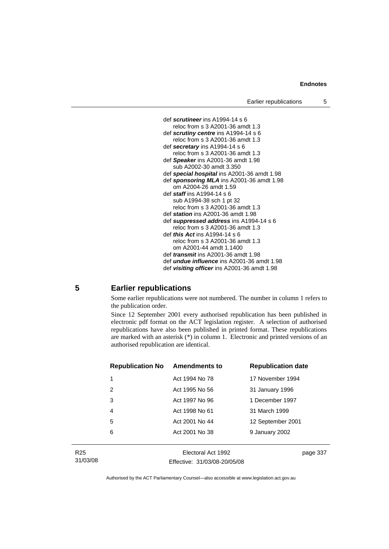

## **5 Earlier republications**

Some earlier republications were not numbered. The number in column 1 refers to the publication order.

Since 12 September 2001 every authorised republication has been published in electronic pdf format on the ACT legislation register. A selection of authorised republications have also been published in printed format. These republications are marked with an asterisk (\*) in column 1. Electronic and printed versions of an authorised republication are identical.

| <b>Republication No</b> | <b>Amendments to</b> | <b>Republication date</b> |
|-------------------------|----------------------|---------------------------|
| 1                       | Act 1994 No 78       | 17 November 1994          |
| 2                       | Act 1995 No 56       | 31 January 1996           |
| 3                       | Act 1997 No 96       | 1 December 1997           |
| 4                       | Act 1998 No 61       | 31 March 1999             |
| 5                       | Act 2001 No 44       | 12 September 2001         |
| 6                       | Act 2001 No 38       | 9 January 2002            |
|                         |                      |                           |

R25 31/03/08

Electoral Act 1992 Effective: 31/03/08-20/05/08 page 337